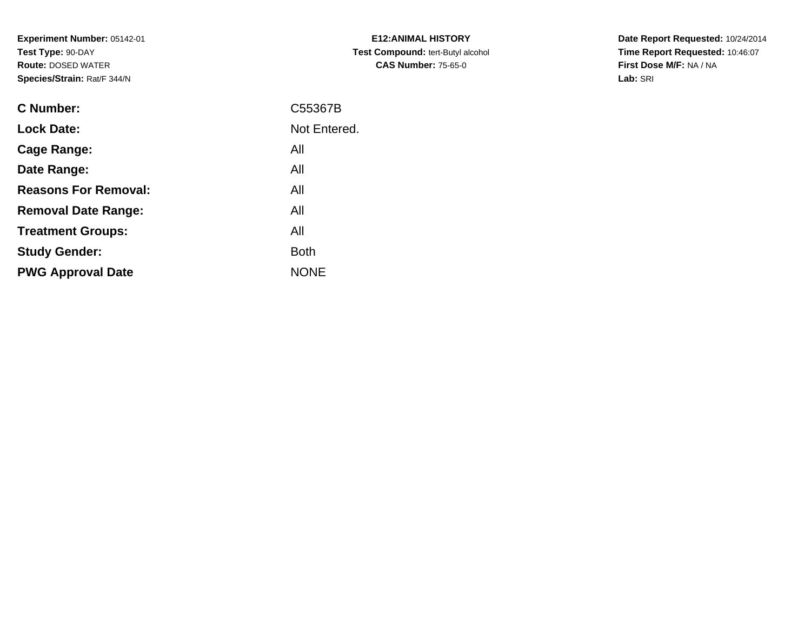**Experiment Number:** 05142-01**Test Type:** 90-DAY **Route:** DOSED WATER**Species/Strain:** Rat/F 344/N

| <b>E12:ANIMAL HISTORY</b>                |
|------------------------------------------|
| <b>Test Compound: tert-Butyl alcohol</b> |
| <b>CAS Number: 75-65-0</b>               |

| <b>C</b> Number:            | C55367B      |
|-----------------------------|--------------|
| <b>Lock Date:</b>           | Not Entered. |
| Cage Range:                 | All          |
| Date Range:                 | All          |
| <b>Reasons For Removal:</b> | All          |
| <b>Removal Date Range:</b>  | All          |
| <b>Treatment Groups:</b>    | All          |
| <b>Study Gender:</b>        | <b>Both</b>  |
| <b>PWG Approval Date</b>    | <b>NONE</b>  |
|                             |              |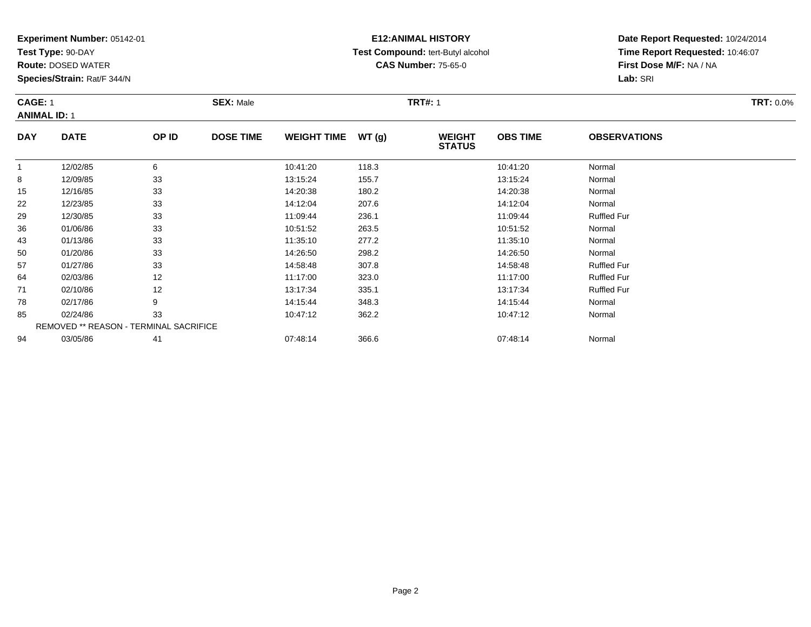**Test Type:** 90-DAY

**Route:** DOSED WATER

**Species/Strain:** Rat/F 344/N

# **E12:ANIMAL HISTORY Test Compound:** tert-Butyl alcohol **CAS Number:** 75-65-0

| <b>CAGE: 1</b><br><b>ANIMAL ID: 1</b> |             |       | <b>SEX: Male</b> |                    |       |                                | <b>TRT#: 1</b>  |                     |  |  |
|---------------------------------------|-------------|-------|------------------|--------------------|-------|--------------------------------|-----------------|---------------------|--|--|
| <b>DAY</b>                            | <b>DATE</b> | OP ID | <b>DOSE TIME</b> | <b>WEIGHT TIME</b> | WT(g) | <b>WEIGHT</b><br><b>STATUS</b> | <b>OBS TIME</b> | <b>OBSERVATIONS</b> |  |  |
|                                       | 12/02/85    | 6     |                  | 10:41:20           | 118.3 |                                | 10:41:20        | Normal              |  |  |
| 8                                     | 12/09/85    | 33    |                  | 13:15:24           | 155.7 |                                | 13:15:24        | Normal              |  |  |
| 15                                    | 12/16/85    | 33    |                  | 14:20:38           | 180.2 |                                | 14:20:38        | Normal              |  |  |
| າາ                                    | 10/22/95    | 22    |                  | 11.12.04           | 2076  |                                | 11.12.01        | <b>Normal</b>       |  |  |

| ັບ | 12/09/00 | ഄഄ                                            | 10.10.24 | 100.T | 10.10.24 | <b>INUITII</b> CH  |  |
|----|----------|-----------------------------------------------|----------|-------|----------|--------------------|--|
| 15 | 12/16/85 | 33                                            | 14:20:38 | 180.2 | 14:20:38 | Normal             |  |
| 22 | 12/23/85 | 33                                            | 14:12:04 | 207.6 | 14:12:04 | Normal             |  |
| 29 | 12/30/85 | 33                                            | 11:09:44 | 236.1 | 11:09:44 | <b>Ruffled Fur</b> |  |
| 36 | 01/06/86 | 33                                            | 10:51:52 | 263.5 | 10:51:52 | Normal             |  |
| 43 | 01/13/86 | 33                                            | 11:35:10 | 277.2 | 11:35:10 | Normal             |  |
| 50 | 01/20/86 | 33                                            | 14:26:50 | 298.2 | 14:26:50 | Normal             |  |
| 57 | 01/27/86 | 33                                            | 14:58:48 | 307.8 | 14:58:48 | <b>Ruffled Fur</b> |  |
| 64 | 02/03/86 | 12                                            | 11:17:00 | 323.0 | 11:17:00 | <b>Ruffled Fur</b> |  |
| 71 | 02/10/86 | 12                                            | 13:17:34 | 335.1 | 13:17:34 | <b>Ruffled Fur</b> |  |
| 78 | 02/17/86 | 9                                             | 14:15:44 | 348.3 | 14:15:44 | Normal             |  |
| 85 | 02/24/86 | 33                                            | 10:47:12 | 362.2 | 10:47:12 | Normal             |  |
|    |          | <b>REMOVED ** REASON - TERMINAL SACRIFICE</b> |          |       |          |                    |  |
| 94 | 03/05/86 | 41                                            | 07:48:14 | 366.6 | 07:48:14 | Normal             |  |
|    |          |                                               |          |       |          |                    |  |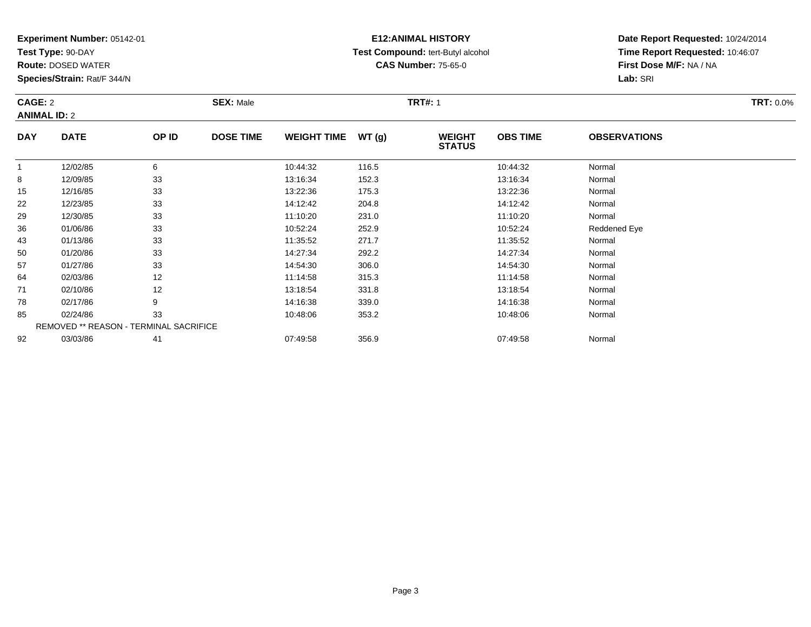**Test Type:** 90-DAY

50

57

64

71

78

85

92

**Route:** DOSED WATER

**Species/Strain:** Rat/F 344/N

REMOVED \*\* REASON - TERMINAL SACRIFICE

### **E12:ANIMAL HISTORY Test Compound:** tert-Butyl alcohol **CAS Number:** 75-65-0

**Date Report Requested:** 10/24/2014**Time Report Requested:** 10:46:07**First Dose M/F:** NA / NA**Lab:** SRI

| CAGE: 2<br><b>ANIMAL ID: 2</b> |             |       | <b>SEX: Male</b> |                    |       | <b>TRT#: 1</b>                 |                 | <b>TRT: 0.0%</b>    |  |
|--------------------------------|-------------|-------|------------------|--------------------|-------|--------------------------------|-----------------|---------------------|--|
| <b>DAY</b>                     | <b>DATE</b> | OP ID | <b>DOSE TIME</b> | <b>WEIGHT TIME</b> | WT(q) | <b>WEIGHT</b><br><b>STATUS</b> | <b>OBS TIME</b> | <b>OBSERVATIONS</b> |  |
|                                | 12/02/85    | 6     |                  | 10:44:32           | 116.5 |                                | 10:44:32        | Normal              |  |
| 8                              | 12/09/85    | 33    |                  | 13:16:34           | 152.3 |                                | 13:16:34        | Normal              |  |
| 15                             | 12/16/85    | 33    |                  | 13:22:36           | 175.3 |                                | 13:22:36        | Normal              |  |
| 22                             | 12/23/85    | 33    |                  | 14:12:42           | 204.8 |                                | 14:12:42        | Normal              |  |
| 29                             | 12/30/85    | 33    |                  | 11:10:20           | 231.0 |                                | 11:10:20        | Normal              |  |
| 36                             | 01/06/86    | 33    |                  | 10:52:24           | 252.9 |                                | 10:52:24        | Reddened Eye        |  |
| 43                             | 01/13/86    | 33    |                  | 11:35:52           | 271.7 |                                | 11:35:52        | Normal              |  |

01/20/86 <sup>33</sup> 14:27:34 292.2 14:27:34 Normal

7 01/27/86 33 3 14:54:30 306.0 14:54:30 14:54:30 14:54:30 14:54:30 Normal

4 02/03/86 12 12 11:14:58 315.3 11:14:58 11:14:58 Normal

1 02/10/86 12 12 13:18:54 331.8 13:18 13:18 13:18:54 Normal

8 02/17/86 9 9 14:16:38 339.0 13 14:16:38 Normal

5 02/24/86 33 3 10:48:06 353.2 10:48:06 353.2 10:48:06 Normal

03/03/86 <sup>41</sup> 07:49:58 356.9 07:49:58 Normal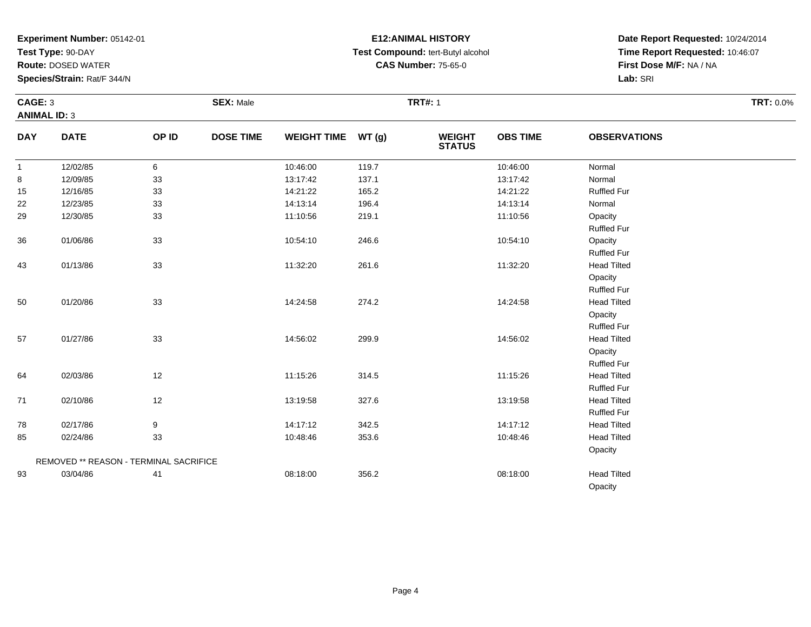**Test Type:** 90-DAY

**Route:** DOSED WATER

**Species/Strain:** Rat/F 344/N

# **E12:ANIMAL HISTORY Test Compound:** tert-Butyl alcohol **CAS Number:** 75-65-0

|              | CAGE: 3<br><b>ANIMAL ID: 3</b>         |       | <b>SEX: Male</b> |                    |       | <b>TRT#: 1</b>           | <b>TRT: 0.0%</b> |                                                     |  |
|--------------|----------------------------------------|-------|------------------|--------------------|-------|--------------------------|------------------|-----------------------------------------------------|--|
| <b>DAY</b>   | <b>DATE</b>                            | OP ID | <b>DOSE TIME</b> | WEIGHT TIME WT (g) |       | <b>WEIGHT<br/>STATUS</b> | <b>OBS TIME</b>  | <b>OBSERVATIONS</b>                                 |  |
| $\mathbf{1}$ | 12/02/85                               | 6     |                  | 10:46:00           | 119.7 |                          | 10:46:00         | Normal                                              |  |
| 8            | 12/09/85                               | 33    |                  | 13:17:42           | 137.1 |                          | 13:17:42         | Normal                                              |  |
| 15           | 12/16/85                               | 33    |                  | 14:21:22           | 165.2 |                          | 14:21:22         | <b>Ruffled Fur</b>                                  |  |
| 22           | 12/23/85                               | 33    |                  | 14:13:14           | 196.4 |                          | 14:13:14         | Normal                                              |  |
| 29           | 12/30/85                               | 33    |                  | 11:10:56           | 219.1 |                          | 11:10:56         | Opacity<br><b>Ruffled Fur</b>                       |  |
| 36           | 01/06/86                               | 33    |                  | 10:54:10           | 246.6 |                          | 10:54:10         | Opacity<br><b>Ruffled Fur</b>                       |  |
| 43           | 01/13/86                               | 33    |                  | 11:32:20           | 261.6 |                          | 11:32:20         | <b>Head Tilted</b><br>Opacity<br><b>Ruffled Fur</b> |  |
| 50           | 01/20/86                               | 33    |                  | 14:24:58           | 274.2 |                          | 14:24:58         | <b>Head Tilted</b><br>Opacity<br><b>Ruffled Fur</b> |  |
| 57           | 01/27/86                               | 33    |                  | 14:56:02           | 299.9 |                          | 14:56:02         | <b>Head Tilted</b><br>Opacity<br><b>Ruffled Fur</b> |  |
| 64           | 02/03/86                               | 12    |                  | 11:15:26           | 314.5 |                          | 11:15:26         | <b>Head Tilted</b><br><b>Ruffled Fur</b>            |  |
| 71           | 02/10/86                               | 12    |                  | 13:19:58           | 327.6 |                          | 13:19:58         | <b>Head Tilted</b><br><b>Ruffled Fur</b>            |  |
| 78           | 02/17/86                               | 9     |                  | 14:17:12           | 342.5 |                          | 14:17:12         | <b>Head Tilted</b>                                  |  |
| 85           | 02/24/86                               | 33    |                  | 10:48:46           | 353.6 |                          | 10:48:46         | <b>Head Tilted</b>                                  |  |
|              | REMOVED ** REASON - TERMINAL SACRIFICE |       |                  |                    |       |                          |                  | Opacity                                             |  |
| 93           | 03/04/86                               | 41    |                  | 08:18:00           | 356.2 |                          | 08:18:00         | <b>Head Tilted</b>                                  |  |
|              |                                        |       |                  |                    |       |                          |                  | Opacity                                             |  |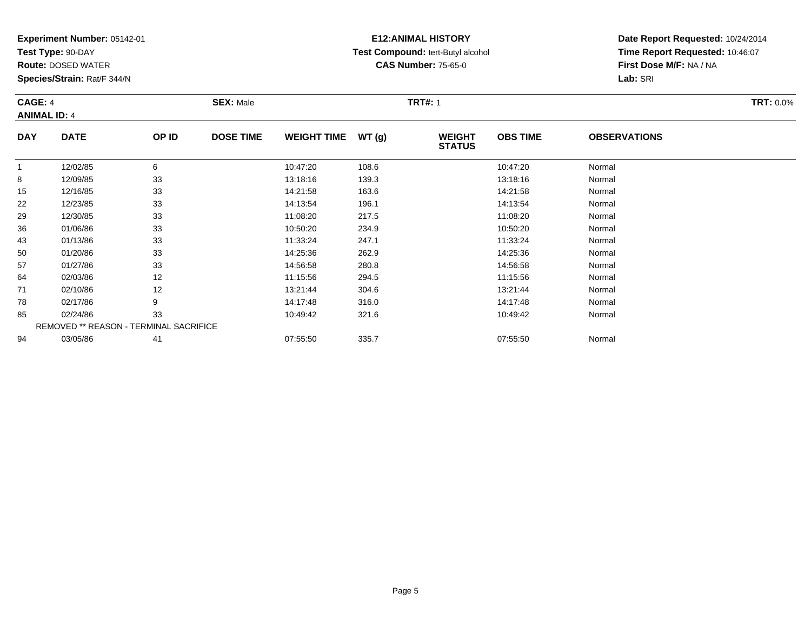**Test Type:** 90-DAY

94

**Route:** DOSED WATER

**Species/Strain:** Rat/F 344/N

REMOVED \*\* REASON - TERMINAL SACRIFICE

### **E12:ANIMAL HISTORY Test Compound:** tert-Butyl alcohol **CAS Number:** 75-65-0

**Date Report Requested:** 10/24/2014**Time Report Requested:** 10:46:07**First Dose M/F:** NA / NA**Lab:** SRI

| CAGE: 4<br><b>ANIMAL ID: 4</b> |             | <b>SEX: Male</b> |                  |                    | <b>TRT#: 1</b> | <b>TRT: 0.0%</b>               |                 |                     |  |
|--------------------------------|-------------|------------------|------------------|--------------------|----------------|--------------------------------|-----------------|---------------------|--|
| <b>DAY</b>                     | <b>DATE</b> | OP ID            | <b>DOSE TIME</b> | <b>WEIGHT TIME</b> | WT(g)          | <b>WEIGHT</b><br><b>STATUS</b> | <b>OBS TIME</b> | <b>OBSERVATIONS</b> |  |
| 1                              | 12/02/85    | 6                |                  | 10:47:20           | 108.6          |                                | 10:47:20        | Normal              |  |
| 8                              | 12/09/85    | 33               |                  | 13:18:16           | 139.3          |                                | 13:18:16        | Normal              |  |
| 15                             | 12/16/85    | 33               |                  | 14:21:58           | 163.6          |                                | 14:21:58        | Normal              |  |
| 22                             | 12/23/85    | 33               |                  | 14:13:54           | 196.1          |                                | 14:13:54        | Normal              |  |
| 29                             | 12/30/85    | 33               |                  | 11:08:20           | 217.5          |                                | 11:08:20        | Normal              |  |
| 36                             | 01/06/86    | 33               |                  | 10:50:20           | 234.9          |                                | 10:50:20        | Normal              |  |
| 43                             | 01/13/86    | 33               |                  | 11:33:24           | 247.1          |                                | 11:33:24        | Normal              |  |
| 50                             | 01/20/86    | 33               |                  | 14:25:36           | 262.9          |                                | 14:25:36        | Normal              |  |
| 57                             | 01/27/86    | 33               |                  | 14:56:58           | 280.8          |                                | 14:56:58        | Normal              |  |
| 64                             | 02/03/86    | 12               |                  | 11:15:56           | 294.5          |                                | 11:15:56        | Normal              |  |
| 71                             | 02/10/86    | 12               |                  | 13:21:44           | 304.6          |                                | 13:21:44        | Normal              |  |
| 78                             | 02/17/86    | 9                |                  | 14:17:48           | 316.0          |                                | 14:17:48        | Normal              |  |
| 85                             | 02/24/86    | 33               |                  | 10:49:42           | 321.6          |                                | 10:49:42        | Normal              |  |

4 03/05/86 41 41 07:55:50 335.7 07:55:50 07:55:50 Normal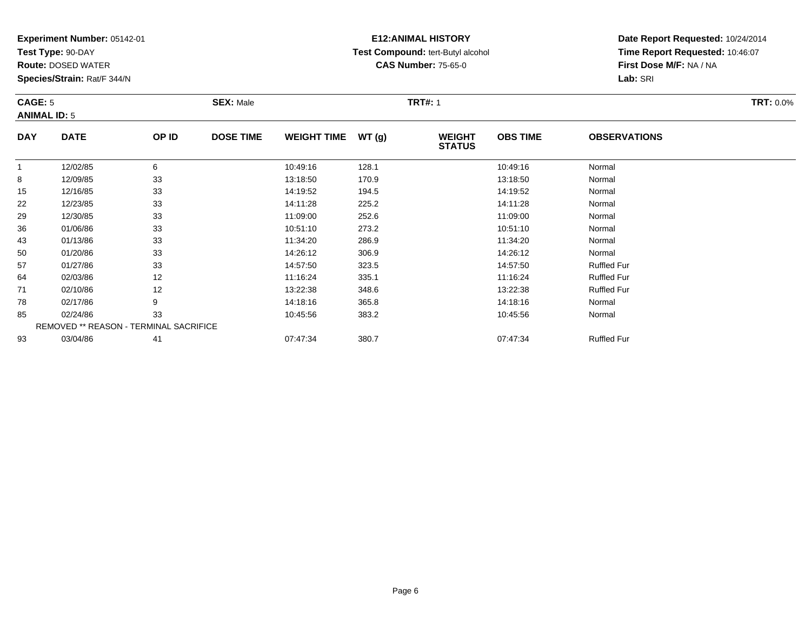**Test Type:** 90-DAY

**Route:** DOSED WATER

**Species/Strain:** Rat/F 344/N

# **E12:ANIMAL HISTORY Test Compound:** tert-Butyl alcohol **CAS Number:** 75-65-0

| <b>CAGE: 5</b><br><b>ANIMAL ID: 5</b> |             |       | <b>SEX: Male</b> |                    |       | <b>TRT#: 1</b>                 | <b>TRT: 0.0%</b> |                     |  |
|---------------------------------------|-------------|-------|------------------|--------------------|-------|--------------------------------|------------------|---------------------|--|
| <b>DAY</b>                            | <b>DATE</b> | OP ID | <b>DOSE TIME</b> | <b>WEIGHT TIME</b> | WT(g) | <b>WEIGHT</b><br><b>STATUS</b> | <b>OBS TIME</b>  | <b>OBSERVATIONS</b> |  |
|                                       | 12/02/85    |       |                  | 10:49:16           | 128.1 |                                | 10:49:16         | Normal              |  |
| 8                                     | 12/09/85    | 33    |                  | 13:18:50           | 170.9 |                                | 13:18:50         | Normal              |  |
| 15                                    | 12/16/85    | 33    |                  | 14:19:52           | 194.5 |                                | 14:19:52         | Normal              |  |
| 22                                    | 12/23/85    | 33    |                  | 14:11:28           | 225.2 |                                | 14:11:28         | Normal              |  |

|    | . . <i>.</i> | $\ddot{\phantom{0}}$                          |          | .     | .        | .                  |  |
|----|--------------|-----------------------------------------------|----------|-------|----------|--------------------|--|
| 15 | 12/16/85     | 33                                            | 14:19:52 | 194.5 | 14:19:52 | Normal             |  |
| 22 | 12/23/85     | 33                                            | 14:11:28 | 225.2 | 14:11:28 | Normal             |  |
| 29 | 12/30/85     | 33                                            | 11:09:00 | 252.6 | 11:09:00 | Normal             |  |
| 36 | 01/06/86     | 33                                            | 10:51:10 | 273.2 | 10:51:10 | Normal             |  |
| 43 | 01/13/86     | 33                                            | 11:34:20 | 286.9 | 11:34:20 | Normal             |  |
| 50 | 01/20/86     | 33                                            | 14:26:12 | 306.9 | 14:26:12 | Normal             |  |
| 57 | 01/27/86     | 33                                            | 14:57:50 | 323.5 | 14:57:50 | <b>Ruffled Fur</b> |  |
| 64 | 02/03/86     | 12                                            | 11:16:24 | 335.1 | 11:16:24 | <b>Ruffled Fur</b> |  |
| 71 | 02/10/86     | 12                                            | 13:22:38 | 348.6 | 13:22:38 | <b>Ruffled Fur</b> |  |
| 78 | 02/17/86     | 9                                             | 14:18:16 | 365.8 | 14:18:16 | Normal             |  |
| 85 | 02/24/86     | 33                                            | 10:45:56 | 383.2 | 10:45:56 | Normal             |  |
|    |              | <b>REMOVED ** REASON - TERMINAL SACRIFICE</b> |          |       |          |                    |  |
| 93 | 03/04/86     | 41                                            | 07:47:34 | 380.7 | 07:47:34 | <b>Ruffled Fur</b> |  |
|    |              |                                               |          |       |          |                    |  |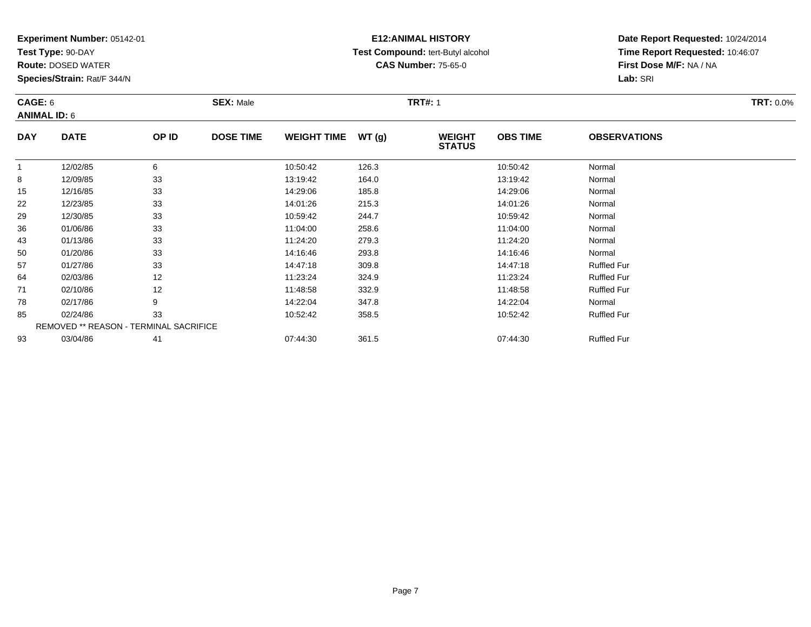**Test Type:** 90-DAY

**Route:** DOSED WATER

**Species/Strain:** Rat/F 344/N

# **E12:ANIMAL HISTORY Test Compound:** tert-Butyl alcohol **CAS Number:** 75-65-0

| CAGE: 6<br><b>ANIMAL ID: 6</b> |             |       | <b>SEX: Male</b> |                    |       | <b>TRT#: 1</b>                 | <b>TRT: 0.0%</b> |                     |  |
|--------------------------------|-------------|-------|------------------|--------------------|-------|--------------------------------|------------------|---------------------|--|
| <b>DAY</b>                     | <b>DATE</b> | OP ID | <b>DOSE TIME</b> | <b>WEIGHT TIME</b> | WT(q) | <b>WEIGHT</b><br><b>STATUS</b> | <b>OBS TIME</b>  | <b>OBSERVATIONS</b> |  |
|                                | 12/02/85    |       |                  | 10:50:42           | 126.3 |                                | 10:50:42         | Normal              |  |
| 8                              | 12/09/85    | 33    |                  | 13:19:42           | 164.0 |                                | 13:19:42         | Normal              |  |
| 15                             | 12/16/85    | 33    |                  | 14:29:06           | 185.8 |                                | 14:29:06         | Normal              |  |
| 22                             | 12/23/85    | 33    |                  | 14:01:26           | 215.3 |                                | 14:01:26         | Normal              |  |

| 8  | 12/09/85       | 33                                            | 13:19:42 | 164.0 | 13:19:42 | Normal             |  |
|----|----------------|-----------------------------------------------|----------|-------|----------|--------------------|--|
|    | 15<br>12/16/85 | 33                                            | 14:29:06 | 185.8 | 14:29:06 | Normal             |  |
|    | 22<br>12/23/85 | 33                                            | 14:01:26 | 215.3 | 14:01:26 | Normal             |  |
| 29 | 12/30/85       | 33                                            | 10:59:42 | 244.7 | 10:59:42 | Normal             |  |
|    | 36<br>01/06/86 | 33                                            | 11:04:00 | 258.6 | 11:04:00 | Normal             |  |
| 43 | 01/13/86       | 33                                            | 11:24:20 | 279.3 | 11:24:20 | Normal             |  |
| 50 | 01/20/86       | 33                                            | 14:16:46 | 293.8 | 14:16:46 | Normal             |  |
| 57 | 01/27/86       | 33                                            | 14:47:18 | 309.8 | 14:47:18 | <b>Ruffled Fur</b> |  |
| 64 | 02/03/86       | 12                                            | 11:23:24 | 324.9 | 11:23:24 | <b>Ruffled Fur</b> |  |
| 71 | 02/10/86       | 12                                            | 11:48:58 | 332.9 | 11:48:58 | <b>Ruffled Fur</b> |  |
| 78 | 02/17/86       | 9                                             | 14:22:04 | 347.8 | 14:22:04 | Normal             |  |
|    | 85<br>02/24/86 | 33                                            | 10:52:42 | 358.5 | 10:52:42 | <b>Ruffled Fur</b> |  |
|    |                | <b>REMOVED ** REASON - TERMINAL SACRIFICE</b> |          |       |          |                    |  |
| 93 | 03/04/86       | 41                                            | 07:44:30 | 361.5 | 07:44:30 | <b>Ruffled Fur</b> |  |
|    |                |                                               |          |       |          |                    |  |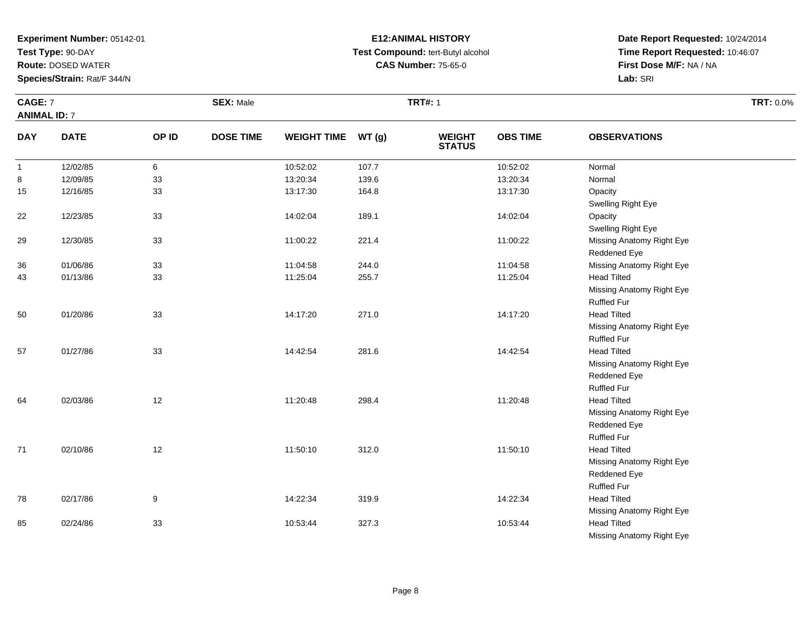**Test Type:** 90-DAY

**Route:** DOSED WATER

**Species/Strain:** Rat/F 344/N

# **E12:ANIMAL HISTORY Test Compound:** tert-Butyl alcohol **CAS Number:** 75-65-0

**Date Report Requested:** 10/24/2014 **Time Report Requested:** 10:46:07**First Dose M/F:** NA / NA**Lab:** SRI

Missing Anatomy Right Eye

|                     | CAGE: 7     |       | <b>SEX: Male</b> |                    |       | <b>TRT#: 1</b>                 |                 |                           | <b>TRT: 0.0%</b> |
|---------------------|-------------|-------|------------------|--------------------|-------|--------------------------------|-----------------|---------------------------|------------------|
| <b>ANIMAL ID: 7</b> |             |       |                  |                    |       |                                |                 |                           |                  |
| <b>DAY</b>          | <b>DATE</b> | OP ID | <b>DOSE TIME</b> | <b>WEIGHT TIME</b> | WT(g) | <b>WEIGHT</b><br><b>STATUS</b> | <b>OBS TIME</b> | <b>OBSERVATIONS</b>       |                  |
| $\overline{1}$      | 12/02/85    | 6     |                  | 10:52:02           | 107.7 |                                | 10:52:02        | Normal                    |                  |
| 8                   | 12/09/85    | 33    |                  | 13:20:34           | 139.6 |                                | 13:20:34        | Normal                    |                  |
| 15                  | 12/16/85    | 33    |                  | 13:17:30           | 164.8 |                                | 13:17:30        | Opacity                   |                  |
|                     |             |       |                  |                    |       |                                |                 | Swelling Right Eye        |                  |
| 22                  | 12/23/85    | 33    |                  | 14:02:04           | 189.1 |                                | 14:02:04        | Opacity                   |                  |
|                     |             |       |                  |                    |       |                                |                 | Swelling Right Eye        |                  |
| 29                  | 12/30/85    | 33    |                  | 11:00:22           | 221.4 |                                | 11:00:22        | Missing Anatomy Right Eye |                  |
|                     |             |       |                  |                    |       |                                |                 | Reddened Eye              |                  |
| 36                  | 01/06/86    | 33    |                  | 11:04:58           | 244.0 |                                | 11:04:58        | Missing Anatomy Right Eye |                  |
| 43                  | 01/13/86    | 33    |                  | 11:25:04           | 255.7 |                                | 11:25:04        | <b>Head Tilted</b>        |                  |
|                     |             |       |                  |                    |       |                                |                 | Missing Anatomy Right Eye |                  |
|                     |             |       |                  |                    |       |                                |                 | <b>Ruffled Fur</b>        |                  |
| 50                  | 01/20/86    | 33    |                  | 14:17:20           | 271.0 |                                | 14:17:20        | <b>Head Tilted</b>        |                  |
|                     |             |       |                  |                    |       |                                |                 | Missing Anatomy Right Eye |                  |
|                     |             |       |                  |                    |       |                                |                 | <b>Ruffled Fur</b>        |                  |
| 57                  | 01/27/86    | 33    |                  | 14:42:54           | 281.6 |                                | 14:42:54        | <b>Head Tilted</b>        |                  |
|                     |             |       |                  |                    |       |                                |                 | Missing Anatomy Right Eye |                  |
|                     |             |       |                  |                    |       |                                |                 | Reddened Eye              |                  |
|                     |             |       |                  |                    |       |                                |                 | <b>Ruffled Fur</b>        |                  |
| 64                  | 02/03/86    | 12    |                  | 11:20:48           | 298.4 |                                | 11:20:48        | <b>Head Tilted</b>        |                  |
|                     |             |       |                  |                    |       |                                |                 | Missing Anatomy Right Eye |                  |
|                     |             |       |                  |                    |       |                                |                 | Reddened Eye              |                  |
|                     |             |       |                  |                    |       |                                |                 | <b>Ruffled Fur</b>        |                  |
| 71                  | 02/10/86    | 12    |                  | 11:50:10           | 312.0 |                                | 11:50:10        | <b>Head Tilted</b>        |                  |
|                     |             |       |                  |                    |       |                                |                 | Missing Anatomy Right Eye |                  |
|                     |             |       |                  |                    |       |                                |                 | Reddened Eye              |                  |
|                     |             |       |                  |                    |       |                                |                 | <b>Ruffled Fur</b>        |                  |
| 78                  | 02/17/86    | 9     |                  | 14:22:34           | 319.9 |                                | 14:22:34        | <b>Head Tilted</b>        |                  |
|                     |             |       |                  |                    |       |                                |                 | Missing Anatomy Right Eye |                  |
| 85                  | 02/24/86    | 33    |                  | 10:53:44           | 327.3 |                                | 10:53:44        | <b>Head Tilted</b>        |                  |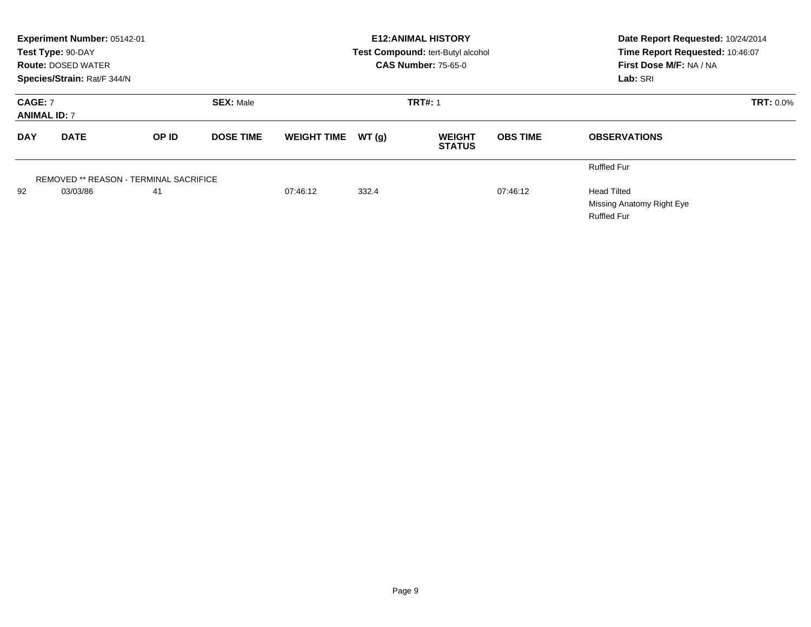|                                                           | Experiment Number: 05142-01<br>Test Type: 90-DAY<br><b>Route: DOSED WATER</b><br>Species/Strain: Rat/F 344/N |                                        |                  |                    |                | <b>E12:ANIMAL HISTORY</b><br>Test Compound: tert-Butyl alcohol<br><b>CAS Number: 75-65-0</b> | Date Report Requested: 10/24/2014<br>Time Report Requested: 10:46:07<br>First Dose M/F: NA / NA<br>Lab: SRI |                                                                       |
|-----------------------------------------------------------|--------------------------------------------------------------------------------------------------------------|----------------------------------------|------------------|--------------------|----------------|----------------------------------------------------------------------------------------------|-------------------------------------------------------------------------------------------------------------|-----------------------------------------------------------------------|
| <b>SEX: Male</b><br><b>CAGE: 7</b><br><b>ANIMAL ID: 7</b> |                                                                                                              |                                        |                  |                    | <b>TRT#: 1</b> |                                                                                              | <b>TRT: 0.0%</b>                                                                                            |                                                                       |
| <b>DAY</b>                                                | <b>DATE</b>                                                                                                  | <b>OP ID</b>                           | <b>DOSE TIME</b> | <b>WEIGHT TIME</b> | WT(q)          | <b>WEIGHT</b><br><b>STATUS</b>                                                               | <b>OBS TIME</b>                                                                                             | <b>OBSERVATIONS</b>                                                   |
|                                                           |                                                                                                              | REMOVED ** REASON - TERMINAL SACRIFICE |                  |                    |                |                                                                                              |                                                                                                             | <b>Ruffled Fur</b>                                                    |
| 92                                                        | 03/03/86                                                                                                     | 41                                     |                  | 07:46:12           | 332.4          |                                                                                              | 07:46:12                                                                                                    | <b>Head Tilted</b><br>Missing Anatomy Right Eye<br><b>Ruffled Fur</b> |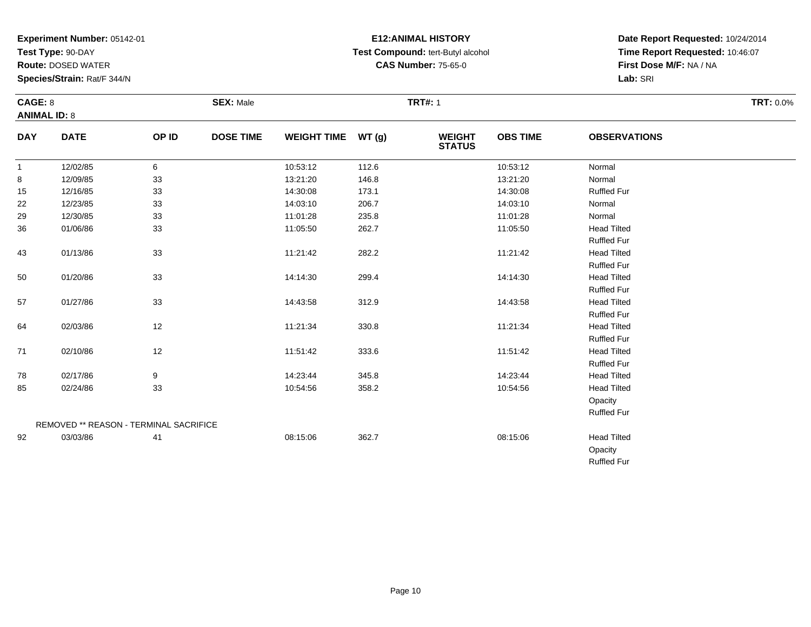**Test Type:** 90-DAY

**Route:** DOSED WATER

**Species/Strain:** Rat/F 344/N

# **E12:ANIMAL HISTORY Test Compound:** tert-Butyl alcohol **CAS Number:** 75-65-0

| CAGE: 8<br><b>ANIMAL ID: 8</b> |             |       | <b>SEX: Male</b> |                    |        | <b>TRT#: 1</b>                 |                 |                     | <b>TRT: 0.0%</b> |
|--------------------------------|-------------|-------|------------------|--------------------|--------|--------------------------------|-----------------|---------------------|------------------|
| <b>DAY</b>                     | <b>DATE</b> | OP ID | <b>DOSE TIME</b> | <b>WEIGHT TIME</b> | WT (g) | <b>WEIGHT</b><br><b>STATUS</b> | <b>OBS TIME</b> | <b>OBSERVATIONS</b> |                  |
| $\mathbf{1}$                   | 12/02/85    | 6     |                  | 10:53:12           | 112.6  |                                | 10:53:12        | Normal              |                  |
| 8                              | 12/09/85    | 33    |                  | 13:21:20           | 146.8  |                                | 13:21:20        | Normal              |                  |
| 15                             | 12/16/85    | 33    |                  | 14:30:08           | 173.1  |                                | 14:30:08        | <b>Ruffled Fur</b>  |                  |
| 22                             | 12/23/85    | 33    |                  | 14:03:10           | 206.7  |                                | 14:03:10        | Normal              |                  |
| 29                             | 12/30/85    | 33    |                  | 11:01:28           | 235.8  |                                | 11:01:28        | Normal              |                  |
| 36                             | 01/06/86    | 33    |                  | 11:05:50           | 262.7  |                                | 11:05:50        | <b>Head Tilted</b>  |                  |
|                                |             |       |                  |                    |        |                                |                 | <b>Ruffled Fur</b>  |                  |
| 43                             | 01/13/86    | 33    |                  | 11:21:42           | 282.2  |                                | 11:21:42        | <b>Head Tilted</b>  |                  |
|                                |             |       |                  |                    |        |                                |                 | <b>Ruffled Fur</b>  |                  |
| 50                             | 01/20/86    | 33    |                  | 14:14:30           | 299.4  |                                | 14:14:30        | <b>Head Tilted</b>  |                  |
|                                |             |       |                  |                    |        |                                |                 | <b>Ruffled Fur</b>  |                  |
| 57                             | 01/27/86    | 33    |                  | 14:43:58           | 312.9  |                                | 14:43:58        | <b>Head Tilted</b>  |                  |
|                                |             |       |                  |                    |        |                                |                 | <b>Ruffled Fur</b>  |                  |
| 64                             | 02/03/86    | 12    |                  | 11:21:34           | 330.8  |                                | 11:21:34        | <b>Head Tilted</b>  |                  |
|                                |             |       |                  |                    |        |                                |                 | <b>Ruffled Fur</b>  |                  |
| 71                             | 02/10/86    | 12    |                  | 11:51:42           | 333.6  |                                | 11:51:42        | <b>Head Tilted</b>  |                  |
|                                |             |       |                  |                    |        |                                |                 | <b>Ruffled Fur</b>  |                  |
| 78                             | 02/17/86    | 9     |                  | 14:23:44           | 345.8  |                                | 14:23:44        | <b>Head Tilted</b>  |                  |
| 85                             | 02/24/86    | 33    |                  | 10:54:56           | 358.2  |                                | 10:54:56        | <b>Head Tilted</b>  |                  |
|                                |             |       |                  |                    |        |                                |                 | Opacity             |                  |

|    |          | REMOVED ** REASON - TERMINAL SACRIFICE |          |       |          | <b>Ruffled Fur</b>                                  |
|----|----------|----------------------------------------|----------|-------|----------|-----------------------------------------------------|
| 92 | 03/03/86 | -41                                    | 08:15:06 | 362.7 | 08:15:06 | <b>Head Tilted</b><br>Opacity<br><b>Ruffled Fur</b> |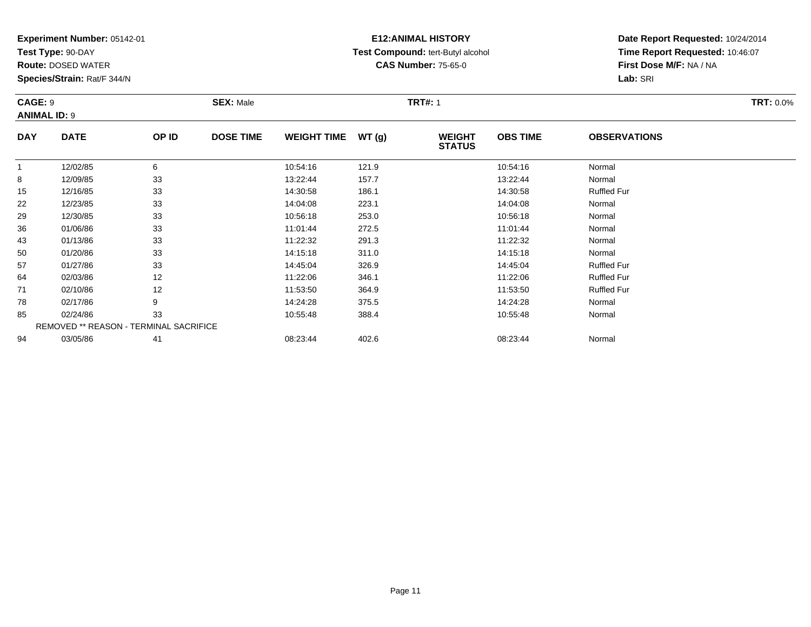**Test Type:** 90-DAY

57

64

71

78

85

94

**Route:** DOSED WATER

**Species/Strain:** Rat/F 344/N

REMOVED \*\* REASON - TERMINAL SACRIFICE

### **E12:ANIMAL HISTORY Test Compound:** tert-Butyl alcohol **CAS Number:** 75-65-0

**Date Report Requested:** 10/24/2014**Time Report Requested:** 10:46:07**First Dose M/F:** NA / NA**Lab:** SRI

| CAGE: 9<br><b>ANIMAL ID: 9</b> |             |              | <b>SEX: Male</b> |                    |       | <b>TRT#: 1</b>                 | <b>TRT: 0.0%</b> |                     |  |
|--------------------------------|-------------|--------------|------------------|--------------------|-------|--------------------------------|------------------|---------------------|--|
| <b>DAY</b>                     | <b>DATE</b> | <b>OP ID</b> | <b>DOSE TIME</b> | <b>WEIGHT TIME</b> | WT(g) | <b>WEIGHT</b><br><b>STATUS</b> | <b>OBS TIME</b>  | <b>OBSERVATIONS</b> |  |
|                                | 12/02/85    | 6            |                  | 10:54:16           | 121.9 |                                | 10:54:16         | Normal              |  |
| 8                              | 12/09/85    | 33           |                  | 13:22:44           | 157.7 |                                | 13:22:44         | Normal              |  |
| 15                             | 12/16/85    | 33           |                  | 14:30:58           | 186.1 |                                | 14:30:58         | <b>Ruffled Fur</b>  |  |
| 22                             | 12/23/85    | 33           |                  | 14:04:08           | 223.1 |                                | 14:04:08         | Normal              |  |
| 29                             | 12/30/85    | 33           |                  | 10:56:18           | 253.0 |                                | 10:56:18         | Normal              |  |
| 36                             | 01/06/86    | 33           |                  | 11:01:44           | 272.5 |                                | 11:01:44         | Normal              |  |
| 43                             | 01/13/86    | 33           |                  | 11:22:32           | 291.3 |                                | 11:22:32         | Normal              |  |
| 50                             | 01/20/86    | 33           |                  | 14:15:18           | 311.0 |                                | 14:15:18         | Normal              |  |

0 01/20/86 33 14:15:18 311.0 14:15:18 Normal

7 01/27/86 33 14:45:04 326.9 14:45:04 Ruffled Fur

4 02/03/86 12 12 11:22:06 346.1 11:22.06 11:22:06 Ruffled Fur

1 02/10/86 12 11:53:50 364.9 11:53:50 Ruffled Fur

8 02/17/86 9 9 14:24:28 375.5 14:24:28 02/17/86 Normal

5 02/24/86 33 3 10:55:48 388.4 10:55:48 398.4 10:55:48 Normal

03/05/86 <sup>41</sup> 08:23:44 402.6 08:23:44 Normal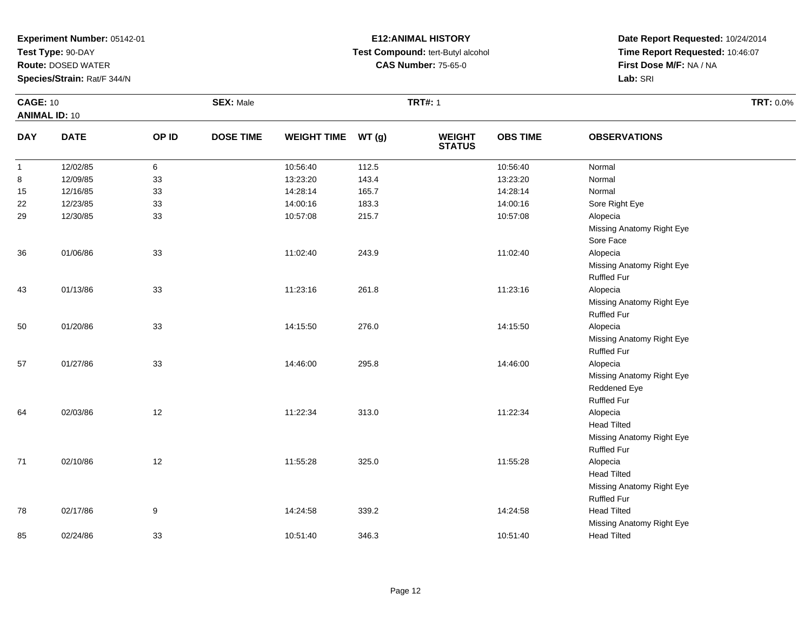**Test Type:** 90-DAY

**Route:** DOSED WATER

**Species/Strain:** Rat/F 344/N

## **E12:ANIMAL HISTORY Test Compound:** tert-Butyl alcohol **CAS Number:** 75-65-0

| <b>CAGE: 10</b>      |             |       | <b>SEX: Male</b> |                    |       | <b>TRT#: 1</b>                 |                 |                           | TRT: 0.0% |
|----------------------|-------------|-------|------------------|--------------------|-------|--------------------------------|-----------------|---------------------------|-----------|
| <b>ANIMAL ID: 10</b> |             |       |                  |                    |       |                                |                 |                           |           |
| <b>DAY</b>           | <b>DATE</b> | OP ID | <b>DOSE TIME</b> | <b>WEIGHT TIME</b> | WT(g) | <b>WEIGHT</b><br><b>STATUS</b> | <b>OBS TIME</b> | <b>OBSERVATIONS</b>       |           |
| $\mathbf{1}$         | 12/02/85    | 6     |                  | 10:56:40           | 112.5 |                                | 10:56:40        | Normal                    |           |
| 8                    | 12/09/85    | 33    |                  | 13:23:20           | 143.4 |                                | 13:23:20        | Normal                    |           |
| 15                   | 12/16/85    | 33    |                  | 14:28:14           | 165.7 |                                | 14:28:14        | Normal                    |           |
| 22                   | 12/23/85    | 33    |                  | 14:00:16           | 183.3 |                                | 14:00:16        | Sore Right Eye            |           |
| 29                   | 12/30/85    | 33    |                  | 10:57:08           | 215.7 |                                | 10:57:08        | Alopecia                  |           |
|                      |             |       |                  |                    |       |                                |                 | Missing Anatomy Right Eye |           |
|                      |             |       |                  |                    |       |                                |                 | Sore Face                 |           |
| 36                   | 01/06/86    | 33    |                  | 11:02:40           | 243.9 |                                | 11:02:40        | Alopecia                  |           |
|                      |             |       |                  |                    |       |                                |                 | Missing Anatomy Right Eye |           |
|                      |             |       |                  |                    |       |                                |                 | <b>Ruffled Fur</b>        |           |
| 43                   | 01/13/86    | 33    |                  | 11:23:16           | 261.8 |                                | 11:23:16        | Alopecia                  |           |
|                      |             |       |                  |                    |       |                                |                 | Missing Anatomy Right Eye |           |
|                      |             |       |                  |                    |       |                                |                 | <b>Ruffled Fur</b>        |           |
| 50                   | 01/20/86    | 33    |                  | 14:15:50           | 276.0 |                                | 14:15:50        | Alopecia                  |           |
|                      |             |       |                  |                    |       |                                |                 | Missing Anatomy Right Eye |           |
|                      |             |       |                  |                    |       |                                |                 | <b>Ruffled Fur</b>        |           |
| 57                   | 01/27/86    | 33    |                  | 14:46:00           | 295.8 |                                | 14:46:00        | Alopecia                  |           |
|                      |             |       |                  |                    |       |                                |                 | Missing Anatomy Right Eye |           |
|                      |             |       |                  |                    |       |                                |                 | Reddened Eye              |           |
|                      |             |       |                  |                    |       |                                |                 | Ruffled Fur               |           |
| 64                   | 02/03/86    | 12    |                  | 11:22:34           | 313.0 |                                | 11:22:34        | Alopecia                  |           |
|                      |             |       |                  |                    |       |                                |                 | <b>Head Tilted</b>        |           |
|                      |             |       |                  |                    |       |                                |                 | Missing Anatomy Right Eye |           |
|                      |             |       |                  |                    |       |                                |                 | <b>Ruffled Fur</b>        |           |
| $71$                 | 02/10/86    | 12    |                  | 11:55:28           | 325.0 |                                | 11:55:28        | Alopecia                  |           |
|                      |             |       |                  |                    |       |                                |                 | <b>Head Tilted</b>        |           |
|                      |             |       |                  |                    |       |                                |                 | Missing Anatomy Right Eye |           |
|                      |             |       |                  |                    |       |                                |                 | <b>Ruffled Fur</b>        |           |
| 78                   | 02/17/86    | 9     |                  | 14:24:58           | 339.2 |                                | 14:24:58        | <b>Head Tilted</b>        |           |
|                      |             |       |                  |                    |       |                                |                 | Missing Anatomy Right Eye |           |
| 85                   | 02/24/86    | 33    |                  | 10:51:40           | 346.3 |                                | 10:51:40        | <b>Head Tilted</b>        |           |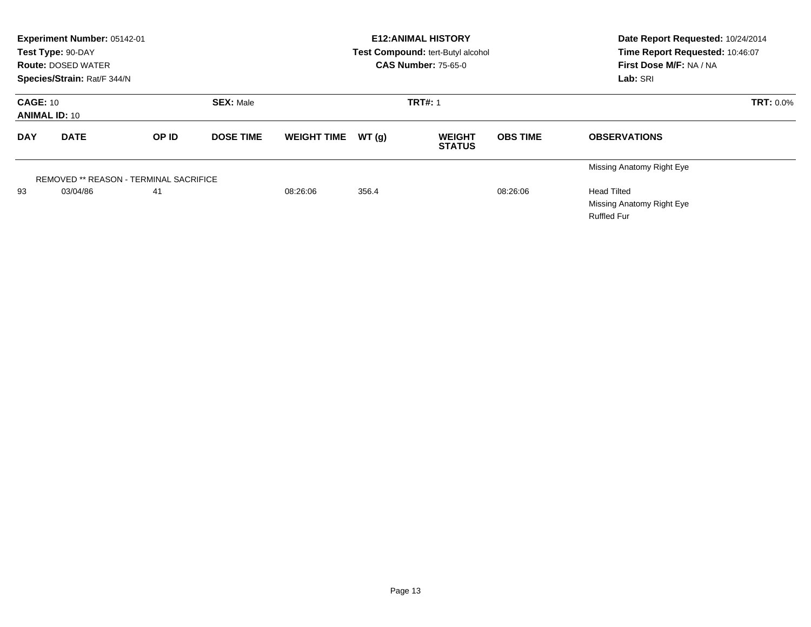|                                                             | Experiment Number: 05142-01<br>Test Type: 90-DAY<br><b>Route: DOSED WATER</b><br>Species/Strain: Rat/F 344/N |                                                     |                  |                    |                | <b>E12: ANIMAL HISTORY</b><br>Test Compound: tert-Butyl alcohol<br><b>CAS Number: 75-65-0</b> | Date Report Requested: 10/24/2014<br>Time Report Requested: 10:46:07<br>First Dose M/F: NA / NA<br>Lab: SRI |                                                                                                    |
|-------------------------------------------------------------|--------------------------------------------------------------------------------------------------------------|-----------------------------------------------------|------------------|--------------------|----------------|-----------------------------------------------------------------------------------------------|-------------------------------------------------------------------------------------------------------------|----------------------------------------------------------------------------------------------------|
| <b>SEX: Male</b><br><b>CAGE: 10</b><br><b>ANIMAL ID: 10</b> |                                                                                                              |                                                     |                  |                    | <b>TRT#: 1</b> | <b>TRT: 0.0%</b>                                                                              |                                                                                                             |                                                                                                    |
| <b>DAY</b>                                                  | <b>DATE</b>                                                                                                  | OP ID                                               | <b>DOSE TIME</b> | <b>WEIGHT TIME</b> | WT(g)          | <b>WEIGHT</b><br><b>STATUS</b>                                                                | <b>OBS TIME</b>                                                                                             | <b>OBSERVATIONS</b>                                                                                |
| 93                                                          | 03/04/86                                                                                                     | <b>REMOVED ** REASON - TERMINAL SACRIFICE</b><br>41 |                  | 08:26:06           | 356.4          |                                                                                               | 08:26:06                                                                                                    | Missing Anatomy Right Eye<br><b>Head Tilted</b><br>Missing Anatomy Right Eye<br><b>Ruffled Fur</b> |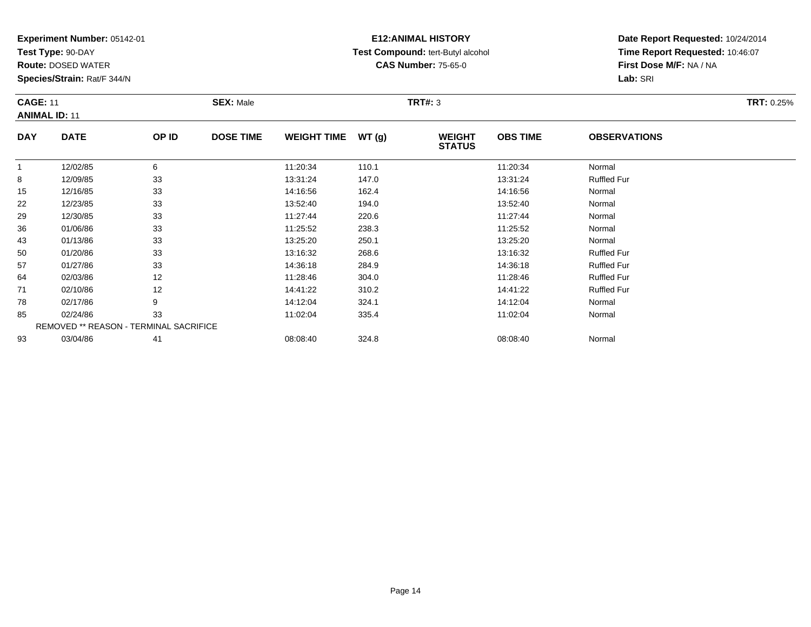**Test Type:** 90-DAY

**Route:** DOSED WATER

**Species/Strain:** Rat/F 344/N

# **E12:ANIMAL HISTORY Test Compound:** tert-Butyl alcohol **CAS Number:** 75-65-0

| <b>CAGE: 11</b><br><b>ANIMAL ID: 11</b> |             |       | <b>SEX: Male</b> |                    |        | TRT#: 3                        | <b>TRT: 0.25%</b> |                     |  |
|-----------------------------------------|-------------|-------|------------------|--------------------|--------|--------------------------------|-------------------|---------------------|--|
| <b>DAY</b>                              | <b>DATE</b> | OP ID | <b>DOSE TIME</b> | <b>WEIGHT TIME</b> | WT (q) | <b>WEIGHT</b><br><b>STATUS</b> | <b>OBS TIME</b>   | <b>OBSERVATIONS</b> |  |
|                                         | 12/02/85    | 6     |                  | 11:20:34           | 110.1  |                                | 11:20:34          | Normal              |  |
| 8                                       | 12/09/85    | 33    |                  | 13:31:24           | 147.0  |                                | 13:31:24          | <b>Ruffled Fur</b>  |  |
| 15                                      | 12/16/85    | 33    |                  | 14:16:56           | 162.4  |                                | 14:16:56          | Normal              |  |

| 8  | 12/09/85 | 33                                            | 13:31:24 | 147.0 | 13:31:24 | <b>Ruffled Fur</b> |
|----|----------|-----------------------------------------------|----------|-------|----------|--------------------|
| 15 | 12/16/85 | 33                                            | 14:16:56 | 162.4 | 14:16:56 | Normal             |
| 22 | 12/23/85 | 33                                            | 13:52:40 | 194.0 | 13:52:40 | Normal             |
| 29 | 12/30/85 | 33                                            | 11:27:44 | 220.6 | 11:27:44 | Normal             |
| 36 | 01/06/86 | 33                                            | 11:25:52 | 238.3 | 11:25:52 | Normal             |
| 43 | 01/13/86 | 33                                            | 13:25:20 | 250.1 | 13:25:20 | Normal             |
| 50 | 01/20/86 | 33                                            | 13:16:32 | 268.6 | 13:16:32 | <b>Ruffled Fur</b> |
| 57 | 01/27/86 | 33                                            | 14:36:18 | 284.9 | 14:36:18 | <b>Ruffled Fur</b> |
| 64 | 02/03/86 | 12                                            | 11:28:46 | 304.0 | 11:28:46 | <b>Ruffled Fur</b> |
| 71 | 02/10/86 | 12                                            | 14:41:22 | 310.2 | 14:41:22 | <b>Ruffled Fur</b> |
| 78 | 02/17/86 | 9                                             | 14:12:04 | 324.1 | 14:12:04 | Normal             |
| 85 | 02/24/86 | 33                                            | 11:02:04 | 335.4 | 11:02:04 | Normal             |
|    |          | <b>REMOVED ** REASON - TERMINAL SACRIFICE</b> |          |       |          |                    |
| 93 | 03/04/86 | 41                                            | 08:08:40 | 324.8 | 08:08:40 | Normal             |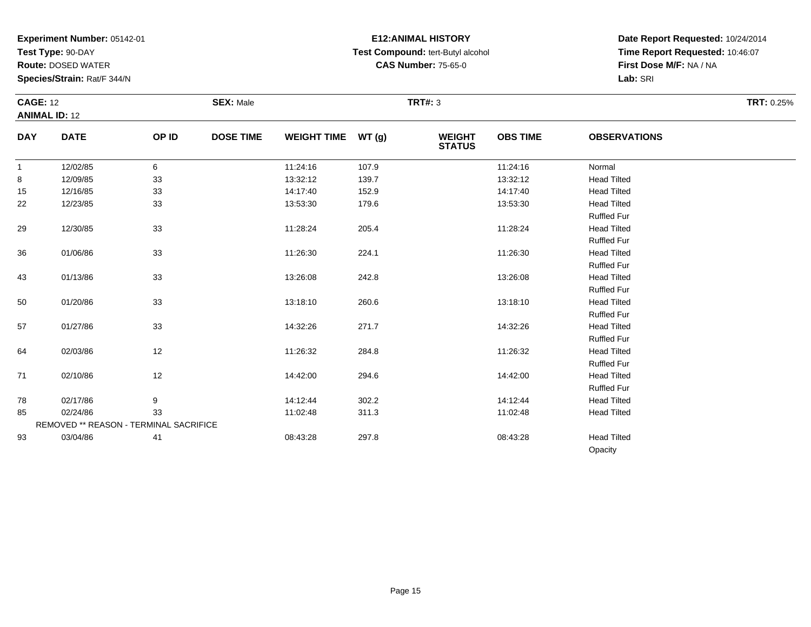**Test Type:** 90-DAY

93

**Route:** DOSED WATER

**Species/Strain:** Rat/F 344/N

# **E12:ANIMAL HISTORY Test Compound:** tert-Butyl alcohol **CAS Number:** 75-65-0

**Date Report Requested:** 10/24/2014**Time Report Requested:** 10:46:07**First Dose M/F:** NA / NA**Lab:** SRI

Opacity

|              | <b>CAGE: 12</b><br><b>ANIMAL ID: 12</b>       |       | <b>SEX: Male</b> |                    |        | <b>TRT#: 3</b>                 | <b>TRT: 0.25%</b> |                     |  |
|--------------|-----------------------------------------------|-------|------------------|--------------------|--------|--------------------------------|-------------------|---------------------|--|
| <b>DAY</b>   | <b>DATE</b>                                   | OP ID | <b>DOSE TIME</b> | <b>WEIGHT TIME</b> | WT (g) | <b>WEIGHT</b><br><b>STATUS</b> | <b>OBS TIME</b>   | <b>OBSERVATIONS</b> |  |
| $\mathbf{1}$ | 12/02/85                                      | 6     |                  | 11:24:16           | 107.9  |                                | 11:24:16          | Normal              |  |
| 8            | 12/09/85                                      | 33    |                  | 13:32:12           | 139.7  |                                | 13:32:12          | <b>Head Tilted</b>  |  |
| 15           | 12/16/85                                      | 33    |                  | 14:17:40           | 152.9  |                                | 14:17:40          | <b>Head Tilted</b>  |  |
| 22           | 12/23/85                                      | 33    |                  | 13:53:30           | 179.6  |                                | 13:53:30          | <b>Head Tilted</b>  |  |
|              |                                               |       |                  |                    |        |                                |                   | <b>Ruffled Fur</b>  |  |
| 29           | 12/30/85                                      | 33    |                  | 11:28:24           | 205.4  |                                | 11:28:24          | <b>Head Tilted</b>  |  |
|              |                                               |       |                  |                    |        |                                |                   | <b>Ruffled Fur</b>  |  |
| 36           | 01/06/86                                      | 33    |                  | 11:26:30           | 224.1  |                                | 11:26:30          | <b>Head Tilted</b>  |  |
|              |                                               |       |                  |                    |        |                                |                   | <b>Ruffled Fur</b>  |  |
| 43           | 01/13/86                                      | 33    |                  | 13:26:08           | 242.8  |                                | 13:26:08          | <b>Head Tilted</b>  |  |
|              |                                               |       |                  |                    |        |                                |                   | <b>Ruffled Fur</b>  |  |
| 50           | 01/20/86                                      | 33    |                  | 13:18:10           | 260.6  |                                | 13:18:10          | <b>Head Tilted</b>  |  |
|              |                                               |       |                  |                    |        |                                |                   | <b>Ruffled Fur</b>  |  |
| 57           | 01/27/86                                      | 33    |                  | 14:32:26           | 271.7  |                                | 14:32:26          | <b>Head Tilted</b>  |  |
|              |                                               |       |                  |                    |        |                                |                   | <b>Ruffled Fur</b>  |  |
| 64           | 02/03/86                                      | 12    |                  | 11:26:32           | 284.8  |                                | 11:26:32          | <b>Head Tilted</b>  |  |
|              |                                               |       |                  |                    |        |                                |                   | <b>Ruffled Fur</b>  |  |
| 71           | 02/10/86                                      | 12    |                  | 14:42:00           | 294.6  |                                | 14:42:00          | <b>Head Tilted</b>  |  |
|              |                                               |       |                  |                    |        |                                |                   | <b>Ruffled Fur</b>  |  |
| 78           | 02/17/86                                      | 9     |                  | 14:12:44           | 302.2  |                                | 14:12:44          | <b>Head Tilted</b>  |  |
| 85           | 02/24/86                                      | 33    |                  | 11:02:48           | 311.3  |                                | 11:02:48          | <b>Head Tilted</b>  |  |
|              | <b>REMOVED ** REASON - TERMINAL SACRIFICE</b> |       |                  |                    |        |                                |                   |                     |  |

03/04/86 <sup>41</sup> 08:43:28 297.8 08:43:28 Head Tilted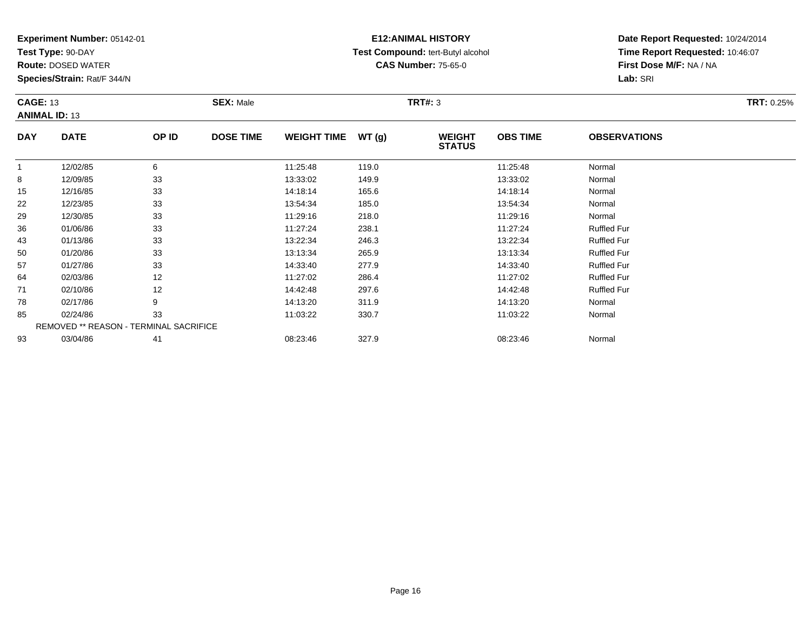**Test Type:** 90-DAY

64

71

78

85

93

**Route:** DOSED WATER

**Species/Strain:** Rat/F 344/N

REMOVED \*\* REASON - TERMINAL SACRIFICE

### **E12:ANIMAL HISTORY Test Compound:** tert-Butyl alcohol **CAS Number:** 75-65-0

**Date Report Requested:** 10/24/2014**Time Report Requested:** 10:46:07**First Dose M/F:** NA / NA**Lab:** SRI

| <b>CAGE: 13</b><br><b>ANIMAL ID: 13</b> |             | <b>SEX: Male</b> |                  |                    | <b>TRT#: 3</b> | <b>TRT: 0.25%</b>              |                 |                     |  |
|-----------------------------------------|-------------|------------------|------------------|--------------------|----------------|--------------------------------|-----------------|---------------------|--|
| <b>DAY</b>                              | <b>DATE</b> | OP ID            | <b>DOSE TIME</b> | <b>WEIGHT TIME</b> | WT(g)          | <b>WEIGHT</b><br><b>STATUS</b> | <b>OBS TIME</b> | <b>OBSERVATIONS</b> |  |
|                                         | 12/02/85    | 6                |                  | 11:25:48           | 119.0          |                                | 11:25:48        | Normal              |  |
| 8                                       | 12/09/85    | 33               |                  | 13:33:02           | 149.9          |                                | 13:33:02        | Normal              |  |
| 15                                      | 12/16/85    | 33               |                  | 14:18:14           | 165.6          |                                | 14:18:14        | Normal              |  |
| 22                                      | 12/23/85    | 33               |                  | 13:54:34           | 185.0          |                                | 13:54:34        | Normal              |  |
| 29                                      | 12/30/85    | 33               |                  | 11:29:16           | 218.0          |                                | 11:29:16        | Normal              |  |
| 36                                      | 01/06/86    | 33               |                  | 11:27:24           | 238.1          |                                | 11:27:24        | <b>Ruffled Fur</b>  |  |
| 43                                      | 01/13/86    | 33               |                  | 13:22:34           | 246.3          |                                | 13:22:34        | <b>Ruffled Fur</b>  |  |
| 50                                      | 01/20/86    | 33               |                  | 13:13:34           | 265.9          |                                | 13:13:34        | <b>Ruffled Fur</b>  |  |
| 57                                      | 01/27/86    | 33               |                  | 14:33:40           | 277.9          |                                | 14:33:40        | <b>Ruffled Fur</b>  |  |

02/03/86 <sup>12</sup> 11:27:02 286.4 11:27:02 Ruffled Fur

1 02/10/86 12 14:42:48 297.6 14:42:48 Ruffled Fur

8 02/17/86 9 9 14:13:20 311.9 11-19 14:13:20 Normal

5 02/24/86 33 3 11:03:22 330.7 11:03:22 350.7 11:03:22 Normal

3 03/04/86 41 41 08:23:46 327.9 08:23:46 08:23:46 08:23:46 Normal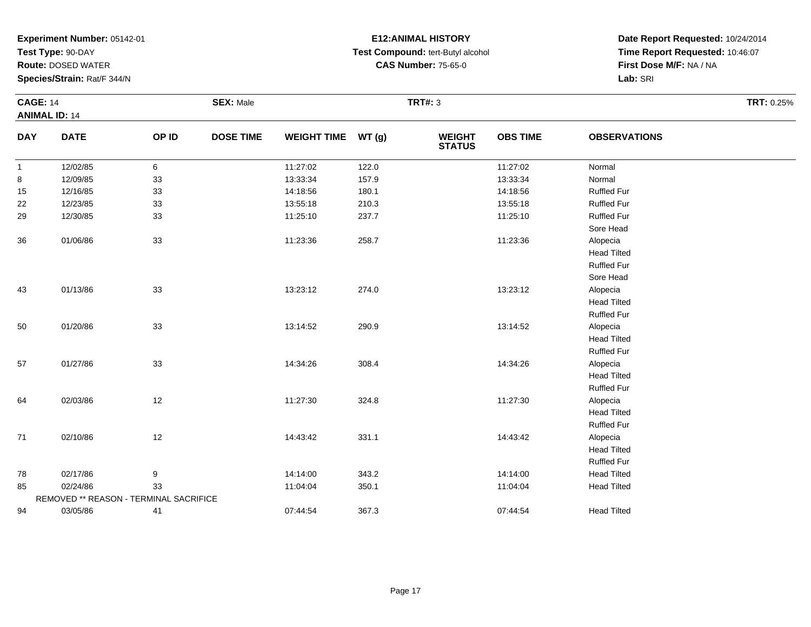**Test Type:** 90-DAY

**Route:** DOSED WATER

**Species/Strain:** Rat/F 344/N

# **E12:ANIMAL HISTORY Test Compound:** tert-Butyl alcohol **CAS Number:** 75-65-0

|              | <b>CAGE: 14</b><br><b>ANIMAL ID: 14</b> |       | <b>SEX: Male</b> |                    | <b>TRT#: 3</b> |                                |                 |                     | TRT: 0.25% |
|--------------|-----------------------------------------|-------|------------------|--------------------|----------------|--------------------------------|-----------------|---------------------|------------|
| <b>DAY</b>   | <b>DATE</b>                             | OP ID | <b>DOSE TIME</b> | <b>WEIGHT TIME</b> | WT(g)          | <b>WEIGHT</b><br><b>STATUS</b> | <b>OBS TIME</b> | <b>OBSERVATIONS</b> |            |
| $\mathbf{1}$ | 12/02/85                                | 6     |                  | 11:27:02           | 122.0          |                                | 11:27:02        | Normal              |            |
| 8            | 12/09/85                                | 33    |                  | 13:33:34           | 157.9          |                                | 13:33:34        | Normal              |            |
| 15           | 12/16/85                                | 33    |                  | 14:18:56           | 180.1          |                                | 14:18:56        | <b>Ruffled Fur</b>  |            |
| 22           | 12/23/85                                | 33    |                  | 13:55:18           | 210.3          |                                | 13:55:18        | <b>Ruffled Fur</b>  |            |
| 29           | 12/30/85                                | 33    |                  | 11:25:10           | 237.7          |                                | 11:25:10        | <b>Ruffled Fur</b>  |            |
|              |                                         |       |                  |                    |                |                                |                 | Sore Head           |            |
| 36           | 01/06/86                                | 33    |                  | 11:23:36           | 258.7          |                                | 11:23:36        | Alopecia            |            |
|              |                                         |       |                  |                    |                |                                |                 | <b>Head Tilted</b>  |            |
|              |                                         |       |                  |                    |                |                                |                 | <b>Ruffled Fur</b>  |            |
|              |                                         |       |                  |                    |                |                                |                 | Sore Head           |            |
| 43           | 01/13/86                                | 33    |                  | 13:23:12           | 274.0          |                                | 13:23:12        | Alopecia            |            |
|              |                                         |       |                  |                    |                |                                |                 | <b>Head Tilted</b>  |            |
|              |                                         |       |                  |                    |                |                                |                 | <b>Ruffled Fur</b>  |            |
| 50           | 01/20/86                                | 33    |                  | 13:14:52           | 290.9          |                                | 13:14:52        | Alopecia            |            |
|              |                                         |       |                  |                    |                |                                |                 | <b>Head Tilted</b>  |            |
|              |                                         |       |                  |                    |                |                                |                 | <b>Ruffled Fur</b>  |            |
| 57           | 01/27/86                                | 33    |                  | 14:34:26           | 308.4          |                                | 14:34:26        | Alopecia            |            |
|              |                                         |       |                  |                    |                |                                |                 | <b>Head Tilted</b>  |            |
|              |                                         |       |                  |                    |                |                                |                 | <b>Ruffled Fur</b>  |            |
| 64           | 02/03/86                                | 12    |                  | 11:27:30           | 324.8          |                                | 11:27:30        | Alopecia            |            |
|              |                                         |       |                  |                    |                |                                |                 | <b>Head Tilted</b>  |            |
|              |                                         |       |                  |                    |                |                                |                 | <b>Ruffled Fur</b>  |            |
| 71           | 02/10/86                                | 12    |                  | 14:43:42           | 331.1          |                                | 14:43:42        | Alopecia            |            |
|              |                                         |       |                  |                    |                |                                |                 | <b>Head Tilted</b>  |            |
|              |                                         |       |                  |                    |                |                                |                 | <b>Ruffled Fur</b>  |            |
| 78           | 02/17/86                                | 9     |                  | 14:14:00           | 343.2          |                                | 14:14:00        | <b>Head Tilted</b>  |            |
| 85           | 02/24/86                                | 33    |                  | 11:04:04           | 350.1          |                                | 11:04:04        | <b>Head Tilted</b>  |            |
|              | REMOVED ** REASON - TERMINAL SACRIFICE  |       |                  |                    |                |                                |                 |                     |            |
| 94           | 03/05/86                                | 41    |                  | 07:44:54           | 367.3          |                                | 07:44:54        | <b>Head Tilted</b>  |            |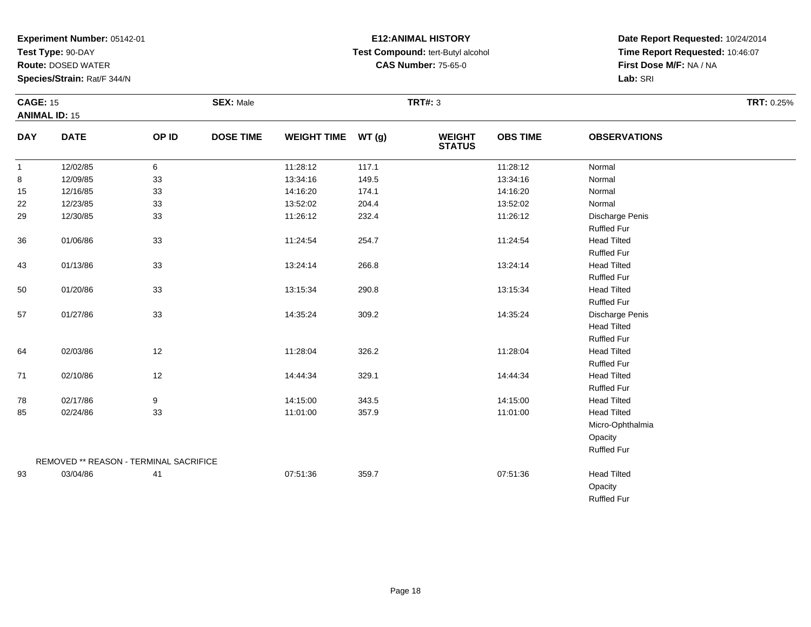**Test Type:** 90-DAY

93

**Route:** DOSED WATER

**Species/Strain:** Rat/F 344/N

## **E12:ANIMAL HISTORY Test Compound:** tert-Butyl alcohol **CAS Number:** 75-65-0

**Date Report Requested:** 10/24/2014**Time Report Requested:** 10:46:07**First Dose M/F:** NA / NA**Lab:** SRI

OpacityRuffled Fur

| <b>CAGE: 15</b> |                                        |       | <b>SEX: Male</b> |                    |       | <b>TRT#: 3</b>                 |                 |                     | TRT: 0.25% |
|-----------------|----------------------------------------|-------|------------------|--------------------|-------|--------------------------------|-----------------|---------------------|------------|
|                 | <b>ANIMAL ID: 15</b>                   |       |                  |                    |       |                                |                 |                     |            |
| <b>DAY</b>      | <b>DATE</b>                            | OP ID | <b>DOSE TIME</b> | <b>WEIGHT TIME</b> | WT(g) | <b>WEIGHT</b><br><b>STATUS</b> | <b>OBS TIME</b> | <b>OBSERVATIONS</b> |            |
| $\mathbf{1}$    | 12/02/85                               | 6     |                  | 11:28:12           | 117.1 |                                | 11:28:12        | Normal              |            |
| 8               | 12/09/85                               | 33    |                  | 13:34:16           | 149.5 |                                | 13:34:16        | Normal              |            |
| 15              | 12/16/85                               | 33    |                  | 14:16:20           | 174.1 |                                | 14:16:20        | Normal              |            |
| 22              | 12/23/85                               | 33    |                  | 13:52:02           | 204.4 |                                | 13:52:02        | Normal              |            |
| 29              | 12/30/85                               | 33    |                  | 11:26:12           | 232.4 |                                | 11:26:12        | Discharge Penis     |            |
|                 |                                        |       |                  |                    |       |                                |                 | <b>Ruffled Fur</b>  |            |
| 36              | 01/06/86                               | 33    |                  | 11:24:54           | 254.7 |                                | 11:24:54        | <b>Head Tilted</b>  |            |
|                 |                                        |       |                  |                    |       |                                |                 | <b>Ruffled Fur</b>  |            |
| 43              | 01/13/86                               | 33    |                  | 13:24:14           | 266.8 |                                | 13:24:14        | <b>Head Tilted</b>  |            |
|                 |                                        |       |                  |                    |       |                                |                 | <b>Ruffled Fur</b>  |            |
| 50              | 01/20/86                               | 33    |                  | 13:15:34           | 290.8 |                                | 13:15:34        | <b>Head Tilted</b>  |            |
|                 |                                        |       |                  |                    |       |                                |                 | <b>Ruffled Fur</b>  |            |
| 57              | 01/27/86                               | 33    |                  | 14:35:24           | 309.2 |                                | 14:35:24        | Discharge Penis     |            |
|                 |                                        |       |                  |                    |       |                                |                 | <b>Head Tilted</b>  |            |
|                 |                                        |       |                  |                    |       |                                |                 | <b>Ruffled Fur</b>  |            |
| 64              | 02/03/86                               | 12    |                  | 11:28:04           | 326.2 |                                | 11:28:04        | <b>Head Tilted</b>  |            |
|                 |                                        |       |                  |                    |       |                                |                 | <b>Ruffled Fur</b>  |            |
| 71              | 02/10/86                               | 12    |                  | 14:44:34           | 329.1 |                                | 14:44:34        | <b>Head Tilted</b>  |            |
|                 |                                        |       |                  |                    |       |                                |                 | <b>Ruffled Fur</b>  |            |
| 78              | 02/17/86                               | 9     |                  | 14:15:00           | 343.5 |                                | 14:15:00        | <b>Head Tilted</b>  |            |
| 85              | 02/24/86                               | 33    |                  | 11:01:00           | 357.9 |                                | 11:01:00        | <b>Head Tilted</b>  |            |
|                 |                                        |       |                  |                    |       |                                |                 | Micro-Ophthalmia    |            |
|                 |                                        |       |                  |                    |       |                                |                 | Opacity             |            |
|                 |                                        |       |                  |                    |       |                                |                 | <b>Ruffled Fur</b>  |            |
|                 | REMOVED ** REASON - TERMINAL SACRIFICE |       |                  |                    |       |                                |                 |                     |            |

03/04/86 <sup>41</sup> 07:51:36 359.7 07:51:36 Head Tilted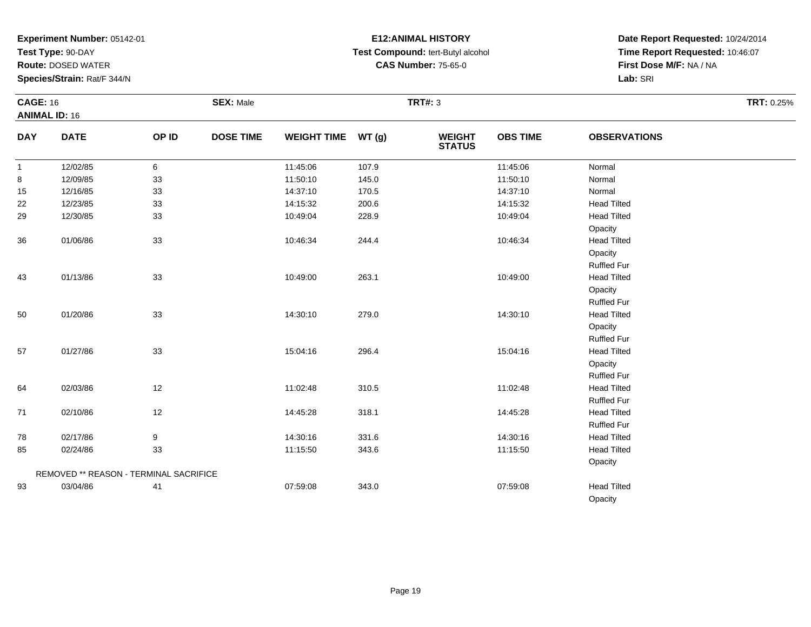**Test Type:** 90-DAY

**Route:** DOSED WATER

**Species/Strain:** Rat/F 344/N

# **E12:ANIMAL HISTORY Test Compound:** tert-Butyl alcohol **CAS Number:** 75-65-0

| <b>CAGE: 16</b> |                                        |       | <b>SEX: Male</b> |                    |       | <b>TRT#: 3</b>           |                 |                     | TRT: 0.25% |
|-----------------|----------------------------------------|-------|------------------|--------------------|-------|--------------------------|-----------------|---------------------|------------|
|                 | <b>ANIMAL ID: 16</b>                   |       |                  |                    |       |                          |                 |                     |            |
| <b>DAY</b>      | <b>DATE</b>                            | OP ID | <b>DOSE TIME</b> | <b>WEIGHT TIME</b> | WT(g) | <b>WEIGHT<br/>STATUS</b> | <b>OBS TIME</b> | <b>OBSERVATIONS</b> |            |
| $\overline{1}$  | 12/02/85                               | 6     |                  | 11:45:06           | 107.9 |                          | 11:45:06        | Normal              |            |
| 8               | 12/09/85                               | 33    |                  | 11:50:10           | 145.0 |                          | 11:50:10        | Normal              |            |
| 15              | 12/16/85                               | 33    |                  | 14:37:10           | 170.5 |                          | 14:37:10        | Normal              |            |
| 22              | 12/23/85                               | 33    |                  | 14:15:32           | 200.6 |                          | 14:15:32        | <b>Head Tilted</b>  |            |
| 29              | 12/30/85                               | 33    |                  | 10:49:04           | 228.9 |                          | 10:49:04        | <b>Head Tilted</b>  |            |
|                 |                                        |       |                  |                    |       |                          |                 | Opacity             |            |
| 36              | 01/06/86                               | 33    |                  | 10:46:34           | 244.4 |                          | 10:46:34        | <b>Head Tilted</b>  |            |
|                 |                                        |       |                  |                    |       |                          |                 | Opacity             |            |
|                 |                                        |       |                  |                    |       |                          |                 | <b>Ruffled Fur</b>  |            |
| 43              | 01/13/86                               | 33    |                  | 10:49:00           | 263.1 |                          | 10:49:00        | <b>Head Tilted</b>  |            |
|                 |                                        |       |                  |                    |       |                          |                 | Opacity             |            |
|                 |                                        |       |                  |                    |       |                          |                 | Ruffled Fur         |            |
| 50              | 01/20/86                               | 33    |                  | 14:30:10           | 279.0 |                          | 14:30:10        | <b>Head Tilted</b>  |            |
|                 |                                        |       |                  |                    |       |                          |                 | Opacity             |            |
|                 |                                        |       |                  |                    |       |                          |                 | Ruffled Fur         |            |
| 57              | 01/27/86                               | 33    |                  | 15:04:16           | 296.4 |                          | 15:04:16        | <b>Head Tilted</b>  |            |
|                 |                                        |       |                  |                    |       |                          |                 | Opacity             |            |
|                 |                                        |       |                  |                    |       |                          |                 | <b>Ruffled Fur</b>  |            |
| 64              | 02/03/86                               | 12    |                  | 11:02:48           | 310.5 |                          | 11:02:48        | <b>Head Tilted</b>  |            |
|                 |                                        |       |                  |                    |       |                          |                 | <b>Ruffled Fur</b>  |            |
| 71              | 02/10/86                               | 12    |                  | 14:45:28           | 318.1 |                          | 14:45:28        | <b>Head Tilted</b>  |            |
|                 |                                        |       |                  |                    |       |                          |                 | <b>Ruffled Fur</b>  |            |
| 78              | 02/17/86                               | 9     |                  | 14:30:16           | 331.6 |                          | 14:30:16        | <b>Head Tilted</b>  |            |
| 85              | 02/24/86                               | 33    |                  | 11:15:50           | 343.6 |                          | 11:15:50        | <b>Head Tilted</b>  |            |
|                 |                                        |       |                  |                    |       |                          |                 | Opacity             |            |
|                 | REMOVED ** REASON - TERMINAL SACRIFICE |       |                  |                    |       |                          |                 |                     |            |
| 93              | 03/04/86                               | 41    |                  | 07:59:08           | 343.0 |                          | 07:59:08        | <b>Head Tilted</b>  |            |
|                 |                                        |       |                  |                    |       |                          |                 | Opacity             |            |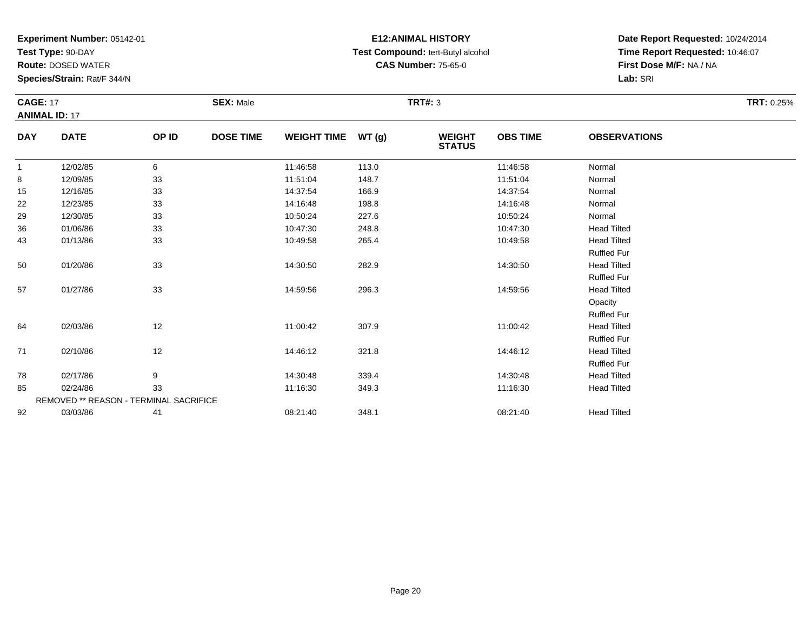**Test Type:** 90-DAY

57

64

71

78

85

92

REMOVED \*\* REASON - TERMINAL SACRIFICE

**Route:** DOSED WATER

**Species/Strain:** Rat/F 344/N

### **E12:ANIMAL HISTORY Test Compound:** tert-Butyl alcohol **CAS Number:** 75-65-0

**Date Report Requested:** 10/24/2014**Time Report Requested:** 10:46:07**First Dose M/F:** NA / NA**Lab:** SRI

Ruffled Fur**Head Tilted** 

Ruffled Fur**Head Tilted** 

Ruffled Fur**Head Tilted** 

**Opacity**  Ruffled Fur**Head Tilted** 

| <b>CAGE: 17</b><br><b>ANIMAL ID: 17</b> |             |       | <b>SEX: Male</b> |                    |       | TRT#: 3                        |                 |                     | <b>TRT: 0.25%</b> |
|-----------------------------------------|-------------|-------|------------------|--------------------|-------|--------------------------------|-----------------|---------------------|-------------------|
| <b>DAY</b>                              | <b>DATE</b> | OP ID | <b>DOSE TIME</b> | <b>WEIGHT TIME</b> | WT(g) | <b>WEIGHT</b><br><b>STATUS</b> | <b>OBS TIME</b> | <b>OBSERVATIONS</b> |                   |
|                                         | 12/02/85    | 6     |                  | 11:46:58           | 113.0 |                                | 11:46:58        | Normal              |                   |
| 8                                       | 12/09/85    | 33    |                  | 11:51:04           | 148.7 |                                | 11:51:04        | Normal              |                   |
| 15                                      | 12/16/85    | 33    |                  | 14:37:54           | 166.9 |                                | 14:37:54        | Normal              |                   |
| 22                                      | 12/23/85    | 33    |                  | 14:16:48           | 198.8 |                                | 14:16:48        | Normal              |                   |
| 29                                      | 12/30/85    | 33    |                  | 10:50:24           | 227.6 |                                | 10:50:24        | Normal              |                   |
| 36                                      | 01/06/86    | 33    |                  | 10:47:30           | 248.8 |                                | 10:47:30        | <b>Head Tilted</b>  |                   |
| 43                                      | 01/13/86    | 33    |                  | 10:49:58           | 265.4 |                                | 10:49:58        | <b>Head Tilted</b>  |                   |
|                                         |             |       |                  |                    |       |                                |                 | <b>Ruffled Fur</b>  |                   |
| 50                                      | 01/20/86    | 33    |                  | 14:30:50           | 282.9 |                                | 14:30:50        | <b>Head Tilted</b>  |                   |

01/27/86 <sup>33</sup> 14:59:56 296.3 14:59:56 Head Tilted

02/03/86 <sup>12</sup> 11:00:42 307.9 11:00:42 Head Tilted

1 02/10/86 12 14:46:12 321.8 14:46:12 Head Tilted

8 02/17/86 9 9 14:30:48 339.4 14:30:48 339.4 14:30:48 Head Tilted

02/24/86 <sup>33</sup> 11:16:30 349.3 11:16:30 Head Tilted

03/03/86 <sup>41</sup> 08:21:40 348.1 08:21:40 Head Tilted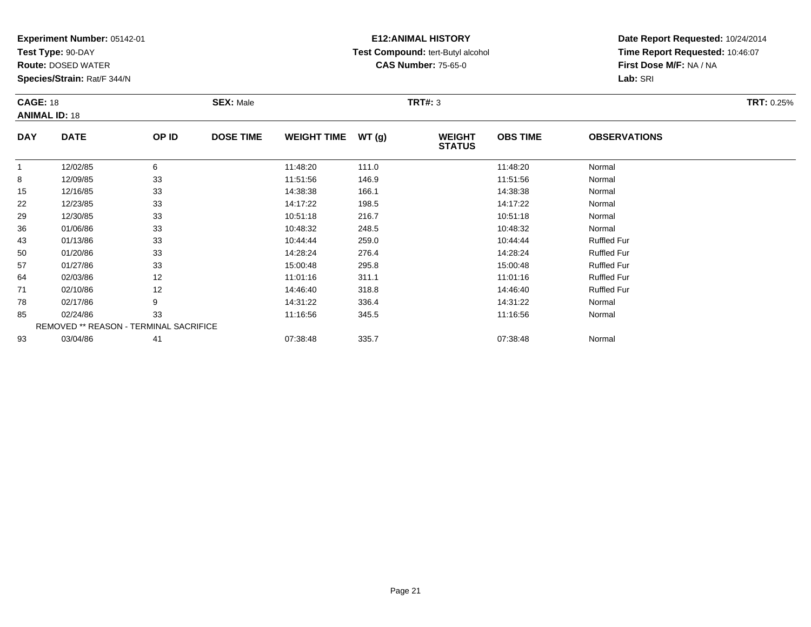**Test Type:** 90-DAY

**Route:** DOSED WATER

**Species/Strain:** Rat/F 344/N

# **E12:ANIMAL HISTORY Test Compound:** tert-Butyl alcohol **CAS Number:** 75-65-0

| <b>CAGE: 18</b> | <b>ANIMAL ID: 18</b>                          |       | <b>SEX: Male</b> |                    |       | <b>TRT#: 3</b>                 |                 |                     | <b>TRT: 0.25%</b> |
|-----------------|-----------------------------------------------|-------|------------------|--------------------|-------|--------------------------------|-----------------|---------------------|-------------------|
| <b>DAY</b>      | <b>DATE</b>                                   | OP ID | <b>DOSE TIME</b> | <b>WEIGHT TIME</b> | WT(g) | <b>WEIGHT</b><br><b>STATUS</b> | <b>OBS TIME</b> | <b>OBSERVATIONS</b> |                   |
|                 | 12/02/85                                      | 6     |                  | 11:48:20           | 111.0 |                                | 11:48:20        | Normal              |                   |
| 8               | 12/09/85                                      | 33    |                  | 11:51:56           | 146.9 |                                | 11:51:56        | Normal              |                   |
| 15              | 12/16/85                                      | 33    |                  | 14:38:38           | 166.1 |                                | 14:38:38        | Normal              |                   |
| 22              | 12/23/85                                      | 33    |                  | 14:17:22           | 198.5 |                                | 14:17:22        | Normal              |                   |
| 29              | 12/30/85                                      | 33    |                  | 10:51:18           | 216.7 |                                | 10:51:18        | Normal              |                   |
| 36              | 01/06/86                                      | 33    |                  | 10:48:32           | 248.5 |                                | 10:48:32        | Normal              |                   |
| 43              | 01/13/86                                      | 33    |                  | 10:44:44           | 259.0 |                                | 10:44:44        | <b>Ruffled Fur</b>  |                   |
| 50              | 01/20/86                                      | 33    |                  | 14:28:24           | 276.4 |                                | 14:28:24        | <b>Ruffled Fur</b>  |                   |
| 57              | 01/27/86                                      | 33    |                  | 15:00:48           | 295.8 |                                | 15:00:48        | <b>Ruffled Fur</b>  |                   |
| 64              | 02/03/86                                      | 12    |                  | 11:01:16           | 311.1 |                                | 11:01:16        | <b>Ruffled Fur</b>  |                   |
| 71              | 02/10/86                                      | 12    |                  | 14:46:40           | 318.8 |                                | 14:46:40        | <b>Ruffled Fur</b>  |                   |
| 78              | 02/17/86                                      | 9     |                  | 14:31:22           | 336.4 |                                | 14:31:22        | Normal              |                   |
| 85              | 02/24/86                                      | 33    |                  | 11:16:56           | 345.5 |                                | 11:16:56        | Normal              |                   |
|                 | <b>REMOVED ** REASON - TERMINAL SACRIFICE</b> |       |                  |                    |       |                                |                 |                     |                   |
| 93              | 03/04/86                                      | 41    |                  | 07:38:48           | 335.7 |                                | 07:38:48        | Normal              |                   |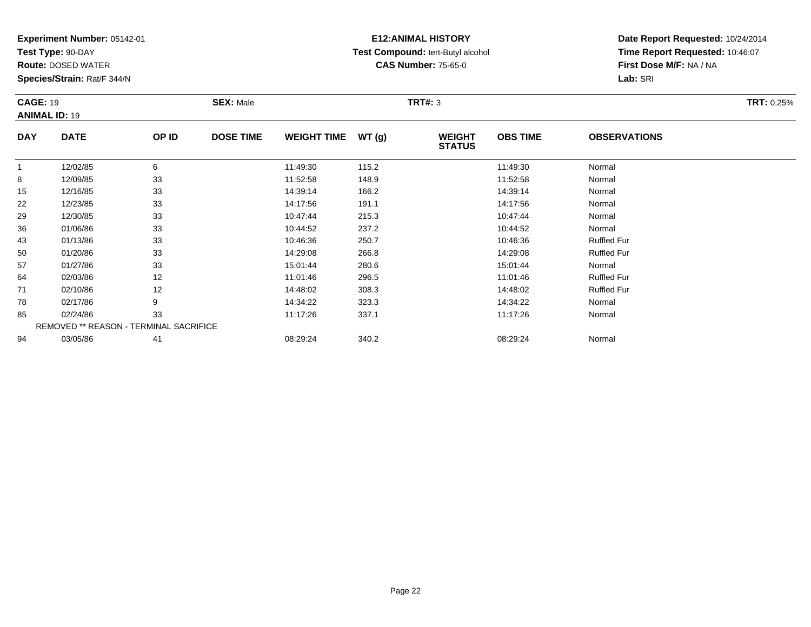**Test Type:** 90-DAY

94

**Route:** DOSED WATER

**Species/Strain:** Rat/F 344/N

REMOVED \*\* REASON - TERMINAL SACRIFICE

### **E12:ANIMAL HISTORY Test Compound:** tert-Butyl alcohol **CAS Number:** 75-65-0

**Date Report Requested:** 10/24/2014**Time Report Requested:** 10:46:07**First Dose M/F:** NA / NA**Lab:** SRI

| <b>CAGE: 19</b><br><b>ANIMAL ID: 19</b> |             |       | <b>SEX: Male</b> |                    |       | <b>TRT#: 3</b>                 |                 |                     | <b>TRT: 0.25%</b> |
|-----------------------------------------|-------------|-------|------------------|--------------------|-------|--------------------------------|-----------------|---------------------|-------------------|
| <b>DAY</b>                              | <b>DATE</b> | OP ID | <b>DOSE TIME</b> | <b>WEIGHT TIME</b> | WT(g) | <b>WEIGHT</b><br><b>STATUS</b> | <b>OBS TIME</b> | <b>OBSERVATIONS</b> |                   |
|                                         | 12/02/85    | 6     |                  | 11:49:30           | 115.2 |                                | 11:49:30        | Normal              |                   |
| 8                                       | 12/09/85    | 33    |                  | 11:52:58           | 148.9 |                                | 11:52:58        | Normal              |                   |
| 15                                      | 12/16/85    | 33    |                  | 14:39:14           | 166.2 |                                | 14:39:14        | Normal              |                   |
| 22                                      | 12/23/85    | 33    |                  | 14:17:56           | 191.1 |                                | 14:17:56        | Normal              |                   |
| 29                                      | 12/30/85    | 33    |                  | 10:47:44           | 215.3 |                                | 10:47:44        | Normal              |                   |
| 36                                      | 01/06/86    | 33    |                  | 10:44:52           | 237.2 |                                | 10:44:52        | Normal              |                   |
| 43                                      | 01/13/86    | 33    |                  | 10:46:36           | 250.7 |                                | 10:46:36        | <b>Ruffled Fur</b>  |                   |
| 50                                      | 01/20/86    | 33    |                  | 14:29:08           | 266.8 |                                | 14:29:08        | <b>Ruffled Fur</b>  |                   |
| 57                                      | 01/27/86    | 33    |                  | 15:01:44           | 280.6 |                                | 15:01:44        | Normal              |                   |
| 64                                      | 02/03/86    | 12    |                  | 11:01:46           | 296.5 |                                | 11:01:46        | <b>Ruffled Fur</b>  |                   |
| 71                                      | 02/10/86    | 12    |                  | 14:48:02           | 308.3 |                                | 14:48:02        | <b>Ruffled Fur</b>  |                   |
| 78                                      | 02/17/86    | 9     |                  | 14:34:22           | 323.3 |                                | 14:34:22        | Normal              |                   |
| 85                                      | 02/24/86    | 33    |                  | 11:17:26           | 337.1 |                                | 11:17:26        | Normal              |                   |

4 03/05/86 41 41 08:29:24 340.2 340.2 08:29:24 03/05/86 Normal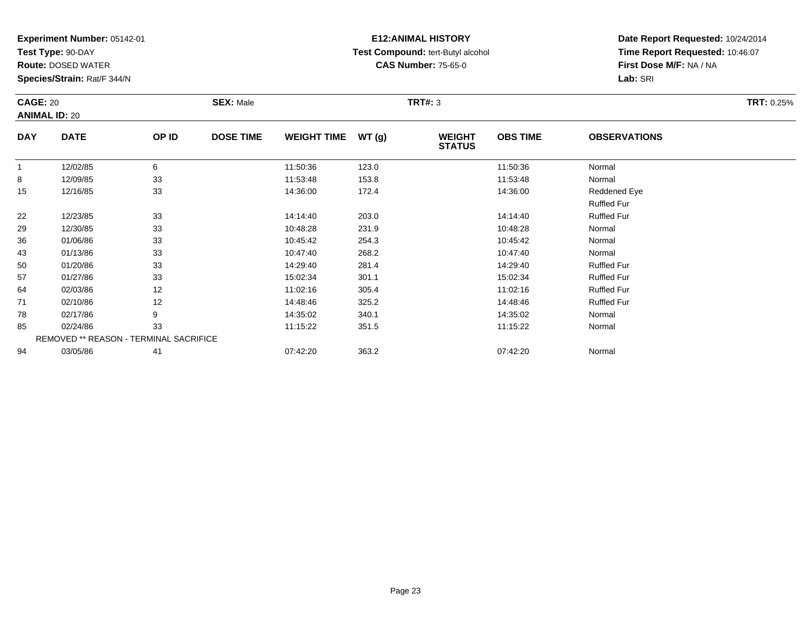**Test Type:** 90-DAY

78

85

94

**Route:** DOSED WATER

**Species/Strain:** Rat/F 344/N

REMOVED \*\* REASON - TERMINAL SACRIFICE

### **E12:ANIMAL HISTORY Test Compound:** tert-Butyl alcohol **CAS Number:** 75-65-0

**Date Report Requested:** 10/24/2014**Time Report Requested:** 10:46:07**First Dose M/F:** NA / NA**Lab:** SRI

| <b>CAGE: 20</b><br><b>ANIMAL ID: 20</b> |             |       | <b>SEX: Male</b> |                    |       | TRT#: 3                        |                 |                     | <b>TRT: 0.25%</b> |
|-----------------------------------------|-------------|-------|------------------|--------------------|-------|--------------------------------|-----------------|---------------------|-------------------|
| <b>DAY</b>                              | <b>DATE</b> | OP ID | <b>DOSE TIME</b> | <b>WEIGHT TIME</b> | WT(g) | <b>WEIGHT</b><br><b>STATUS</b> | <b>OBS TIME</b> | <b>OBSERVATIONS</b> |                   |
|                                         | 12/02/85    | 6     |                  | 11:50:36           | 123.0 |                                | 11:50:36        | Normal              |                   |
| 8                                       | 12/09/85    | 33    |                  | 11:53:48           | 153.8 |                                | 11:53:48        | Normal              |                   |
| 15                                      | 12/16/85    | 33    |                  | 14:36:00           | 172.4 |                                | 14:36:00        | Reddened Eye        |                   |
|                                         |             |       |                  |                    |       |                                |                 | <b>Ruffled Fur</b>  |                   |
| 22                                      | 12/23/85    | 33    |                  | 14:14:40           | 203.0 |                                | 14:14:40        | <b>Ruffled Fur</b>  |                   |
| 29                                      | 12/30/85    | 33    |                  | 10:48:28           | 231.9 |                                | 10:48:28        | Normal              |                   |
| 36                                      | 01/06/86    | 33    |                  | 10:45:42           | 254.3 |                                | 10:45:42        | Normal              |                   |
| 43                                      | 01/13/86    | 33    |                  | 10:47:40           | 268.2 |                                | 10:47:40        | Normal              |                   |
| 50                                      | 01/20/86    | 33    |                  | 14:29:40           | 281.4 |                                | 14:29:40        | <b>Ruffled Fur</b>  |                   |
| 57                                      | 01/27/86    | 33    |                  | 15:02:34           | 301.1 |                                | 15:02:34        | <b>Ruffled Fur</b>  |                   |
| 64                                      | 02/03/86    | 12    |                  | 11:02:16           | 305.4 |                                | 11:02:16        | <b>Ruffled Fur</b>  |                   |
| 71                                      | 02/10/86    | 12    |                  | 14:48:46           | 325.2 |                                | 14:48:46        | <b>Ruffled Fur</b>  |                   |

8 02/17/86 9 9 14:35:02 340.1 14:35:02 340.1 14:35:02 Normal

5 02/24/86 33 3 11:15:22 351.5 11:15:22 11:15:22 Normal

4 03/05/86 41 41 03/05/86 5 41 5 07:42:20 363.2 5 07:42:20 5 07:42:20 5 07:42:20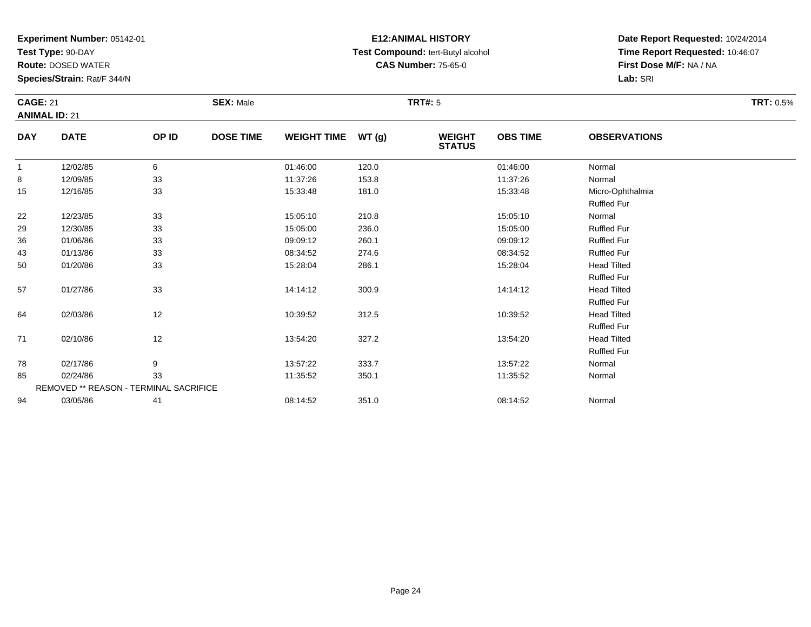**Test Type:** 90-DAY

94

**Route:** DOSED WATER

**Species/Strain:** Rat/F 344/N

REMOVED \*\* REASON - TERMINAL SACRIFICE

### **E12:ANIMAL HISTORY Test Compound:** tert-Butyl alcohol **CAS Number:** 75-65-0

**Date Report Requested:** 10/24/2014**Time Report Requested:** 10:46:07**First Dose M/F:** NA / NA**Lab:** SRI

| <b>CAGE: 21</b><br><b>ANIMAL ID: 21</b> |             |       | <b>SEX: Male</b> |                    |       | <b>TRT#: 5</b>                 |                 |                                          | <b>TRT: 0.5%</b> |
|-----------------------------------------|-------------|-------|------------------|--------------------|-------|--------------------------------|-----------------|------------------------------------------|------------------|
| <b>DAY</b>                              | <b>DATE</b> | OP ID | <b>DOSE TIME</b> | <b>WEIGHT TIME</b> | WT(g) | <b>WEIGHT</b><br><b>STATUS</b> | <b>OBS TIME</b> | <b>OBSERVATIONS</b>                      |                  |
| $\mathbf{1}$                            | 12/02/85    | 6     |                  | 01:46:00           | 120.0 |                                | 01:46:00        | Normal                                   |                  |
| 8                                       | 12/09/85    | 33    |                  | 11:37:26           | 153.8 |                                | 11:37:26        | Normal                                   |                  |
| 15                                      | 12/16/85    | 33    |                  | 15:33:48           | 181.0 |                                | 15:33:48        | Micro-Ophthalmia<br><b>Ruffled Fur</b>   |                  |
| 22                                      | 12/23/85    | 33    |                  | 15:05:10           | 210.8 |                                | 15:05:10        | Normal                                   |                  |
| 29                                      | 12/30/85    | 33    |                  | 15:05:00           | 236.0 |                                | 15:05:00        | <b>Ruffled Fur</b>                       |                  |
| 36                                      | 01/06/86    | 33    |                  | 09:09:12           | 260.1 |                                | 09:09:12        | <b>Ruffled Fur</b>                       |                  |
| 43                                      | 01/13/86    | 33    |                  | 08:34:52           | 274.6 |                                | 08:34:52        | <b>Ruffled Fur</b>                       |                  |
| 50                                      | 01/20/86    | 33    |                  | 15:28:04           | 286.1 |                                | 15:28:04        | <b>Head Tilted</b><br><b>Ruffled Fur</b> |                  |
| 57                                      | 01/27/86    | 33    |                  | 14:14:12           | 300.9 |                                | 14:14:12        | <b>Head Tilted</b><br><b>Ruffled Fur</b> |                  |
| 64                                      | 02/03/86    | 12    |                  | 10:39:52           | 312.5 |                                | 10:39:52        | <b>Head Tilted</b><br><b>Ruffled Fur</b> |                  |
| 71                                      | 02/10/86    | 12    |                  | 13:54:20           | 327.2 |                                | 13:54:20        | <b>Head Tilted</b><br><b>Ruffled Fur</b> |                  |
| 78                                      | 02/17/86    | 9     |                  | 13:57:22           | 333.7 |                                | 13:57:22        | Normal                                   |                  |
| 85                                      | 02/24/86    | 33    |                  | 11:35:52           | 350.1 |                                | 11:35:52        | Normal                                   |                  |

4 03/05/86 41 41 08:14:52 351.0 08:14:52 08:14:52 Normal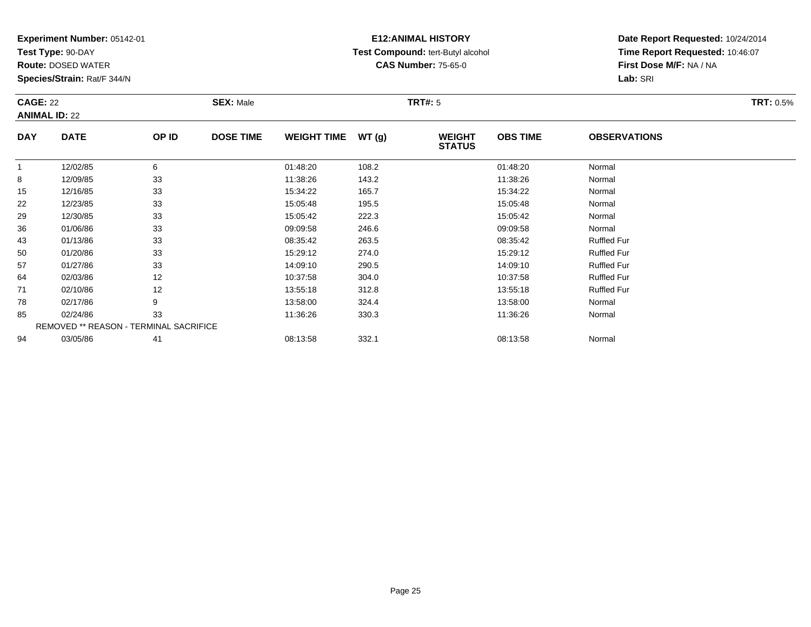**Test Type:** 90-DAY

78

85

94

**Route:** DOSED WATER

**Species/Strain:** Rat/F 344/N

REMOVED \*\* REASON - TERMINAL SACRIFICE

### **E12:ANIMAL HISTORY Test Compound:** tert-Butyl alcohol **CAS Number:** 75-65-0

**Date Report Requested:** 10/24/2014**Time Report Requested:** 10:46:07**First Dose M/F:** NA / NA**Lab:** SRI

| <b>CAGE: 22</b><br><b>ANIMAL ID: 22</b> |             |       | <b>SEX: Male</b> |                    |       | <b>TRT#: 5</b>                 |                 |                     | <b>TRT: 0.5%</b> |
|-----------------------------------------|-------------|-------|------------------|--------------------|-------|--------------------------------|-----------------|---------------------|------------------|
| <b>DAY</b>                              | <b>DATE</b> | OP ID | <b>DOSE TIME</b> | <b>WEIGHT TIME</b> | WT(g) | <b>WEIGHT</b><br><b>STATUS</b> | <b>OBS TIME</b> | <b>OBSERVATIONS</b> |                  |
|                                         | 12/02/85    | 6     |                  | 01:48:20           | 108.2 |                                | 01:48:20        | Normal              |                  |
| 8                                       | 12/09/85    | 33    |                  | 11:38:26           | 143.2 |                                | 11:38:26        | Normal              |                  |
| 15                                      | 12/16/85    | 33    |                  | 15:34:22           | 165.7 |                                | 15:34:22        | Normal              |                  |
| 22                                      | 12/23/85    | 33    |                  | 15:05:48           | 195.5 |                                | 15:05:48        | Normal              |                  |
| 29                                      | 12/30/85    | 33    |                  | 15:05:42           | 222.3 |                                | 15:05:42        | Normal              |                  |
| 36                                      | 01/06/86    | 33    |                  | 09:09:58           | 246.6 |                                | 09:09:58        | Normal              |                  |
| 43                                      | 01/13/86    | 33    |                  | 08:35:42           | 263.5 |                                | 08:35:42        | <b>Ruffled Fur</b>  |                  |
| 50                                      | 01/20/86    | 33    |                  | 15:29:12           | 274.0 |                                | 15:29:12        | <b>Ruffled Fur</b>  |                  |
| 57                                      | 01/27/86    | 33    |                  | 14:09:10           | 290.5 |                                | 14:09:10        | <b>Ruffled Fur</b>  |                  |
| 64                                      | 02/03/86    | 12    |                  | 10:37:58           | 304.0 |                                | 10:37:58        | <b>Ruffled Fur</b>  |                  |
| 71                                      | 02/10/86    | 12    |                  | 13:55:18           | 312.8 |                                | 13:55:18        | <b>Ruffled Fur</b>  |                  |

8 02/17/86 9 9 13:58:00 324.4 13:58:00 324.4 13:58:00 Normal

5 02/24/86 33 3 11:36:26 330.3 11:36:26 330.3 11:36:26 Normal

4 03/05/86 41 41 08:13:58 332.1 08:13:58 08:13:58 Normal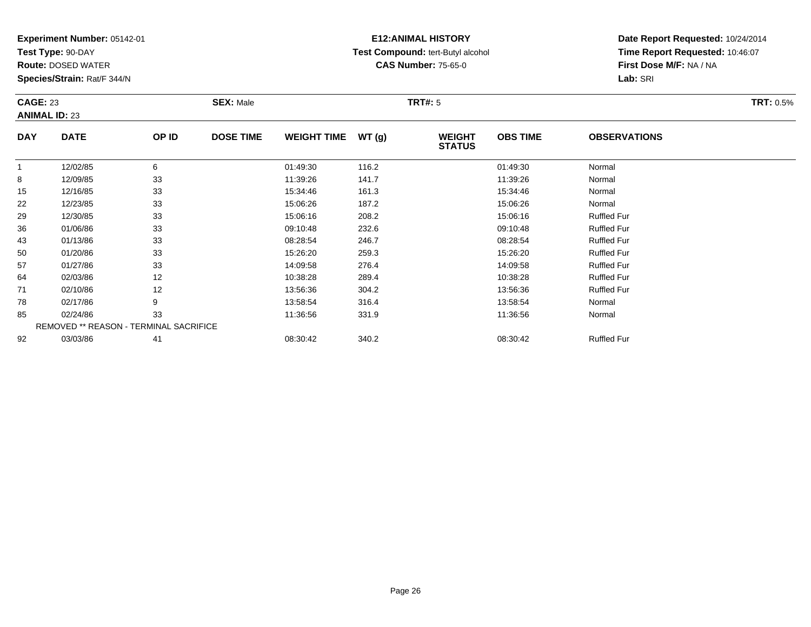**Test Type:** 90-DAY

92

**Route:** DOSED WATER

**Species/Strain:** Rat/F 344/N

REMOVED \*\* REASON - TERMINAL SACRIFICE

### **E12:ANIMAL HISTORY Test Compound:** tert-Butyl alcohol **CAS Number:** 75-65-0

**Date Report Requested:** 10/24/2014**Time Report Requested:** 10:46:07**First Dose M/F:** NA / NA**Lab:** SRI

| <b>CAGE: 23</b> | <b>ANIMAL ID: 23</b> |       | <b>SEX: Male</b> |                    |       | <b>TRT#: 5</b>                 |                 |                     | <b>TRT: 0.5%</b> |
|-----------------|----------------------|-------|------------------|--------------------|-------|--------------------------------|-----------------|---------------------|------------------|
| <b>DAY</b>      | <b>DATE</b>          | OP ID | <b>DOSE TIME</b> | <b>WEIGHT TIME</b> | WT(g) | <b>WEIGHT</b><br><b>STATUS</b> | <b>OBS TIME</b> | <b>OBSERVATIONS</b> |                  |
| 1               | 12/02/85             | 6     |                  | 01:49:30           | 116.2 |                                | 01:49:30        | Normal              |                  |
| 8               | 12/09/85             | 33    |                  | 11:39:26           | 141.7 |                                | 11:39:26        | Normal              |                  |
| 15              | 12/16/85             | 33    |                  | 15:34:46           | 161.3 |                                | 15:34:46        | Normal              |                  |
| 22              | 12/23/85             | 33    |                  | 15:06:26           | 187.2 |                                | 15:06:26        | Normal              |                  |
| 29              | 12/30/85             | 33    |                  | 15:06:16           | 208.2 |                                | 15:06:16        | <b>Ruffled Fur</b>  |                  |
| 36              | 01/06/86             | 33    |                  | 09:10:48           | 232.6 |                                | 09:10:48        | <b>Ruffled Fur</b>  |                  |
| 43              | 01/13/86             | 33    |                  | 08:28:54           | 246.7 |                                | 08:28:54        | <b>Ruffled Fur</b>  |                  |
| 50              | 01/20/86             | 33    |                  | 15:26:20           | 259.3 |                                | 15:26:20        | <b>Ruffled Fur</b>  |                  |
| 57              | 01/27/86             | 33    |                  | 14:09:58           | 276.4 |                                | 14:09:58        | <b>Ruffled Fur</b>  |                  |
| 64              | 02/03/86             | 12    |                  | 10:38:28           | 289.4 |                                | 10:38:28        | <b>Ruffled Fur</b>  |                  |
| 71              | 02/10/86             | 12    |                  | 13:56:36           | 304.2 |                                | 13:56:36        | <b>Ruffled Fur</b>  |                  |
| 78              | 02/17/86             | 9     |                  | 13:58:54           | 316.4 |                                | 13:58:54        | Normal              |                  |
| 85              | 02/24/86             | 33    |                  | 11:36:56           | 331.9 |                                | 11:36:56        | Normal              |                  |

5 02/24/86 33 11:36:56 331.9 11:36:56 Normal

03/03/86 <sup>41</sup> 08:30:42 340.2 08:30:42 Ruffled Fur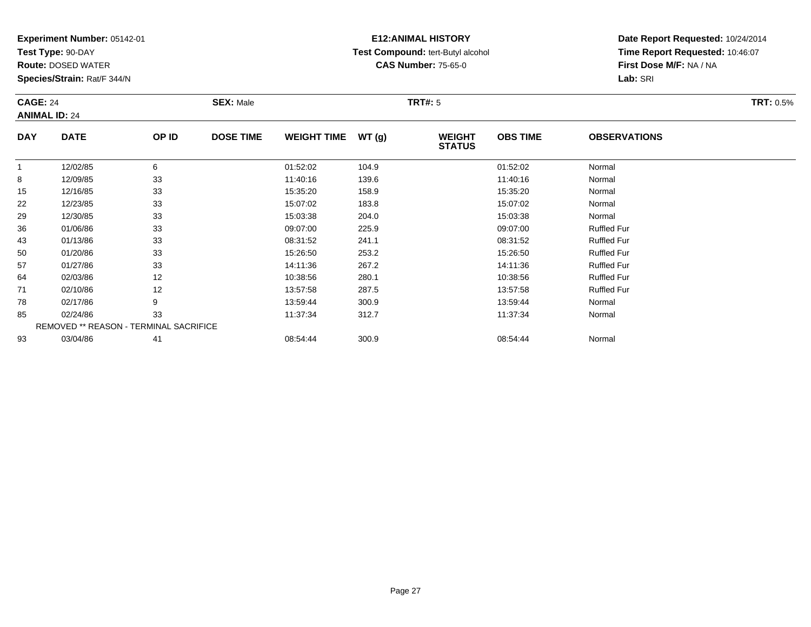**Test Type:** 90-DAY

85

93

**Route:** DOSED WATER

**Species/Strain:** Rat/F 344/N

REMOVED \*\* REASON - TERMINAL SACRIFICE

### **E12:ANIMAL HISTORY Test Compound:** tert-Butyl alcohol **CAS Number:** 75-65-0

**Date Report Requested:** 10/24/2014**Time Report Requested:** 10:46:07**First Dose M/F:** NA / NA**Lab:** SRI

| <b>CAGE: 24</b><br><b>ANIMAL ID: 24</b> |             |       | <b>SEX: Male</b> |                    |       | <b>TRT#: 5</b>                 |                 |                     | <b>TRT: 0.5%</b> |
|-----------------------------------------|-------------|-------|------------------|--------------------|-------|--------------------------------|-----------------|---------------------|------------------|
| <b>DAY</b>                              | <b>DATE</b> | OP ID | <b>DOSE TIME</b> | <b>WEIGHT TIME</b> | WT(g) | <b>WEIGHT</b><br><b>STATUS</b> | <b>OBS TIME</b> | <b>OBSERVATIONS</b> |                  |
|                                         | 12/02/85    | 6     |                  | 01:52:02           | 104.9 |                                | 01:52:02        | Normal              |                  |
| 8                                       | 12/09/85    | 33    |                  | 11:40:16           | 139.6 |                                | 11:40:16        | Normal              |                  |
| 15                                      | 12/16/85    | 33    |                  | 15:35:20           | 158.9 |                                | 15:35:20        | Normal              |                  |
| 22                                      | 12/23/85    | 33    |                  | 15:07:02           | 183.8 |                                | 15:07:02        | Normal              |                  |
| 29                                      | 12/30/85    | 33    |                  | 15:03:38           | 204.0 |                                | 15:03:38        | Normal              |                  |
| 36                                      | 01/06/86    | 33    |                  | 09:07:00           | 225.9 |                                | 09:07:00        | <b>Ruffled Fur</b>  |                  |
| 43                                      | 01/13/86    | 33    |                  | 08:31:52           | 241.1 |                                | 08:31:52        | <b>Ruffled Fur</b>  |                  |
| 50                                      | 01/20/86    | 33    |                  | 15:26:50           | 253.2 |                                | 15:26:50        | <b>Ruffled Fur</b>  |                  |
| 57                                      | 01/27/86    | 33    |                  | 14:11:36           | 267.2 |                                | 14:11:36        | <b>Ruffled Fur</b>  |                  |
| 64                                      | 02/03/86    | 12    |                  | 10:38:56           | 280.1 |                                | 10:38:56        | <b>Ruffled Fur</b>  |                  |
| 71                                      | 02/10/86    | 12    |                  | 13:57:58           | 287.5 |                                | 13:57:58        | <b>Ruffled Fur</b>  |                  |
| 78                                      | 02/17/86    | 9     |                  | 13:59:44           | 300.9 |                                | 13:59:44        | Normal              |                  |

5 02/24/86 33 3 11:37:34 312.7 312.7 11:37:34 Normal

03/04/86 <sup>41</sup> 08:54:44 300.9 08:54:44 Normal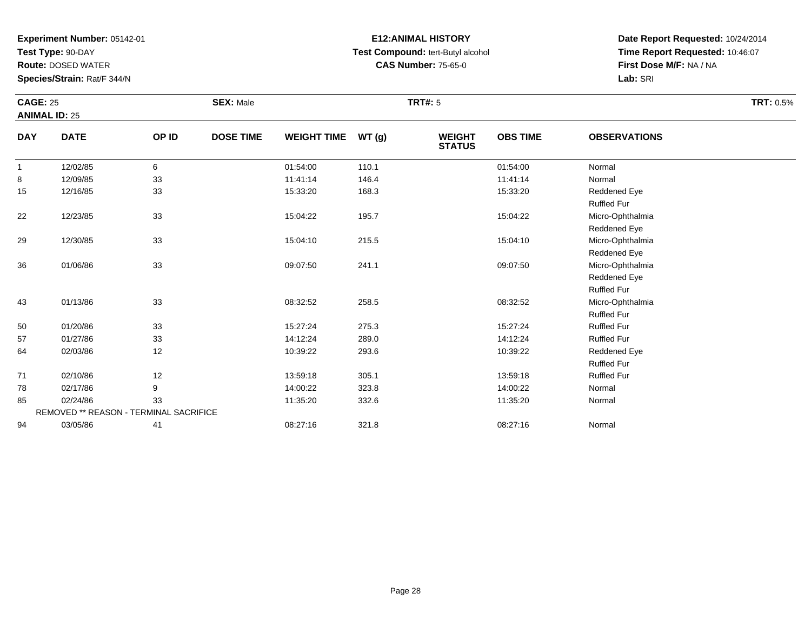**Test Type:** 90-DAY

**Route:** DOSED WATER

**Species/Strain:** Rat/F 344/N

# **E12:ANIMAL HISTORY Test Compound:** tert-Butyl alcohol **CAS Number:** 75-65-0

| <b>CAGE: 25</b> |                                        |       | <b>SEX: Male</b> |                    |       | <b>TRT#: 5</b>                 |                 |                     | <b>TRT: 0.5%</b> |
|-----------------|----------------------------------------|-------|------------------|--------------------|-------|--------------------------------|-----------------|---------------------|------------------|
|                 | <b>ANIMAL ID: 25</b>                   |       |                  |                    |       |                                |                 |                     |                  |
| <b>DAY</b>      | <b>DATE</b>                            | OP ID | <b>DOSE TIME</b> | <b>WEIGHT TIME</b> | WT(g) | <b>WEIGHT</b><br><b>STATUS</b> | <b>OBS TIME</b> | <b>OBSERVATIONS</b> |                  |
| $\overline{1}$  | 12/02/85                               | 6     |                  | 01:54:00           | 110.1 |                                | 01:54:00        | Normal              |                  |
| 8               | 12/09/85                               | 33    |                  | 11:41:14           | 146.4 |                                | 11:41:14        | Normal              |                  |
| 15              | 12/16/85                               | 33    |                  | 15:33:20           | 168.3 |                                | 15:33:20        | Reddened Eye        |                  |
|                 |                                        |       |                  |                    |       |                                |                 | <b>Ruffled Fur</b>  |                  |
| 22              | 12/23/85                               | 33    |                  | 15:04:22           | 195.7 |                                | 15:04:22        | Micro-Ophthalmia    |                  |
|                 |                                        |       |                  |                    |       |                                |                 | Reddened Eye        |                  |
| 29              | 12/30/85                               | 33    |                  | 15:04:10           | 215.5 |                                | 15:04:10        | Micro-Ophthalmia    |                  |
|                 |                                        |       |                  |                    |       |                                |                 | Reddened Eye        |                  |
| 36              | 01/06/86                               | 33    |                  | 09:07:50           | 241.1 |                                | 09:07:50        | Micro-Ophthalmia    |                  |
|                 |                                        |       |                  |                    |       |                                |                 | Reddened Eye        |                  |
|                 |                                        |       |                  |                    |       |                                |                 | <b>Ruffled Fur</b>  |                  |
| 43              | 01/13/86                               | 33    |                  | 08:32:52           | 258.5 |                                | 08:32:52        | Micro-Ophthalmia    |                  |
|                 |                                        |       |                  |                    |       |                                |                 | <b>Ruffled Fur</b>  |                  |
| 50              | 01/20/86                               | 33    |                  | 15:27:24           | 275.3 |                                | 15:27:24        | <b>Ruffled Fur</b>  |                  |
| 57              | 01/27/86                               | 33    |                  | 14:12:24           | 289.0 |                                | 14:12:24        | <b>Ruffled Fur</b>  |                  |
| 64              | 02/03/86                               | 12    |                  | 10:39:22           | 293.6 |                                | 10:39:22        | Reddened Eye        |                  |
|                 |                                        |       |                  |                    |       |                                |                 | Ruffled Fur         |                  |
| 71              | 02/10/86                               | 12    |                  | 13:59:18           | 305.1 |                                | 13:59:18        | <b>Ruffled Fur</b>  |                  |
| 78              | 02/17/86                               | 9     |                  | 14:00:22           | 323.8 |                                | 14:00:22        | Normal              |                  |
| 85              | 02/24/86                               | 33    |                  | 11:35:20           | 332.6 |                                | 11:35:20        | Normal              |                  |
|                 | REMOVED ** REASON - TERMINAL SACRIFICE |       |                  |                    |       |                                |                 |                     |                  |
| 94              | 03/05/86                               | 41    |                  | 08:27:16           | 321.8 |                                | 08:27:16        | Normal              |                  |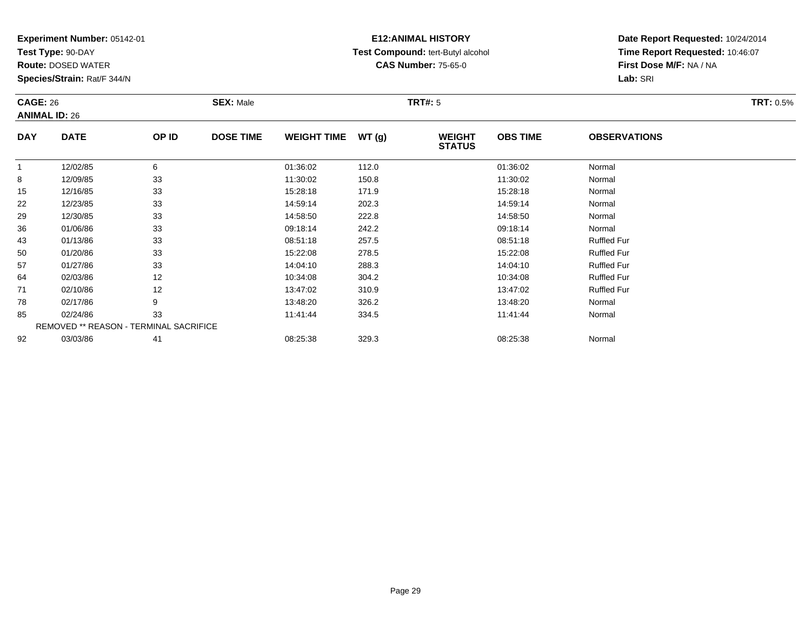**Test Type:** 90-DAY

85

92

**Route:** DOSED WATER

**Species/Strain:** Rat/F 344/N

REMOVED \*\* REASON - TERMINAL SACRIFICE

### **E12:ANIMAL HISTORY Test Compound:** tert-Butyl alcohol **CAS Number:** 75-65-0

**Date Report Requested:** 10/24/2014**Time Report Requested:** 10:46:07**First Dose M/F:** NA / NA**Lab:** SRI

| <b>CAGE: 26</b><br><b>ANIMAL ID: 26</b> |             |       | <b>SEX: Male</b> |                    |       | TRT#: 5                        |                 |                     | <b>TRT: 0.5%</b> |
|-----------------------------------------|-------------|-------|------------------|--------------------|-------|--------------------------------|-----------------|---------------------|------------------|
| <b>DAY</b>                              | <b>DATE</b> | OP ID | <b>DOSE TIME</b> | <b>WEIGHT TIME</b> | WT(g) | <b>WEIGHT</b><br><b>STATUS</b> | <b>OBS TIME</b> | <b>OBSERVATIONS</b> |                  |
|                                         | 12/02/85    | 6     |                  | 01:36:02           | 112.0 |                                | 01:36:02        | Normal              |                  |
| 8                                       | 12/09/85    | 33    |                  | 11:30:02           | 150.8 |                                | 11:30:02        | Normal              |                  |
| 15                                      | 12/16/85    | 33    |                  | 15:28:18           | 171.9 |                                | 15:28:18        | Normal              |                  |
| 22                                      | 12/23/85    | 33    |                  | 14:59:14           | 202.3 |                                | 14:59:14        | Normal              |                  |
| 29                                      | 12/30/85    | 33    |                  | 14:58:50           | 222.8 |                                | 14:58:50        | Normal              |                  |
| 36                                      | 01/06/86    | 33    |                  | 09:18:14           | 242.2 |                                | 09:18:14        | Normal              |                  |
| 43                                      | 01/13/86    | 33    |                  | 08:51:18           | 257.5 |                                | 08:51:18        | <b>Ruffled Fur</b>  |                  |
| 50                                      | 01/20/86    | 33    |                  | 15:22:08           | 278.5 |                                | 15:22:08        | <b>Ruffled Fur</b>  |                  |
| 57                                      | 01/27/86    | 33    |                  | 14:04:10           | 288.3 |                                | 14:04:10        | <b>Ruffled Fur</b>  |                  |
| 64                                      | 02/03/86    | 12    |                  | 10:34:08           | 304.2 |                                | 10:34:08        | <b>Ruffled Fur</b>  |                  |
| 71                                      | 02/10/86    | 12    |                  | 13:47:02           | 310.9 |                                | 13:47:02        | <b>Ruffled Fur</b>  |                  |
| 78                                      | 02/17/86    | 9     |                  | 13:48:20           | 326.2 |                                | 13:48:20        | Normal              |                  |

5 02/24/86 33 3 11:41:44 334.5 11:41:44 11:41:44 Normal

03/03/86 <sup>41</sup> 08:25:38 329.3 08:25:38 Normal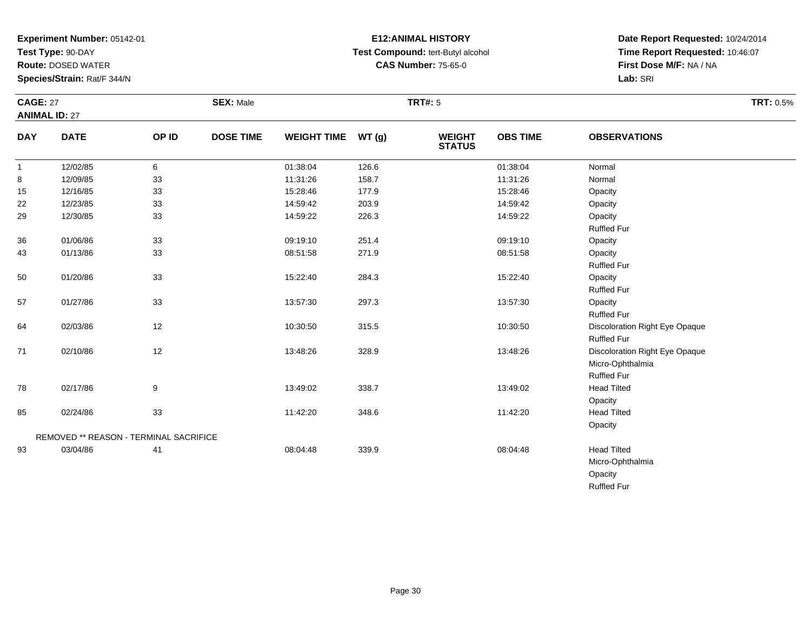**Test Type:** 90-DAY

85

93

REMOVED \*\* REASON - TERMINAL SACRIFICE

**Route:** DOSED WATER

**Species/Strain:** Rat/F 344/N

### **E12:ANIMAL HISTORY Test Compound:** tert-Butyl alcohol **CAS Number:** 75-65-0

**Date Report Requested:** 10/24/2014**Time Report Requested:** 10:46:07**First Dose M/F:** NA / NA**Lab:** SRI

**Opacity Head Tilted** 

**Opacity** 

OpacityRuffled Fur

Micro-Ophthalmia

| <b>CAGE: 27</b><br><b>ANIMAL ID: 27</b> |             |       | <b>SEX: Male</b> |                    |       | <b>TRT#: 5</b>                 |                 |                                | <b>TRT: 0.5%</b> |
|-----------------------------------------|-------------|-------|------------------|--------------------|-------|--------------------------------|-----------------|--------------------------------|------------------|
| <b>DAY</b>                              | <b>DATE</b> | OP ID | <b>DOSE TIME</b> | <b>WEIGHT TIME</b> | WT(g) | <b>WEIGHT</b><br><b>STATUS</b> | <b>OBS TIME</b> | <b>OBSERVATIONS</b>            |                  |
| $\mathbf{1}$                            | 12/02/85    | 6     |                  | 01:38:04           | 126.6 |                                | 01:38:04        | Normal                         |                  |
| 8                                       | 12/09/85    | 33    |                  | 11:31:26           | 158.7 |                                | 11:31:26        | Normal                         |                  |
| 15                                      | 12/16/85    | 33    |                  | 15:28:46           | 177.9 |                                | 15:28:46        | Opacity                        |                  |
| 22                                      | 12/23/85    | 33    |                  | 14:59:42           | 203.9 |                                | 14:59:42        | Opacity                        |                  |
| 29                                      | 12/30/85    | 33    |                  | 14:59:22           | 226.3 |                                | 14:59:22        | Opacity                        |                  |
|                                         |             |       |                  |                    |       |                                |                 | Ruffled Fur                    |                  |
| 36                                      | 01/06/86    | 33    |                  | 09:19:10           | 251.4 |                                | 09:19:10        | Opacity                        |                  |
| 43                                      | 01/13/86    | 33    |                  | 08:51:58           | 271.9 |                                | 08:51:58        | Opacity                        |                  |
|                                         |             |       |                  |                    |       |                                |                 | <b>Ruffled Fur</b>             |                  |
| 50                                      | 01/20/86    | 33    |                  | 15:22:40           | 284.3 |                                | 15:22:40        | Opacity                        |                  |
|                                         |             |       |                  |                    |       |                                |                 | Ruffled Fur                    |                  |
| 57                                      | 01/27/86    | 33    |                  | 13:57:30           | 297.3 |                                | 13:57:30        | Opacity                        |                  |
|                                         |             |       |                  |                    |       |                                |                 | Ruffled Fur                    |                  |
| 64                                      | 02/03/86    | 12    |                  | 10:30:50           | 315.5 |                                | 10:30:50        | Discoloration Right Eye Opaque |                  |
|                                         |             |       |                  |                    |       |                                |                 | <b>Ruffled Fur</b>             |                  |
| 71                                      | 02/10/86    | 12    |                  | 13:48:26           | 328.9 |                                | 13:48:26        | Discoloration Right Eye Opaque |                  |
|                                         |             |       |                  |                    |       |                                |                 | Micro-Ophthalmia               |                  |
|                                         |             |       |                  |                    |       |                                |                 | <b>Ruffled Fur</b>             |                  |
| 78                                      | 02/17/86    | 9     |                  | 13:49:02           | 338.7 |                                | 13:49:02        | <b>Head Tilted</b>             |                  |

5 02/24/86 33 3 11:42:20 348.6 11:42.5 11:42:20 Head Tilted

03/04/86 <sup>41</sup> 08:04:48 339.9 08:04:48 Head Tilted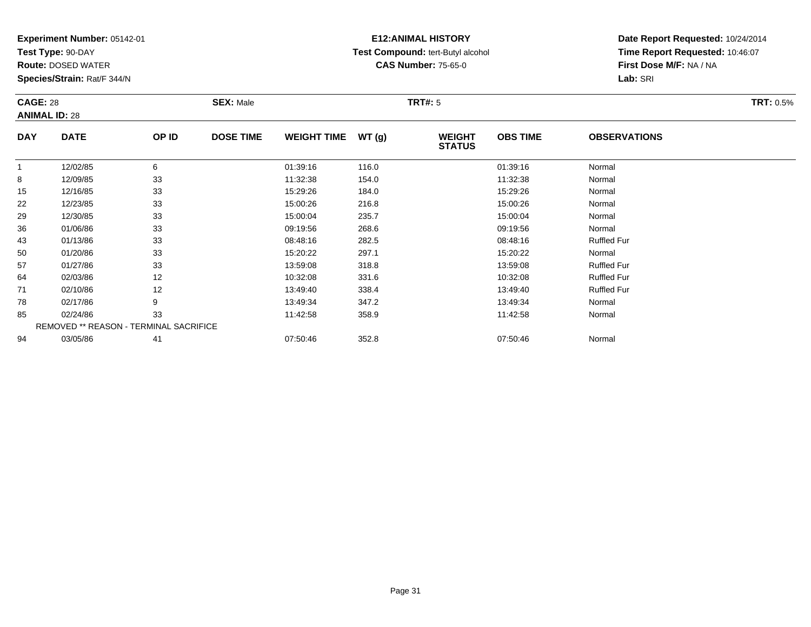**Test Type:** 90-DAY

94

**Route:** DOSED WATER

**Species/Strain:** Rat/F 344/N

# **E12:ANIMAL HISTORY Test Compound:** tert-Butyl alcohol **CAS Number:** 75-65-0

**Date Report Requested:** 10/24/2014**Time Report Requested:** 10:46:07**First Dose M/F:** NA / NA**Lab:** SRI

| <b>CAGE: 28</b><br><b>ANIMAL ID: 28</b> |                                               | <b>SEX: Male</b> |                  | <b>TRT#: 5</b>     |       |                                | <b>TRT: 0.5%</b> |                     |  |
|-----------------------------------------|-----------------------------------------------|------------------|------------------|--------------------|-------|--------------------------------|------------------|---------------------|--|
| <b>DAY</b>                              | <b>DATE</b>                                   | OP ID            | <b>DOSE TIME</b> | <b>WEIGHT TIME</b> | WT(g) | <b>WEIGHT</b><br><b>STATUS</b> | <b>OBS TIME</b>  | <b>OBSERVATIONS</b> |  |
|                                         | 12/02/85                                      | 6                |                  | 01:39:16           | 116.0 |                                | 01:39:16         | Normal              |  |
| 8                                       | 12/09/85                                      | 33               |                  | 11:32:38           | 154.0 |                                | 11:32:38         | Normal              |  |
| 15                                      | 12/16/85                                      | 33               |                  | 15:29:26           | 184.0 |                                | 15:29:26         | Normal              |  |
| 22                                      | 12/23/85                                      | 33               |                  | 15:00:26           | 216.8 |                                | 15:00:26         | Normal              |  |
| 29                                      | 12/30/85                                      | 33               |                  | 15:00:04           | 235.7 |                                | 15:00:04         | Normal              |  |
| 36                                      | 01/06/86                                      | 33               |                  | 09:19:56           | 268.6 |                                | 09:19:56         | Normal              |  |
| 43                                      | 01/13/86                                      | 33               |                  | 08:48:16           | 282.5 |                                | 08:48:16         | <b>Ruffled Fur</b>  |  |
| 50                                      | 01/20/86                                      | 33               |                  | 15:20:22           | 297.1 |                                | 15:20:22         | Normal              |  |
| 57                                      | 01/27/86                                      | 33               |                  | 13:59:08           | 318.8 |                                | 13:59:08         | <b>Ruffled Fur</b>  |  |
| 64                                      | 02/03/86                                      | 12               |                  | 10:32:08           | 331.6 |                                | 10:32:08         | <b>Ruffled Fur</b>  |  |
| 71                                      | 02/10/86                                      | 12               |                  | 13:49:40           | 338.4 |                                | 13:49:40         | <b>Ruffled Fur</b>  |  |
| 78                                      | 02/17/86                                      | 9                |                  | 13:49:34           | 347.2 |                                | 13:49:34         | Normal              |  |
| 85                                      | 02/24/86                                      | 33               |                  | 11:42:58           | 358.9 |                                | 11:42:58         | Normal              |  |
|                                         | <b>REMOVED ** REASON - TERMINAL SACRIFICE</b> |                  |                  |                    |       |                                |                  |                     |  |

4 03/05/86 41 41 07:50:46 352.8 07:50:46 352.8 07:50:46 Normal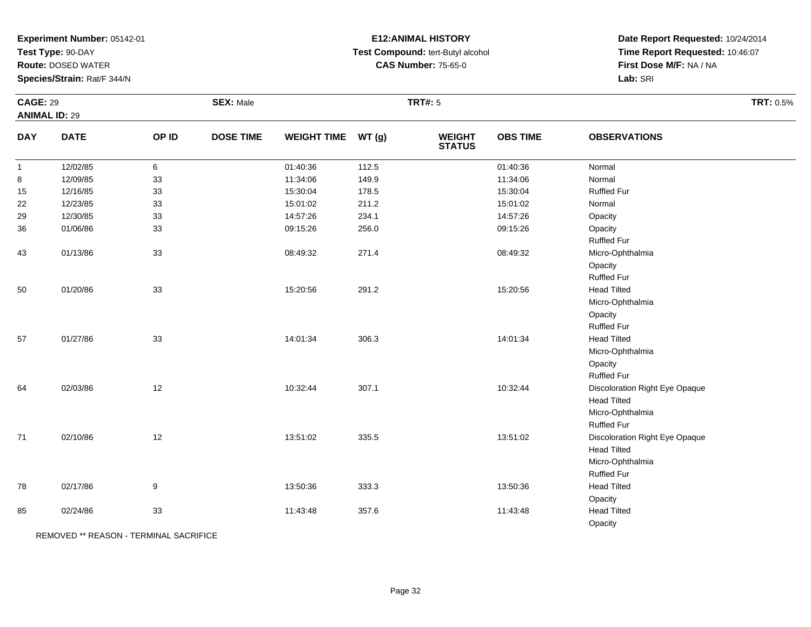**Test Type:** 90-DAY

**Route:** DOSED WATER

**Species/Strain:** Rat/F 344/N

# **E12:ANIMAL HISTORY Test Compound:** tert-Butyl alcohol **CAS Number:** 75-65-0

**Date Report Requested:** 10/24/2014 **Time Report Requested:** 10:46:07**First Dose M/F:** NA / NA**Lab:** SRI

| <b>CAGE: 29</b> |                      |       | <b>SEX: Male</b> |                    |       | <b>TRT#: 5</b>                 |                 |                                | TRT: 0.5% |
|-----------------|----------------------|-------|------------------|--------------------|-------|--------------------------------|-----------------|--------------------------------|-----------|
|                 | <b>ANIMAL ID: 29</b> |       |                  |                    |       |                                |                 |                                |           |
| <b>DAY</b>      | <b>DATE</b>          | OP ID | <b>DOSE TIME</b> | <b>WEIGHT TIME</b> | WT(g) | <b>WEIGHT</b><br><b>STATUS</b> | <b>OBS TIME</b> | <b>OBSERVATIONS</b>            |           |
| $\mathbf{1}$    | 12/02/85             | 6     |                  | 01:40:36           | 112.5 |                                | 01:40:36        | Normal                         |           |
| 8               | 12/09/85             | 33    |                  | 11:34:06           | 149.9 |                                | 11:34:06        | Normal                         |           |
| 15              | 12/16/85             | 33    |                  | 15:30:04           | 178.5 |                                | 15:30:04        | <b>Ruffled Fur</b>             |           |
| 22              | 12/23/85             | 33    |                  | 15:01:02           | 211.2 |                                | 15:01:02        | Normal                         |           |
| 29              | 12/30/85             | 33    |                  | 14:57:26           | 234.1 |                                | 14:57:26        | Opacity                        |           |
| 36              | 01/06/86             | 33    |                  | 09:15:26           | 256.0 |                                | 09:15:26        | Opacity                        |           |
|                 |                      |       |                  |                    |       |                                |                 | <b>Ruffled Fur</b>             |           |
| 43              | 01/13/86             | 33    |                  | 08:49:32           | 271.4 |                                | 08:49:32        | Micro-Ophthalmia               |           |
|                 |                      |       |                  |                    |       |                                |                 | Opacity                        |           |
|                 |                      |       |                  |                    |       |                                |                 | Ruffled Fur                    |           |
| 50              | 01/20/86             | 33    |                  | 15:20:56           | 291.2 |                                | 15:20:56        | <b>Head Tilted</b>             |           |
|                 |                      |       |                  |                    |       |                                |                 | Micro-Ophthalmia               |           |
|                 |                      |       |                  |                    |       |                                |                 | Opacity                        |           |
|                 |                      |       |                  |                    |       |                                |                 | <b>Ruffled Fur</b>             |           |
| 57              | 01/27/86             | 33    |                  | 14:01:34           | 306.3 |                                | 14:01:34        | <b>Head Tilted</b>             |           |
|                 |                      |       |                  |                    |       |                                |                 | Micro-Ophthalmia               |           |
|                 |                      |       |                  |                    |       |                                |                 | Opacity                        |           |
|                 |                      |       |                  |                    |       |                                |                 | <b>Ruffled Fur</b>             |           |
| 64              | 02/03/86             | 12    |                  | 10:32:44           | 307.1 |                                | 10:32:44        | Discoloration Right Eye Opaque |           |
|                 |                      |       |                  |                    |       |                                |                 | <b>Head Tilted</b>             |           |
|                 |                      |       |                  |                    |       |                                |                 | Micro-Ophthalmia               |           |
|                 |                      |       |                  |                    |       |                                |                 | Ruffled Fur                    |           |
| 71              | 02/10/86             | 12    |                  | 13:51:02           | 335.5 |                                | 13:51:02        | Discoloration Right Eye Opaque |           |
|                 |                      |       |                  |                    |       |                                |                 | <b>Head Tilted</b>             |           |
|                 |                      |       |                  |                    |       |                                |                 | Micro-Ophthalmia               |           |
|                 |                      |       |                  |                    |       |                                |                 | Ruffled Fur                    |           |
| 78              | 02/17/86             | 9     |                  | 13:50:36           | 333.3 |                                | 13:50:36        | <b>Head Tilted</b>             |           |
|                 |                      |       |                  |                    |       |                                |                 | Opacity                        |           |
| 85              | 02/24/86             | 33    |                  | 11:43:48           | 357.6 |                                | 11:43:48        | <b>Head Tilted</b>             |           |
|                 |                      |       |                  |                    |       |                                |                 | Opacity                        |           |

REMOVED \*\* REASON - TERMINAL SACRIFICE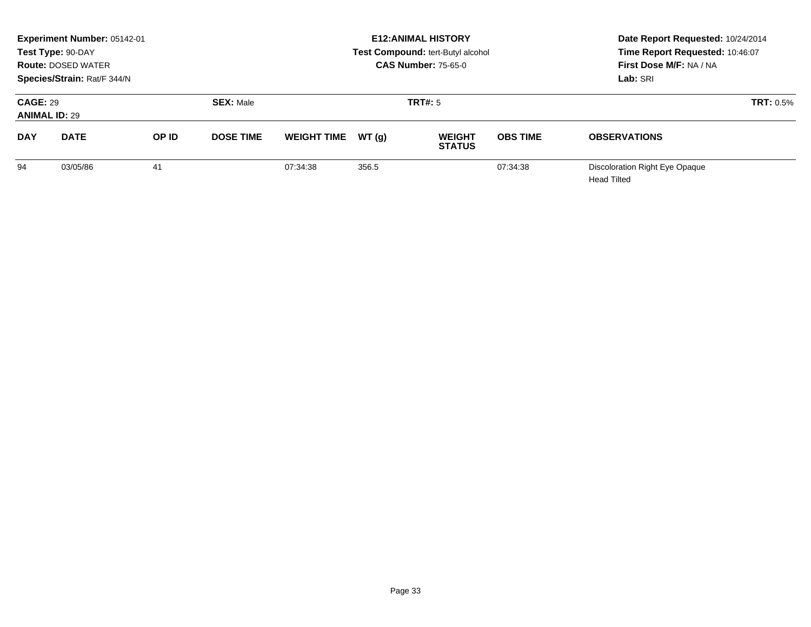| Experiment Number: 05142-01<br>Test Type: 90-DAY<br><b>Route: DOSED WATER</b><br>Species/Strain: Rat/F 344/N |             |       |                  |                    |        | <b>E12: ANIMAL HISTORY</b><br>Test Compound: tert-Butyl alcohol<br><b>CAS Number: 75-65-0</b> | Date Report Requested: 10/24/2014<br>Time Report Requested: 10:46:07<br>First Dose M/F: NA / NA<br>Lab: SRI |                                               |  |
|--------------------------------------------------------------------------------------------------------------|-------------|-------|------------------|--------------------|--------|-----------------------------------------------------------------------------------------------|-------------------------------------------------------------------------------------------------------------|-----------------------------------------------|--|
| <b>CAGE: 29</b><br><b>ANIMAL ID: 29</b>                                                                      |             |       | <b>SEX: Male</b> |                    |        | <b>TRT#: 5</b>                                                                                |                                                                                                             | TRT: 0.5%                                     |  |
| <b>DAY</b>                                                                                                   | <b>DATE</b> | OP ID | <b>DOSE TIME</b> | <b>WEIGHT TIME</b> | WT (a) | <b>WEIGHT</b><br><b>STATUS</b>                                                                | <b>OBS TIME</b>                                                                                             | <b>OBSERVATIONS</b>                           |  |
| 94                                                                                                           | 03/05/86    | 41    |                  | 07:34:38           | 356.5  |                                                                                               | 07:34:38                                                                                                    | Discoloration Right Eye Opaque<br>Head Tilted |  |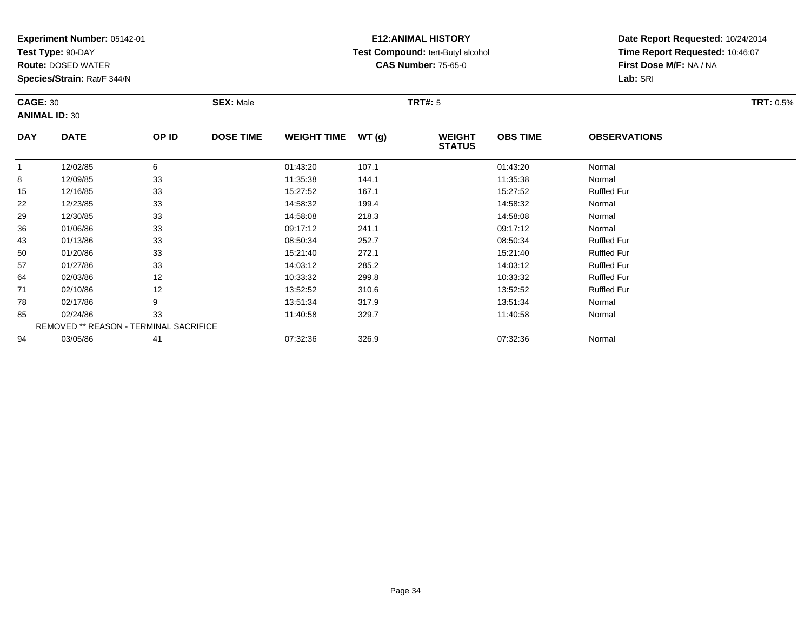**Test Type:** 90-DAY

94

**Route:** DOSED WATER

**Species/Strain:** Rat/F 344/N

# **E12:ANIMAL HISTORY Test Compound:** tert-Butyl alcohol **CAS Number:** 75-65-0

**Date Report Requested:** 10/24/2014**Time Report Requested:** 10:46:07**First Dose M/F:** NA / NA**Lab:** SRI

| <b>CAGE: 30</b><br><b>ANIMAL ID: 30</b> |                                               | <b>SEX: Male</b> |                  |                    | TRT#: 5 |                                |                 | <b>TRT: 0.5%</b>    |  |
|-----------------------------------------|-----------------------------------------------|------------------|------------------|--------------------|---------|--------------------------------|-----------------|---------------------|--|
| <b>DAY</b>                              | <b>DATE</b>                                   | OP ID            | <b>DOSE TIME</b> | <b>WEIGHT TIME</b> | WT(g)   | <b>WEIGHT</b><br><b>STATUS</b> | <b>OBS TIME</b> | <b>OBSERVATIONS</b> |  |
|                                         | 12/02/85                                      | 6                |                  | 01:43:20           | 107.1   |                                | 01:43:20        | Normal              |  |
| 8                                       | 12/09/85                                      | 33               |                  | 11:35:38           | 144.1   |                                | 11:35:38        | Normal              |  |
| 15                                      | 12/16/85                                      | 33               |                  | 15:27:52           | 167.1   |                                | 15:27:52        | <b>Ruffled Fur</b>  |  |
| 22                                      | 12/23/85                                      | 33               |                  | 14:58:32           | 199.4   |                                | 14:58:32        | Normal              |  |
| 29                                      | 12/30/85                                      | 33               |                  | 14:58:08           | 218.3   |                                | 14:58:08        | Normal              |  |
| 36                                      | 01/06/86                                      | 33               |                  | 09:17:12           | 241.1   |                                | 09:17:12        | Normal              |  |
| 43                                      | 01/13/86                                      | 33               |                  | 08:50:34           | 252.7   |                                | 08:50:34        | <b>Ruffled Fur</b>  |  |
| 50                                      | 01/20/86                                      | 33               |                  | 15:21:40           | 272.1   |                                | 15:21:40        | <b>Ruffled Fur</b>  |  |
| 57                                      | 01/27/86                                      | 33               |                  | 14:03:12           | 285.2   |                                | 14:03:12        | <b>Ruffled Fur</b>  |  |
| 64                                      | 02/03/86                                      | 12               |                  | 10:33:32           | 299.8   |                                | 10:33:32        | <b>Ruffled Fur</b>  |  |
| 71                                      | 02/10/86                                      | 12               |                  | 13:52:52           | 310.6   |                                | 13:52:52        | <b>Ruffled Fur</b>  |  |
| 78                                      | 02/17/86                                      | 9                |                  | 13:51:34           | 317.9   |                                | 13:51:34        | Normal              |  |
| 85                                      | 02/24/86                                      | 33               |                  | 11:40:58           | 329.7   |                                | 11:40:58        | Normal              |  |
|                                         | <b>REMOVED ** REASON - TERMINAL SACRIFICE</b> |                  |                  |                    |         |                                |                 |                     |  |

4 03/05/86 41 41 057:32:36 326.9 326.9 07:32:36 07:32:36 Normal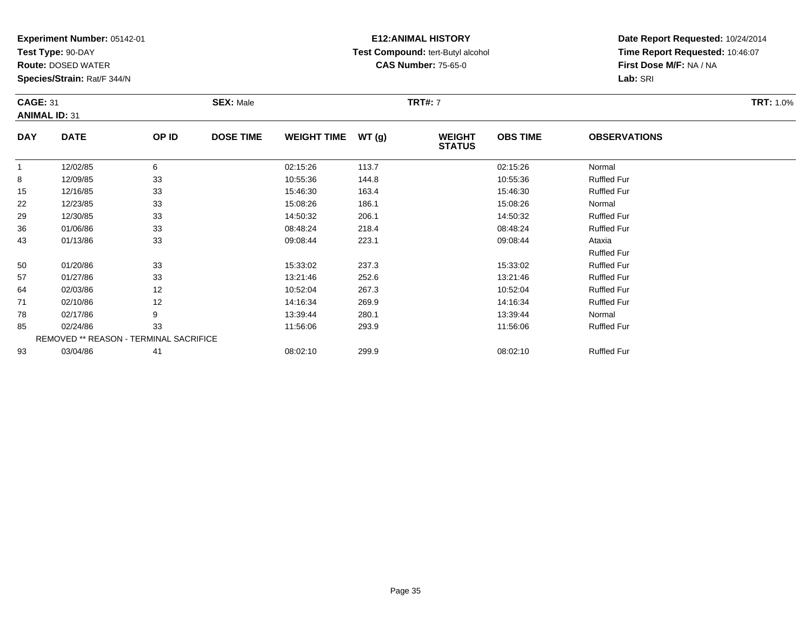**Test Type:** 90-DAY

**Route:** DOSED WATER

**Species/Strain:** Rat/F 344/N

### **E12:ANIMAL HISTORY Test Compound:** tert-Butyl alcohol **CAS Number:** 75-65-0

| <b>CAGE: 31</b><br><b>ANIMAL ID: 31</b> |             |       | <b>SEX: Male</b> |                     |       | <b>TRT#: 7</b>                 | <b>TRT: 1.0%</b> |                     |  |
|-----------------------------------------|-------------|-------|------------------|---------------------|-------|--------------------------------|------------------|---------------------|--|
| <b>DAY</b>                              | <b>DATE</b> | OP ID | <b>DOSE TIME</b> | WEIGHT TIME $WT(g)$ |       | <b>WEIGHT</b><br><b>STATUS</b> | <b>OBS TIME</b>  | <b>OBSERVATIONS</b> |  |
|                                         | 12/02/85    | 6     |                  | 02:15:26            | 113.7 |                                | 02:15:26         | Normal              |  |
| 8                                       | 12/09/85    | 33    |                  | 10:55:36            | 144.8 |                                | 10:55:36         | <b>Ruffled Fur</b>  |  |
| 15                                      | 12/16/85    | 33    |                  | 15:46:30            | 163.4 |                                | 15:46:30         | <b>Ruffled Fur</b>  |  |
| 22                                      | 12/23/85    | 33    |                  | 15:08:26            | 186.1 |                                | 15:08:26         | Normal              |  |
| 29                                      | 12/30/85    | 33    |                  | 14:50:32            | 206.1 |                                | 14:50:32         | <b>Ruffled Fur</b>  |  |

| 29                                            | 12/30/85 | 33 | 14:50:32 | 206.1 | 14:50:32 | <b>Ruffled Fur</b> |  |  |  |  |
|-----------------------------------------------|----------|----|----------|-------|----------|--------------------|--|--|--|--|
| 36                                            | 01/06/86 | 33 | 08:48:24 | 218.4 | 08:48:24 | <b>Ruffled Fur</b> |  |  |  |  |
| 43                                            | 01/13/86 | 33 | 09:08:44 | 223.1 | 09:08:44 | Ataxia             |  |  |  |  |
|                                               |          |    |          |       |          | <b>Ruffled Fur</b> |  |  |  |  |
| 50                                            | 01/20/86 | 33 | 15:33:02 | 237.3 | 15:33:02 | <b>Ruffled Fur</b> |  |  |  |  |
| 57                                            | 01/27/86 | 33 | 13:21:46 | 252.6 | 13:21:46 | <b>Ruffled Fur</b> |  |  |  |  |
| 64                                            | 02/03/86 | 12 | 10:52:04 | 267.3 | 10:52:04 | <b>Ruffled Fur</b> |  |  |  |  |
| 71                                            | 02/10/86 | 12 | 14:16:34 | 269.9 | 14:16:34 | <b>Ruffled Fur</b> |  |  |  |  |
| 78                                            | 02/17/86 | 9  | 13:39:44 | 280.1 | 13:39:44 | Normal             |  |  |  |  |
| 85                                            | 02/24/86 | 33 | 11:56:06 | 293.9 | 11:56:06 | <b>Ruffled Fur</b> |  |  |  |  |
| <b>REMOVED ** REASON - TERMINAL SACRIFICE</b> |          |    |          |       |          |                    |  |  |  |  |
| 93                                            | 03/04/86 | 41 | 08:02:10 | 299.9 | 08:02:10 | <b>Ruffled Fur</b> |  |  |  |  |
|                                               |          |    |          |       |          |                    |  |  |  |  |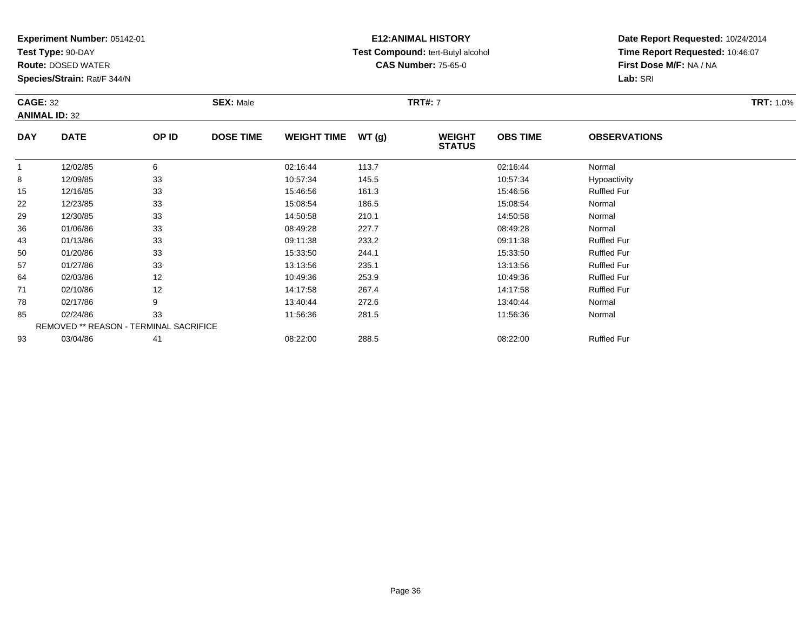**Test Type:** 90-DAY

57

64

71

78

85

93

**Route:** DOSED WATER

**Species/Strain:** Rat/F 344/N

REMOVED \*\* REASON - TERMINAL SACRIFICE

### **E12:ANIMAL HISTORY Test Compound:** tert-Butyl alcohol **CAS Number:** 75-65-0

**Date Report Requested:** 10/24/2014**Time Report Requested:** 10:46:07**First Dose M/F:** NA / NA**Lab:** SRI

| <b>CAGE: 32</b><br><b>ANIMAL ID: 32</b> |             | <b>SEX: Male</b> |                  |                    | <b>TRT#: 7</b> | <b>TRT: 1.0%</b>               |                 |                     |  |
|-----------------------------------------|-------------|------------------|------------------|--------------------|----------------|--------------------------------|-----------------|---------------------|--|
| <b>DAY</b>                              | <b>DATE</b> | OP ID            | <b>DOSE TIME</b> | <b>WEIGHT TIME</b> | WT(g)          | <b>WEIGHT</b><br><b>STATUS</b> | <b>OBS TIME</b> | <b>OBSERVATIONS</b> |  |
| 1                                       | 12/02/85    | 6                |                  | 02:16:44           | 113.7          |                                | 02:16:44        | Normal              |  |
| 8                                       | 12/09/85    | 33               |                  | 10:57:34           | 145.5          |                                | 10:57:34        | Hypoactivity        |  |
| 15                                      | 12/16/85    | 33               |                  | 15:46:56           | 161.3          |                                | 15:46:56        | <b>Ruffled Fur</b>  |  |
| 22                                      | 12/23/85    | 33               |                  | 15:08:54           | 186.5          |                                | 15:08:54        | Normal              |  |
| 29                                      | 12/30/85    | 33               |                  | 14:50:58           | 210.1          |                                | 14:50:58        | Normal              |  |
| 36                                      | 01/06/86    | 33               |                  | 08:49:28           | 227.7          |                                | 08:49:28        | Normal              |  |
| 43                                      | 01/13/86    | 33               |                  | 09:11:38           | 233.2          |                                | 09:11:38        | <b>Ruffled Fur</b>  |  |
| 50                                      | 01/20/86    | 33               |                  | 15:33:50           | 244.1          |                                | 15:33:50        | <b>Ruffled Fur</b>  |  |

7 01/27/86 33 13:13:56 235.1 13:13:56 Ruffled Fur

4 02/03/86 12 12 10:49:36 253.9 10:49 10:49 10:49 253.9 10:49:36 Ruffled Fur

1 02/10/86 12 14:17:58 267.4 14:17:58 Ruffled Fur

03/04/86 <sup>41</sup> 08:22:00 288.5 08:22:00 Ruffled Fur

8 02/17/86 9 9 13:40:44 272.6 13:40 13:40 13:40 13:40 13:40 13:40 13:40:44

5 02/24/86 33 3 11:56:36 281.5 281.5 11:56:36 11:56:36 Normal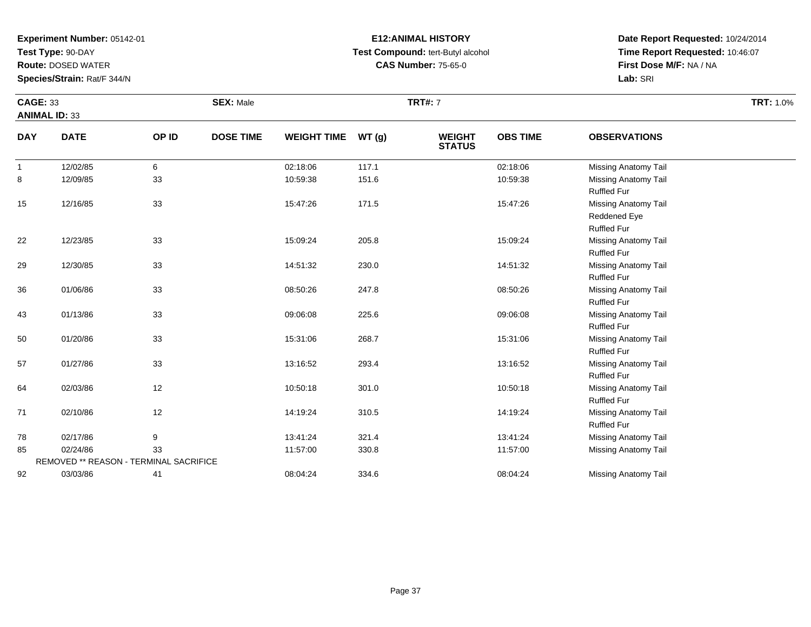**Test Type:** 90-DAY

**Route:** DOSED WATER

**Species/Strain:** Rat/F 344/N

REMOVED \*\* REASON - TERMINAL SACRIFICE

92

### **E12:ANIMAL HISTORY Test Compound:** tert-Butyl alcohol **CAS Number:** 75-65-0

**Date Report Requested:** 10/24/2014**Time Report Requested:** 10:46:07**First Dose M/F:** NA / NA**Lab:** SRI

| <b>CAGE: 33</b><br><b>ANIMAL ID: 33</b> |             |       | <b>SEX: Male</b> |                    |       | <b>TRT#: 7</b>                 |                 |                                                            | <b>TRT: 1.0%</b> |
|-----------------------------------------|-------------|-------|------------------|--------------------|-------|--------------------------------|-----------------|------------------------------------------------------------|------------------|
| <b>DAY</b>                              | <b>DATE</b> | OP ID | <b>DOSE TIME</b> | <b>WEIGHT TIME</b> | WT(g) | <b>WEIGHT</b><br><b>STATUS</b> | <b>OBS TIME</b> | <b>OBSERVATIONS</b>                                        |                  |
| $\overline{1}$                          | 12/02/85    | 6     |                  | 02:18:06           | 117.1 |                                | 02:18:06        | <b>Missing Anatomy Tail</b>                                |                  |
| 8                                       | 12/09/85    | 33    |                  | 10:59:38           | 151.6 |                                | 10:59:38        | Missing Anatomy Tail<br><b>Ruffled Fur</b>                 |                  |
| 15                                      | 12/16/85    | 33    |                  | 15:47:26           | 171.5 |                                | 15:47:26        | Missing Anatomy Tail<br>Reddened Eye<br><b>Ruffled Fur</b> |                  |
| 22                                      | 12/23/85    | 33    |                  | 15:09:24           | 205.8 |                                | 15:09:24        | <b>Missing Anatomy Tail</b><br>Ruffled Fur                 |                  |
| 29                                      | 12/30/85    | 33    |                  | 14:51:32           | 230.0 |                                | 14:51:32        | Missing Anatomy Tail<br><b>Ruffled Fur</b>                 |                  |
| 36                                      | 01/06/86    | 33    |                  | 08:50:26           | 247.8 |                                | 08:50:26        | Missing Anatomy Tail<br><b>Ruffled Fur</b>                 |                  |
| 43                                      | 01/13/86    | 33    |                  | 09:06:08           | 225.6 |                                | 09:06:08        | Missing Anatomy Tail<br><b>Ruffled Fur</b>                 |                  |
| 50                                      | 01/20/86    | 33    |                  | 15:31:06           | 268.7 |                                | 15:31:06        | Missing Anatomy Tail<br><b>Ruffled Fur</b>                 |                  |
| 57                                      | 01/27/86    | 33    |                  | 13:16:52           | 293.4 |                                | 13:16:52        | <b>Missing Anatomy Tail</b><br><b>Ruffled Fur</b>          |                  |
| 64                                      | 02/03/86    | 12    |                  | 10:50:18           | 301.0 |                                | 10:50:18        | Missing Anatomy Tail<br><b>Ruffled Fur</b>                 |                  |
| 71                                      | 02/10/86    | 12    |                  | 14:19:24           | 310.5 |                                | 14:19:24        | Missing Anatomy Tail<br><b>Ruffled Fur</b>                 |                  |
| 78                                      | 02/17/86    | 9     |                  | 13:41:24           | 321.4 |                                | 13:41:24        | <b>Missing Anatomy Tail</b>                                |                  |
| 85                                      | 02/24/86    | 33    |                  | 11:57:00           | 330.8 |                                | 11:57:00        | <b>Missing Anatomy Tail</b>                                |                  |

03/03/86 <sup>41</sup> 08:04:24 334.6 08:04:24 Missing Anatomy Tail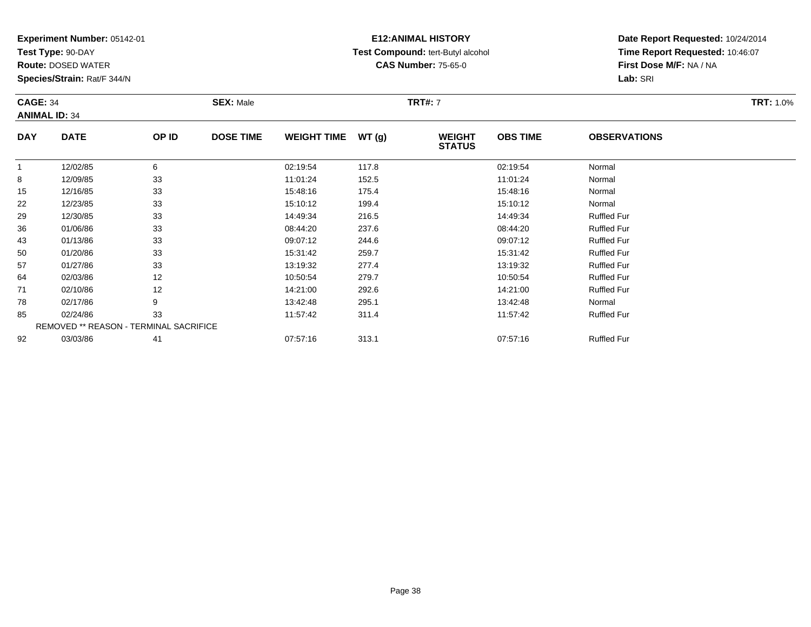**Test Type:** 90-DAY

**Route:** DOSED WATER

**Species/Strain:** Rat/F 344/N

# **E12:ANIMAL HISTORY Test Compound:** tert-Butyl alcohol **CAS Number:** 75-65-0

| <b>CAGE: 34</b> | <b>ANIMAL ID: 34</b> |       | <b>SEX: Male</b> |                    | <b>TRT#:</b> 7 |                                | <b>TRT: 1.0%</b> |                     |  |
|-----------------|----------------------|-------|------------------|--------------------|----------------|--------------------------------|------------------|---------------------|--|
| <b>DAY</b>      | <b>DATE</b>          | OP ID | <b>DOSE TIME</b> | <b>WEIGHT TIME</b> | WT (a)         | <b>WEIGHT</b><br><b>STATUS</b> | <b>OBS TIME</b>  | <b>OBSERVATIONS</b> |  |
|                 | 12/02/85             | 6     |                  | 02:19:54           | 117.8          |                                | 02:19:54         | Normal              |  |
| 8               | 12/09/85             | 33    |                  | 11:01:24           | 152.5          |                                | 11:01:24         | Normal              |  |
| 15              | 12/16/85             | 33    |                  | 15:48:16           | 175.4          |                                | 15:48:16         | Normal              |  |
| 22              | 12/23/85             | 33    |                  | 15:10:12           | 199.4          |                                | 15:10:12         | Normal              |  |
| 29              | 12/30/85             | 33    |                  | 14:49:34           | 216.5          |                                | 14:49:34         | <b>Ruffled Fur</b>  |  |

|    | 12/02/85                                      | 6  | 02:19:54 | 117.8 | 02:19:54 | Normal             |
|----|-----------------------------------------------|----|----------|-------|----------|--------------------|
| 8  | 12/09/85                                      | 33 | 11:01:24 | 152.5 | 11:01:24 | Normal             |
| 15 | 12/16/85                                      | 33 | 15:48:16 | 175.4 | 15:48:16 | Normal             |
| 22 | 12/23/85                                      | 33 | 15:10:12 | 199.4 | 15:10:12 | Normal             |
| 29 | 12/30/85                                      | 33 | 14:49:34 | 216.5 | 14:49:34 | <b>Ruffled Fur</b> |
| 36 | 01/06/86                                      | 33 | 08:44:20 | 237.6 | 08:44:20 | <b>Ruffled Fur</b> |
| 43 | 01/13/86                                      | 33 | 09:07:12 | 244.6 | 09:07:12 | <b>Ruffled Fur</b> |
| 50 | 01/20/86                                      | 33 | 15:31:42 | 259.7 | 15:31:42 | <b>Ruffled Fur</b> |
| 57 | 01/27/86                                      | 33 | 13:19:32 | 277.4 | 13:19:32 | <b>Ruffled Fur</b> |
| 64 | 02/03/86                                      | 12 | 10:50:54 | 279.7 | 10:50:54 | <b>Ruffled Fur</b> |
| 71 | 02/10/86                                      | 12 | 14:21:00 | 292.6 | 14:21:00 | <b>Ruffled Fur</b> |
| 78 | 02/17/86                                      | 9  | 13:42:48 | 295.1 | 13:42:48 | Normal             |
| 85 | 02/24/86                                      | 33 | 11:57:42 | 311.4 | 11:57:42 | <b>Ruffled Fur</b> |
|    | <b>REMOVED ** REASON - TERMINAL SACRIFICE</b> |    |          |       |          |                    |
| 92 | 03/03/86                                      | 41 | 07:57:16 | 313.1 | 07:57:16 | <b>Ruffled Fur</b> |
|    |                                               |    |          |       |          |                    |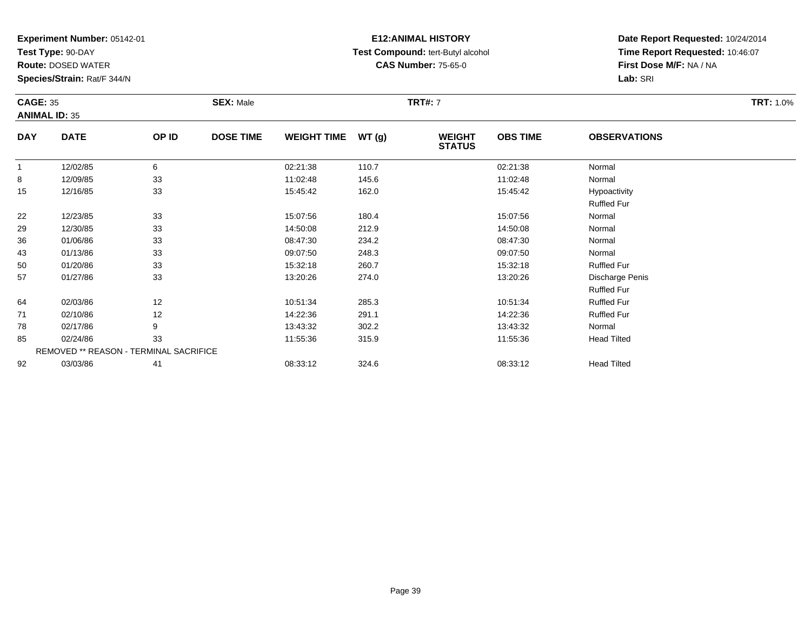**Test Type:** 90-DAY

**Route:** DOSED WATER

**Species/Strain:** Rat/F 344/N

### **E12:ANIMAL HISTORY Test Compound:** tert-Butyl alcohol **CAS Number:** 75-65-0

**Date Report Requested:** 10/24/2014**Time Report Requested:** 10:46:07**First Dose M/F:** NA / NA**Lab:** SRI

|            | <b>CAGE: 35</b><br><b>ANIMAL ID: 35</b> |       | <b>SEX: Male</b> |                    |       | <b>TRT#: 7</b>                 |                 | <b>TRT: 1.0%</b>    |  |
|------------|-----------------------------------------|-------|------------------|--------------------|-------|--------------------------------|-----------------|---------------------|--|
| <b>DAY</b> | <b>DATE</b>                             | OP ID | <b>DOSE TIME</b> | <b>WEIGHT TIME</b> | WT(g) | <b>WEIGHT</b><br><b>STATUS</b> | <b>OBS TIME</b> | <b>OBSERVATIONS</b> |  |
| 1          | 12/02/85                                | 6     |                  | 02:21:38           | 110.7 |                                | 02:21:38        | Normal              |  |
| 8          | 12/09/85                                | 33    |                  | 11:02:48           | 145.6 |                                | 11:02:48        | Normal              |  |
| 15         | 12/16/85                                | 33    |                  | 15:45:42           | 162.0 |                                | 15:45:42        | Hypoactivity        |  |
|            |                                         |       |                  |                    |       |                                |                 | <b>Ruffled Fur</b>  |  |
| 22         | 12/23/85                                | 33    |                  | 15:07:56           | 180.4 |                                | 15:07:56        | Normal              |  |
| 29         | 12/30/85                                | 33    |                  | 14:50:08           | 212.9 |                                | 14:50:08        | Normal              |  |
| 36         | 01/06/86                                | 33    |                  | 08:47:30           | 234.2 |                                | 08:47:30        | Normal              |  |
| 43         | 01/13/86                                | 33    |                  | 09:07:50           | 248.3 |                                | 09:07:50        | Normal              |  |
| 50         | 01/20/86                                | 33    |                  | 15:32:18           | 260.7 |                                | 15:32:18        | <b>Ruffled Fur</b>  |  |
| 57         | 01/27/86                                | 33    |                  | 13:20:26           | 274.0 |                                | 13:20:26        | Discharge Penis     |  |
|            |                                         |       |                  |                    |       |                                |                 | <b>Ruffled Fur</b>  |  |
| 64         | 02/03/86                                | 12    |                  | 10:51:34           | 285.3 |                                | 10:51:34        | <b>Ruffled Fur</b>  |  |
| 71         | 02/10/86                                | 12    |                  | 14:22:36           | 291.1 |                                | 14:22:36        | <b>Ruffled Fur</b>  |  |
| 78         | 02/17/86                                | 9     |                  | 13:43:32           | 302.2 |                                | 13:43:32        | Normal              |  |
| 85         | 02/24/86                                | 33    |                  | 11:55:36           | 315.9 |                                | 11:55:36        | <b>Head Tilted</b>  |  |

| 85 | 02/24/86 | o c                                           | 11:55:36 | 315.9 | 11:55:36 | <b>Head Tiltec</b> |
|----|----------|-----------------------------------------------|----------|-------|----------|--------------------|
|    |          | <b>REMOVED ** REASON - TERMINAL SACRIFICE</b> |          |       |          |                    |
| 92 | 03/03/86 | 41                                            | 08:33:12 | 324.6 | 08:33:12 | <b>Head Tiltec</b> |

Page 39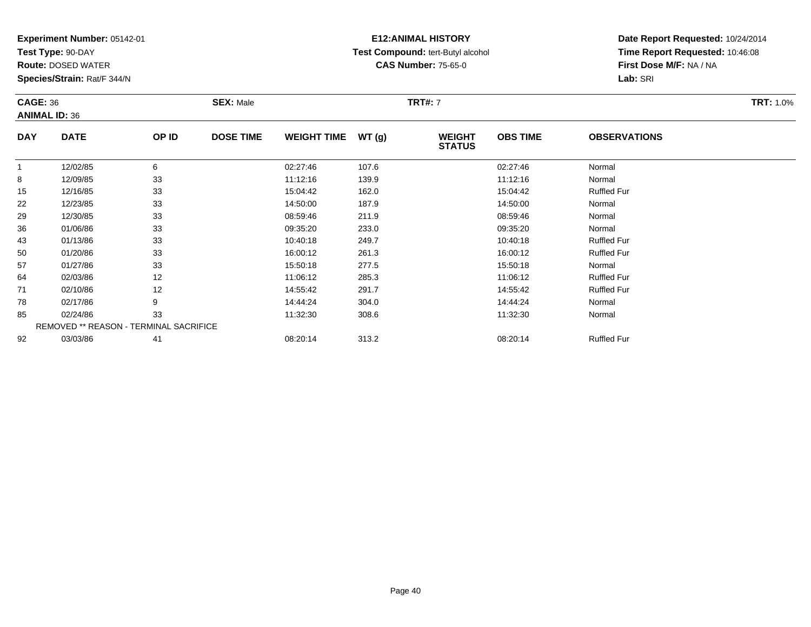**Test Type:** 90-DAY

92

**Route:** DOSED WATER

**Species/Strain:** Rat/F 344/N

REMOVED \*\* REASON - TERMINAL SACRIFICE

### **E12:ANIMAL HISTORY Test Compound:** tert-Butyl alcohol **CAS Number:** 75-65-0

**Date Report Requested:** 10/24/2014**Time Report Requested:** 10:46:08**First Dose M/F:** NA / NA**Lab:** SRI

| <b>CAGE: 36</b><br><b>ANIMAL ID: 36</b> |             | <b>SEX: Male</b> |                  |                    | <b>TRT#: 7</b> | <b>TRT: 1.0%</b>               |                 |                     |  |
|-----------------------------------------|-------------|------------------|------------------|--------------------|----------------|--------------------------------|-----------------|---------------------|--|
| <b>DAY</b>                              | <b>DATE</b> | OP ID            | <b>DOSE TIME</b> | <b>WEIGHT TIME</b> | WT(g)          | <b>WEIGHT</b><br><b>STATUS</b> | <b>OBS TIME</b> | <b>OBSERVATIONS</b> |  |
| 1                                       | 12/02/85    | 6                |                  | 02:27:46           | 107.6          |                                | 02:27:46        | Normal              |  |
| 8                                       | 12/09/85    | 33               |                  | 11:12:16           | 139.9          |                                | 11:12:16        | Normal              |  |
| 15                                      | 12/16/85    | 33               |                  | 15:04:42           | 162.0          |                                | 15:04:42        | <b>Ruffled Fur</b>  |  |
| 22                                      | 12/23/85    | 33               |                  | 14:50:00           | 187.9          |                                | 14:50:00        | Normal              |  |
| 29                                      | 12/30/85    | 33               |                  | 08:59:46           | 211.9          |                                | 08:59:46        | Normal              |  |
| 36                                      | 01/06/86    | 33               |                  | 09:35:20           | 233.0          |                                | 09:35:20        | Normal              |  |
| 43                                      | 01/13/86    | 33               |                  | 10:40:18           | 249.7          |                                | 10:40:18        | <b>Ruffled Fur</b>  |  |
| 50                                      | 01/20/86    | 33               |                  | 16:00:12           | 261.3          |                                | 16:00:12        | <b>Ruffled Fur</b>  |  |
| 57                                      | 01/27/86    | 33               |                  | 15:50:18           | 277.5          |                                | 15:50:18        | Normal              |  |
| 64                                      | 02/03/86    | 12               |                  | 11:06:12           | 285.3          |                                | 11:06:12        | <b>Ruffled Fur</b>  |  |
| 71                                      | 02/10/86    | 12               |                  | 14:55:42           | 291.7          |                                | 14.55.42        | <b>Ruffled Fur</b>  |  |
| 78                                      | 02/17/86    | 9                |                  | 14:44:24           | 304.0          |                                | 14:44:24        | Normal              |  |
| 85                                      | 02/24/86    | 33               |                  | 11:32:30           | 308.6          |                                | 11:32:30        | Normal              |  |

03/03/86 <sup>41</sup> 08:20:14 313.2 08:20:14 Ruffled Fur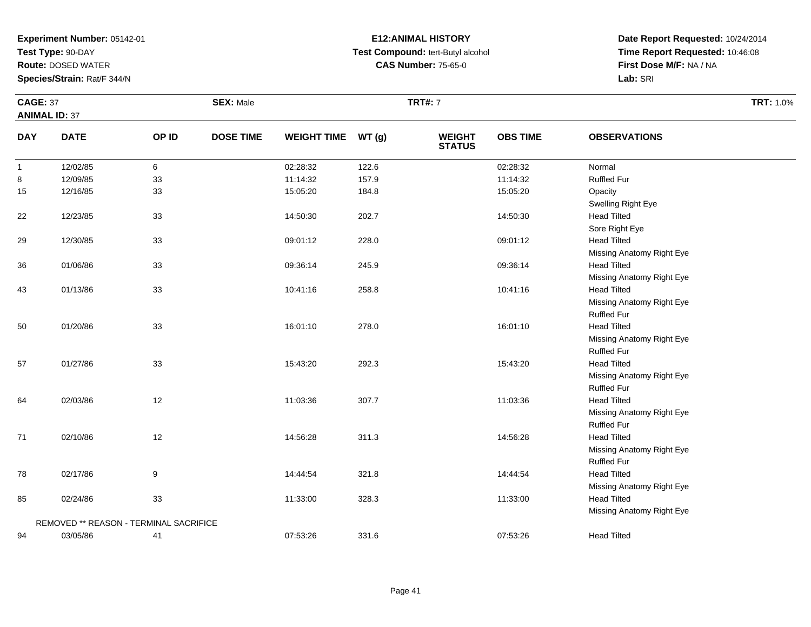**Test Type:** 90-DAY

**Route:** DOSED WATER

**Species/Strain:** Rat/F 344/N

### **E12:ANIMAL HISTORY Test Compound:** tert-Butyl alcohol **CAS Number:** 75-65-0

| <b>CAGE: 37</b>      |                                        |       | <b>SEX: Male</b> |                    |       | <b>TRT#: 7</b>                 |                 |                                                 | <b>TRT: 1.0%</b> |
|----------------------|----------------------------------------|-------|------------------|--------------------|-------|--------------------------------|-----------------|-------------------------------------------------|------------------|
| <b>ANIMAL ID: 37</b> |                                        |       |                  |                    |       |                                |                 |                                                 |                  |
| <b>DAY</b>           | <b>DATE</b>                            | OP ID | <b>DOSE TIME</b> | <b>WEIGHT TIME</b> | WT(g) | <b>WEIGHT</b><br><b>STATUS</b> | <b>OBS TIME</b> | <b>OBSERVATIONS</b>                             |                  |
| $\overline{1}$       | 12/02/85                               | 6     |                  | 02:28:32           | 122.6 |                                | 02:28:32        | Normal                                          |                  |
| 8                    | 12/09/85                               | 33    |                  | 11:14:32           | 157.9 |                                | 11:14:32        | <b>Ruffled Fur</b>                              |                  |
| 15                   | 12/16/85                               | 33    |                  | 15:05:20           | 184.8 |                                | 15:05:20        | Opacity<br>Swelling Right Eye                   |                  |
| 22                   | 12/23/85                               | 33    |                  | 14:50:30           | 202.7 |                                | 14:50:30        | <b>Head Tilted</b>                              |                  |
| 29                   | 12/30/85                               | 33    |                  | 09:01:12           | 228.0 |                                | 09:01:12        | Sore Right Eye<br><b>Head Tilted</b>            |                  |
| 36                   | 01/06/86                               | 33    |                  | 09:36:14           | 245.9 |                                | 09:36:14        | Missing Anatomy Right Eye<br><b>Head Tilted</b> |                  |
| 43                   | 01/13/86                               | 33    |                  | 10:41:16           | 258.8 |                                | 10:41:16        | Missing Anatomy Right Eye<br><b>Head Tilted</b> |                  |
|                      |                                        |       |                  |                    |       |                                |                 | Missing Anatomy Right Eye<br><b>Ruffled Fur</b> |                  |
| 50                   | 01/20/86                               | 33    |                  | 16:01:10           | 278.0 |                                | 16:01:10        | <b>Head Tilted</b><br>Missing Anatomy Right Eye |                  |
| 57                   | 01/27/86                               | 33    |                  | 15:43:20           | 292.3 |                                | 15:43:20        | <b>Ruffled Fur</b><br><b>Head Tilted</b>        |                  |
|                      |                                        |       |                  |                    |       |                                |                 | Missing Anatomy Right Eye<br><b>Ruffled Fur</b> |                  |
| 64                   | 02/03/86                               | 12    |                  | 11:03:36           | 307.7 |                                | 11:03:36        | <b>Head Tilted</b><br>Missing Anatomy Right Eye |                  |
| 71                   | 02/10/86                               | 12    |                  | 14:56:28           | 311.3 |                                | 14:56:28        | <b>Ruffled Fur</b><br><b>Head Tilted</b>        |                  |
|                      |                                        |       |                  |                    |       |                                |                 | Missing Anatomy Right Eye<br><b>Ruffled Fur</b> |                  |
| 78                   | 02/17/86                               | 9     |                  | 14:44:54           | 321.8 |                                | 14:44:54        | <b>Head Tilted</b>                              |                  |
| 85                   | 02/24/86                               | 33    |                  | 11:33:00           | 328.3 |                                | 11:33:00        | Missing Anatomy Right Eye<br><b>Head Tilted</b> |                  |
|                      | REMOVED ** REASON - TERMINAL SACRIFICE |       |                  |                    |       |                                |                 | Missing Anatomy Right Eye                       |                  |
| 94                   | 03/05/86                               | 41    |                  | 07:53:26           | 331.6 |                                | 07:53:26        | <b>Head Tilted</b>                              |                  |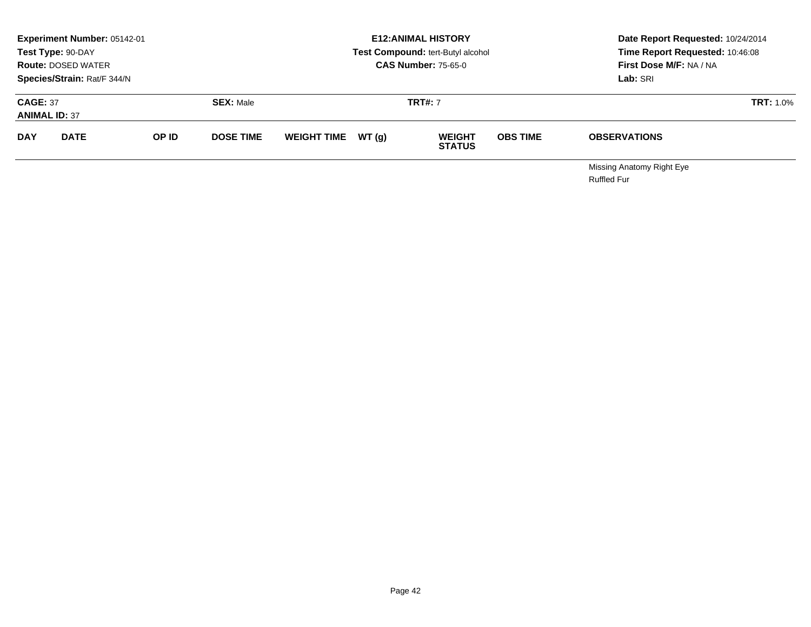|                                         | Experiment Number: 05142-01<br>Test Type: 90-DAY<br><b>Route: DOSED WATER</b><br>Species/Strain: Rat/F 344/N |       |                  | <b>E12: ANIMAL HISTORY</b><br>Test Compound: tert-Butyl alcohol<br><b>CAS Number: 75-65-0</b> |        |                                |                 | Date Report Requested: 10/24/2014<br>Time Report Requested: 10:46:08<br>First Dose M/F: NA / NA<br>Lab: SRI |                  |
|-----------------------------------------|--------------------------------------------------------------------------------------------------------------|-------|------------------|-----------------------------------------------------------------------------------------------|--------|--------------------------------|-----------------|-------------------------------------------------------------------------------------------------------------|------------------|
| <b>CAGE: 37</b><br><b>ANIMAL ID: 37</b> |                                                                                                              |       | <b>SEX: Male</b> |                                                                                               |        | <b>TRT#: 7</b>                 |                 |                                                                                                             | <b>TRT: 1.0%</b> |
| <b>DAY</b>                              | <b>DATE</b>                                                                                                  | OP ID | <b>DOSE TIME</b> | <b>WEIGHT TIME</b>                                                                            | WT (q) | <b>WEIGHT</b><br><b>STATUS</b> | <b>OBS TIME</b> | <b>OBSERVATIONS</b>                                                                                         |                  |
|                                         |                                                                                                              |       |                  |                                                                                               |        |                                |                 | Miccina Anatomy Right Eve                                                                                   |                  |

Missing Anatomy Right EyeRuffled Fur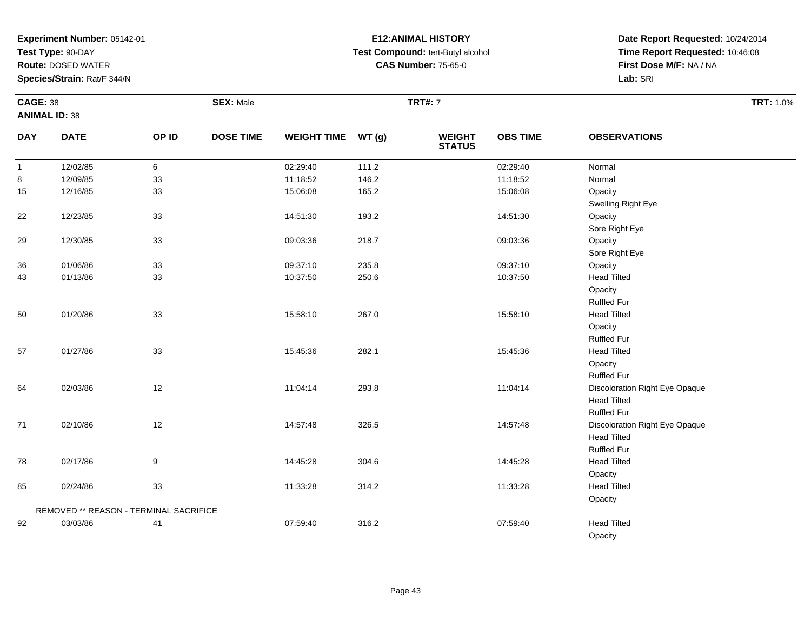**Test Type:** 90-DAY

**Route:** DOSED WATER

**Species/Strain:** Rat/F 344/N

# **E12:ANIMAL HISTORY Test Compound:** tert-Butyl alcohol **CAS Number:** 75-65-0

|                | <b>CAGE: 38</b>                        |         | <b>SEX: Male</b> |                    |       |                                | <b>TRT#: 7</b>  |                                                                                                  |  |  |
|----------------|----------------------------------------|---------|------------------|--------------------|-------|--------------------------------|-----------------|--------------------------------------------------------------------------------------------------|--|--|
|                | <b>ANIMAL ID: 38</b>                   |         |                  |                    |       |                                |                 |                                                                                                  |  |  |
| <b>DAY</b>     | <b>DATE</b>                            | OP ID   | <b>DOSE TIME</b> | <b>WEIGHT TIME</b> | WT(g) | <b>WEIGHT</b><br><b>STATUS</b> | <b>OBS TIME</b> | <b>OBSERVATIONS</b>                                                                              |  |  |
| $\overline{1}$ | 12/02/85                               | $\,6\,$ |                  | 02:29:40           | 111.2 |                                | 02:29:40        | Normal                                                                                           |  |  |
| 8              | 12/09/85                               | 33      |                  | 11:18:52           | 146.2 |                                | 11:18:52        | Normal                                                                                           |  |  |
| 15             | 12/16/85                               | 33      |                  | 15:06:08           | 165.2 |                                | 15:06:08        | Opacity<br>Swelling Right Eye                                                                    |  |  |
| 22             | 12/23/85                               | 33      |                  | 14:51:30           | 193.2 |                                | 14:51:30        | Opacity<br>Sore Right Eye                                                                        |  |  |
| 29             | 12/30/85                               | 33      |                  | 09:03:36           | 218.7 |                                | 09:03:36        | Opacity<br>Sore Right Eye                                                                        |  |  |
| 36             | 01/06/86                               | 33      |                  | 09:37:10           | 235.8 |                                | 09:37:10        | Opacity                                                                                          |  |  |
| 43             | 01/13/86                               | 33      |                  | 10:37:50           | 250.6 |                                | 10:37:50        | <b>Head Tilted</b><br>Opacity<br><b>Ruffled Fur</b>                                              |  |  |
| 50             | 01/20/86                               | 33      |                  | 15:58:10           | 267.0 |                                | 15:58:10        | <b>Head Tilted</b><br>Opacity<br><b>Ruffled Fur</b>                                              |  |  |
| 57             | 01/27/86                               | 33      |                  | 15:45:36           | 282.1 |                                | 15:45:36        | <b>Head Tilted</b><br>Opacity                                                                    |  |  |
| 64             | 02/03/86                               | 12      |                  | 11:04:14           | 293.8 |                                | 11:04:14        | <b>Ruffled Fur</b><br>Discoloration Right Eye Opaque<br><b>Head Tilted</b><br><b>Ruffled Fur</b> |  |  |
| 71             | 02/10/86                               | 12      |                  | 14:57:48           | 326.5 |                                | 14:57:48        | Discoloration Right Eye Opaque<br><b>Head Tilted</b><br><b>Ruffled Fur</b>                       |  |  |
| 78             | 02/17/86                               | 9       |                  | 14:45:28           | 304.6 |                                | 14:45:28        | <b>Head Tilted</b><br>Opacity                                                                    |  |  |
| 85             | 02/24/86                               | 33      |                  | 11:33:28           | 314.2 |                                | 11:33:28        | <b>Head Tilted</b><br>Opacity                                                                    |  |  |
|                | REMOVED ** REASON - TERMINAL SACRIFICE |         |                  |                    |       |                                |                 |                                                                                                  |  |  |
| 92             | 03/03/86                               | 41      |                  | 07:59:40           | 316.2 |                                | 07:59:40        | <b>Head Tilted</b><br>Opacity                                                                    |  |  |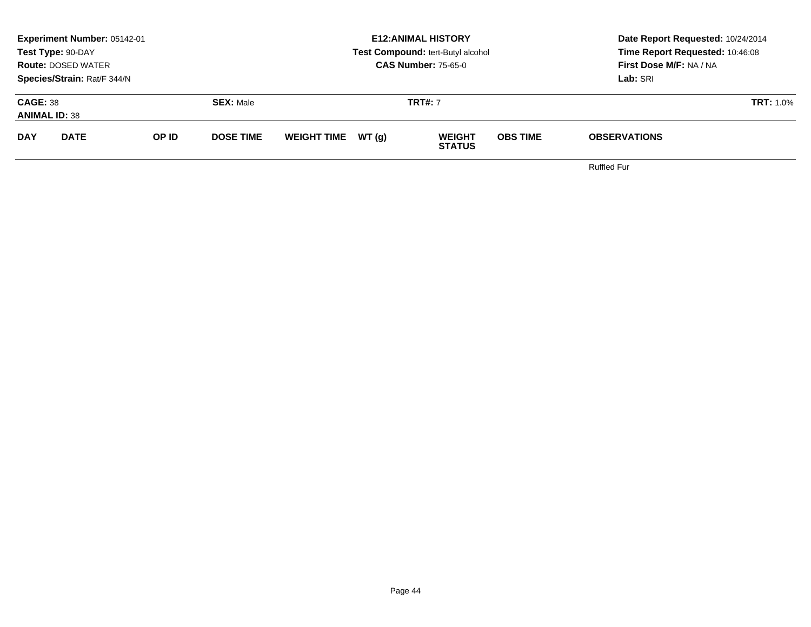|                                         | <b>Experiment Number: 05142-01</b><br>Test Type: 90-DAY<br><b>Route: DOSED WATER</b><br>Species/Strain: Rat/F 344/N |       |                  |                    |       | <b>E12:ANIMAL HISTORY</b><br>Test Compound: tert-Butyl alcohol<br><b>CAS Number: 75-65-0</b> | Date Report Requested: 10/24/2014<br>Time Report Requested: 10:46:08<br><b>First Dose M/F: NA / NA</b><br>Lab: SRI |                     |  |
|-----------------------------------------|---------------------------------------------------------------------------------------------------------------------|-------|------------------|--------------------|-------|----------------------------------------------------------------------------------------------|--------------------------------------------------------------------------------------------------------------------|---------------------|--|
| <b>CAGE: 38</b><br><b>ANIMAL ID: 38</b> |                                                                                                                     |       | <b>SEX: Male</b> |                    |       | <b>TRT#: 7</b>                                                                               |                                                                                                                    | <b>TRT: 1.0%</b>    |  |
| <b>DAY</b>                              | <b>DATE</b>                                                                                                         | OP ID | <b>DOSE TIME</b> | <b>WEIGHT TIME</b> | WT(q) | <b>WEIGHT</b><br><b>STATUS</b>                                                               | <b>OBS TIME</b>                                                                                                    | <b>OBSERVATIONS</b> |  |
|                                         |                                                                                                                     |       |                  |                    |       |                                                                                              |                                                                                                                    |                     |  |

Ruffled Fur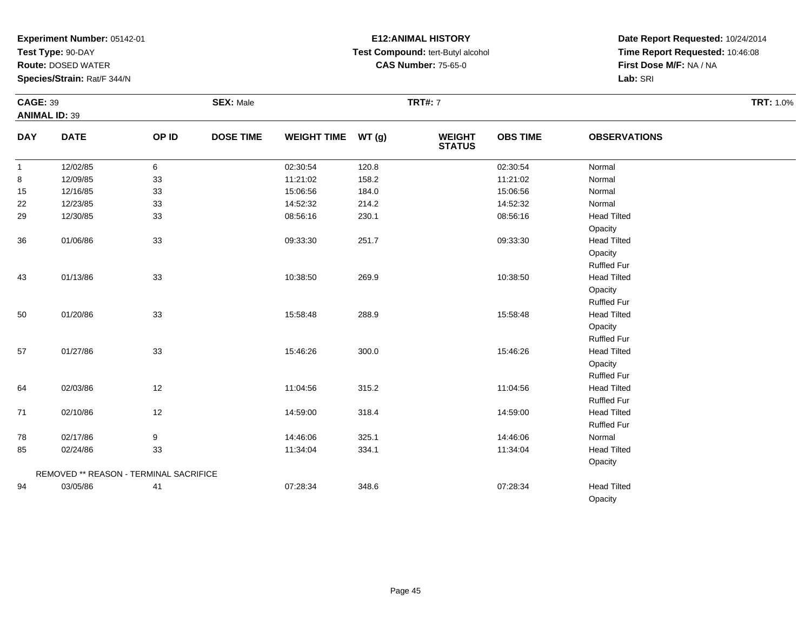**Test Type:** 90-DAY

**Route:** DOSED WATER

**Species/Strain:** Rat/F 344/N

# **E12:ANIMAL HISTORY Test Compound:** tert-Butyl alcohol **CAS Number:** 75-65-0

|              | <b>CAGE: 39</b>                        |        | <b>SEX: Male</b> |                    |       |                                | <b>TRT#: 7</b>  |                     |  |  |
|--------------|----------------------------------------|--------|------------------|--------------------|-------|--------------------------------|-----------------|---------------------|--|--|
|              | <b>ANIMAL ID: 39</b>                   |        |                  |                    |       |                                |                 |                     |  |  |
| <b>DAY</b>   | <b>DATE</b>                            | OP ID  | <b>DOSE TIME</b> | WEIGHT TIME WT (g) |       | <b>WEIGHT</b><br><b>STATUS</b> | <b>OBS TIME</b> | <b>OBSERVATIONS</b> |  |  |
| $\mathbf{1}$ | 12/02/85                               | 6      |                  | 02:30:54           | 120.8 |                                | 02:30:54        | Normal              |  |  |
| 8            | 12/09/85                               | 33     |                  | 11:21:02           | 158.2 |                                | 11:21:02        | Normal              |  |  |
| 15           | 12/16/85                               | $33\,$ |                  | 15:06:56           | 184.0 |                                | 15:06:56        | Normal              |  |  |
| 22           | 12/23/85                               | $33\,$ |                  | 14:52:32           | 214.2 |                                | 14:52:32        | Normal              |  |  |
| 29           | 12/30/85                               | 33     |                  | 08:56:16           | 230.1 |                                | 08:56:16        | <b>Head Tilted</b>  |  |  |
|              |                                        |        |                  |                    |       |                                |                 | Opacity             |  |  |
| 36           | 01/06/86                               | 33     |                  | 09:33:30           | 251.7 |                                | 09:33:30        | <b>Head Tilted</b>  |  |  |
|              |                                        |        |                  |                    |       |                                |                 | Opacity             |  |  |
|              |                                        |        |                  |                    |       |                                |                 | <b>Ruffled Fur</b>  |  |  |
| 43           | 01/13/86                               | 33     |                  | 10:38:50           | 269.9 |                                | 10:38:50        | <b>Head Tilted</b>  |  |  |
|              |                                        |        |                  |                    |       |                                |                 | Opacity             |  |  |
|              |                                        |        |                  |                    |       |                                |                 | <b>Ruffled Fur</b>  |  |  |
| 50           | 01/20/86                               | 33     |                  | 15:58:48           | 288.9 |                                | 15:58:48        | <b>Head Tilted</b>  |  |  |
|              |                                        |        |                  |                    |       |                                |                 | Opacity             |  |  |
|              |                                        |        |                  |                    |       |                                |                 | <b>Ruffled Fur</b>  |  |  |
| 57           | 01/27/86                               | 33     |                  | 15:46:26           | 300.0 |                                | 15:46:26        | <b>Head Tilted</b>  |  |  |
|              |                                        |        |                  |                    |       |                                |                 | Opacity             |  |  |
|              |                                        |        |                  |                    |       |                                |                 | <b>Ruffled Fur</b>  |  |  |
| 64           | 02/03/86                               | 12     |                  | 11:04:56           | 315.2 |                                | 11:04:56        | <b>Head Tilted</b>  |  |  |
|              |                                        |        |                  |                    |       |                                |                 | <b>Ruffled Fur</b>  |  |  |
| 71           | 02/10/86                               | 12     |                  | 14:59:00           | 318.4 |                                | 14:59:00        | <b>Head Tilted</b>  |  |  |
|              |                                        |        |                  |                    |       |                                |                 | <b>Ruffled Fur</b>  |  |  |
| 78           | 02/17/86                               | 9      |                  | 14:46:06           | 325.1 |                                | 14:46:06        | Normal              |  |  |
| 85           | 02/24/86                               | 33     |                  | 11:34:04           | 334.1 |                                | 11:34:04        | <b>Head Tilted</b>  |  |  |
|              |                                        |        |                  |                    |       |                                |                 | Opacity             |  |  |
|              | REMOVED ** REASON - TERMINAL SACRIFICE |        |                  |                    |       |                                |                 |                     |  |  |
| 94           | 03/05/86                               | 41     |                  | 07:28:34           | 348.6 |                                | 07:28:34        | <b>Head Tilted</b>  |  |  |
|              |                                        |        |                  |                    |       |                                |                 | Opacity             |  |  |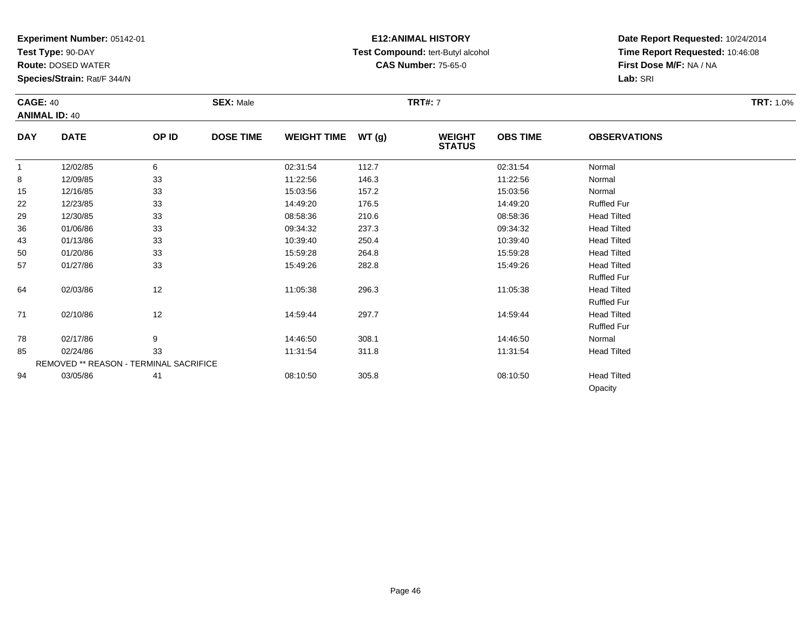**Test Type:** 90-DAY

94

**Route:** DOSED WATER

**Species/Strain:** Rat/F 344/N

# **E12:ANIMAL HISTORY Test Compound:** tert-Butyl alcohol **CAS Number:** 75-65-0

**Date Report Requested:** 10/24/2014**Time Report Requested:** 10:46:08**First Dose M/F:** NA / NA**Lab:** SRI

Opacity

| <b>CAGE: 40</b> | <b>ANIMAL ID: 40</b>                   |       | <b>SEX: Male</b> |                    |       | <b>TRT#: 7</b>                 |                 |                     | <b>TRT: 1.0%</b> |
|-----------------|----------------------------------------|-------|------------------|--------------------|-------|--------------------------------|-----------------|---------------------|------------------|
| <b>DAY</b>      | <b>DATE</b>                            | OP ID | <b>DOSE TIME</b> | WEIGHT TIME WT (g) |       | <b>WEIGHT</b><br><b>STATUS</b> | <b>OBS TIME</b> | <b>OBSERVATIONS</b> |                  |
| $\mathbf{1}$    | 12/02/85                               | 6     |                  | 02:31:54           | 112.7 |                                | 02:31:54        | Normal              |                  |
| 8               | 12/09/85                               | 33    |                  | 11:22:56           | 146.3 |                                | 11:22:56        | Normal              |                  |
| 15              | 12/16/85                               | 33    |                  | 15:03:56           | 157.2 |                                | 15:03:56        | Normal              |                  |
| 22              | 12/23/85                               | 33    |                  | 14:49:20           | 176.5 |                                | 14:49:20        | <b>Ruffled Fur</b>  |                  |
| 29              | 12/30/85                               | 33    |                  | 08:58:36           | 210.6 |                                | 08:58:36        | <b>Head Tilted</b>  |                  |
| 36              | 01/06/86                               | 33    |                  | 09:34:32           | 237.3 |                                | 09:34:32        | <b>Head Tilted</b>  |                  |
| 43              | 01/13/86                               | 33    |                  | 10:39:40           | 250.4 |                                | 10:39:40        | <b>Head Tilted</b>  |                  |
| 50              | 01/20/86                               | 33    |                  | 15:59:28           | 264.8 |                                | 15:59:28        | <b>Head Tilted</b>  |                  |
| 57              | 01/27/86                               | 33    |                  | 15:49:26           | 282.8 |                                | 15:49:26        | <b>Head Tilted</b>  |                  |
|                 |                                        |       |                  |                    |       |                                |                 | <b>Ruffled Fur</b>  |                  |
| 64              | 02/03/86                               | 12    |                  | 11:05:38           | 296.3 |                                | 11:05:38        | <b>Head Tilted</b>  |                  |
|                 |                                        |       |                  |                    |       |                                |                 | <b>Ruffled Fur</b>  |                  |
| 71              | 02/10/86                               | 12    |                  | 14:59:44           | 297.7 |                                | 14:59:44        | <b>Head Tilted</b>  |                  |
|                 |                                        |       |                  |                    |       |                                |                 | <b>Ruffled Fur</b>  |                  |
| 78              | 02/17/86                               | 9     |                  | 14:46:50           | 308.1 |                                | 14:46:50        | Normal              |                  |
| 85              | 02/24/86                               | 33    |                  | 11:31:54           | 311.8 |                                | 11:31:54        | <b>Head Tilted</b>  |                  |
|                 | REMOVED ** REASON - TERMINAL SACRIFICE |       |                  |                    |       |                                |                 |                     |                  |

03/05/86 <sup>41</sup> 08:10:50 305.8 08:10:50 Head Tilted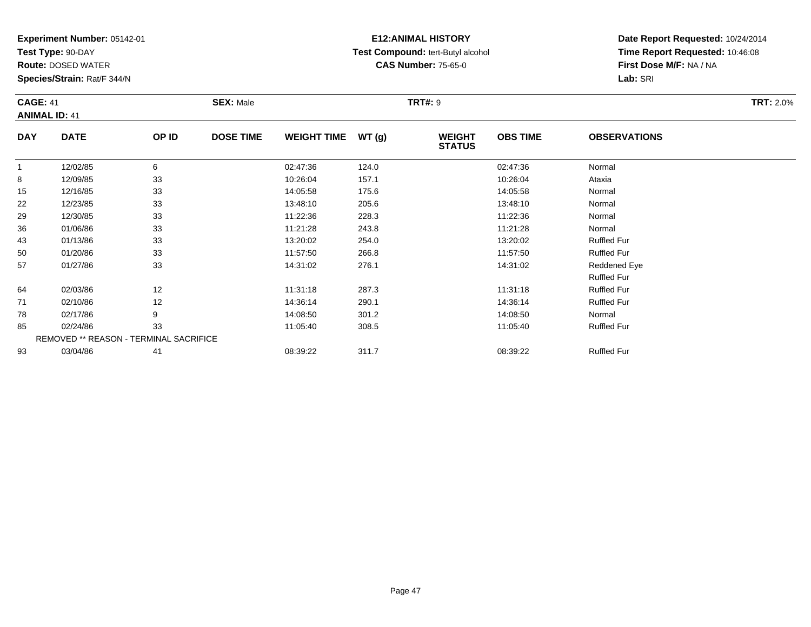**Test Type:** 90-DAY

93

**Route:** DOSED WATER

**Species/Strain:** Rat/F 344/N

### **E12:ANIMAL HISTORY Test Compound:** tert-Butyl alcohol **CAS Number:** 75-65-0

**Date Report Requested:** 10/24/2014**Time Report Requested:** 10:46:08**First Dose M/F:** NA / NA**Lab:** SRI

| <b>CAGE: 41</b><br><b>ANIMAL ID: 41</b> |                                        | <b>SEX: Male</b> |                  | <b>TRT#: 9</b>     |       |                                | <b>TRT: 2.0%</b> |                     |  |
|-----------------------------------------|----------------------------------------|------------------|------------------|--------------------|-------|--------------------------------|------------------|---------------------|--|
| <b>DAY</b>                              | <b>DATE</b>                            | OP ID            | <b>DOSE TIME</b> | <b>WEIGHT TIME</b> | WT(g) | <b>WEIGHT</b><br><b>STATUS</b> | <b>OBS TIME</b>  | <b>OBSERVATIONS</b> |  |
| 1                                       | 12/02/85                               | 6                |                  | 02:47:36           | 124.0 |                                | 02:47:36         | Normal              |  |
| 8                                       | 12/09/85                               | 33               |                  | 10:26:04           | 157.1 |                                | 10:26:04         | Ataxia              |  |
| 15                                      | 12/16/85                               | 33               |                  | 14:05:58           | 175.6 |                                | 14:05:58         | Normal              |  |
| 22                                      | 12/23/85                               | 33               |                  | 13:48:10           | 205.6 |                                | 13:48:10         | Normal              |  |
| 29                                      | 12/30/85                               | 33               |                  | 11:22:36           | 228.3 |                                | 11:22:36         | Normal              |  |
| 36                                      | 01/06/86                               | 33               |                  | 11:21:28           | 243.8 |                                | 11:21:28         | Normal              |  |
| 43                                      | 01/13/86                               | 33               |                  | 13:20:02           | 254.0 |                                | 13:20:02         | <b>Ruffled Fur</b>  |  |
| 50                                      | 01/20/86                               | 33               |                  | 11:57:50           | 266.8 |                                | 11:57:50         | <b>Ruffled Fur</b>  |  |
| 57                                      | 01/27/86                               | 33               |                  | 14:31:02           | 276.1 |                                | 14:31:02         | Reddened Eye        |  |
|                                         |                                        |                  |                  |                    |       |                                |                  | <b>Ruffled Fur</b>  |  |
| 64                                      | 02/03/86                               | 12               |                  | 11:31:18           | 287.3 |                                | 11:31:18         | <b>Ruffled Fur</b>  |  |
| 71                                      | 02/10/86                               | 12               |                  | 14:36:14           | 290.1 |                                | 14:36:14         | <b>Ruffled Fur</b>  |  |
| 78                                      | 02/17/86                               | 9                |                  | 14:08:50           | 301.2 |                                | 14:08:50         | Normal              |  |
| 85                                      | 02/24/86                               | 33               |                  | 11:05:40           | 308.5 |                                | 11:05:40         | <b>Ruffled Fur</b>  |  |
|                                         | REMOVED ** REASON - TERMINAL SACRIFICE |                  |                  |                    |       |                                |                  |                     |  |

03/04/86 <sup>41</sup> 08:39:22 311.7 08:39:22 Ruffled Fur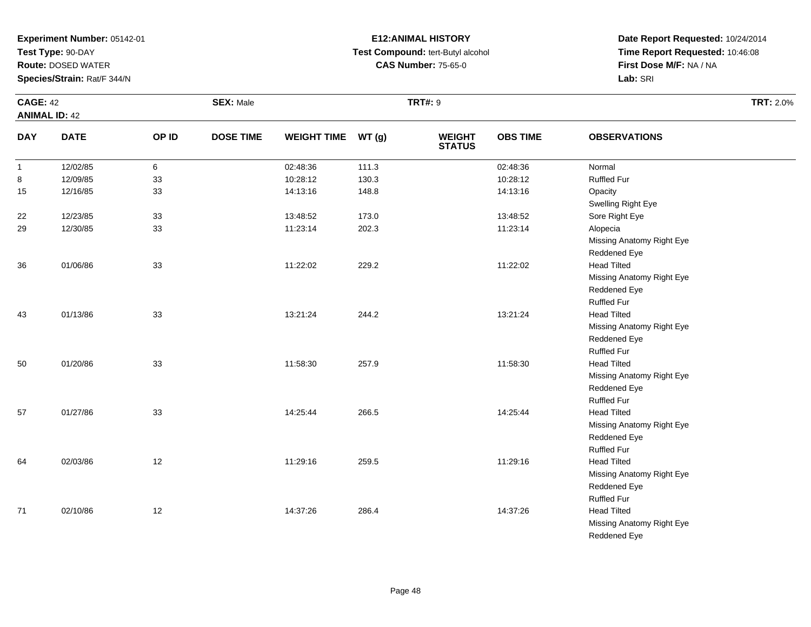**Test Type:** 90-DAY

**Route:** DOSED WATER

**Species/Strain:** Rat/F 344/N

# **E12:ANIMAL HISTORY Test Compound:** tert-Butyl alcohol **CAS Number:** 75-65-0

**Date Report Requested:** 10/24/2014**Time Report Requested:** 10:46:08**First Dose M/F:** NA / NA**Lab:** SRI

Reddened Eye

|              | <b>CAGE: 42</b>      |       | <b>SEX: Male</b> |                    |       | <b>TRT#: 9</b>                 |                 | <b>TRT: 2.0%</b>          |  |
|--------------|----------------------|-------|------------------|--------------------|-------|--------------------------------|-----------------|---------------------------|--|
|              | <b>ANIMAL ID: 42</b> |       |                  |                    |       |                                |                 |                           |  |
| <b>DAY</b>   | <b>DATE</b>          | OP ID | <b>DOSE TIME</b> | <b>WEIGHT TIME</b> | WT(g) | <b>WEIGHT</b><br><b>STATUS</b> | <b>OBS TIME</b> | <b>OBSERVATIONS</b>       |  |
| $\mathbf{1}$ | 12/02/85             | 6     |                  | 02:48:36           | 111.3 |                                | 02:48:36        | Normal                    |  |
| 8            | 12/09/85             | 33    |                  | 10:28:12           | 130.3 |                                | 10:28:12        | <b>Ruffled Fur</b>        |  |
| 15           | 12/16/85             | 33    |                  | 14:13:16           | 148.8 |                                | 14:13:16        | Opacity                   |  |
|              |                      |       |                  |                    |       |                                |                 | Swelling Right Eye        |  |
| 22           | 12/23/85             | 33    |                  | 13:48:52           | 173.0 |                                | 13:48:52        | Sore Right Eye            |  |
| 29           | 12/30/85             | 33    |                  | 11:23:14           | 202.3 |                                | 11:23:14        | Alopecia                  |  |
|              |                      |       |                  |                    |       |                                |                 | Missing Anatomy Right Eye |  |
|              |                      |       |                  |                    |       |                                |                 | Reddened Eye              |  |
| 36           | 01/06/86             | 33    |                  | 11:22:02           | 229.2 |                                | 11:22:02        | <b>Head Tilted</b>        |  |
|              |                      |       |                  |                    |       |                                |                 | Missing Anatomy Right Eye |  |
|              |                      |       |                  |                    |       |                                |                 | Reddened Eye              |  |
|              |                      |       |                  |                    |       |                                |                 | <b>Ruffled Fur</b>        |  |
| 43           | 01/13/86             | 33    |                  | 13:21:24           | 244.2 |                                | 13:21:24        | <b>Head Tilted</b>        |  |
|              |                      |       |                  |                    |       |                                |                 | Missing Anatomy Right Eye |  |
|              |                      |       |                  |                    |       |                                |                 | Reddened Eye              |  |
|              |                      |       |                  |                    |       |                                |                 | <b>Ruffled Fur</b>        |  |
| 50           | 01/20/86             | 33    |                  | 11:58:30           | 257.9 |                                | 11:58:30        | <b>Head Tilted</b>        |  |
|              |                      |       |                  |                    |       |                                |                 | Missing Anatomy Right Eye |  |
|              |                      |       |                  |                    |       |                                |                 | Reddened Eye              |  |
|              |                      |       |                  |                    |       |                                |                 | <b>Ruffled Fur</b>        |  |
| 57           | 01/27/86             | 33    |                  | 14:25:44           | 266.5 |                                | 14:25:44        | <b>Head Tilted</b>        |  |
|              |                      |       |                  |                    |       |                                |                 | Missing Anatomy Right Eye |  |
|              |                      |       |                  |                    |       |                                |                 | Reddened Eye              |  |
|              |                      |       |                  |                    |       |                                |                 | <b>Ruffled Fur</b>        |  |
| 64           | 02/03/86             | 12    |                  | 11:29:16           | 259.5 |                                | 11:29:16        | <b>Head Tilted</b>        |  |
|              |                      |       |                  |                    |       |                                |                 | Missing Anatomy Right Eye |  |
|              |                      |       |                  |                    |       |                                |                 | Reddened Eye              |  |
|              |                      |       |                  |                    |       |                                |                 | <b>Ruffled Fur</b>        |  |
| 71           | 02/10/86             | 12    |                  | 14:37:26           | 286.4 |                                | 14:37:26        | <b>Head Tilted</b>        |  |
|              |                      |       |                  |                    |       |                                |                 | Missing Anatomy Right Eye |  |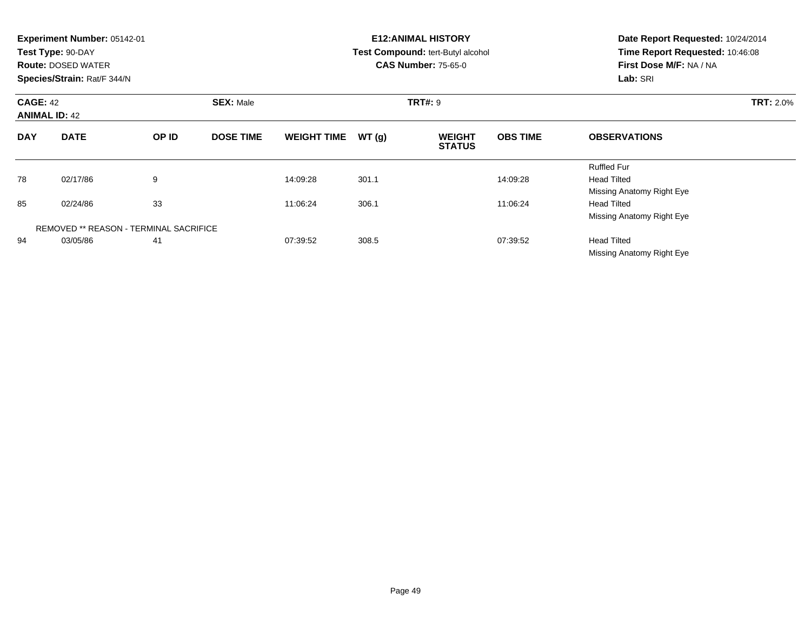|                                         | Experiment Number: 05142-01<br>Test Type: 90-DAY<br><b>Route: DOSED WATER</b><br>Species/Strain: Rat/F 344/N |                                               |                  |                    |                | <b>E12: ANIMAL HISTORY</b><br>Test Compound: tert-Butyl alcohol<br><b>CAS Number: 75-65-0</b> | Date Report Requested: 10/24/2014<br>Time Report Requested: 10:46:08<br>First Dose M/F: NA / NA<br>Lab: SRI |                                                                       |  |
|-----------------------------------------|--------------------------------------------------------------------------------------------------------------|-----------------------------------------------|------------------|--------------------|----------------|-----------------------------------------------------------------------------------------------|-------------------------------------------------------------------------------------------------------------|-----------------------------------------------------------------------|--|
| <b>CAGE: 42</b><br><b>ANIMAL ID: 42</b> |                                                                                                              | <b>SEX: Male</b>                              |                  |                    | <b>TRT#: 9</b> |                                                                                               | <b>TRT: 2.0%</b>                                                                                            |                                                                       |  |
| <b>DAY</b>                              | <b>DATE</b>                                                                                                  | OP ID                                         | <b>DOSE TIME</b> | <b>WEIGHT TIME</b> | WT(g)          | <b>WEIGHT</b><br><b>STATUS</b>                                                                | <b>OBS TIME</b>                                                                                             | <b>OBSERVATIONS</b>                                                   |  |
| 78                                      | 02/17/86                                                                                                     | 9                                             |                  | 14:09:28           | 301.1          |                                                                                               | 14:09:28                                                                                                    | <b>Ruffled Fur</b><br><b>Head Tilted</b><br>Missing Anatomy Right Eye |  |
| 85                                      | 02/24/86                                                                                                     | 33                                            |                  | 11:06:24           | 306.1          |                                                                                               | 11:06:24                                                                                                    | <b>Head Tilted</b><br>Missing Anatomy Right Eye                       |  |
|                                         |                                                                                                              | <b>REMOVED ** REASON - TERMINAL SACRIFICE</b> |                  |                    |                |                                                                                               |                                                                                                             |                                                                       |  |
| 94                                      | 03/05/86                                                                                                     | 41                                            |                  | 07:39:52           | 308.5          |                                                                                               | 07:39:52                                                                                                    | <b>Head Tilted</b><br>Missing Anatomy Right Eye                       |  |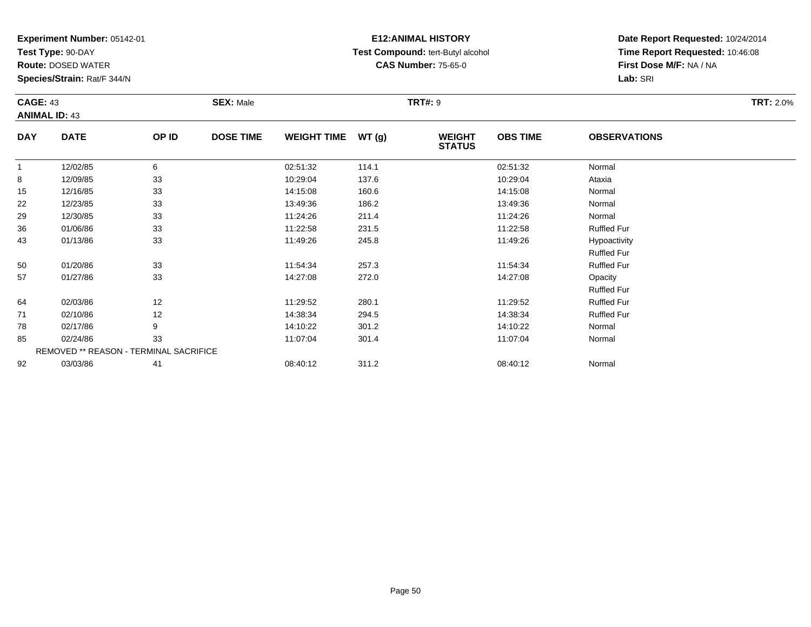**Test Type:** 90-DAY

**Route:** DOSED WATER

**Species/Strain:** Rat/F 344/N

### **E12:ANIMAL HISTORY Test Compound:** tert-Butyl alcohol **CAS Number:** 75-65-0

**Date Report Requested:** 10/24/2014**Time Report Requested:** 10:46:08**First Dose M/F:** NA / NA**Lab:** SRI

| <b>CAGE: 43</b><br><b>ANIMAL ID: 43</b> |             | <b>SEX: Male</b> |                  |                    | <b>TRT#: 9</b> | <b>TRT: 2.0%</b>               |                 |                                    |  |
|-----------------------------------------|-------------|------------------|------------------|--------------------|----------------|--------------------------------|-----------------|------------------------------------|--|
| <b>DAY</b>                              | <b>DATE</b> | OP ID            | <b>DOSE TIME</b> | <b>WEIGHT TIME</b> | WT (g)         | <b>WEIGHT</b><br><b>STATUS</b> | <b>OBS TIME</b> | <b>OBSERVATIONS</b>                |  |
| $\mathbf{1}$                            | 12/02/85    | 6                |                  | 02:51:32           | 114.1          |                                | 02:51:32        | Normal                             |  |
| 8                                       | 12/09/85    | 33               |                  | 10:29:04           | 137.6          |                                | 10:29:04        | Ataxia                             |  |
| 15                                      | 12/16/85    | 33               |                  | 14:15:08           | 160.6          |                                | 14:15:08        | Normal                             |  |
| 22                                      | 12/23/85    | 33               |                  | 13:49:36           | 186.2          |                                | 13:49:36        | Normal                             |  |
| 29                                      | 12/30/85    | 33               |                  | 11:24:26           | 211.4          |                                | 11:24:26        | Normal                             |  |
| 36                                      | 01/06/86    | 33               |                  | 11:22:58           | 231.5          |                                | 11:22:58        | <b>Ruffled Fur</b>                 |  |
| 43                                      | 01/13/86    | 33               |                  | 11:49:26           | 245.8          |                                | 11:49:26        | Hypoactivity<br><b>Ruffled Fur</b> |  |
| 50                                      | 01/20/86    | 33               |                  | 11:54:34           | 257.3          |                                | 11:54:34        | <b>Ruffled Fur</b>                 |  |
| 57                                      | 01/27/86    | 33               |                  | 14:27:08           | 272.0          |                                | 14:27:08        | Opacity<br><b>Ruffled Fur</b>      |  |
| 64                                      | 02/03/86    | 12               |                  | 11:29:52           | 280.1          |                                | 11:29:52        | <b>Ruffled Fur</b>                 |  |
| 71                                      | 02/10/86    | 12               |                  | 14:38:34           | 294.5          |                                | 14:38:34        | <b>Ruffled Fur</b>                 |  |
| 78                                      | 02/17/86    | 9                |                  | 14:10:22           | 301.2          |                                | 14:10:22        | Normal                             |  |

| 78 | 02/17/86 |                                               | 14:10:22 | 301.2 | 14:10:22 | Normal |
|----|----------|-----------------------------------------------|----------|-------|----------|--------|
| 85 | 02/24/86 | วว                                            | 11:07:04 | 301.4 | 11:07:04 | Normal |
|    |          | <b>REMOVED ** REASON - TERMINAL SACRIFICE</b> |          |       |          |        |
| 92 | 03/03/86 |                                               | 08:40:12 | 311.2 | 08:40:12 | Normal |

Page 50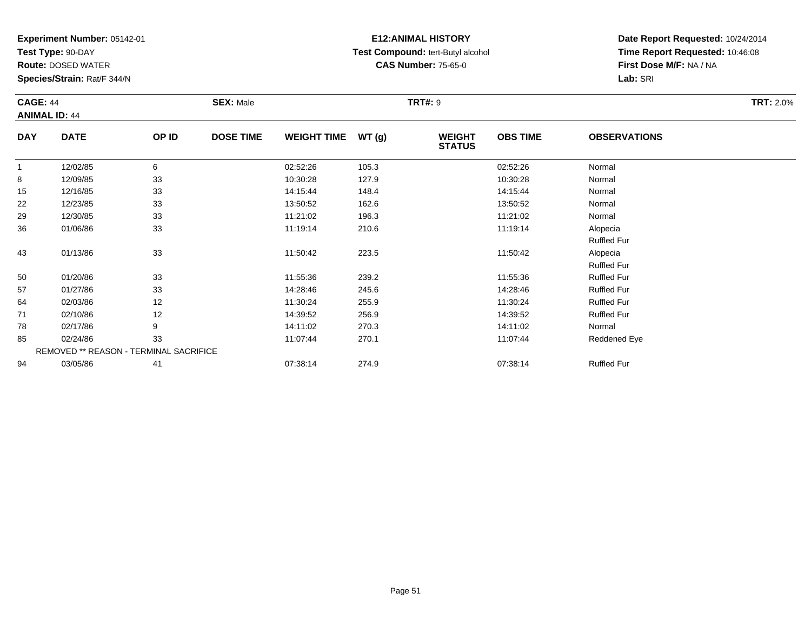**Test Type:** 90-DAY

94

**Route:** DOSED WATER

**Species/Strain:** Rat/F 344/N

### **E12:ANIMAL HISTORY Test Compound:** tert-Butyl alcohol **CAS Number:** 75-65-0

**Date Report Requested:** 10/24/2014**Time Report Requested:** 10:46:08**First Dose M/F:** NA / NA**Lab:** SRI

|            | <b>CAGE: 44</b><br><b>ANIMAL ID: 44</b>       |       | <b>SEX: Male</b> |                    |       | <b>TRT#: 9</b>                 | <b>TRT: 2.0%</b> |                     |  |
|------------|-----------------------------------------------|-------|------------------|--------------------|-------|--------------------------------|------------------|---------------------|--|
| <b>DAY</b> | <b>DATE</b>                                   | OP ID | <b>DOSE TIME</b> | <b>WEIGHT TIME</b> | WT(g) | <b>WEIGHT</b><br><b>STATUS</b> | <b>OBS TIME</b>  | <b>OBSERVATIONS</b> |  |
|            | 12/02/85                                      | 6     |                  | 02:52:26           | 105.3 |                                | 02:52:26         | Normal              |  |
| 8          | 12/09/85                                      | 33    |                  | 10:30:28           | 127.9 |                                | 10:30:28         | Normal              |  |
| 15         | 12/16/85                                      | 33    |                  | 14:15:44           | 148.4 |                                | 14:15:44         | Normal              |  |
| 22         | 12/23/85                                      | 33    |                  | 13:50:52           | 162.6 |                                | 13:50:52         | Normal              |  |
| 29         | 12/30/85                                      | 33    |                  | 11:21:02           | 196.3 |                                | 11:21:02         | Normal              |  |
| 36         | 01/06/86                                      | 33    |                  | 11:19:14           | 210.6 |                                | 11:19:14         | Alopecia            |  |
|            |                                               |       |                  |                    |       |                                |                  | <b>Ruffled Fur</b>  |  |
| 43         | 01/13/86                                      | 33    |                  | 11:50:42           | 223.5 |                                | 11:50:42         | Alopecia            |  |
|            |                                               |       |                  |                    |       |                                |                  | <b>Ruffled Fur</b>  |  |
| 50         | 01/20/86                                      | 33    |                  | 11:55:36           | 239.2 |                                | 11:55:36         | <b>Ruffled Fur</b>  |  |
| 57         | 01/27/86                                      | 33    |                  | 14:28:46           | 245.6 |                                | 14:28:46         | <b>Ruffled Fur</b>  |  |
| 64         | 02/03/86                                      | 12    |                  | 11:30:24           | 255.9 |                                | 11:30:24         | <b>Ruffled Fur</b>  |  |
| 71         | 02/10/86                                      | 12    |                  | 14:39:52           | 256.9 |                                | 14:39:52         | <b>Ruffled Fur</b>  |  |
| 78         | 02/17/86                                      | 9     |                  | 14:11:02           | 270.3 |                                | 14:11:02         | Normal              |  |
| 85         | 02/24/86                                      | 33    |                  | 11:07:44           | 270.1 |                                | 11:07:44         | Reddened Eye        |  |
|            | <b>REMOVED ** REASON - TERMINAL SACRIFICE</b> |       |                  |                    |       |                                |                  |                     |  |

03/05/86 <sup>41</sup> 07:38:14 274.9 07:38:14 Ruffled Fur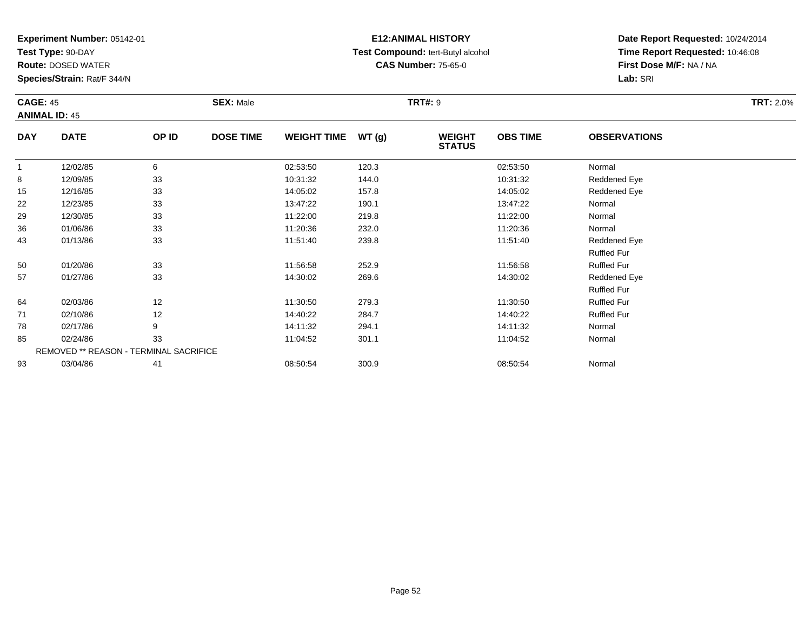**Test Type:** 90-DAY

**Route:** DOSED WATER

**Species/Strain:** Rat/F 344/N

### **E12:ANIMAL HISTORY Test Compound:** tert-Butyl alcohol **CAS Number:** 75-65-0

**Date Report Requested:** 10/24/2014**Time Report Requested:** 10:46:08**First Dose M/F:** NA / NA**Lab:** SRI

|              | <b>CAGE: 45</b><br><b>ANIMAL ID: 45</b> |       | <b>SEX: Male</b> |                    |       | <b>TRT#: 9</b>                 |                 |                     |  |  |  |
|--------------|-----------------------------------------|-------|------------------|--------------------|-------|--------------------------------|-----------------|---------------------|--|--|--|
| <b>DAY</b>   | <b>DATE</b>                             | OP ID | <b>DOSE TIME</b> | <b>WEIGHT TIME</b> | WT(g) | <b>WEIGHT</b><br><b>STATUS</b> | <b>OBS TIME</b> | <b>OBSERVATIONS</b> |  |  |  |
| $\mathbf{1}$ | 12/02/85                                | 6     |                  | 02:53:50           | 120.3 |                                | 02:53:50        | Normal              |  |  |  |
| 8            | 12/09/85                                | 33    |                  | 10:31:32           | 144.0 |                                | 10:31:32        | Reddened Eye        |  |  |  |
| 15           | 12/16/85                                | 33    |                  | 14:05:02           | 157.8 |                                | 14:05:02        | Reddened Eye        |  |  |  |
| 22           | 12/23/85                                | 33    |                  | 13:47:22           | 190.1 |                                | 13:47:22        | Normal              |  |  |  |
| 29           | 12/30/85                                | 33    |                  | 11:22:00           | 219.8 |                                | 11:22:00        | Normal              |  |  |  |
| 36           | 01/06/86                                | 33    |                  | 11:20:36           | 232.0 |                                | 11:20:36        | Normal              |  |  |  |
| 43           | 01/13/86                                | 33    |                  | 11:51:40           | 239.8 |                                | 11:51:40        | Reddened Eye        |  |  |  |
|              |                                         |       |                  |                    |       |                                |                 | <b>Ruffled Fur</b>  |  |  |  |
| 50           | 01/20/86                                | 33    |                  | 11:56:58           | 252.9 |                                | 11:56:58        | <b>Ruffled Fur</b>  |  |  |  |
| 57           | 01/27/86                                | 33    |                  | 14:30:02           | 269.6 |                                | 14:30:02        | Reddened Eye        |  |  |  |
|              |                                         |       |                  |                    |       |                                |                 | <b>Ruffled Fur</b>  |  |  |  |
| 64           | 02/03/86                                | 12    |                  | 11:30:50           | 279.3 |                                | 11:30:50        | <b>Ruffled Fur</b>  |  |  |  |
| 71           | 02/10/86                                | 12    |                  | 14:40:22           | 284.7 |                                | 14:40:22        | <b>Ruffled Fur</b>  |  |  |  |
| 78           | 02/17/86                                | 9     |                  | 14:11:32           | 294.1 |                                | 14:11:32        | Normal              |  |  |  |
| 85           | 02/24/86                                | 33    |                  | 11:04:52           | 301.1 |                                | 11:04:52        | Normal              |  |  |  |

3 03/04/86 41 41 08:50:54 300.9 08:50:54 08:50:54 Normal

REMOVED \*\* REASON - TERMINAL SACRIFICE93

Page 52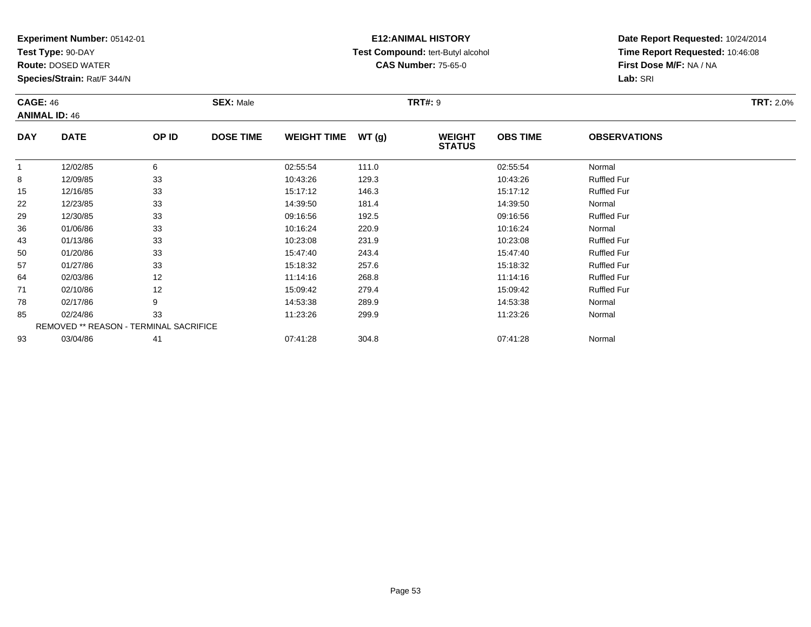**Test Type:** 90-DAY

78

85

93

**Route:** DOSED WATER

**Species/Strain:** Rat/F 344/N

REMOVED \*\* REASON - TERMINAL SACRIFICE

### **E12:ANIMAL HISTORY Test Compound:** tert-Butyl alcohol **CAS Number:** 75-65-0

**Date Report Requested:** 10/24/2014**Time Report Requested:** 10:46:08**First Dose M/F:** NA / NA**Lab:** SRI

| <b>CAGE: 46</b><br><b>ANIMAL ID: 46</b> |             | <b>SEX: Male</b> |                  |                    | <b>TRT#: 9</b> | <b>TRT: 2.0%</b>               |                 |                     |  |
|-----------------------------------------|-------------|------------------|------------------|--------------------|----------------|--------------------------------|-----------------|---------------------|--|
| <b>DAY</b>                              | <b>DATE</b> | OP ID            | <b>DOSE TIME</b> | <b>WEIGHT TIME</b> | WT(g)          | <b>WEIGHT</b><br><b>STATUS</b> | <b>OBS TIME</b> | <b>OBSERVATIONS</b> |  |
|                                         | 12/02/85    | 6                |                  | 02:55:54           | 111.0          |                                | 02:55:54        | Normal              |  |
| 8                                       | 12/09/85    | 33               |                  | 10:43:26           | 129.3          |                                | 10:43:26        | <b>Ruffled Fur</b>  |  |
| 15                                      | 12/16/85    | 33               |                  | 15:17:12           | 146.3          |                                | 15:17:12        | <b>Ruffled Fur</b>  |  |
| 22                                      | 12/23/85    | 33               |                  | 14:39:50           | 181.4          |                                | 14:39:50        | Normal              |  |
| 29                                      | 12/30/85    | 33               |                  | 09:16:56           | 192.5          |                                | 09:16:56        | <b>Ruffled Fur</b>  |  |
| 36                                      | 01/06/86    | 33               |                  | 10:16:24           | 220.9          |                                | 10:16:24        | Normal              |  |
| 43                                      | 01/13/86    | 33               |                  | 10:23:08           | 231.9          |                                | 10:23:08        | <b>Ruffled Fur</b>  |  |
| 50                                      | 01/20/86    | 33               |                  | 15:47:40           | 243.4          |                                | 15:47:40        | <b>Ruffled Fur</b>  |  |
| 57                                      | 01/27/86    | 33               |                  | 15:18:32           | 257.6          |                                | 15:18:32        | <b>Ruffled Fur</b>  |  |
| 64                                      | 02/03/86    | 12               |                  | 11:14:16           | 268.8          |                                | 11:14:16        | <b>Ruffled Fur</b>  |  |
| 71                                      | 02/10/86    | 12               |                  | 15:09:42           | 279.4          |                                | 15:09:42        | <b>Ruffled Fur</b>  |  |

8 02/17/86 9 9 14:53:38 289.9 289.9 14:53:38 Normal

5 02/24/86 33 3 11:23:26 299.9 11:23:26 11:23:26 11:23:26 Normal

03/04/86 <sup>41</sup> 07:41:28 304.8 07:41:28 Normal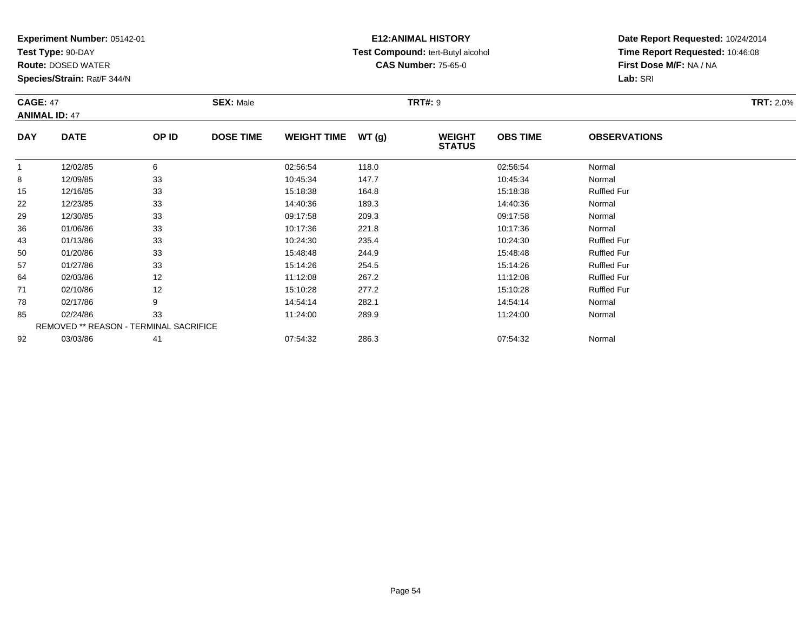**Test Type:** 90-DAY

**Route:** DOSED WATER

**Species/Strain:** Rat/F 344/N

### **E12:ANIMAL HISTORY Test Compound:** tert-Butyl alcohol **CAS Number:** 75-65-0

**Date Report Requested:** 10/24/2014**Time Report Requested:** 10:46:08**First Dose M/F:** NA / NA**Lab:** SRI

#### **CAGE:** 47 **SEX:** Male **TRT#:** <sup>9</sup> **TRT:** 2.0%**ANIMAL ID:** 47**DAY DATE OP IDDOSE TIME WEIGHT TIME WT** (g) **STATUSOBS TIME OBSERVATIONS** 1 12/02/85 <sup>6</sup> 02:56:54 118.0 02:56:54 Normal 88 12/09/85 33 3 10:45:34 147.7 10:45:34 10:45:34 Normal 15 12/16/85 <sup>33</sup> 15:18:38 164.8 15:18:38 Ruffled Fur 222 12/23/85 33 3 14:40:36 189.3 189.3 189.3 14:40:36 Normal 299 12/30/85 33 3 09:17:58 209.3 30 09:17:58 209.3 36

| ∠৬ | 12/JU/00 | აა                                     | <b>09.17.00</b> | 209.3 | <b>09.17.30</b> | <b>NOTHER</b>      |  |
|----|----------|----------------------------------------|-----------------|-------|-----------------|--------------------|--|
| 36 | 01/06/86 | 33                                     | 10:17:36        | 221.8 | 10:17:36        | Normal             |  |
| 43 | 01/13/86 | 33                                     | 10:24:30        | 235.4 | 10:24:30        | <b>Ruffled Fur</b> |  |
| 50 | 01/20/86 | 33                                     | 15:48:48        | 244.9 | 15:48:48        | <b>Ruffled Fur</b> |  |
| 57 | 01/27/86 | 33                                     | 15:14:26        | 254.5 | 15:14:26        | <b>Ruffled Fur</b> |  |
| 64 | 02/03/86 | 12                                     | 11:12:08        | 267.2 | 11:12:08        | <b>Ruffled Fur</b> |  |
| 71 | 02/10/86 | 12                                     | 15:10:28        | 277.2 | 15:10:28        | <b>Ruffled Fur</b> |  |
| 78 | 02/17/86 | 9                                      | 14:54:14        | 282.1 | 14:54:14        | Normal             |  |
| 85 | 02/24/86 | 33                                     | 11:24:00        | 289.9 | 11:24:00        | Normal             |  |
|    |          | REMOVED ** REASON - TERMINAL SACRIFICE |                 |       |                 |                    |  |
| 92 | 03/03/86 | 41                                     | 07:54:32        | 286.3 | 07:54:32        | Normal             |  |
|    |          |                                        |                 |       |                 |                    |  |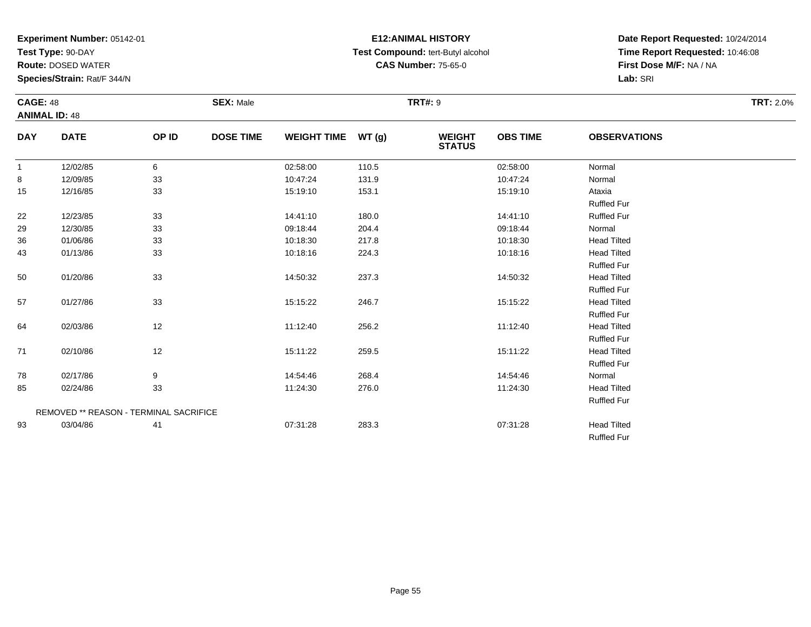**Test Type:** 90-DAY

**Route:** DOSED WATER

**Species/Strain:** Rat/F 344/N

# **E12:ANIMAL HISTORY Test Compound:** tert-Butyl alcohol **CAS Number:** 75-65-0

| <b>CAGE: 48</b> |                                               |       | <b>SEX: Male</b> |                    |       | <b>TRT#: 9</b>                 |                 |                     | <b>TRT: 2.0%</b> |
|-----------------|-----------------------------------------------|-------|------------------|--------------------|-------|--------------------------------|-----------------|---------------------|------------------|
|                 | <b>ANIMAL ID: 48</b>                          |       |                  |                    |       |                                |                 |                     |                  |
| <b>DAY</b>      | <b>DATE</b>                                   | OP ID | <b>DOSE TIME</b> | WEIGHT TIME WT (g) |       | <b>WEIGHT</b><br><b>STATUS</b> | <b>OBS TIME</b> | <b>OBSERVATIONS</b> |                  |
| $\mathbf{1}$    | 12/02/85                                      | 6     |                  | 02:58:00           | 110.5 |                                | 02:58:00        | Normal              |                  |
| 8               | 12/09/85                                      | 33    |                  | 10:47:24           | 131.9 |                                | 10:47:24        | Normal              |                  |
| 15              | 12/16/85                                      | 33    |                  | 15:19:10           | 153.1 |                                | 15:19:10        | Ataxia              |                  |
|                 |                                               |       |                  |                    |       |                                |                 | <b>Ruffled Fur</b>  |                  |
| 22              | 12/23/85                                      | 33    |                  | 14:41:10           | 180.0 |                                | 14:41:10        | <b>Ruffled Fur</b>  |                  |
| 29              | 12/30/85                                      | 33    |                  | 09:18:44           | 204.4 |                                | 09:18:44        | Normal              |                  |
| 36              | 01/06/86                                      | 33    |                  | 10:18:30           | 217.8 |                                | 10:18:30        | <b>Head Tilted</b>  |                  |
| 43              | 01/13/86                                      | 33    |                  | 10:18:16           | 224.3 |                                | 10:18:16        | <b>Head Tilted</b>  |                  |
|                 |                                               |       |                  |                    |       |                                |                 | <b>Ruffled Fur</b>  |                  |
| 50              | 01/20/86                                      | 33    |                  | 14:50:32           | 237.3 |                                | 14:50:32        | <b>Head Tilted</b>  |                  |
|                 |                                               |       |                  |                    |       |                                |                 | <b>Ruffled Fur</b>  |                  |
| 57              | 01/27/86                                      | 33    |                  | 15:15:22           | 246.7 |                                | 15:15:22        | <b>Head Tilted</b>  |                  |
|                 |                                               |       |                  |                    |       |                                |                 | <b>Ruffled Fur</b>  |                  |
| 64              | 02/03/86                                      | 12    |                  | 11:12:40           | 256.2 |                                | 11:12:40        | <b>Head Tilted</b>  |                  |
|                 |                                               |       |                  |                    |       |                                |                 | <b>Ruffled Fur</b>  |                  |
| 71              | 02/10/86                                      | 12    |                  | 15:11:22           | 259.5 |                                | 15:11:22        | <b>Head Tilted</b>  |                  |
|                 |                                               |       |                  |                    |       |                                |                 | <b>Ruffled Fur</b>  |                  |
| 78              | 02/17/86                                      | 9     |                  | 14:54:46           | 268.4 |                                | 14:54:46        | Normal              |                  |
| 85              | 02/24/86                                      | 33    |                  | 11:24:30           | 276.0 |                                | 11:24:30        | <b>Head Tilted</b>  |                  |
|                 |                                               |       |                  |                    |       |                                |                 | <b>Ruffled Fur</b>  |                  |
|                 | <b>REMOVED ** REASON - TERMINAL SACRIFICE</b> |       |                  |                    |       |                                |                 |                     |                  |
| 93              | 03/04/86                                      | 41    |                  | 07:31:28           | 283.3 |                                | 07:31:28        | <b>Head Tilted</b>  |                  |
|                 |                                               |       |                  |                    |       |                                |                 | <b>Ruffled Fur</b>  |                  |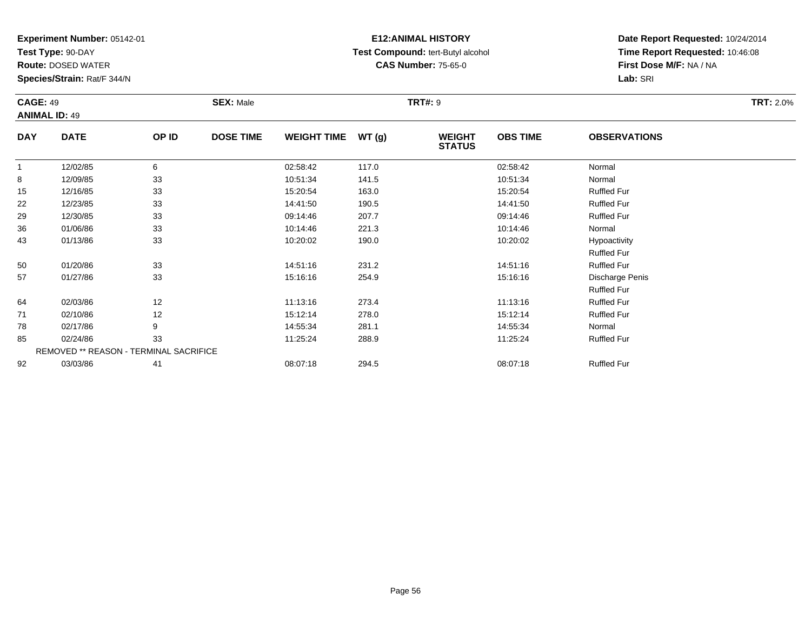**Test Type:** 90-DAY

92

**Route:** DOSED WATER

**Species/Strain:** Rat/F 344/N

### **E12:ANIMAL HISTORY Test Compound:** tert-Butyl alcohol **CAS Number:** 75-65-0

**Date Report Requested:** 10/24/2014**Time Report Requested:** 10:46:08**First Dose M/F:** NA / NA**Lab:** SRI

|              | <b>CAGE: 49</b><br><b>ANIMAL ID: 49</b> |       | <b>SEX: Male</b> |                    |       | <b>TRT#: 9</b>                 |                 | <b>TRT: 2.0%</b>    |  |
|--------------|-----------------------------------------|-------|------------------|--------------------|-------|--------------------------------|-----------------|---------------------|--|
| <b>DAY</b>   | <b>DATE</b>                             | OP ID | <b>DOSE TIME</b> | <b>WEIGHT TIME</b> | WT(g) | <b>WEIGHT</b><br><b>STATUS</b> | <b>OBS TIME</b> | <b>OBSERVATIONS</b> |  |
| $\mathbf{1}$ | 12/02/85                                | 6     |                  | 02:58:42           | 117.0 |                                | 02:58:42        | Normal              |  |
| 8            | 12/09/85                                | 33    |                  | 10:51:34           | 141.5 |                                | 10:51:34        | Normal              |  |
| 15           | 12/16/85                                | 33    |                  | 15:20:54           | 163.0 |                                | 15:20:54        | <b>Ruffled Fur</b>  |  |
| 22           | 12/23/85                                | 33    |                  | 14:41:50           | 190.5 |                                | 14:41:50        | <b>Ruffled Fur</b>  |  |
| 29           | 12/30/85                                | 33    |                  | 09:14:46           | 207.7 |                                | 09:14:46        | <b>Ruffled Fur</b>  |  |
| 36           | 01/06/86                                | 33    |                  | 10:14:46           | 221.3 |                                | 10:14:46        | Normal              |  |
| 43           | 01/13/86                                | 33    |                  | 10:20:02           | 190.0 |                                | 10:20:02        | Hypoactivity        |  |
|              |                                         |       |                  |                    |       |                                |                 | <b>Ruffled Fur</b>  |  |
| 50           | 01/20/86                                | 33    |                  | 14:51:16           | 231.2 |                                | 14:51:16        | <b>Ruffled Fur</b>  |  |
| 57           | 01/27/86                                | 33    |                  | 15:16:16           | 254.9 |                                | 15:16:16        | Discharge Penis     |  |
|              |                                         |       |                  |                    |       |                                |                 | <b>Ruffled Fur</b>  |  |
| 64           | 02/03/86                                | 12    |                  | 11:13:16           | 273.4 |                                | 11:13:16        | <b>Ruffled Fur</b>  |  |
| 71           | 02/10/86                                | 12    |                  | 15:12:14           | 278.0 |                                | 15:12:14        | <b>Ruffled Fur</b>  |  |
| 78           | 02/17/86                                | 9     |                  | 14:55:34           | 281.1 |                                | 14:55:34        | Normal              |  |
| 85           | 02/24/86                                | 33    |                  | 11:25:24           | 288.9 |                                | 11:25:24        | <b>Ruffled Fur</b>  |  |
|              | REMOVED ** REASON - TERMINAL SACRIFICE  |       |                  |                    |       |                                |                 |                     |  |

03/03/86 <sup>41</sup> 08:07:18 294.5 08:07:18 Ruffled Fur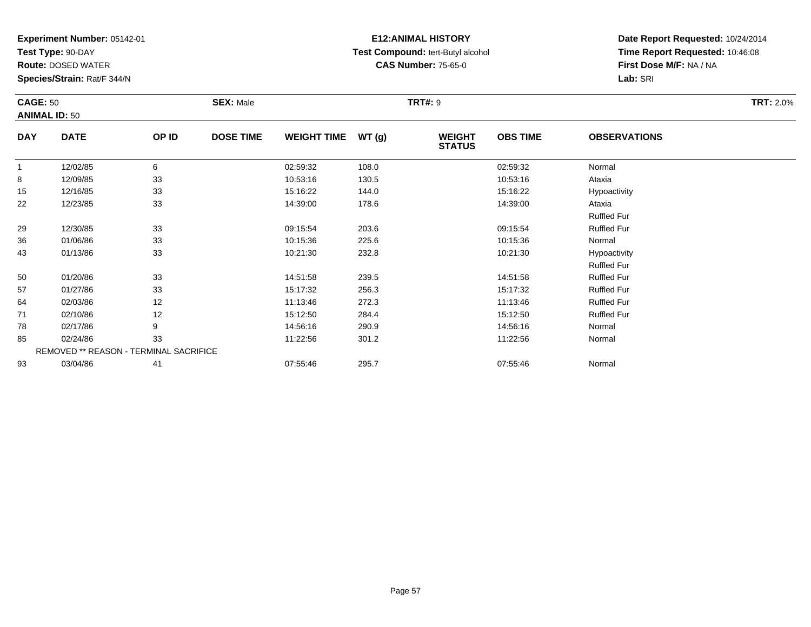**Test Type:** 90-DAY

**Route:** DOSED WATER

**Species/Strain:** Rat/F 344/N

### **E12:ANIMAL HISTORY Test Compound:** tert-Butyl alcohol **CAS Number:** 75-65-0

|              | <b>CAGE: 50</b><br><b>ANIMAL ID: 50</b> |       | <b>SEX: Male</b> |                    |       | <b>TRT#: 9</b>                 | <b>TRT: 2.0%</b> |                     |  |
|--------------|-----------------------------------------|-------|------------------|--------------------|-------|--------------------------------|------------------|---------------------|--|
| <b>DAY</b>   | <b>DATE</b>                             | OP ID | <b>DOSE TIME</b> | WEIGHT TIME WT (g) |       | <b>WEIGHT</b><br><b>STATUS</b> | <b>OBS TIME</b>  | <b>OBSERVATIONS</b> |  |
| $\mathbf{1}$ | 12/02/85                                | 6     |                  | 02:59:32           | 108.0 |                                | 02:59:32         | Normal              |  |
| 8            | 12/09/85                                | 33    |                  | 10:53:16           | 130.5 |                                | 10:53:16         | Ataxia              |  |
| 15           | 12/16/85                                | 33    |                  | 15:16:22           | 144.0 |                                | 15:16:22         | Hypoactivity        |  |
| 22           | 12/23/85                                | 33    |                  | 14:39:00           | 178.6 |                                | 14:39:00         | Ataxia              |  |
|              |                                         |       |                  |                    |       |                                |                  | <b>Ruffled Fur</b>  |  |
| 29           | 12/30/85                                | 33    |                  | 09:15:54           | 203.6 |                                | 09:15:54         | <b>Ruffled Fur</b>  |  |
| 36           | 01/06/86                                | 33    |                  | 10:15:36           | 225.6 |                                | 10:15:36         | Normal              |  |
| 43           | 01/13/86                                | 33    |                  | 10:21:30           | 232.8 |                                | 10:21:30         | Hypoactivity        |  |
|              |                                         |       |                  |                    |       |                                |                  | <b>Ruffled Fur</b>  |  |
| 50           | 01/20/86                                | 33    |                  | 14:51:58           | 239.5 |                                | 14:51:58         | <b>Ruffled Fur</b>  |  |
| 57           | 01/27/86                                | 33    |                  | 15:17:32           | 256.3 |                                | 15:17:32         | <b>Ruffled Fur</b>  |  |
| 64           | 02/03/86                                | 12    |                  | 11:13:46           | 272.3 |                                | 11:13:46         | <b>Ruffled Fur</b>  |  |
| 71           | 02/10/86                                | 12    |                  | 15:12:50           | 284.4 |                                | 15:12:50         | <b>Ruffled Fur</b>  |  |
| 78           | 02/17/86                                | 9     |                  | 14:56:16           | 290.9 |                                | 14:56:16         | Normal              |  |
| 85           | 02/24/86                                | 33    |                  | 11:22:56           | 301.2 |                                | 11:22:56         | Normal              |  |
|              | REMOVED ** REASON - TERMINAL SACRIFICE  |       |                  |                    |       |                                |                  |                     |  |
| 93           | 03/04/86                                | 41    |                  | 07:55:46           | 295.7 |                                | 07:55:46         | Normal              |  |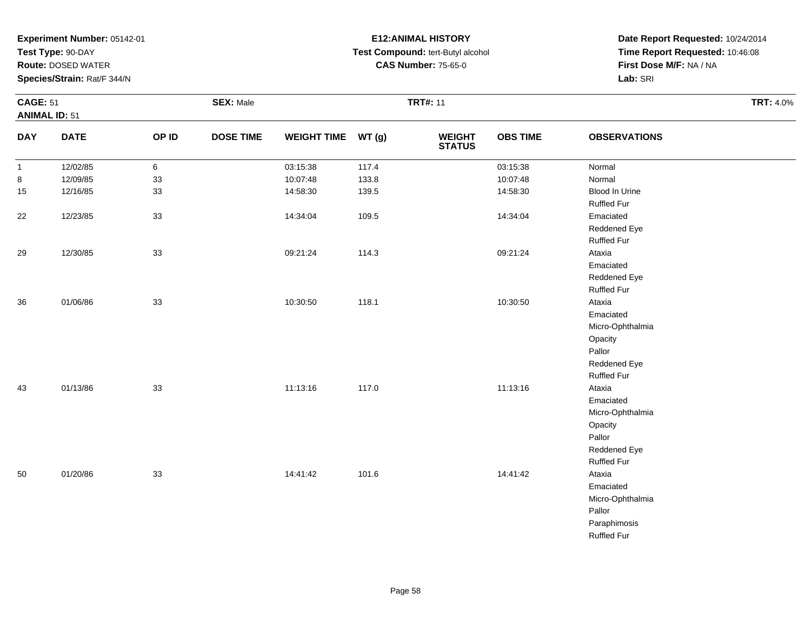**Test Type:** 90-DAY

**Route:** DOSED WATER

**Species/Strain:** Rat/F 344/N

# **E12:ANIMAL HISTORY Test Compound:** tert-Butyl alcohol **CAS Number:** 75-65-0

|              | <b>CAGE: 51</b><br><b>ANIMAL ID: 51</b> |       | <b>SEX: Male</b> |                    |       | <b>TRT#: 11</b>          | <b>TRT: 4.0%</b> |                     |  |
|--------------|-----------------------------------------|-------|------------------|--------------------|-------|--------------------------|------------------|---------------------|--|
| <b>DAY</b>   | <b>DATE</b>                             | OP ID | <b>DOSE TIME</b> | WEIGHT TIME WT (g) |       | <b>WEIGHT<br/>STATUS</b> | <b>OBS TIME</b>  | <b>OBSERVATIONS</b> |  |
| $\mathbf{1}$ | 12/02/85                                | 6     |                  | 03:15:38           | 117.4 |                          | 03:15:38         | Normal              |  |
| 8            | 12/09/85                                | 33    |                  | 10:07:48           | 133.8 |                          | 10:07:48         | Normal              |  |
| 15           | 12/16/85                                | 33    |                  | 14:58:30           | 139.5 |                          | 14:58:30         | Blood In Urine      |  |
|              |                                         |       |                  |                    |       |                          |                  | <b>Ruffled Fur</b>  |  |
| 22           | 12/23/85                                | 33    |                  | 14:34:04           | 109.5 |                          | 14:34:04         | Emaciated           |  |
|              |                                         |       |                  |                    |       |                          |                  | Reddened Eye        |  |
|              |                                         |       |                  |                    |       |                          |                  | Ruffled Fur         |  |
| 29           | 12/30/85                                | 33    |                  | 09:21:24           | 114.3 |                          | 09:21:24         | Ataxia              |  |
|              |                                         |       |                  |                    |       |                          |                  | Emaciated           |  |
|              |                                         |       |                  |                    |       |                          |                  | Reddened Eye        |  |
|              |                                         |       |                  |                    |       |                          |                  | Ruffled Fur         |  |
| 36           | 01/06/86                                | 33    |                  | 10:30:50           | 118.1 |                          | 10:30:50         | Ataxia              |  |
|              |                                         |       |                  |                    |       |                          |                  | Emaciated           |  |
|              |                                         |       |                  |                    |       |                          |                  | Micro-Ophthalmia    |  |
|              |                                         |       |                  |                    |       |                          |                  | Opacity             |  |
|              |                                         |       |                  |                    |       |                          |                  | Pallor              |  |
|              |                                         |       |                  |                    |       |                          |                  | Reddened Eye        |  |
|              |                                         |       |                  |                    |       |                          |                  | <b>Ruffled Fur</b>  |  |
| 43           | 01/13/86                                | 33    |                  | 11:13:16           | 117.0 |                          | 11:13:16         | Ataxia              |  |
|              |                                         |       |                  |                    |       |                          |                  | Emaciated           |  |
|              |                                         |       |                  |                    |       |                          |                  | Micro-Ophthalmia    |  |
|              |                                         |       |                  |                    |       |                          |                  | Opacity             |  |
|              |                                         |       |                  |                    |       |                          |                  | Pallor              |  |
|              |                                         |       |                  |                    |       |                          |                  | Reddened Eye        |  |
|              |                                         |       |                  |                    |       |                          |                  | Ruffled Fur         |  |
| 50           | 01/20/86                                | 33    |                  | 14:41:42           | 101.6 |                          | 14:41:42         | Ataxia              |  |
|              |                                         |       |                  |                    |       |                          |                  | Emaciated           |  |
|              |                                         |       |                  |                    |       |                          |                  | Micro-Ophthalmia    |  |
|              |                                         |       |                  |                    |       |                          |                  | Pallor              |  |
|              |                                         |       |                  |                    |       |                          |                  | Paraphimosis        |  |
|              |                                         |       |                  |                    |       |                          |                  | <b>Ruffled Fur</b>  |  |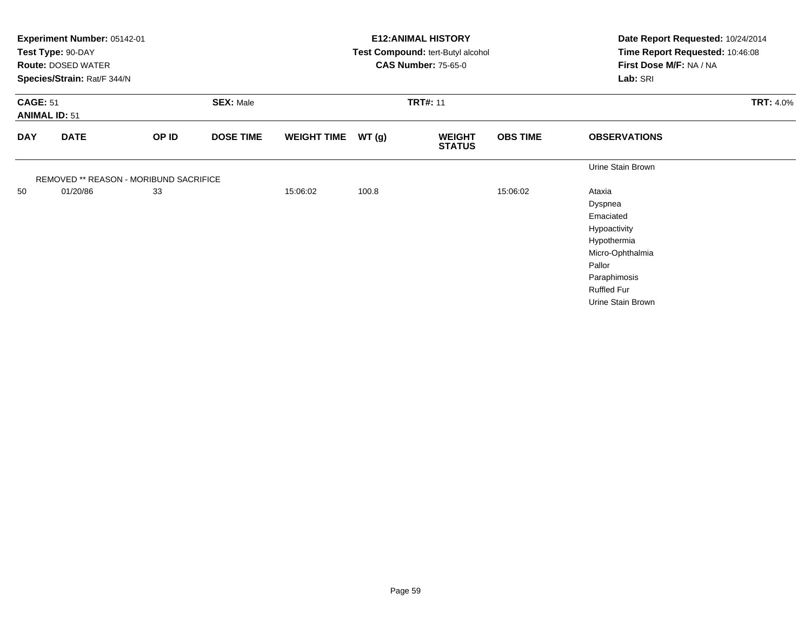|                                         | Experiment Number: 05142-01<br>Test Type: 90-DAY<br><b>Route: DOSED WATER</b><br>Species/Strain: Rat/F 344/N |                                        |                  |                    |                 | <b>E12: ANIMAL HISTORY</b><br>Test Compound: tert-Butyl alcohol<br><b>CAS Number: 75-65-0</b> | Date Report Requested: 10/24/2014<br>Time Report Requested: 10:46:08<br>First Dose M/F: NA / NA<br>Lab: SRI |                                                                                                                                                        |                  |
|-----------------------------------------|--------------------------------------------------------------------------------------------------------------|----------------------------------------|------------------|--------------------|-----------------|-----------------------------------------------------------------------------------------------|-------------------------------------------------------------------------------------------------------------|--------------------------------------------------------------------------------------------------------------------------------------------------------|------------------|
| <b>CAGE: 51</b><br><b>ANIMAL ID: 51</b> |                                                                                                              |                                        | <b>SEX: Male</b> |                    | <b>TRT#: 11</b> |                                                                                               |                                                                                                             |                                                                                                                                                        | <b>TRT: 4.0%</b> |
| <b>DAY</b>                              | <b>DATE</b>                                                                                                  | OP ID                                  | <b>DOSE TIME</b> | <b>WEIGHT TIME</b> | WT(g)           | <b>WEIGHT</b><br><b>STATUS</b>                                                                | <b>OBS TIME</b>                                                                                             | <b>OBSERVATIONS</b>                                                                                                                                    |                  |
|                                         |                                                                                                              | REMOVED ** REASON - MORIBUND SACRIFICE |                  |                    |                 |                                                                                               |                                                                                                             | Urine Stain Brown                                                                                                                                      |                  |
| 50                                      | 01/20/86                                                                                                     | 33                                     |                  | 15:06:02           | 100.8           |                                                                                               | 15:06:02                                                                                                    | Ataxia<br>Dyspnea<br>Emaciated<br>Hypoactivity<br>Hypothermia<br>Micro-Ophthalmia<br>Pallor<br>Paraphimosis<br><b>Ruffled Fur</b><br>Urine Stain Brown |                  |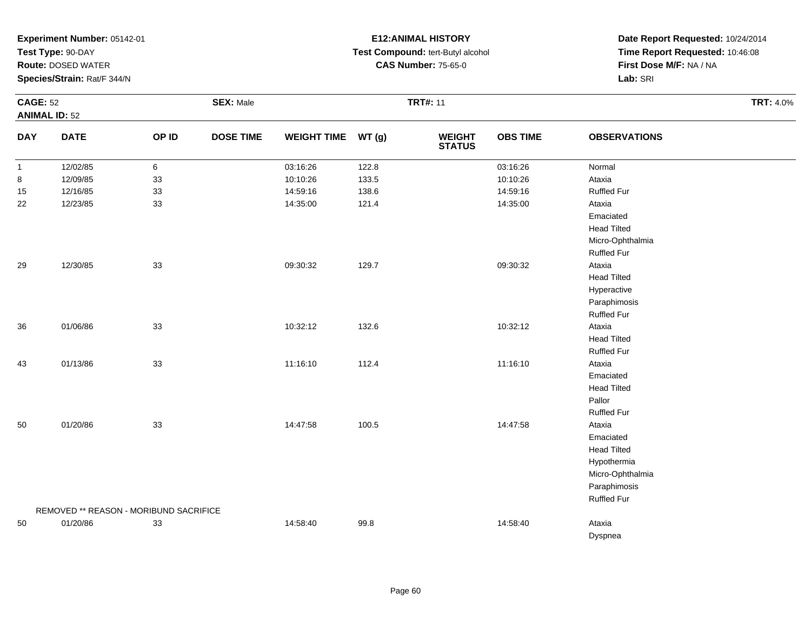**Test Type:** 90-DAY

**Route:** DOSED WATER

**Species/Strain:** Rat/F 344/N

# **E12:ANIMAL HISTORY Test Compound:** tert-Butyl alcohol **CAS Number:** 75-65-0

| <b>CAGE: 52</b> | <b>ANIMAL ID: 52</b>                   |                 | <b>SEX: Male</b> |                    |       | <b>TRT#: 11</b>          | <b>TRT: 4.0%</b> |                     |  |
|-----------------|----------------------------------------|-----------------|------------------|--------------------|-------|--------------------------|------------------|---------------------|--|
| <b>DAY</b>      | <b>DATE</b>                            | OP ID           | <b>DOSE TIME</b> | <b>WEIGHT TIME</b> | WT(g) | <b>WEIGHT<br/>STATUS</b> | <b>OBS TIME</b>  | <b>OBSERVATIONS</b> |  |
| $\mathbf{1}$    | 12/02/85                               | $6\phantom{.0}$ |                  | 03:16:26           | 122.8 |                          | 03:16:26         | Normal              |  |
| 8               | 12/09/85                               | 33              |                  | 10:10:26           | 133.5 |                          | 10:10:26         | Ataxia              |  |
| 15              | 12/16/85                               | 33              |                  | 14:59:16           | 138.6 |                          | 14:59:16         | <b>Ruffled Fur</b>  |  |
| 22              | 12/23/85                               | 33              |                  | 14:35:00           | 121.4 |                          | 14:35:00         | Ataxia              |  |
|                 |                                        |                 |                  |                    |       |                          |                  | Emaciated           |  |
|                 |                                        |                 |                  |                    |       |                          |                  | <b>Head Tilted</b>  |  |
|                 |                                        |                 |                  |                    |       |                          |                  | Micro-Ophthalmia    |  |
|                 |                                        |                 |                  |                    |       |                          |                  | <b>Ruffled Fur</b>  |  |
| 29              | 12/30/85                               | 33              |                  | 09:30:32           | 129.7 |                          | 09:30:32         | Ataxia              |  |
|                 |                                        |                 |                  |                    |       |                          |                  | <b>Head Tilted</b>  |  |
|                 |                                        |                 |                  |                    |       |                          |                  | Hyperactive         |  |
|                 |                                        |                 |                  |                    |       |                          |                  | Paraphimosis        |  |
|                 |                                        |                 |                  |                    |       |                          |                  | <b>Ruffled Fur</b>  |  |
| 36              | 01/06/86                               | 33              |                  | 10:32:12           | 132.6 |                          | 10:32:12         | Ataxia              |  |
|                 |                                        |                 |                  |                    |       |                          |                  | <b>Head Tilted</b>  |  |
|                 |                                        |                 |                  |                    |       |                          |                  | <b>Ruffled Fur</b>  |  |
| 43              | 01/13/86                               | 33              |                  | 11:16:10           | 112.4 |                          | 11:16:10         | Ataxia              |  |
|                 |                                        |                 |                  |                    |       |                          |                  | Emaciated           |  |
|                 |                                        |                 |                  |                    |       |                          |                  | <b>Head Tilted</b>  |  |
|                 |                                        |                 |                  |                    |       |                          |                  | Pallor              |  |
|                 |                                        |                 |                  |                    |       |                          |                  | <b>Ruffled Fur</b>  |  |
| 50              | 01/20/86                               | 33              |                  | 14:47:58           | 100.5 |                          | 14:47:58         | Ataxia              |  |
|                 |                                        |                 |                  |                    |       |                          |                  | Emaciated           |  |
|                 |                                        |                 |                  |                    |       |                          |                  | <b>Head Tilted</b>  |  |
|                 |                                        |                 |                  |                    |       |                          |                  | Hypothermia         |  |
|                 |                                        |                 |                  |                    |       |                          |                  | Micro-Ophthalmia    |  |
|                 |                                        |                 |                  |                    |       |                          |                  | Paraphimosis        |  |
|                 |                                        |                 |                  |                    |       |                          |                  | <b>Ruffled Fur</b>  |  |
|                 | REMOVED ** REASON - MORIBUND SACRIFICE |                 |                  |                    |       |                          |                  |                     |  |
| 50              | 01/20/86                               | 33              |                  | 14:58:40           | 99.8  |                          | 14:58:40         | Ataxia              |  |
|                 |                                        |                 |                  |                    |       |                          |                  | Dyspnea             |  |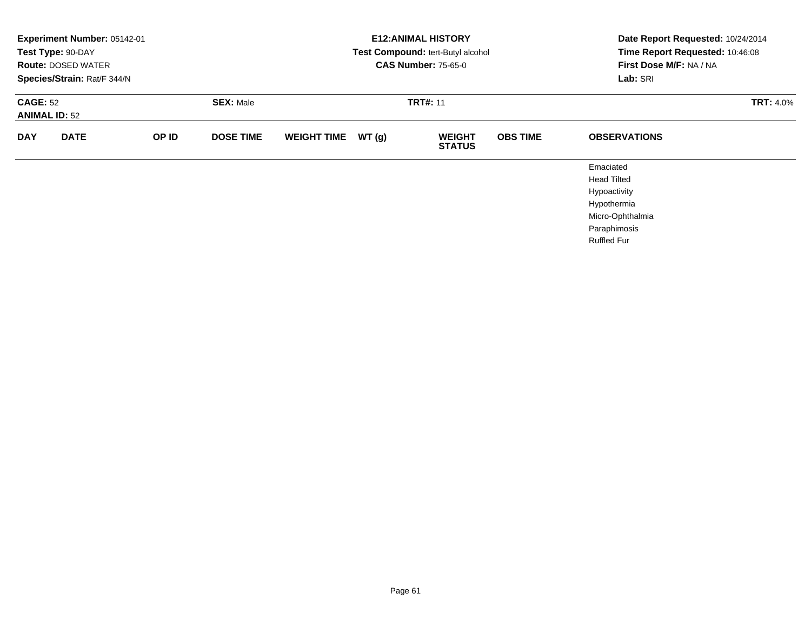|                                         | Experiment Number: 05142-01<br>Test Type: 90-DAY<br><b>Route: DOSED WATER</b><br>Species/Strain: Rat/F 344/N |       |                  |                    |       | <b>E12: ANIMAL HISTORY</b><br>Test Compound: tert-Butyl alcohol<br><b>CAS Number: 75-65-0</b> | Date Report Requested: 10/24/2014<br>Time Report Requested: 10:46:08<br>First Dose M/F: NA / NA<br>Lab: SRI |                                                                                                                          |  |
|-----------------------------------------|--------------------------------------------------------------------------------------------------------------|-------|------------------|--------------------|-------|-----------------------------------------------------------------------------------------------|-------------------------------------------------------------------------------------------------------------|--------------------------------------------------------------------------------------------------------------------------|--|
| <b>CAGE: 52</b><br><b>ANIMAL ID: 52</b> |                                                                                                              |       | <b>SEX: Male</b> |                    |       | <b>TRT#: 11</b>                                                                               |                                                                                                             | <b>TRT: 4.0%</b>                                                                                                         |  |
| <b>DAY</b>                              | <b>DATE</b>                                                                                                  | OP ID | <b>DOSE TIME</b> | <b>WEIGHT TIME</b> | WT(g) | <b>WEIGHT</b><br><b>STATUS</b>                                                                | <b>OBS TIME</b>                                                                                             | <b>OBSERVATIONS</b>                                                                                                      |  |
|                                         |                                                                                                              |       |                  |                    |       |                                                                                               |                                                                                                             | Emaciated<br><b>Head Tilted</b><br>Hypoactivity<br>Hypothermia<br>Micro-Ophthalmia<br>Paraphimosis<br><b>Ruffled Fur</b> |  |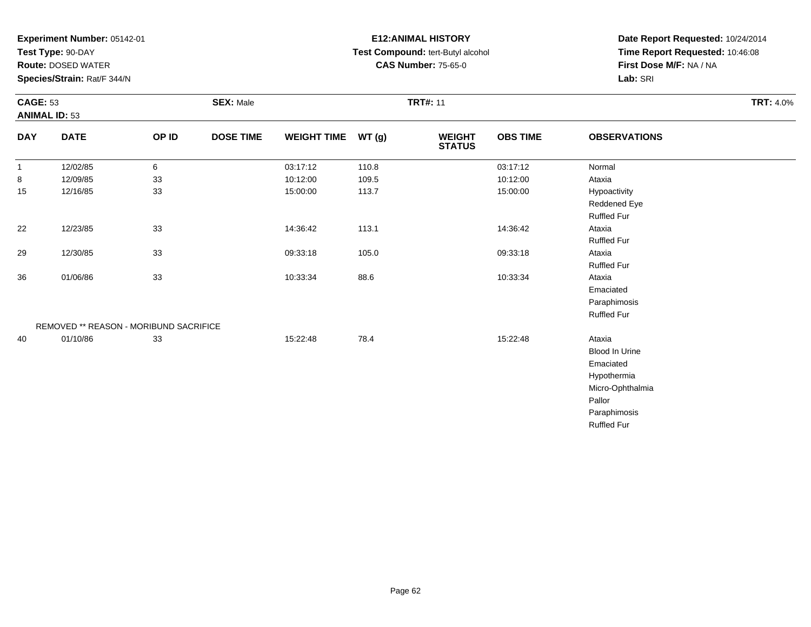**Test Type:** 90-DAY

**Route:** DOSED WATER

**Species/Strain:** Rat/F 344/N

# **E12:ANIMAL HISTORY Test Compound:** tert-Butyl alcohol **CAS Number:** 75-65-0

| <b>CAGE: 53</b><br><b>ANIMAL ID: 53</b> |                                        |       | <b>SEX: Male</b> |                    | <b>TRT#: 11</b> |                                |                 |                       |  |  |
|-----------------------------------------|----------------------------------------|-------|------------------|--------------------|-----------------|--------------------------------|-----------------|-----------------------|--|--|
| <b>DAY</b>                              | <b>DATE</b>                            | OP ID | <b>DOSE TIME</b> | <b>WEIGHT TIME</b> | WT(g)           | <b>WEIGHT</b><br><b>STATUS</b> | <b>OBS TIME</b> | <b>OBSERVATIONS</b>   |  |  |
| $\mathbf{1}$                            | 12/02/85                               | 6     |                  | 03:17:12           | 110.8           |                                | 03:17:12        | Normal                |  |  |
| 8                                       | 12/09/85                               | 33    |                  | 10:12:00           | 109.5           |                                | 10:12:00        | Ataxia                |  |  |
| 15                                      | 12/16/85                               | 33    |                  | 15:00:00           | 113.7           |                                | 15:00:00        | Hypoactivity          |  |  |
|                                         |                                        |       |                  |                    |                 |                                |                 | Reddened Eye          |  |  |
|                                         |                                        |       |                  |                    |                 |                                |                 | <b>Ruffled Fur</b>    |  |  |
| 22                                      | 12/23/85                               | 33    |                  | 14:36:42           | 113.1           |                                | 14:36:42        | Ataxia                |  |  |
|                                         |                                        |       |                  |                    |                 |                                |                 | <b>Ruffled Fur</b>    |  |  |
| 29                                      | 12/30/85                               | 33    |                  | 09:33:18           | 105.0           |                                | 09:33:18        | Ataxia                |  |  |
|                                         |                                        |       |                  |                    |                 |                                |                 | <b>Ruffled Fur</b>    |  |  |
| 36                                      | 01/06/86                               | 33    |                  | 10:33:34           | 88.6            |                                | 10:33:34        | Ataxia                |  |  |
|                                         |                                        |       |                  |                    |                 |                                |                 | Emaciated             |  |  |
|                                         |                                        |       |                  |                    |                 |                                |                 | Paraphimosis          |  |  |
|                                         |                                        |       |                  |                    |                 |                                |                 | <b>Ruffled Fur</b>    |  |  |
|                                         | REMOVED ** REASON - MORIBUND SACRIFICE |       |                  |                    |                 |                                |                 |                       |  |  |
| 40                                      | 01/10/86                               | 33    |                  | 15:22:48           | 78.4            |                                | 15:22:48        | Ataxia                |  |  |
|                                         |                                        |       |                  |                    |                 |                                |                 | <b>Blood In Urine</b> |  |  |
|                                         |                                        |       |                  |                    |                 |                                |                 | Emaciated             |  |  |
|                                         |                                        |       |                  |                    |                 |                                |                 | Hypothermia           |  |  |
|                                         |                                        |       |                  |                    |                 |                                |                 | Micro-Ophthalmia      |  |  |
|                                         |                                        |       |                  |                    |                 |                                |                 | Pallor                |  |  |
|                                         |                                        |       |                  |                    |                 |                                |                 | Paraphimosis          |  |  |
|                                         |                                        |       |                  |                    |                 |                                |                 | <b>Ruffled Fur</b>    |  |  |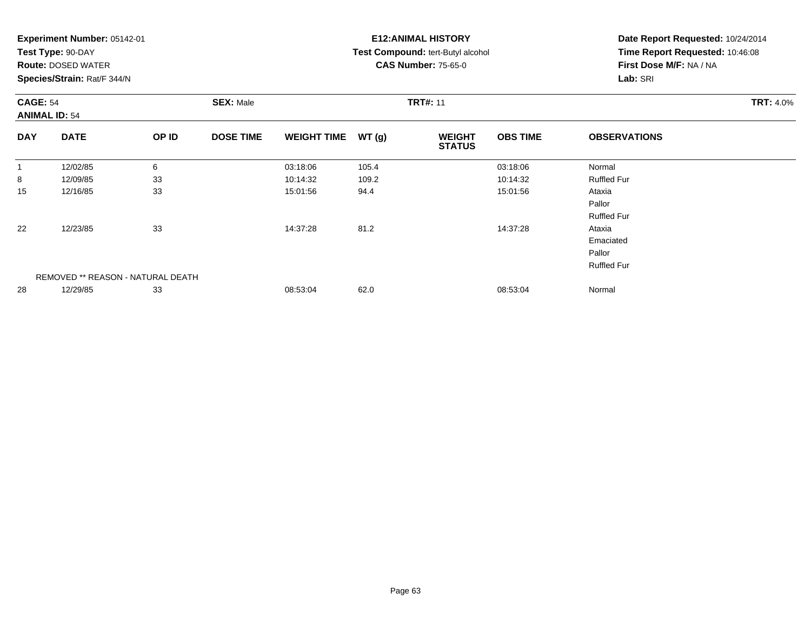| Experiment Number: 05142-01 |  |  |
|-----------------------------|--|--|
|-----------------------------|--|--|

**Test Type:** 90-DAY

**Route:** DOSED WATER

**Species/Strain:** Rat/F 344/N

# **E12:ANIMAL HISTORY Test Compound:** tert-Butyl alcohol **CAS Number:** 75-65-0

| <b>CAGE: 54</b><br><b>ANIMAL ID: 54</b> |                                   | <b>SEX: Male</b> |                  |                    | <b>TRT#: 11</b> | <b>TRT: 4.0%</b>               |                 |                     |  |
|-----------------------------------------|-----------------------------------|------------------|------------------|--------------------|-----------------|--------------------------------|-----------------|---------------------|--|
| <b>DAY</b>                              | <b>DATE</b>                       | OP ID            | <b>DOSE TIME</b> | <b>WEIGHT TIME</b> | WT(g)           | <b>WEIGHT</b><br><b>STATUS</b> | <b>OBS TIME</b> | <b>OBSERVATIONS</b> |  |
|                                         | 12/02/85                          | 6                |                  | 03:18:06           | 105.4           |                                | 03:18:06        | Normal              |  |
| 8                                       | 12/09/85                          | 33               |                  | 10:14:32           | 109.2           |                                | 10:14:32        | <b>Ruffled Fur</b>  |  |
| 15                                      | 12/16/85                          | 33               |                  | 15:01:56           | 94.4            |                                | 15:01:56        | Ataxia              |  |
|                                         |                                   |                  |                  |                    |                 |                                |                 | Pallor              |  |
|                                         |                                   |                  |                  |                    |                 |                                |                 | <b>Ruffled Fur</b>  |  |
| 22                                      | 12/23/85                          | 33               |                  | 14:37:28           | 81.2            |                                | 14:37:28        | Ataxia              |  |
|                                         |                                   |                  |                  |                    |                 |                                |                 | Emaciated           |  |
|                                         |                                   |                  |                  |                    |                 |                                |                 | Pallor              |  |
|                                         |                                   |                  |                  |                    |                 |                                |                 | <b>Ruffled Fur</b>  |  |
|                                         | REMOVED ** REASON - NATURAL DEATH |                  |                  |                    |                 |                                |                 |                     |  |
| 28                                      | 12/29/85                          | 33               |                  | 08:53:04           | 62.0            |                                | 08:53:04        | Normal              |  |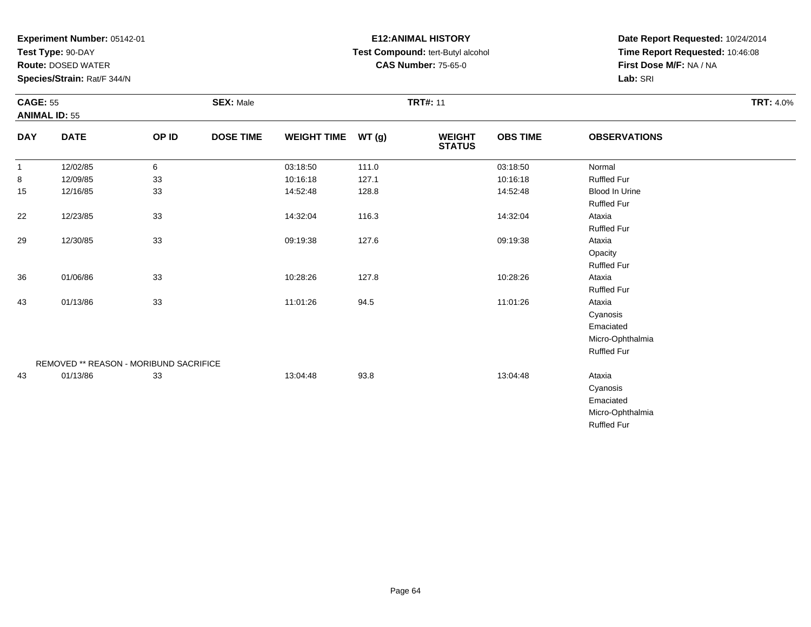**Test Type:** 90-DAY

**Route:** DOSED WATER

**Species/Strain:** Rat/F 344/N

# **E12:ANIMAL HISTORY Test Compound:** tert-Butyl alcohol **CAS Number:** 75-65-0

| <b>CAGE: 55</b> | <b>ANIMAL ID: 55</b>                   |       | <b>SEX: Male</b> |                    |       | <b>TRT#: 11</b>                |                 |                     | <b>TRT: 4.0%</b> |
|-----------------|----------------------------------------|-------|------------------|--------------------|-------|--------------------------------|-----------------|---------------------|------------------|
| <b>DAY</b>      | <b>DATE</b>                            | OP ID | <b>DOSE TIME</b> | <b>WEIGHT TIME</b> | WT(g) | <b>WEIGHT</b><br><b>STATUS</b> | <b>OBS TIME</b> | <b>OBSERVATIONS</b> |                  |
| $\overline{1}$  | 12/02/85                               | 6     |                  | 03:18:50           | 111.0 |                                | 03:18:50        | Normal              |                  |
| 8               | 12/09/85                               | 33    |                  | 10:16:18           | 127.1 |                                | 10:16:18        | <b>Ruffled Fur</b>  |                  |
| 15              | 12/16/85                               | 33    |                  | 14:52:48           | 128.8 |                                | 14:52:48        | Blood In Urine      |                  |
|                 |                                        |       |                  |                    |       |                                |                 | <b>Ruffled Fur</b>  |                  |
| 22              | 12/23/85                               | 33    |                  | 14:32:04           | 116.3 |                                | 14:32:04        | Ataxia              |                  |
|                 |                                        |       |                  |                    |       |                                |                 | <b>Ruffled Fur</b>  |                  |
| 29              | 12/30/85                               | 33    |                  | 09:19:38           | 127.6 |                                | 09:19:38        | Ataxia              |                  |
|                 |                                        |       |                  |                    |       |                                |                 | Opacity             |                  |
|                 |                                        |       |                  |                    |       |                                |                 | <b>Ruffled Fur</b>  |                  |
| 36              | 01/06/86                               | 33    |                  | 10:28:26           | 127.8 |                                | 10:28:26        | Ataxia              |                  |
|                 |                                        |       |                  |                    |       |                                |                 | <b>Ruffled Fur</b>  |                  |
| 43              | 01/13/86                               | 33    |                  | 11:01:26           | 94.5  |                                | 11:01:26        | Ataxia              |                  |
|                 |                                        |       |                  |                    |       |                                |                 | Cyanosis            |                  |
|                 |                                        |       |                  |                    |       |                                |                 | Emaciated           |                  |
|                 |                                        |       |                  |                    |       |                                |                 | Micro-Ophthalmia    |                  |
|                 |                                        |       |                  |                    |       |                                |                 | Ruffled Fur         |                  |
|                 | REMOVED ** REASON - MORIBUND SACRIFICE |       |                  |                    |       |                                |                 |                     |                  |
| 43              | 01/13/86                               | 33    |                  | 13:04:48           | 93.8  |                                | 13:04:48        | Ataxia              |                  |
|                 |                                        |       |                  |                    |       |                                |                 | Cyanosis            |                  |
|                 |                                        |       |                  |                    |       |                                |                 | Emaciated           |                  |
|                 |                                        |       |                  |                    |       |                                |                 | Micro-Ophthalmia    |                  |
|                 |                                        |       |                  |                    |       |                                |                 | <b>Ruffled Fur</b>  |                  |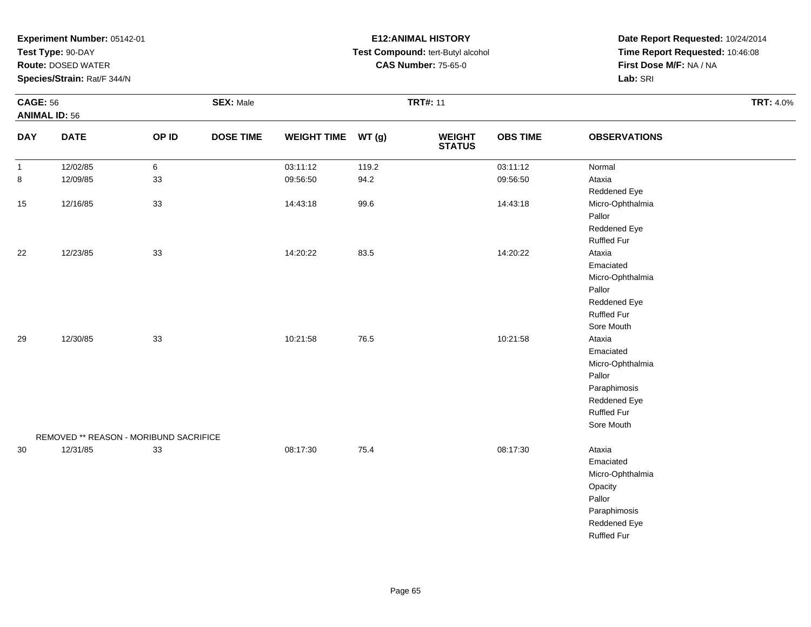**Test Type:** 90-DAY

**Route:** DOSED WATER

**Species/Strain:** Rat/F 344/N

# **E12:ANIMAL HISTORY Test Compound:** tert-Butyl alcohol **CAS Number:** 75-65-0

|              | <b>CAGE: 56</b><br><b>ANIMAL ID: 56</b> |       | <b>SEX: Male</b> |                    |       | <b>TRT#: 11</b>          | <b>TRT: 4.0%</b> |                     |  |
|--------------|-----------------------------------------|-------|------------------|--------------------|-------|--------------------------|------------------|---------------------|--|
| <b>DAY</b>   | <b>DATE</b>                             | OP ID | <b>DOSE TIME</b> | WEIGHT TIME WT (g) |       | <b>WEIGHT<br/>STATUS</b> | <b>OBS TIME</b>  | <b>OBSERVATIONS</b> |  |
| $\mathbf{1}$ | 12/02/85                                | 6     |                  | 03:11:12           | 119.2 |                          | 03:11:12         | Normal              |  |
| 8            | 12/09/85                                | 33    |                  | 09:56:50           | 94.2  |                          | 09:56:50         | Ataxia              |  |
|              |                                         |       |                  |                    |       |                          |                  | Reddened Eye        |  |
| $15\,$       | 12/16/85                                | 33    |                  | 14:43:18           | 99.6  |                          | 14:43:18         | Micro-Ophthalmia    |  |
|              |                                         |       |                  |                    |       |                          |                  | Pallor              |  |
|              |                                         |       |                  |                    |       |                          |                  | Reddened Eye        |  |
|              |                                         |       |                  |                    |       |                          |                  | <b>Ruffled Fur</b>  |  |
| 22           | 12/23/85                                | 33    |                  | 14:20:22           | 83.5  |                          | 14:20:22         | Ataxia              |  |
|              |                                         |       |                  |                    |       |                          |                  | Emaciated           |  |
|              |                                         |       |                  |                    |       |                          |                  | Micro-Ophthalmia    |  |
|              |                                         |       |                  |                    |       |                          |                  | Pallor              |  |
|              |                                         |       |                  |                    |       |                          |                  | Reddened Eye        |  |
|              |                                         |       |                  |                    |       |                          |                  | Ruffled Fur         |  |
|              |                                         |       |                  |                    |       |                          |                  | Sore Mouth          |  |
| 29           | 12/30/85                                | 33    |                  | 10:21:58           | 76.5  |                          | 10:21:58         | Ataxia              |  |
|              |                                         |       |                  |                    |       |                          |                  | Emaciated           |  |
|              |                                         |       |                  |                    |       |                          |                  | Micro-Ophthalmia    |  |
|              |                                         |       |                  |                    |       |                          |                  | Pallor              |  |
|              |                                         |       |                  |                    |       |                          |                  | Paraphimosis        |  |
|              |                                         |       |                  |                    |       |                          |                  | Reddened Eye        |  |
|              |                                         |       |                  |                    |       |                          |                  | <b>Ruffled Fur</b>  |  |
|              |                                         |       |                  |                    |       |                          |                  | Sore Mouth          |  |
|              | REMOVED ** REASON - MORIBUND SACRIFICE  |       |                  |                    |       |                          |                  |                     |  |
| $30\,$       | 12/31/85                                | 33    |                  | 08:17:30           | 75.4  |                          | 08:17:30         | Ataxia              |  |
|              |                                         |       |                  |                    |       |                          |                  | Emaciated           |  |
|              |                                         |       |                  |                    |       |                          |                  | Micro-Ophthalmia    |  |
|              |                                         |       |                  |                    |       |                          |                  | Opacity             |  |
|              |                                         |       |                  |                    |       |                          |                  | Pallor              |  |
|              |                                         |       |                  |                    |       |                          |                  | Paraphimosis        |  |
|              |                                         |       |                  |                    |       |                          |                  | Reddened Eye        |  |
|              |                                         |       |                  |                    |       |                          |                  | <b>Ruffled Fur</b>  |  |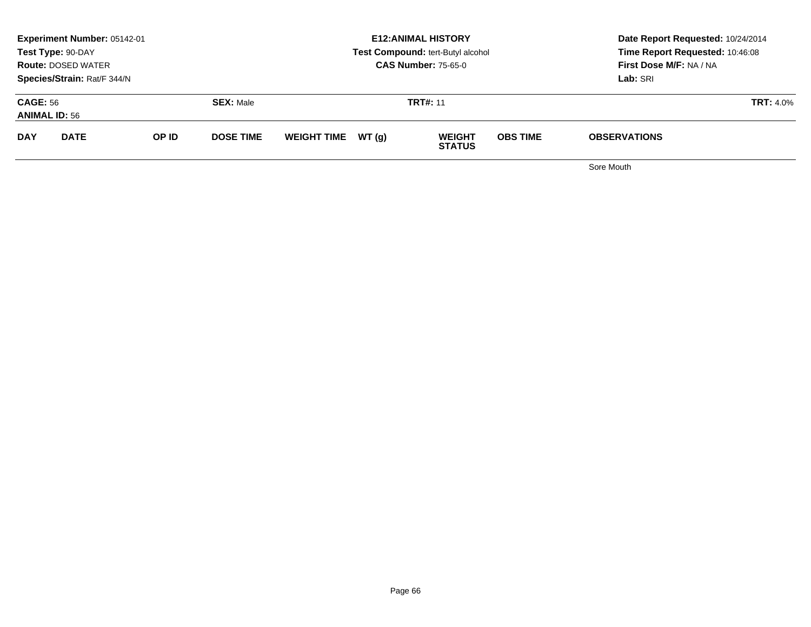|                                         | <b>Experiment Number: 05142-01</b><br>Test Type: 90-DAY<br><b>Route: DOSED WATER</b><br>Species/Strain: Rat/F 344/N |       |                  |                    |        | <b>E12:ANIMAL HISTORY</b><br>Test Compound: tert-Butyl alcohol<br><b>CAS Number: 75-65-0</b> |                 | Date Report Requested: 10/24/2014<br>Time Report Requested: 10:46:08<br><b>First Dose M/F: NA / NA</b><br>Lab: SRI |  |
|-----------------------------------------|---------------------------------------------------------------------------------------------------------------------|-------|------------------|--------------------|--------|----------------------------------------------------------------------------------------------|-----------------|--------------------------------------------------------------------------------------------------------------------|--|
| <b>CAGE: 56</b><br><b>ANIMAL ID: 56</b> |                                                                                                                     |       | <b>SEX: Male</b> |                    |        | <b>TRT#: 11</b>                                                                              |                 | <b>TRT: 4.0%</b>                                                                                                   |  |
| <b>DAY</b>                              | <b>DATE</b>                                                                                                         | OP ID | <b>DOSE TIME</b> | <b>WEIGHT TIME</b> | WT (q) | <b>WEIGHT</b><br><b>STATUS</b>                                                               | <b>OBS TIME</b> | <b>OBSERVATIONS</b>                                                                                                |  |
|                                         |                                                                                                                     |       |                  |                    |        |                                                                                              |                 |                                                                                                                    |  |

Sore Mouth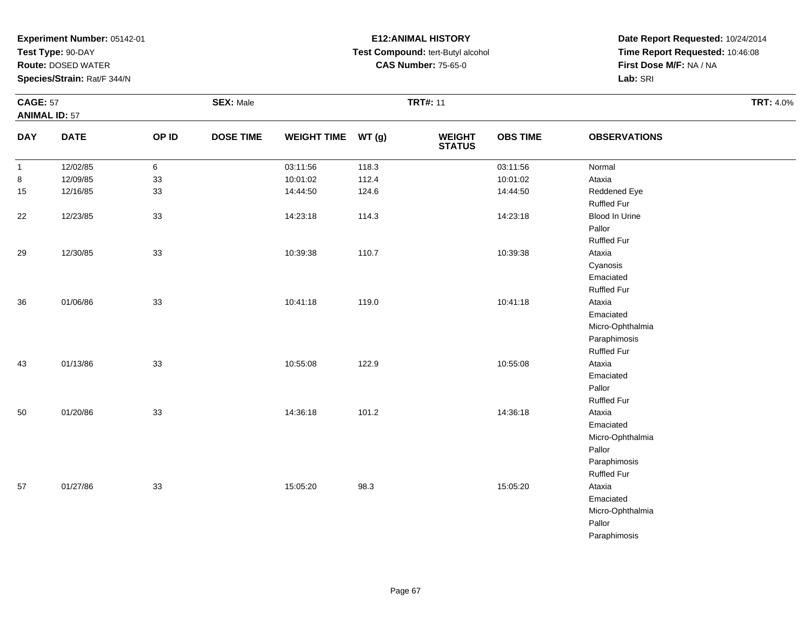**Test Type:** 90-DAY

**Route:** DOSED WATER

**Species/Strain:** Rat/F 344/N

# **E12:ANIMAL HISTORY Test Compound:** tert-Butyl alcohol **CAS Number:** 75-65-0

|              | <b>CAGE: 57</b><br><b>ANIMAL ID: 57</b> |       | <b>SEX: Male</b> |                    |       | <b>TRT#: 11</b>                | <b>TRT: 4.0%</b> |                     |  |
|--------------|-----------------------------------------|-------|------------------|--------------------|-------|--------------------------------|------------------|---------------------|--|
| <b>DAY</b>   | <b>DATE</b>                             | OP ID | <b>DOSE TIME</b> | WEIGHT TIME WT (g) |       | <b>WEIGHT</b><br><b>STATUS</b> | <b>OBS TIME</b>  | <b>OBSERVATIONS</b> |  |
| $\mathbf{1}$ | 12/02/85                                | 6     |                  | 03:11:56           | 118.3 |                                | 03:11:56         | Normal              |  |
| 8            | 12/09/85                                | 33    |                  | 10:01:02           | 112.4 |                                | 10:01:02         | Ataxia              |  |
| 15           | 12/16/85                                | 33    |                  | 14:44:50           | 124.6 |                                | 14:44:50         | Reddened Eye        |  |
|              |                                         |       |                  |                    |       |                                |                  | <b>Ruffled Fur</b>  |  |
| 22           | 12/23/85                                | 33    |                  | 14:23:18           | 114.3 |                                | 14:23:18         | Blood In Urine      |  |
|              |                                         |       |                  |                    |       |                                |                  | Pallor              |  |
|              |                                         |       |                  |                    |       |                                |                  | <b>Ruffled Fur</b>  |  |
| 29           | 12/30/85                                | 33    |                  | 10:39:38           | 110.7 |                                | 10:39:38         | Ataxia              |  |
|              |                                         |       |                  |                    |       |                                |                  | Cyanosis            |  |
|              |                                         |       |                  |                    |       |                                |                  | Emaciated           |  |
|              |                                         |       |                  |                    |       |                                |                  | <b>Ruffled Fur</b>  |  |
| 36           | 01/06/86                                | 33    |                  | 10:41:18           | 119.0 |                                | 10:41:18         | Ataxia              |  |
|              |                                         |       |                  |                    |       |                                |                  | Emaciated           |  |
|              |                                         |       |                  |                    |       |                                |                  | Micro-Ophthalmia    |  |
|              |                                         |       |                  |                    |       |                                |                  | Paraphimosis        |  |
|              |                                         |       |                  |                    |       |                                |                  | <b>Ruffled Fur</b>  |  |
| 43           | 01/13/86                                | 33    |                  | 10:55:08           | 122.9 |                                | 10:55:08         | Ataxia              |  |
|              |                                         |       |                  |                    |       |                                |                  | Emaciated           |  |
|              |                                         |       |                  |                    |       |                                |                  | Pallor              |  |
|              |                                         |       |                  |                    |       |                                |                  | <b>Ruffled Fur</b>  |  |
| 50           | 01/20/86                                | 33    |                  | 14:36:18           | 101.2 |                                | 14:36:18         | Ataxia              |  |
|              |                                         |       |                  |                    |       |                                |                  | Emaciated           |  |
|              |                                         |       |                  |                    |       |                                |                  | Micro-Ophthalmia    |  |
|              |                                         |       |                  |                    |       |                                |                  | Pallor              |  |
|              |                                         |       |                  |                    |       |                                |                  | Paraphimosis        |  |
|              |                                         |       |                  |                    |       |                                |                  | <b>Ruffled Fur</b>  |  |
| 57           | 01/27/86                                | 33    |                  | 15:05:20           | 98.3  |                                | 15:05:20         | Ataxia              |  |
|              |                                         |       |                  |                    |       |                                |                  | Emaciated           |  |
|              |                                         |       |                  |                    |       |                                |                  | Micro-Ophthalmia    |  |
|              |                                         |       |                  |                    |       |                                |                  | Pallor              |  |
|              |                                         |       |                  |                    |       |                                |                  | Paraphimosis        |  |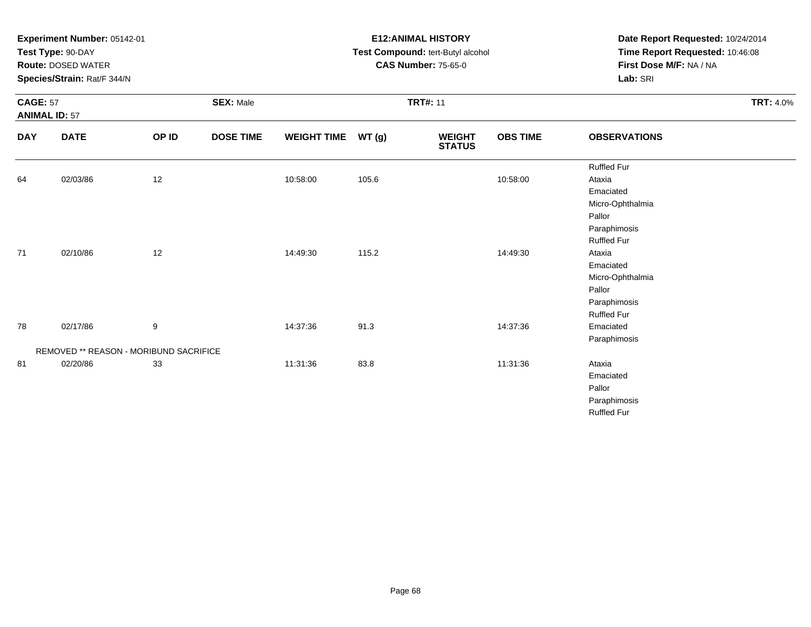|                                         | Experiment Number: 05142-01<br>Test Type: 90-DAY<br><b>Route: DOSED WATER</b><br>Species/Strain: Rat/F 344/N |       |                  |                    |                 | <b>E12: ANIMAL HISTORY</b><br>Test Compound: tert-Butyl alcohol<br><b>CAS Number: 75-65-0</b> | Date Report Requested: 10/24/2014<br>Time Report Requested: 10:46:08<br>First Dose M/F: NA / NA<br>Lab: SRI |                     |                  |
|-----------------------------------------|--------------------------------------------------------------------------------------------------------------|-------|------------------|--------------------|-----------------|-----------------------------------------------------------------------------------------------|-------------------------------------------------------------------------------------------------------------|---------------------|------------------|
| <b>CAGE: 57</b><br><b>ANIMAL ID: 57</b> |                                                                                                              |       | <b>SEX: Male</b> |                    | <b>TRT#: 11</b> |                                                                                               |                                                                                                             |                     | <b>TRT: 4.0%</b> |
| <b>DAY</b>                              | <b>DATE</b>                                                                                                  | OP ID | <b>DOSE TIME</b> | <b>WEIGHT TIME</b> | WT(g)           | <b>WEIGHT</b><br><b>STATUS</b>                                                                | <b>OBS TIME</b>                                                                                             | <b>OBSERVATIONS</b> |                  |
|                                         |                                                                                                              |       |                  |                    |                 |                                                                                               |                                                                                                             | <b>Ruffled Fur</b>  |                  |
| 64                                      | 02/03/86                                                                                                     | 12    |                  | 10:58:00           | 105.6           |                                                                                               | 10:58:00                                                                                                    | Ataxia              |                  |
|                                         |                                                                                                              |       |                  |                    |                 |                                                                                               |                                                                                                             | Emaciated           |                  |
|                                         |                                                                                                              |       |                  |                    |                 |                                                                                               |                                                                                                             | Micro-Ophthalmia    |                  |
|                                         |                                                                                                              |       |                  |                    |                 |                                                                                               |                                                                                                             | Pallor              |                  |
|                                         |                                                                                                              |       |                  |                    |                 |                                                                                               |                                                                                                             | Paraphimosis        |                  |
|                                         |                                                                                                              |       |                  |                    |                 |                                                                                               |                                                                                                             | <b>Ruffled Fur</b>  |                  |
| 71                                      | 02/10/86                                                                                                     | 12    |                  | 14:49:30           | 115.2           |                                                                                               | 14:49:30                                                                                                    | Ataxia              |                  |
|                                         |                                                                                                              |       |                  |                    |                 |                                                                                               |                                                                                                             | Emaciated           |                  |
|                                         |                                                                                                              |       |                  |                    |                 |                                                                                               |                                                                                                             | Micro-Ophthalmia    |                  |
|                                         |                                                                                                              |       |                  |                    |                 |                                                                                               |                                                                                                             | Pallor              |                  |
|                                         |                                                                                                              |       |                  |                    |                 |                                                                                               |                                                                                                             | Paraphimosis        |                  |
|                                         |                                                                                                              |       |                  |                    |                 |                                                                                               |                                                                                                             | <b>Ruffled Fur</b>  |                  |
| 78                                      | 02/17/86                                                                                                     | 9     |                  | 14:37:36           | 91.3            |                                                                                               | 14:37:36                                                                                                    | Emaciated           |                  |
|                                         |                                                                                                              |       |                  |                    |                 |                                                                                               |                                                                                                             | Paraphimosis        |                  |
|                                         | REMOVED ** REASON - MORIBUND SACRIFICE                                                                       |       |                  |                    |                 |                                                                                               |                                                                                                             |                     |                  |
| 81                                      | 02/20/86                                                                                                     | 33    |                  | 11:31:36           | 83.8            |                                                                                               | 11:31:36                                                                                                    | Ataxia              |                  |
|                                         |                                                                                                              |       |                  |                    |                 |                                                                                               |                                                                                                             | Emaciated           |                  |
|                                         |                                                                                                              |       |                  |                    |                 |                                                                                               |                                                                                                             | Pallor              |                  |
|                                         |                                                                                                              |       |                  |                    |                 |                                                                                               |                                                                                                             | Paraphimosis        |                  |
|                                         |                                                                                                              |       |                  |                    |                 |                                                                                               |                                                                                                             | <b>Ruffled Fur</b>  |                  |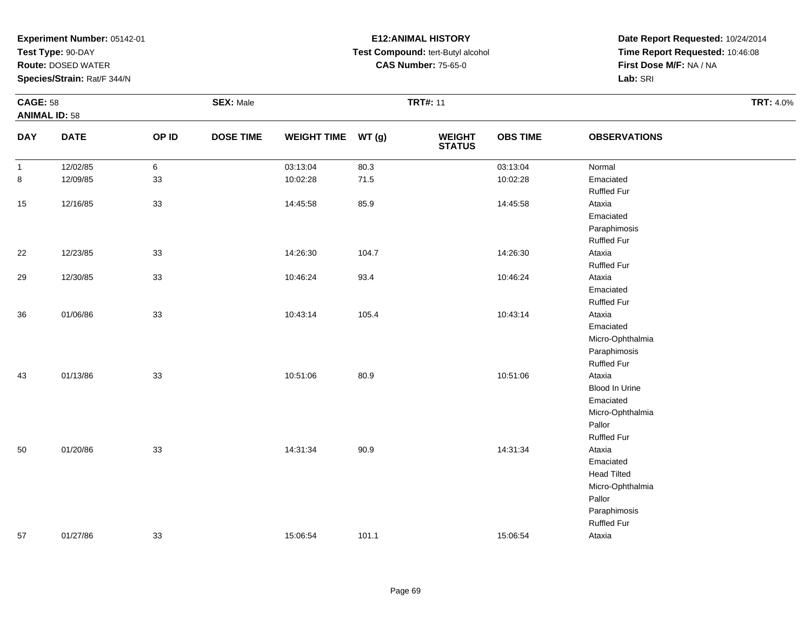**Test Type:** 90-DAY

**Route:** DOSED WATER

**Species/Strain:** Rat/F 344/N

# **E12:ANIMAL HISTORY Test Compound:** tert-Butyl alcohol **CAS Number:** 75-65-0

| <b>CAGE: 58</b><br><b>ANIMAL ID: 58</b> |             |        | <b>SEX: Male</b> |                    |       | <b>TRT#: 11</b>                |                 |                     | <b>TRT: 4.0%</b> |
|-----------------------------------------|-------------|--------|------------------|--------------------|-------|--------------------------------|-----------------|---------------------|------------------|
| <b>DAY</b>                              | <b>DATE</b> | OP ID  | <b>DOSE TIME</b> | WEIGHT TIME WT (g) |       | <b>WEIGHT</b><br><b>STATUS</b> | <b>OBS TIME</b> | <b>OBSERVATIONS</b> |                  |
| $\mathbf{1}$                            | 12/02/85    | 6      |                  | 03:13:04           | 80.3  |                                | 03:13:04        | Normal              |                  |
| $\bf 8$                                 | 12/09/85    | 33     |                  | 10:02:28           | 71.5  |                                | 10:02:28        | Emaciated           |                  |
|                                         |             |        |                  |                    |       |                                |                 | <b>Ruffled Fur</b>  |                  |
| 15                                      | 12/16/85    | 33     |                  | 14:45:58           | 85.9  |                                | 14:45:58        | Ataxia              |                  |
|                                         |             |        |                  |                    |       |                                |                 | Emaciated           |                  |
|                                         |             |        |                  |                    |       |                                |                 | Paraphimosis        |                  |
|                                         |             |        |                  |                    |       |                                |                 | <b>Ruffled Fur</b>  |                  |
| 22                                      | 12/23/85    | 33     |                  | 14:26:30           | 104.7 |                                | 14:26:30        | Ataxia              |                  |
|                                         |             |        |                  |                    |       |                                |                 | <b>Ruffled Fur</b>  |                  |
| 29                                      | 12/30/85    | $33\,$ |                  | 10:46:24           | 93.4  |                                | 10:46:24        | Ataxia              |                  |
|                                         |             |        |                  |                    |       |                                |                 | Emaciated           |                  |
|                                         |             |        |                  |                    |       |                                |                 | <b>Ruffled Fur</b>  |                  |
| 36                                      | 01/06/86    | 33     |                  | 10:43:14           | 105.4 |                                | 10:43:14        | Ataxia              |                  |
|                                         |             |        |                  |                    |       |                                |                 | Emaciated           |                  |
|                                         |             |        |                  |                    |       |                                |                 | Micro-Ophthalmia    |                  |
|                                         |             |        |                  |                    |       |                                |                 | Paraphimosis        |                  |
|                                         |             |        |                  |                    |       |                                |                 | <b>Ruffled Fur</b>  |                  |
| 43                                      | 01/13/86    | 33     |                  | 10:51:06           | 80.9  |                                | 10:51:06        | Ataxia              |                  |
|                                         |             |        |                  |                    |       |                                |                 | Blood In Urine      |                  |
|                                         |             |        |                  |                    |       |                                |                 | Emaciated           |                  |
|                                         |             |        |                  |                    |       |                                |                 | Micro-Ophthalmia    |                  |
|                                         |             |        |                  |                    |       |                                |                 | Pallor              |                  |
|                                         |             |        |                  |                    |       |                                |                 | <b>Ruffled Fur</b>  |                  |
| 50                                      | 01/20/86    | 33     |                  | 14:31:34           | 90.9  |                                | 14:31:34        | Ataxia              |                  |
|                                         |             |        |                  |                    |       |                                |                 | Emaciated           |                  |
|                                         |             |        |                  |                    |       |                                |                 | <b>Head Tilted</b>  |                  |
|                                         |             |        |                  |                    |       |                                |                 | Micro-Ophthalmia    |                  |
|                                         |             |        |                  |                    |       |                                |                 | Pallor              |                  |
|                                         |             |        |                  |                    |       |                                |                 | Paraphimosis        |                  |
|                                         |             |        |                  |                    |       |                                |                 | <b>Ruffled Fur</b>  |                  |
| 57                                      | 01/27/86    | 33     |                  | 15:06:54           | 101.1 |                                | 15:06:54        | Ataxia              |                  |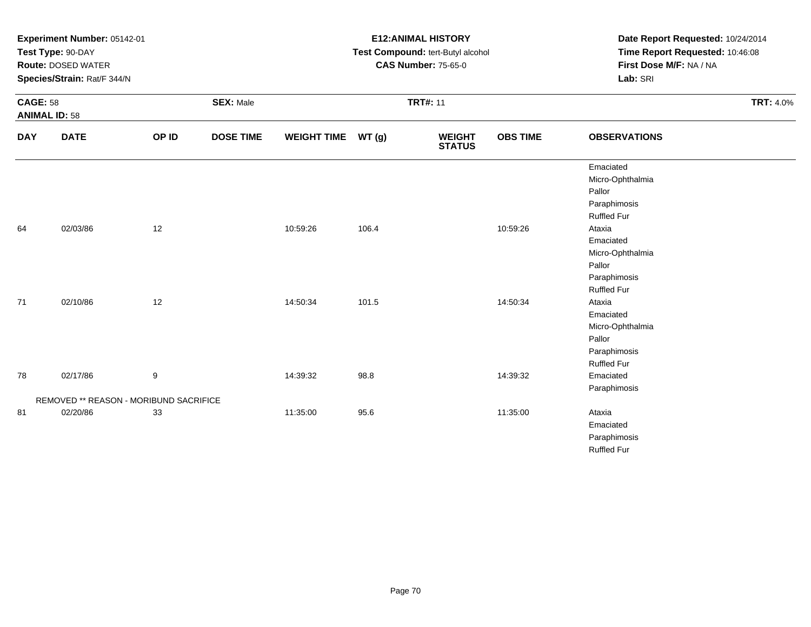| Experiment Number: 05142-01<br>Test Type: 90-DAY<br><b>Route: DOSED WATER</b><br>Species/Strain: Rat/F 344/N |                                                    |       |                  | <b>E12: ANIMAL HISTORY</b><br>Test Compound: tert-Butyl alcohol<br><b>CAS Number: 75-65-0</b> |                 |                                |                 | Date Report Requested: 10/24/2014<br>Time Report Requested: 10:46:08<br>First Dose M/F: NA / NA<br>Lab: SRI |                  |
|--------------------------------------------------------------------------------------------------------------|----------------------------------------------------|-------|------------------|-----------------------------------------------------------------------------------------------|-----------------|--------------------------------|-----------------|-------------------------------------------------------------------------------------------------------------|------------------|
| <b>CAGE: 58</b><br><b>ANIMAL ID: 58</b>                                                                      |                                                    |       | <b>SEX: Male</b> |                                                                                               | <b>TRT#: 11</b> |                                |                 |                                                                                                             | <b>TRT: 4.0%</b> |
| <b>DAY</b>                                                                                                   | <b>DATE</b>                                        | OP ID | <b>DOSE TIME</b> | <b>WEIGHT TIME</b>                                                                            | WT(g)           | <b>WEIGHT</b><br><b>STATUS</b> | <b>OBS TIME</b> | <b>OBSERVATIONS</b>                                                                                         |                  |
|                                                                                                              |                                                    |       |                  |                                                                                               |                 |                                |                 | Emaciated<br>Micro-Ophthalmia<br>Pallor<br>Paraphimosis<br><b>Ruffled Fur</b>                               |                  |
| 64                                                                                                           | 02/03/86                                           | 12    |                  | 10:59:26                                                                                      | 106.4           |                                | 10:59:26        | Ataxia<br>Emaciated<br>Micro-Ophthalmia<br>Pallor<br>Paraphimosis<br><b>Ruffled Fur</b>                     |                  |
| 71                                                                                                           | 02/10/86                                           | 12    |                  | 14:50:34                                                                                      | 101.5           |                                | 14:50:34        | Ataxia<br>Emaciated<br>Micro-Ophthalmia<br>Pallor<br>Paraphimosis<br><b>Ruffled Fur</b>                     |                  |
| 78                                                                                                           | 02/17/86<br>REMOVED ** REASON - MORIBUND SACRIFICE | 9     |                  | 14:39:32                                                                                      | 98.8            |                                | 14:39:32        | Emaciated<br>Paraphimosis                                                                                   |                  |
| 81                                                                                                           | 02/20/86                                           | 33    |                  | 11:35:00                                                                                      | 95.6            |                                | 11:35:00        | Ataxia<br>Emaciated<br>Paraphimosis<br><b>Ruffled Fur</b>                                                   |                  |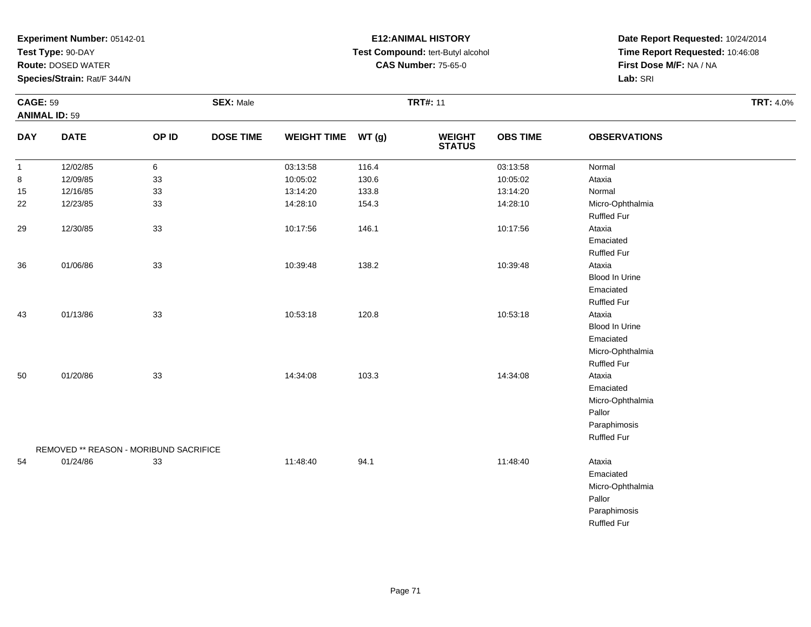**Test Type:** 90-DAY

**Route:** DOSED WATER

**Species/Strain:** Rat/F 344/N

# **E12:ANIMAL HISTORY Test Compound:** tert-Butyl alcohol **CAS Number:** 75-65-0

| <b>CAGE: 59</b><br><b>ANIMAL ID: 59</b> |                                        | <b>SEX: Male</b> |                  |                    | <b>TRT#: 11</b> |                                |                 |                                                                                         |  |
|-----------------------------------------|----------------------------------------|------------------|------------------|--------------------|-----------------|--------------------------------|-----------------|-----------------------------------------------------------------------------------------|--|
| <b>DAY</b>                              | <b>DATE</b>                            | OP ID            | <b>DOSE TIME</b> | <b>WEIGHT TIME</b> | WT(g)           | <b>WEIGHT</b><br><b>STATUS</b> | <b>OBS TIME</b> | <b>OBSERVATIONS</b>                                                                     |  |
| $\mathbf{1}$                            | 12/02/85                               | 6                |                  | 03:13:58           | 116.4           |                                | 03:13:58        | Normal                                                                                  |  |
| 8                                       | 12/09/85                               | 33               |                  | 10:05:02           | 130.6           |                                | 10:05:02        | Ataxia                                                                                  |  |
| 15                                      | 12/16/85                               | 33               |                  | 13:14:20           | 133.8           |                                | 13:14:20        | Normal                                                                                  |  |
| 22                                      | 12/23/85                               | 33               |                  | 14:28:10           | 154.3           |                                | 14:28:10        | Micro-Ophthalmia<br><b>Ruffled Fur</b>                                                  |  |
| 29                                      | 12/30/85                               | 33               |                  | 10:17:56           | 146.1           |                                | 10:17:56        | Ataxia<br>Emaciated<br><b>Ruffled Fur</b>                                               |  |
| 36                                      | 01/06/86                               | 33               |                  | 10:39:48           | 138.2           |                                | 10:39:48        | Ataxia<br>Blood In Urine<br>Emaciated<br><b>Ruffled Fur</b>                             |  |
| 43                                      | 01/13/86                               | 33               |                  | 10:53:18           | 120.8           |                                | 10:53:18        | Ataxia<br>Blood In Urine<br>Emaciated<br>Micro-Ophthalmia<br><b>Ruffled Fur</b>         |  |
| 50                                      | 01/20/86                               | 33               |                  | 14:34:08           | 103.3           |                                | 14:34:08        | Ataxia<br>Emaciated<br>Micro-Ophthalmia<br>Pallor<br>Paraphimosis<br><b>Ruffled Fur</b> |  |
|                                         | REMOVED ** REASON - MORIBUND SACRIFICE |                  |                  |                    |                 |                                |                 |                                                                                         |  |
| 54                                      | 01/24/86                               | 33               |                  | 11:48:40           | 94.1            |                                | 11:48:40        | Ataxia<br>Emaciated<br>Micro-Ophthalmia<br>Pallor<br>Paraphimosis<br><b>Ruffled Fur</b> |  |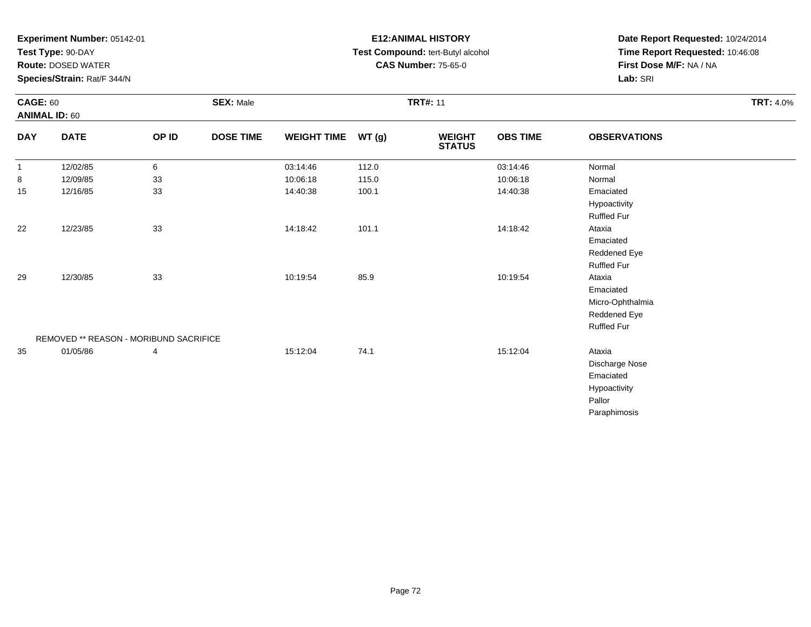**Test Type:** 90-DAY

**Route:** DOSED WATER

**Species/Strain:** Rat/F 344/N

# **E12:ANIMAL HISTORY Test Compound:** tert-Butyl alcohol **CAS Number:** 75-65-0

| <b>CAGE: 60</b><br><b>ANIMAL ID: 60</b> |                                        |       | <b>SEX: Male</b> |                    |       | <b>TRT#: 11</b>                |                 |                     | <b>TRT: 4.0%</b> |
|-----------------------------------------|----------------------------------------|-------|------------------|--------------------|-------|--------------------------------|-----------------|---------------------|------------------|
| <b>DAY</b>                              | <b>DATE</b>                            | OP ID | <b>DOSE TIME</b> | <b>WEIGHT TIME</b> | WT(g) | <b>WEIGHT</b><br><b>STATUS</b> | <b>OBS TIME</b> | <b>OBSERVATIONS</b> |                  |
| $\mathbf{1}$                            | 12/02/85                               | 6     |                  | 03:14:46           | 112.0 |                                | 03:14:46        | Normal              |                  |
| 8                                       | 12/09/85                               | 33    |                  | 10:06:18           | 115.0 |                                | 10:06:18        | Normal              |                  |
| 15                                      | 12/16/85                               | 33    |                  | 14:40:38           | 100.1 |                                | 14:40:38        | Emaciated           |                  |
|                                         |                                        |       |                  |                    |       |                                |                 | Hypoactivity        |                  |
|                                         |                                        |       |                  |                    |       |                                |                 | Ruffled Fur         |                  |
| 22                                      | 12/23/85                               | 33    |                  | 14:18:42           | 101.1 |                                | 14:18:42        | Ataxia              |                  |
|                                         |                                        |       |                  |                    |       |                                |                 | Emaciated           |                  |
|                                         |                                        |       |                  |                    |       |                                |                 | Reddened Eye        |                  |
|                                         |                                        |       |                  |                    |       |                                |                 | Ruffled Fur         |                  |
| 29                                      | 12/30/85                               | 33    |                  | 10:19:54           | 85.9  |                                | 10:19:54        | Ataxia              |                  |
|                                         |                                        |       |                  |                    |       |                                |                 | Emaciated           |                  |
|                                         |                                        |       |                  |                    |       |                                |                 | Micro-Ophthalmia    |                  |
|                                         |                                        |       |                  |                    |       |                                |                 | Reddened Eye        |                  |
|                                         |                                        |       |                  |                    |       |                                |                 | <b>Ruffled Fur</b>  |                  |
|                                         | REMOVED ** REASON - MORIBUND SACRIFICE |       |                  |                    |       |                                |                 |                     |                  |
| 35                                      | 01/05/86                               | 4     |                  | 15:12:04           | 74.1  |                                | 15:12:04        | Ataxia              |                  |
|                                         |                                        |       |                  |                    |       |                                |                 | Discharge Nose      |                  |
|                                         |                                        |       |                  |                    |       |                                |                 | Emaciated           |                  |
|                                         |                                        |       |                  |                    |       |                                |                 | Hypoactivity        |                  |
|                                         |                                        |       |                  |                    |       |                                |                 | Pallor              |                  |
|                                         |                                        |       |                  |                    |       |                                |                 | Paraphimosis        |                  |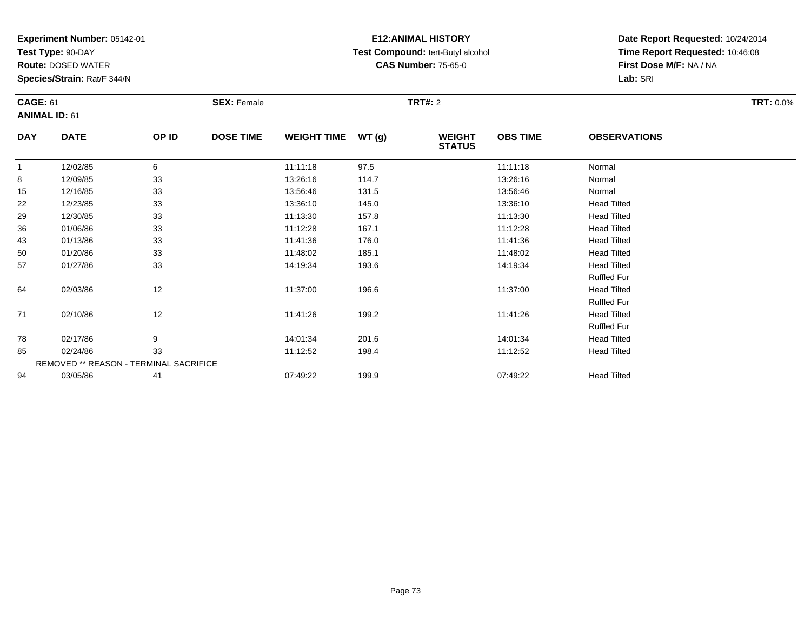**Test Type:** 90-DAY

**Route:** DOSED WATER

**Species/Strain:** Rat/F 344/N

# **E12:ANIMAL HISTORY Test Compound:** tert-Butyl alcohol **CAS Number:** 75-65-0

| <b>CAGE: 61</b> |                                        |       | <b>SEX: Female</b> |                    |       | <b>TRT#:</b> 2                 |                 |                     | <b>TRT: 0.0%</b> |
|-----------------|----------------------------------------|-------|--------------------|--------------------|-------|--------------------------------|-----------------|---------------------|------------------|
|                 | <b>ANIMAL ID: 61</b>                   |       |                    |                    |       |                                |                 |                     |                  |
| <b>DAY</b>      | <b>DATE</b>                            | OP ID | <b>DOSE TIME</b>   | <b>WEIGHT TIME</b> | WT(g) | <b>WEIGHT</b><br><b>STATUS</b> | <b>OBS TIME</b> | <b>OBSERVATIONS</b> |                  |
| -1              | 12/02/85                               | 6     |                    | 11:11:18           | 97.5  |                                | 11:11:18        | Normal              |                  |
| 8               | 12/09/85                               | 33    |                    | 13:26:16           | 114.7 |                                | 13:26:16        | Normal              |                  |
| 15              | 12/16/85                               | 33    |                    | 13:56:46           | 131.5 |                                | 13:56:46        | Normal              |                  |
| 22              | 12/23/85                               | 33    |                    | 13:36:10           | 145.0 |                                | 13:36:10        | <b>Head Tilted</b>  |                  |
| 29              | 12/30/85                               | 33    |                    | 11:13:30           | 157.8 |                                | 11:13:30        | <b>Head Tilted</b>  |                  |
| 36              | 01/06/86                               | 33    |                    | 11:12:28           | 167.1 |                                | 11:12:28        | <b>Head Tilted</b>  |                  |
| 43              | 01/13/86                               | 33    |                    | 11:41:36           | 176.0 |                                | 11:41:36        | <b>Head Tilted</b>  |                  |
| 50              | 01/20/86                               | 33    |                    | 11:48:02           | 185.1 |                                | 11:48:02        | <b>Head Tilted</b>  |                  |
| 57              | 01/27/86                               | 33    |                    | 14:19:34           | 193.6 |                                | 14:19:34        | <b>Head Tilted</b>  |                  |
|                 |                                        |       |                    |                    |       |                                |                 | <b>Ruffled Fur</b>  |                  |
| 64              | 02/03/86                               | 12    |                    | 11:37:00           | 196.6 |                                | 11:37:00        | <b>Head Tilted</b>  |                  |
|                 |                                        |       |                    |                    |       |                                |                 | <b>Ruffled Fur</b>  |                  |
| 71              | 02/10/86                               | 12    |                    | 11:41:26           | 199.2 |                                | 11:41:26        | <b>Head Tilted</b>  |                  |
|                 |                                        |       |                    |                    |       |                                |                 | <b>Ruffled Fur</b>  |                  |
| 78              | 02/17/86                               | 9     |                    | 14:01:34           | 201.6 |                                | 14:01:34        | <b>Head Tilted</b>  |                  |
| 85              | 02/24/86                               | 33    |                    | 11:12:52           | 198.4 |                                | 11:12:52        | <b>Head Tilted</b>  |                  |
|                 | REMOVED ** REASON - TERMINAL SACRIFICE |       |                    |                    |       |                                |                 |                     |                  |
| 94              | 03/05/86                               | 41    |                    | 07:49:22           | 199.9 |                                | 07:49:22        | <b>Head Tilted</b>  |                  |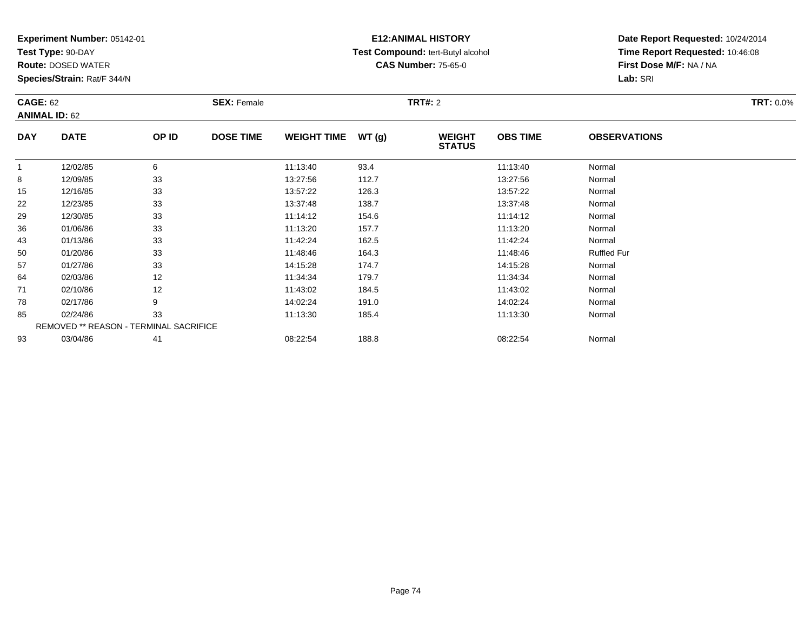**Test Type:** 90-DAY

**Route:** DOSED WATER

**Species/Strain:** Rat/F 344/N

# **E12:ANIMAL HISTORY Test Compound:** tert-Butyl alcohol **CAS Number:** 75-65-0

| <b>CAGE: 62</b> | <b>ANIMAL ID: 62</b>                          |       | <b>SEX: Female</b> |                    |       | <b>TRT#: 2</b>                 |                 |                     | <b>TRT: 0.0%</b> |
|-----------------|-----------------------------------------------|-------|--------------------|--------------------|-------|--------------------------------|-----------------|---------------------|------------------|
| <b>DAY</b>      | <b>DATE</b>                                   | OP ID | <b>DOSE TIME</b>   | <b>WEIGHT TIME</b> | WT(g) | <b>WEIGHT</b><br><b>STATUS</b> | <b>OBS TIME</b> | <b>OBSERVATIONS</b> |                  |
| $\overline{1}$  | 12/02/85                                      | 6     |                    | 11:13:40           | 93.4  |                                | 11:13:40        | Normal              |                  |
| 8               | 12/09/85                                      | 33    |                    | 13:27:56           | 112.7 |                                | 13:27:56        | Normal              |                  |
| 15              | 12/16/85                                      | 33    |                    | 13:57:22           | 126.3 |                                | 13:57:22        | Normal              |                  |
| 22              | 12/23/85                                      | 33    |                    | 13:37:48           | 138.7 |                                | 13:37:48        | Normal              |                  |
| 29              | 12/30/85                                      | 33    |                    | 11:14:12           | 154.6 |                                | 11:14:12        | Normal              |                  |
| 36              | 01/06/86                                      | 33    |                    | 11:13:20           | 157.7 |                                | 11:13:20        | Normal              |                  |
| 43              | 01/13/86                                      | 33    |                    | 11:42:24           | 162.5 |                                | 11:42:24        | Normal              |                  |
| 50              | 01/20/86                                      | 33    |                    | 11:48:46           | 164.3 |                                | 11:48:46        | <b>Ruffled Fur</b>  |                  |
| 57              | 01/27/86                                      | 33    |                    | 14:15:28           | 174.7 |                                | 14:15:28        | Normal              |                  |
| 64              | 02/03/86                                      | 12    |                    | 11:34:34           | 179.7 |                                | 11:34:34        | Normal              |                  |
| 71              | 02/10/86                                      | 12    |                    | 11:43:02           | 184.5 |                                | 11:43:02        | Normal              |                  |
| 78              | 02/17/86                                      | 9     |                    | 14:02:24           | 191.0 |                                | 14:02:24        | Normal              |                  |
| 85              | 02/24/86                                      | 33    |                    | 11:13:30           | 185.4 |                                | 11:13:30        | Normal              |                  |
|                 | <b>REMOVED ** REASON - TERMINAL SACRIFICE</b> |       |                    |                    |       |                                |                 |                     |                  |
| 93              | 03/04/86                                      | 41    |                    | 08:22:54           | 188.8 |                                | 08:22:54        | Normal              |                  |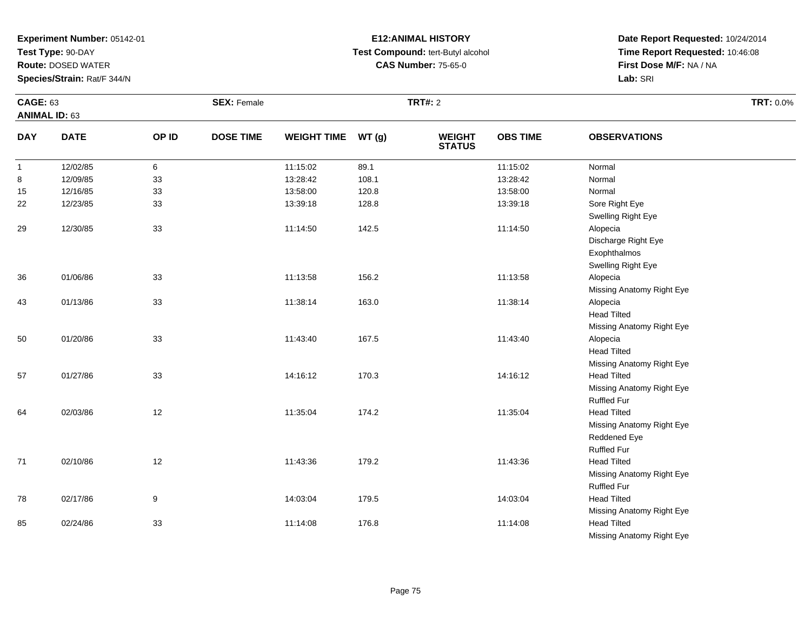**Test Type:** 90-DAY

**Route:** DOSED WATER

**Species/Strain:** Rat/F 344/N

# **E12:ANIMAL HISTORY Test Compound:** tert-Butyl alcohol **CAS Number:** 75-65-0

| <b>CAGE: 63</b>      |             |       | <b>SEX: Female</b> |                    |       | <b>TRT#: 2</b>                 |                 |                           | <b>TRT: 0.0%</b> |
|----------------------|-------------|-------|--------------------|--------------------|-------|--------------------------------|-----------------|---------------------------|------------------|
| <b>ANIMAL ID: 63</b> |             |       |                    |                    |       |                                |                 |                           |                  |
| <b>DAY</b>           | <b>DATE</b> | OP ID | <b>DOSE TIME</b>   | WEIGHT TIME WT (g) |       | <b>WEIGHT</b><br><b>STATUS</b> | <b>OBS TIME</b> | <b>OBSERVATIONS</b>       |                  |
| $\mathbf{1}$         | 12/02/85    | 6     |                    | 11:15:02           | 89.1  |                                | 11:15:02        | Normal                    |                  |
| 8                    | 12/09/85    | 33    |                    | 13:28:42           | 108.1 |                                | 13:28:42        | Normal                    |                  |
| 15                   | 12/16/85    | 33    |                    | 13:58:00           | 120.8 |                                | 13:58:00        | Normal                    |                  |
| 22                   | 12/23/85    | 33    |                    | 13:39:18           | 128.8 |                                | 13:39:18        | Sore Right Eye            |                  |
|                      |             |       |                    |                    |       |                                |                 | Swelling Right Eye        |                  |
| 29                   | 12/30/85    | 33    |                    | 11:14:50           | 142.5 |                                | 11:14:50        | Alopecia                  |                  |
|                      |             |       |                    |                    |       |                                |                 | Discharge Right Eye       |                  |
|                      |             |       |                    |                    |       |                                |                 | Exophthalmos              |                  |
|                      |             |       |                    |                    |       |                                |                 | Swelling Right Eye        |                  |
| 36                   | 01/06/86    | 33    |                    | 11:13:58           | 156.2 |                                | 11:13:58        | Alopecia                  |                  |
|                      |             |       |                    |                    |       |                                |                 | Missing Anatomy Right Eye |                  |
| 43                   | 01/13/86    | 33    |                    | 11:38:14           | 163.0 |                                | 11:38:14        | Alopecia                  |                  |
|                      |             |       |                    |                    |       |                                |                 | <b>Head Tilted</b>        |                  |
|                      |             |       |                    |                    |       |                                |                 | Missing Anatomy Right Eye |                  |
| 50                   | 01/20/86    | 33    |                    | 11:43:40           | 167.5 |                                | 11:43:40        | Alopecia                  |                  |
|                      |             |       |                    |                    |       |                                |                 | <b>Head Tilted</b>        |                  |
|                      |             |       |                    |                    |       |                                |                 | Missing Anatomy Right Eye |                  |
| 57                   | 01/27/86    | 33    |                    | 14:16:12           | 170.3 |                                | 14:16:12        | <b>Head Tilted</b>        |                  |
|                      |             |       |                    |                    |       |                                |                 | Missing Anatomy Right Eye |                  |
|                      |             |       |                    |                    |       |                                |                 | <b>Ruffled Fur</b>        |                  |
| 64                   | 02/03/86    | 12    |                    | 11:35:04           | 174.2 |                                | 11:35:04        | <b>Head Tilted</b>        |                  |
|                      |             |       |                    |                    |       |                                |                 | Missing Anatomy Right Eye |                  |
|                      |             |       |                    |                    |       |                                |                 | Reddened Eye              |                  |
|                      |             |       |                    |                    |       |                                |                 | <b>Ruffled Fur</b>        |                  |
| 71                   | 02/10/86    | $12$  |                    | 11:43:36           | 179.2 |                                | 11:43:36        | <b>Head Tilted</b>        |                  |
|                      |             |       |                    |                    |       |                                |                 | Missing Anatomy Right Eye |                  |
|                      |             |       |                    |                    |       |                                |                 | <b>Ruffled Fur</b>        |                  |
| 78                   | 02/17/86    | 9     |                    | 14:03:04           | 179.5 |                                | 14:03:04        | <b>Head Tilted</b>        |                  |
|                      |             |       |                    |                    |       |                                |                 | Missing Anatomy Right Eye |                  |
| 85                   | 02/24/86    | 33    |                    | 11:14:08           | 176.8 |                                | 11:14:08        | <b>Head Tilted</b>        |                  |
|                      |             |       |                    |                    |       |                                |                 | Missing Anatomy Right Eye |                  |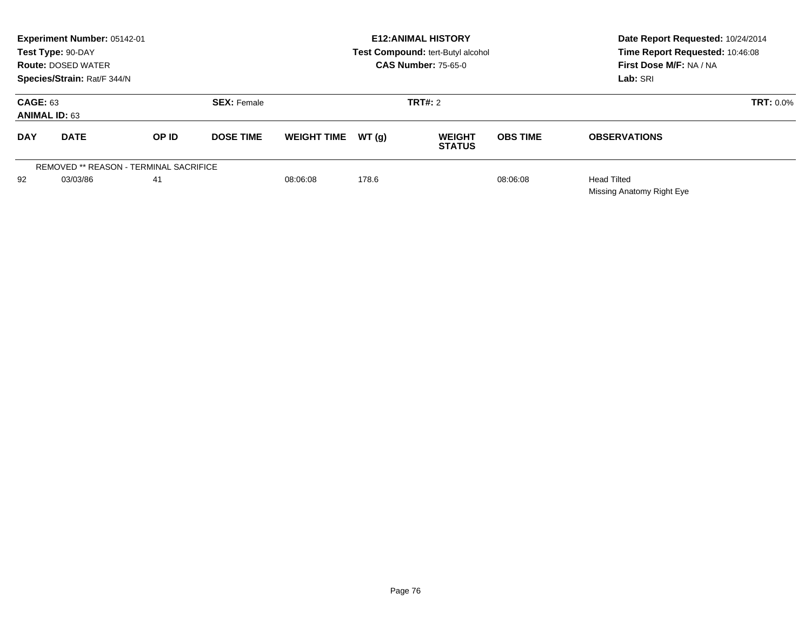|                                         | Experiment Number: 05142-01<br>Test Type: 90-DAY<br><b>Route: DOSED WATER</b><br>Species/Strain: Rat/F 344/N |                                               |                               |                    |        | <b>E12: ANIMAL HISTORY</b><br>Test Compound: tert-Butyl alcohol<br><b>CAS Number: 75-65-0</b> | Date Report Requested: 10/24/2014<br>Time Report Requested: 10:46:08<br>First Dose M/F: NA / NA<br>Lab: SRI |                     |  |
|-----------------------------------------|--------------------------------------------------------------------------------------------------------------|-----------------------------------------------|-------------------------------|--------------------|--------|-----------------------------------------------------------------------------------------------|-------------------------------------------------------------------------------------------------------------|---------------------|--|
| <b>CAGE: 63</b><br><b>ANIMAL ID: 63</b> |                                                                                                              |                                               | <b>SEX: Female</b>            |                    |        | TRT#: 2                                                                                       |                                                                                                             | <b>TRT: 0.0%</b>    |  |
| <b>DAY</b>                              | <b>DATE</b>                                                                                                  | OP ID                                         | <b>DOSE TIME</b>              | <b>WEIGHT TIME</b> | WT (q) | <b>WEIGHT</b><br><b>STATUS</b>                                                                | <b>OBS TIME</b>                                                                                             | <b>OBSERVATIONS</b> |  |
|                                         |                                                                                                              | <b>REMOVED ** REASON - TERMINAL SACRIFICE</b> |                               |                    |        |                                                                                               |                                                                                                             |                     |  |
| 03/03/86<br>92<br>41                    |                                                                                                              |                                               | 08:06:08<br>178.6<br>08:06:08 |                    |        |                                                                                               | <b>Head Tilted</b><br>Missing Anatomy Right Eye                                                             |                     |  |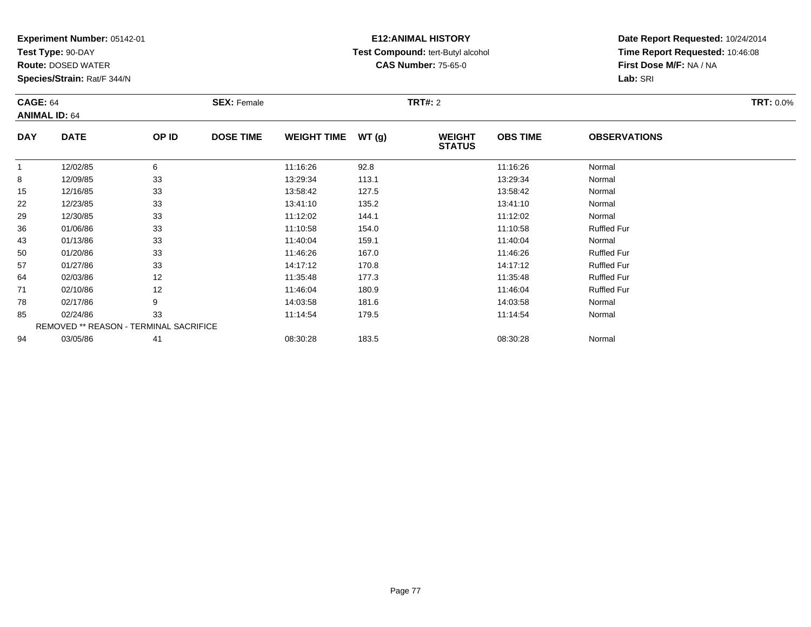**Test Type:** 90-DAY

**Route:** DOSED WATER

**Species/Strain:** Rat/F 344/N

# **E12:ANIMAL HISTORY Test Compound:** tert-Butyl alcohol **CAS Number:** 75-65-0

| <b>CAGE: 64</b> | <b>ANIMAL ID: 64</b>                   |       | <b>SEX: Female</b> |                    |        | <b>TRT#: 2</b>                 |                 |                     | <b>TRT: 0.0%</b> |
|-----------------|----------------------------------------|-------|--------------------|--------------------|--------|--------------------------------|-----------------|---------------------|------------------|
| <b>DAY</b>      | <b>DATE</b>                            | OP ID | <b>DOSE TIME</b>   | <b>WEIGHT TIME</b> | WT (g) | <b>WEIGHT</b><br><b>STATUS</b> | <b>OBS TIME</b> | <b>OBSERVATIONS</b> |                  |
|                 | 12/02/85                               | 6     |                    | 11:16:26           | 92.8   |                                | 11:16:26        | Normal              |                  |
| 8               | 12/09/85                               | 33    |                    | 13:29:34           | 113.1  |                                | 13:29:34        | Normal              |                  |
| 15              | 12/16/85                               | 33    |                    | 13:58:42           | 127.5  |                                | 13:58:42        | Normal              |                  |
| 22              | 12/23/85                               | 33    |                    | 13:41:10           | 135.2  |                                | 13:41:10        | Normal              |                  |
| 29              | 12/30/85                               | 33    |                    | 11:12:02           | 144.1  |                                | 11:12:02        | Normal              |                  |
| 36              | 01/06/86                               | 33    |                    | 11:10:58           | 154.0  |                                | 11:10:58        | <b>Ruffled Fur</b>  |                  |
| 43              | 01/13/86                               | 33    |                    | 11:40:04           | 159.1  |                                | 11:40:04        | Normal              |                  |
| 50              | 01/20/86                               | 33    |                    | 11:46:26           | 167.0  |                                | 11:46:26        | <b>Ruffled Fur</b>  |                  |
| 57              | 01/27/86                               | 33    |                    | 14:17:12           | 170.8  |                                | 14:17:12        | <b>Ruffled Fur</b>  |                  |
| 64              | 02/03/86                               | 12    |                    | 11:35:48           | 177.3  |                                | 11:35:48        | <b>Ruffled Fur</b>  |                  |
| 71              | 02/10/86                               | 12    |                    | 11:46:04           | 180.9  |                                | 11:46:04        | <b>Ruffled Fur</b>  |                  |
| 78              | 02/17/86                               | 9     |                    | 14:03:58           | 181.6  |                                | 14:03:58        | Normal              |                  |
| 85              | 02/24/86                               | 33    |                    | 11:14:54           | 179.5  |                                | 11:14:54        | Normal              |                  |
|                 | REMOVED ** REASON - TERMINAL SACRIFICE |       |                    |                    |        |                                |                 |                     |                  |
| 94              | 03/05/86                               | 41    |                    | 08:30:28           | 183.5  |                                | 08:30:28        | Normal              |                  |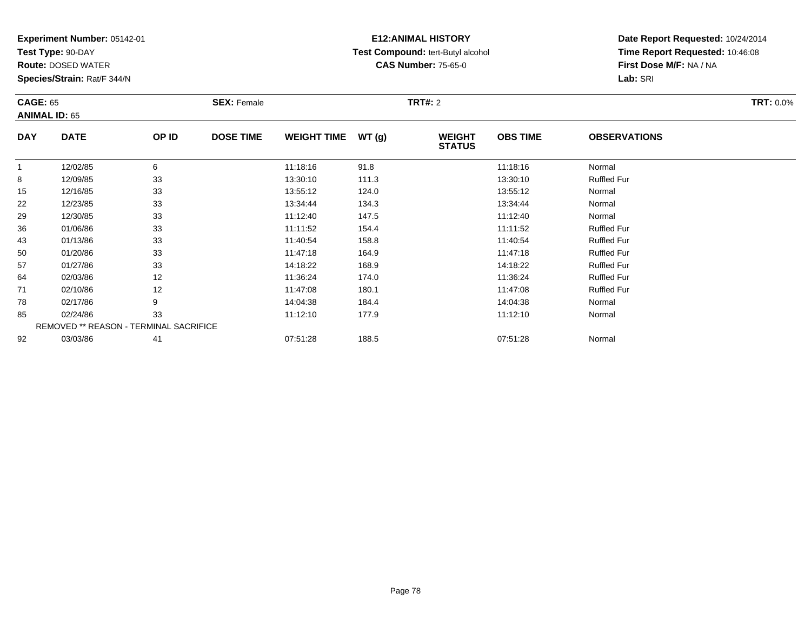**Test Type:** 90-DAY

**Route:** DOSED WATER

**Species/Strain:** Rat/F 344/N

# **E12:ANIMAL HISTORY Test Compound:** tert-Butyl alcohol **CAS Number:** 75-65-0

| <b>CAGE: 65</b> | <b>ANIMAL ID: 65</b>                   |       | <b>SEX: Female</b> |                    |       | <b>TRT#: 2</b>                 |                 |                     | <b>TRT: 0.0%</b> |
|-----------------|----------------------------------------|-------|--------------------|--------------------|-------|--------------------------------|-----------------|---------------------|------------------|
| <b>DAY</b>      | <b>DATE</b>                            | OP ID | <b>DOSE TIME</b>   | <b>WEIGHT TIME</b> | WT(g) | <b>WEIGHT</b><br><b>STATUS</b> | <b>OBS TIME</b> | <b>OBSERVATIONS</b> |                  |
| $\mathbf{1}$    | 12/02/85                               | 6     |                    | 11:18:16           | 91.8  |                                | 11:18:16        | Normal              |                  |
| 8               | 12/09/85                               | 33    |                    | 13:30:10           | 111.3 |                                | 13:30:10        | <b>Ruffled Fur</b>  |                  |
| 15              | 12/16/85                               | 33    |                    | 13:55:12           | 124.0 |                                | 13:55:12        | Normal              |                  |
| 22              | 12/23/85                               | 33    |                    | 13:34:44           | 134.3 |                                | 13:34:44        | Normal              |                  |
| 29              | 12/30/85                               | 33    |                    | 11:12:40           | 147.5 |                                | 11:12:40        | Normal              |                  |
| 36              | 01/06/86                               | 33    |                    | 11:11:52           | 154.4 |                                | 11:11:52        | <b>Ruffled Fur</b>  |                  |
| 43              | 01/13/86                               | 33    |                    | 11:40:54           | 158.8 |                                | 11:40:54        | <b>Ruffled Fur</b>  |                  |
| 50              | 01/20/86                               | 33    |                    | 11:47:18           | 164.9 |                                | 11:47:18        | <b>Ruffled Fur</b>  |                  |
| 57              | 01/27/86                               | 33    |                    | 14:18:22           | 168.9 |                                | 14:18:22        | <b>Ruffled Fur</b>  |                  |
| 64              | 02/03/86                               | 12    |                    | 11:36:24           | 174.0 |                                | 11:36:24        | <b>Ruffled Fur</b>  |                  |
| 71              | 02/10/86                               | 12    |                    | 11:47:08           | 180.1 |                                | 11:47:08        | <b>Ruffled Fur</b>  |                  |
| 78              | 02/17/86                               | 9     |                    | 14:04:38           | 184.4 |                                | 14:04:38        | Normal              |                  |
| 85              | 02/24/86                               | 33    |                    | 11:12:10           | 177.9 |                                | 11:12:10        | Normal              |                  |
|                 | REMOVED ** REASON - TERMINAL SACRIFICE |       |                    |                    |       |                                |                 |                     |                  |
| 92              | 03/03/86                               | 41    |                    | 07:51:28           | 188.5 |                                | 07:51:28        | Normal              |                  |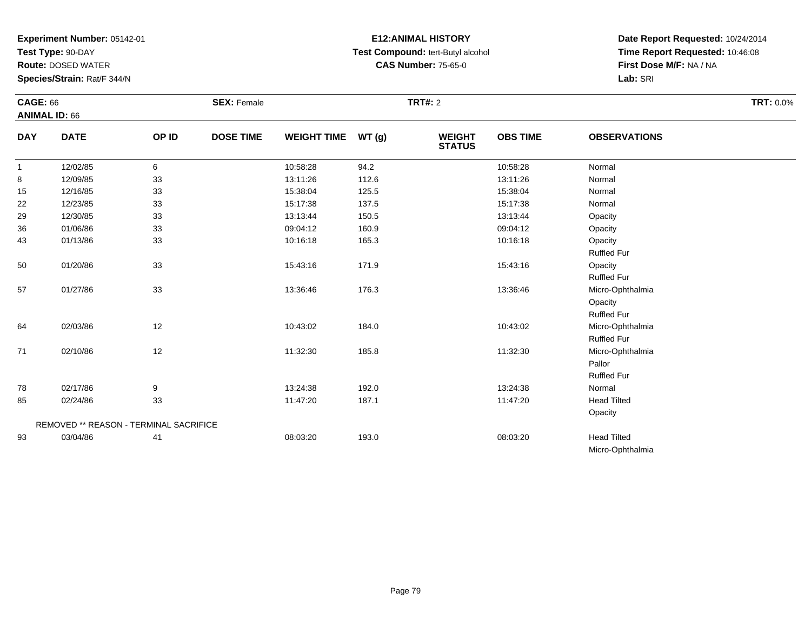**Test Type:** 90-DAY

**Route:** DOSED WATER

**Species/Strain:** Rat/F 344/N

# **E12:ANIMAL HISTORY Test Compound:** tert-Butyl alcohol **CAS Number:** 75-65-0

| <b>CAGE: 66</b> |                                        |       | <b>SEX: Female</b> |                    |       | <b>TRT#: 2</b>                 |                 |                     | <b>TRT: 0.0%</b> |
|-----------------|----------------------------------------|-------|--------------------|--------------------|-------|--------------------------------|-----------------|---------------------|------------------|
|                 | <b>ANIMAL ID: 66</b>                   |       |                    |                    |       |                                |                 |                     |                  |
| <b>DAY</b>      | <b>DATE</b>                            | OP ID | <b>DOSE TIME</b>   | <b>WEIGHT TIME</b> | WT(g) | <b>WEIGHT</b><br><b>STATUS</b> | <b>OBS TIME</b> | <b>OBSERVATIONS</b> |                  |
| $\mathbf{1}$    | 12/02/85                               | 6     |                    | 10:58:28           | 94.2  |                                | 10:58:28        | Normal              |                  |
| 8               | 12/09/85                               | 33    |                    | 13:11:26           | 112.6 |                                | 13:11:26        | Normal              |                  |
| 15              | 12/16/85                               | 33    |                    | 15:38:04           | 125.5 |                                | 15:38:04        | Normal              |                  |
| 22              | 12/23/85                               | 33    |                    | 15:17:38           | 137.5 |                                | 15:17:38        | Normal              |                  |
| 29              | 12/30/85                               | 33    |                    | 13:13:44           | 150.5 |                                | 13:13:44        | Opacity             |                  |
| 36              | 01/06/86                               | 33    |                    | 09:04:12           | 160.9 |                                | 09:04:12        | Opacity             |                  |
| 43              | 01/13/86                               | 33    |                    | 10:16:18           | 165.3 |                                | 10:16:18        | Opacity             |                  |
|                 |                                        |       |                    |                    |       |                                |                 | <b>Ruffled Fur</b>  |                  |
| 50              | 01/20/86                               | 33    |                    | 15:43:16           | 171.9 |                                | 15:43:16        | Opacity             |                  |
|                 |                                        |       |                    |                    |       |                                |                 | <b>Ruffled Fur</b>  |                  |
| 57              | 01/27/86                               | 33    |                    | 13:36:46           | 176.3 |                                | 13:36:46        | Micro-Ophthalmia    |                  |
|                 |                                        |       |                    |                    |       |                                |                 | Opacity             |                  |
|                 |                                        |       |                    |                    |       |                                |                 | <b>Ruffled Fur</b>  |                  |
| 64              | 02/03/86                               | 12    |                    | 10:43:02           | 184.0 |                                | 10:43:02        | Micro-Ophthalmia    |                  |
|                 |                                        |       |                    |                    |       |                                |                 | <b>Ruffled Fur</b>  |                  |
| 71              | 02/10/86                               | 12    |                    | 11:32:30           | 185.8 |                                | 11:32:30        | Micro-Ophthalmia    |                  |
|                 |                                        |       |                    |                    |       |                                |                 | Pallor              |                  |
|                 |                                        |       |                    |                    |       |                                |                 | <b>Ruffled Fur</b>  |                  |
| 78              | 02/17/86                               | 9     |                    | 13:24:38           | 192.0 |                                | 13:24:38        | Normal              |                  |
| 85              | 02/24/86                               | 33    |                    | 11:47:20           | 187.1 |                                | 11:47:20        | <b>Head Tilted</b>  |                  |
|                 |                                        |       |                    |                    |       |                                |                 | Opacity             |                  |
|                 | REMOVED ** REASON - TERMINAL SACRIFICE |       |                    |                    |       |                                |                 |                     |                  |
| 93              | 03/04/86                               | 41    |                    | 08:03:20           | 193.0 |                                | 08:03:20        | <b>Head Tilted</b>  |                  |
|                 |                                        |       |                    |                    |       |                                |                 | Micro-Ophthalmia    |                  |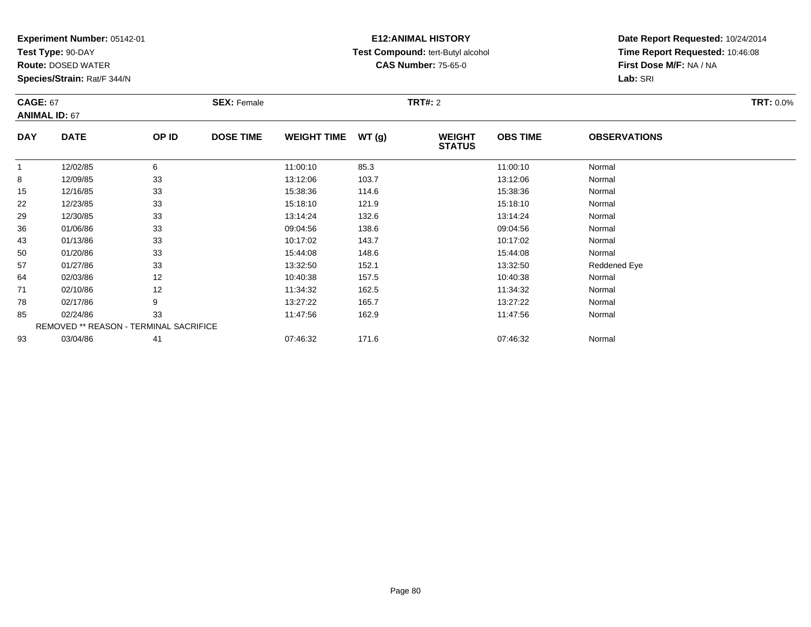**Test Type:** 90-DAY

**Route:** DOSED WATER

**Species/Strain:** Rat/F 344/N

# **E12:ANIMAL HISTORY Test Compound:** tert-Butyl alcohol **CAS Number:** 75-65-0

| <b>CAGE: 67</b>      |                                               |       | <b>SEX: Female</b> |                    |       | <b>TRT#: 2</b>                 |                 |                     | <b>TRT: 0.0%</b> |
|----------------------|-----------------------------------------------|-------|--------------------|--------------------|-------|--------------------------------|-----------------|---------------------|------------------|
| <b>ANIMAL ID: 67</b> |                                               |       |                    |                    |       |                                |                 |                     |                  |
| <b>DAY</b>           | <b>DATE</b>                                   | OP ID | <b>DOSE TIME</b>   | <b>WEIGHT TIME</b> | WT(g) | <b>WEIGHT</b><br><b>STATUS</b> | <b>OBS TIME</b> | <b>OBSERVATIONS</b> |                  |
| $\mathbf{1}$         | 12/02/85                                      | 6     |                    | 11:00:10           | 85.3  |                                | 11:00:10        | Normal              |                  |
| 8                    | 12/09/85                                      | 33    |                    | 13:12:06           | 103.7 |                                | 13:12:06        | Normal              |                  |
| 15                   | 12/16/85                                      | 33    |                    | 15:38:36           | 114.6 |                                | 15:38:36        | Normal              |                  |
| 22                   | 12/23/85                                      | 33    |                    | 15:18:10           | 121.9 |                                | 15:18:10        | Normal              |                  |
| 29                   | 12/30/85                                      | 33    |                    | 13:14:24           | 132.6 |                                | 13:14:24        | Normal              |                  |
| 36                   | 01/06/86                                      | 33    |                    | 09:04:56           | 138.6 |                                | 09:04:56        | Normal              |                  |
| 43                   | 01/13/86                                      | 33    |                    | 10:17:02           | 143.7 |                                | 10:17:02        | Normal              |                  |
| 50                   | 01/20/86                                      | 33    |                    | 15:44:08           | 148.6 |                                | 15:44:08        | Normal              |                  |
| 57                   | 01/27/86                                      | 33    |                    | 13:32:50           | 152.1 |                                | 13:32:50        | Reddened Eye        |                  |
| 64                   | 02/03/86                                      | 12    |                    | 10:40:38           | 157.5 |                                | 10:40:38        | Normal              |                  |
| 71                   | 02/10/86                                      | 12    |                    | 11:34:32           | 162.5 |                                | 11:34:32        | Normal              |                  |
| 78                   | 02/17/86                                      | 9     |                    | 13:27:22           | 165.7 |                                | 13:27:22        | Normal              |                  |
| 85                   | 02/24/86                                      | 33    |                    | 11:47:56           | 162.9 |                                | 11:47:56        | Normal              |                  |
|                      | <b>REMOVED ** REASON - TERMINAL SACRIFICE</b> |       |                    |                    |       |                                |                 |                     |                  |
| 93                   | 03/04/86                                      | 41    |                    | 07:46:32           | 171.6 |                                | 07:46:32        | Normal              |                  |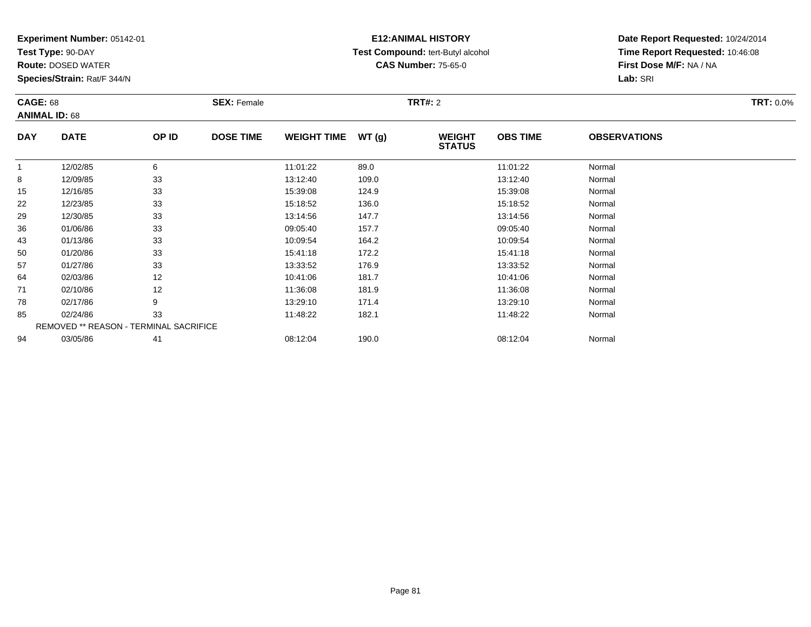**Test Type:** 90-DAY

**Route:** DOSED WATER

**Species/Strain:** Rat/F 344/N

# **E12:ANIMAL HISTORY Test Compound:** tert-Butyl alcohol **CAS Number:** 75-65-0

| <b>CAGE: 68</b><br><b>ANIMAL ID: 68</b> |                                        |       | <b>SEX: Female</b> |                    |       | <b>TRT#: 2</b>                 |                 |                     | <b>TRT: 0.0%</b> |
|-----------------------------------------|----------------------------------------|-------|--------------------|--------------------|-------|--------------------------------|-----------------|---------------------|------------------|
| <b>DAY</b>                              | <b>DATE</b>                            | OP ID | <b>DOSE TIME</b>   | <b>WEIGHT TIME</b> | WT(g) | <b>WEIGHT</b><br><b>STATUS</b> | <b>OBS TIME</b> | <b>OBSERVATIONS</b> |                  |
| 1                                       | 12/02/85                               | 6     |                    | 11:01:22           | 89.0  |                                | 11:01:22        | Normal              |                  |
| 8                                       | 12/09/85                               | 33    |                    | 13:12:40           | 109.0 |                                | 13:12:40        | Normal              |                  |
| 15                                      | 12/16/85                               | 33    |                    | 15:39:08           | 124.9 |                                | 15:39:08        | Normal              |                  |
| 22                                      | 12/23/85                               | 33    |                    | 15:18:52           | 136.0 |                                | 15:18:52        | Normal              |                  |
| 29                                      | 12/30/85                               | 33    |                    | 13:14:56           | 147.7 |                                | 13:14:56        | Normal              |                  |
| 36                                      | 01/06/86                               | 33    |                    | 09:05:40           | 157.7 |                                | 09:05:40        | Normal              |                  |
| 43                                      | 01/13/86                               | 33    |                    | 10:09:54           | 164.2 |                                | 10:09:54        | Normal              |                  |
| 50                                      | 01/20/86                               | 33    |                    | 15:41:18           | 172.2 |                                | 15:41:18        | Normal              |                  |
| 57                                      | 01/27/86                               | 33    |                    | 13:33:52           | 176.9 |                                | 13:33:52        | Normal              |                  |
| 64                                      | 02/03/86                               | 12    |                    | 10:41:06           | 181.7 |                                | 10:41:06        | Normal              |                  |
| 71                                      | 02/10/86                               | 12    |                    | 11:36:08           | 181.9 |                                | 11:36:08        | Normal              |                  |
| 78                                      | 02/17/86                               | 9     |                    | 13:29:10           | 171.4 |                                | 13:29:10        | Normal              |                  |
| 85                                      | 02/24/86                               | 33    |                    | 11:48:22           | 182.1 |                                | 11:48:22        | Normal              |                  |
|                                         | REMOVED ** REASON - TERMINAL SACRIFICE |       |                    |                    |       |                                |                 |                     |                  |
| 94                                      | 03/05/86                               | 41    |                    | 08:12:04           | 190.0 |                                | 08:12:04        | Normal              |                  |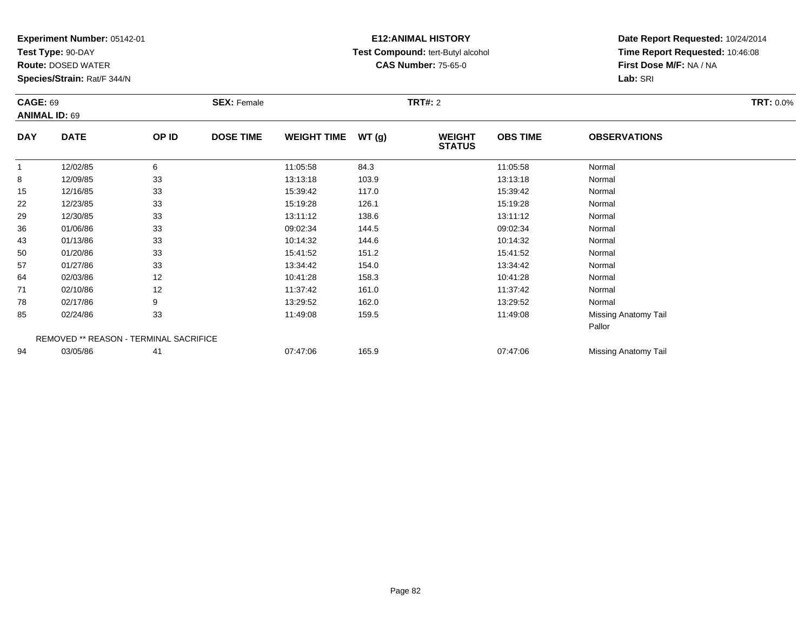**Test Type:** 90-DAY

**Route:** DOSED WATER

**Species/Strain:** Rat/F 344/N

# **E12:ANIMAL HISTORY Test Compound:** tert-Butyl alcohol **CAS Number:** 75-65-0

| <b>CAGE: 69</b> |                                        |       | <b>SEX: Female</b> |                    |       | <b>TRT#: 2</b>                 |                 |                      | <b>TRT: 0.0%</b> |
|-----------------|----------------------------------------|-------|--------------------|--------------------|-------|--------------------------------|-----------------|----------------------|------------------|
|                 | <b>ANIMAL ID: 69</b>                   |       |                    |                    |       |                                |                 |                      |                  |
| <b>DAY</b>      | <b>DATE</b>                            | OP ID | <b>DOSE TIME</b>   | <b>WEIGHT TIME</b> | WT(g) | <b>WEIGHT</b><br><b>STATUS</b> | <b>OBS TIME</b> | <b>OBSERVATIONS</b>  |                  |
|                 | 12/02/85                               | 6     |                    | 11:05:58           | 84.3  |                                | 11:05:58        | Normal               |                  |
| 8               | 12/09/85                               | 33    |                    | 13:13:18           | 103.9 |                                | 13:13:18        | Normal               |                  |
| 15              | 12/16/85                               | 33    |                    | 15:39:42           | 117.0 |                                | 15:39:42        | Normal               |                  |
| 22              | 12/23/85                               | 33    |                    | 15:19:28           | 126.1 |                                | 15:19:28        | Normal               |                  |
| 29              | 12/30/85                               | 33    |                    | 13:11:12           | 138.6 |                                | 13:11:12        | Normal               |                  |
| 36              | 01/06/86                               | 33    |                    | 09:02:34           | 144.5 |                                | 09:02:34        | Normal               |                  |
| 43              | 01/13/86                               | 33    |                    | 10:14:32           | 144.6 |                                | 10:14:32        | Normal               |                  |
| 50              | 01/20/86                               | 33    |                    | 15:41:52           | 151.2 |                                | 15:41:52        | Normal               |                  |
| 57              | 01/27/86                               | 33    |                    | 13:34:42           | 154.0 |                                | 13:34:42        | Normal               |                  |
| 64              | 02/03/86                               | 12    |                    | 10:41:28           | 158.3 |                                | 10:41:28        | Normal               |                  |
| 71              | 02/10/86                               | 12    |                    | 11:37:42           | 161.0 |                                | 11:37:42        | Normal               |                  |
| 78              | 02/17/86                               | 9     |                    | 13:29:52           | 162.0 |                                | 13:29:52        | Normal               |                  |
| 85              | 02/24/86                               | 33    |                    | 11:49:08           | 159.5 |                                | 11:49:08        | Missing Anatomy Tail |                  |
|                 |                                        |       |                    |                    |       |                                |                 | Pallor               |                  |
|                 | REMOVED ** REASON - TERMINAL SACRIFICE |       |                    |                    |       |                                |                 |                      |                  |
| 94              | 03/05/86                               | 41    |                    | 07:47:06           | 165.9 |                                | 07:47:06        | Missing Anatomy Tail |                  |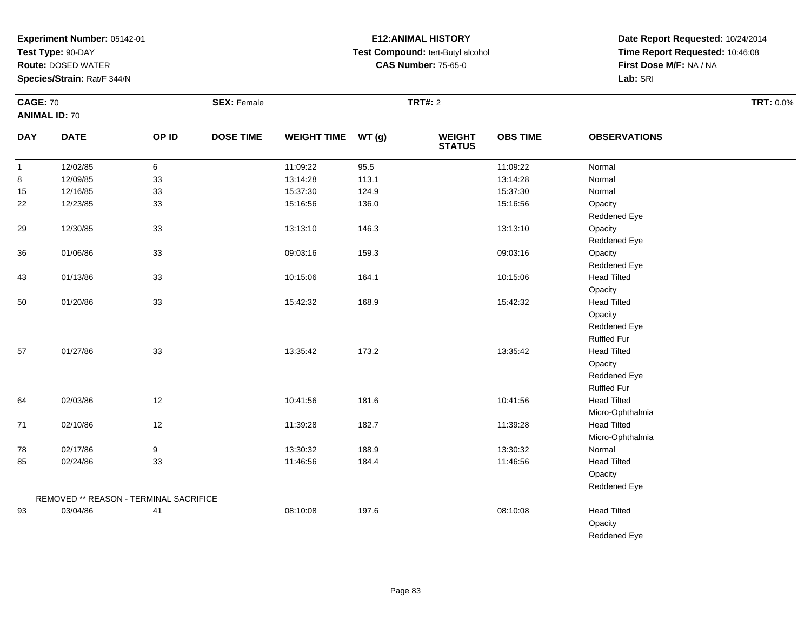**Test Type:** 90-DAY

**Route:** DOSED WATER

**Species/Strain:** Rat/F 344/N

# **E12:ANIMAL HISTORY Test Compound:** tert-Butyl alcohol **CAS Number:** 75-65-0

**Date Report Requested:** 10/24/2014 **Time Report Requested:** 10:46:08**First Dose M/F:** NA / NA**Lab:** SRI

| <b>CAGE: 70</b><br><b>ANIMAL ID: 70</b> |                                        |       | <b>SEX: Female</b> |                    |       | <b>TRT#: 2</b>                 |                 |                     | <b>TRT: 0.0%</b> |
|-----------------------------------------|----------------------------------------|-------|--------------------|--------------------|-------|--------------------------------|-----------------|---------------------|------------------|
| <b>DAY</b>                              | <b>DATE</b>                            | OP ID | <b>DOSE TIME</b>   | WEIGHT TIME WT (g) |       | <b>WEIGHT</b><br><b>STATUS</b> | <b>OBS TIME</b> | <b>OBSERVATIONS</b> |                  |
| $\mathbf{1}$                            | 12/02/85                               | 6     |                    | 11:09:22           | 95.5  |                                | 11:09:22        | Normal              |                  |
| 8                                       | 12/09/85                               | 33    |                    | 13:14:28           | 113.1 |                                | 13:14:28        | Normal              |                  |
| 15                                      | 12/16/85                               | 33    |                    | 15:37:30           | 124.9 |                                | 15:37:30        | Normal              |                  |
| 22                                      | 12/23/85                               | 33    |                    | 15:16:56           | 136.0 |                                | 15:16:56        | Opacity             |                  |
|                                         |                                        |       |                    |                    |       |                                |                 | Reddened Eye        |                  |
| 29                                      | 12/30/85                               | 33    |                    | 13:13:10           | 146.3 |                                | 13:13:10        | Opacity             |                  |
|                                         |                                        |       |                    |                    |       |                                |                 | Reddened Eye        |                  |
| 36                                      | 01/06/86                               | 33    |                    | 09:03:16           | 159.3 |                                | 09:03:16        | Opacity             |                  |
|                                         |                                        |       |                    |                    |       |                                |                 | Reddened Eye        |                  |
| 43                                      | 01/13/86                               | 33    |                    | 10:15:06           | 164.1 |                                | 10:15:06        | <b>Head Tilted</b>  |                  |
|                                         |                                        |       |                    |                    |       |                                |                 | Opacity             |                  |
| 50                                      | 01/20/86                               | 33    |                    | 15:42:32           | 168.9 |                                | 15:42:32        | <b>Head Tilted</b>  |                  |
|                                         |                                        |       |                    |                    |       |                                |                 | Opacity             |                  |
|                                         |                                        |       |                    |                    |       |                                |                 | Reddened Eye        |                  |
|                                         |                                        |       |                    |                    |       |                                |                 | Ruffled Fur         |                  |
| 57                                      | 01/27/86                               | 33    |                    | 13:35:42           | 173.2 |                                | 13:35:42        | <b>Head Tilted</b>  |                  |
|                                         |                                        |       |                    |                    |       |                                |                 | Opacity             |                  |
|                                         |                                        |       |                    |                    |       |                                |                 | Reddened Eye        |                  |
|                                         |                                        |       |                    |                    |       |                                |                 | <b>Ruffled Fur</b>  |                  |
| 64                                      | 02/03/86                               | 12    |                    | 10:41:56           | 181.6 |                                | 10:41:56        | <b>Head Tilted</b>  |                  |
|                                         |                                        |       |                    |                    |       |                                |                 | Micro-Ophthalmia    |                  |
| 71                                      | 02/10/86                               | 12    |                    | 11:39:28           | 182.7 |                                | 11:39:28        | <b>Head Tilted</b>  |                  |
|                                         |                                        |       |                    |                    |       |                                |                 | Micro-Ophthalmia    |                  |
| 78                                      | 02/17/86                               | 9     |                    | 13:30:32           | 188.9 |                                | 13:30:32        | Normal              |                  |
| 85                                      | 02/24/86                               | 33    |                    | 11:46:56           | 184.4 |                                | 11:46:56        | <b>Head Tilted</b>  |                  |
|                                         |                                        |       |                    |                    |       |                                |                 | Opacity             |                  |
|                                         |                                        |       |                    |                    |       |                                |                 | Reddened Eye        |                  |
|                                         | REMOVED ** REASON - TERMINAL SACRIFICE |       |                    |                    |       |                                |                 |                     |                  |
| 93                                      | 03/04/86                               | 41    |                    | 08:10:08           | 197.6 |                                | 08:10:08        | <b>Head Tilted</b>  |                  |
|                                         |                                        |       |                    |                    |       |                                |                 | Opacity             |                  |

Reddened Eye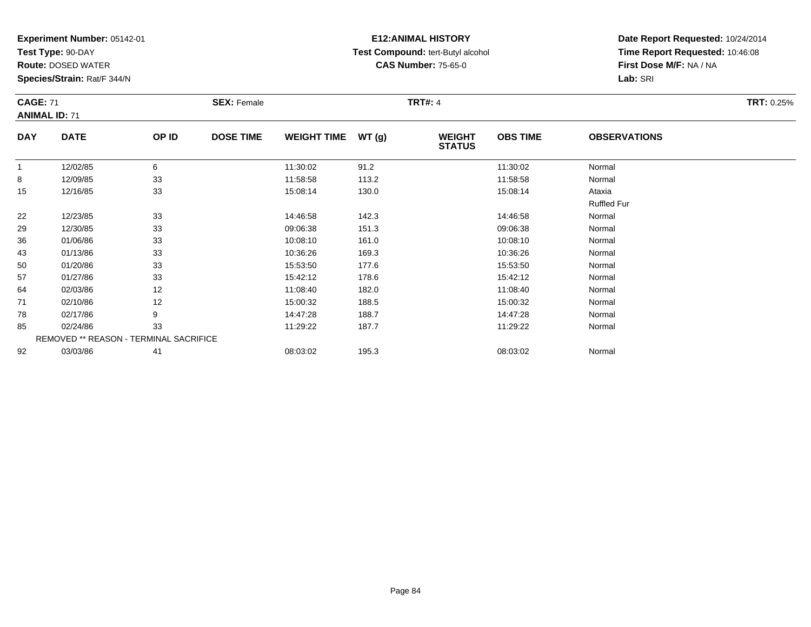**Test Type:** 90-DAY

92

**Route:** DOSED WATER

**Species/Strain:** Rat/F 344/N

REMOVED \*\* REASON - TERMINAL SACRIFICE

#### **E12:ANIMAL HISTORY Test Compound:** tert-Butyl alcohol **CAS Number:** 75-65-0

**Date Report Requested:** 10/24/2014**Time Report Requested:** 10:46:08**First Dose M/F:** NA / NA**Lab:** SRI

| <b>CAGE: 71</b><br><b>ANIMAL ID: 71</b> |             |       | <b>SEX: Female</b> |                    |       | <b>TRT#: 4</b>                 |                 |                     | <b>TRT: 0.25%</b> |
|-----------------------------------------|-------------|-------|--------------------|--------------------|-------|--------------------------------|-----------------|---------------------|-------------------|
| <b>DAY</b>                              | <b>DATE</b> | OP ID | <b>DOSE TIME</b>   | <b>WEIGHT TIME</b> | WT(g) | <b>WEIGHT</b><br><b>STATUS</b> | <b>OBS TIME</b> | <b>OBSERVATIONS</b> |                   |
| $\mathbf{1}$                            | 12/02/85    | 6     |                    | 11:30:02           | 91.2  |                                | 11:30:02        | Normal              |                   |
| 8                                       | 12/09/85    | 33    |                    | 11:58:58           | 113.2 |                                | 11:58:58        | Normal              |                   |
| 15                                      | 12/16/85    | 33    |                    | 15:08:14           | 130.0 |                                | 15:08:14        | Ataxia              |                   |
|                                         |             |       |                    |                    |       |                                |                 | <b>Ruffled Fur</b>  |                   |
| 22                                      | 12/23/85    | 33    |                    | 14:46:58           | 142.3 |                                | 14:46:58        | Normal              |                   |
| 29                                      | 12/30/85    | 33    |                    | 09:06:38           | 151.3 |                                | 09:06:38        | Normal              |                   |
| 36                                      | 01/06/86    | 33    |                    | 10:08:10           | 161.0 |                                | 10:08:10        | Normal              |                   |
| 43                                      | 01/13/86    | 33    |                    | 10:36:26           | 169.3 |                                | 10:36:26        | Normal              |                   |
| 50                                      | 01/20/86    | 33    |                    | 15:53:50           | 177.6 |                                | 15:53:50        | Normal              |                   |
| 57                                      | 01/27/86    | 33    |                    | 15:42:12           | 178.6 |                                | 15:42:12        | Normal              |                   |
| 64                                      | 02/03/86    | 12    |                    | 11:08:40           | 182.0 |                                | 11:08:40        | Normal              |                   |
| 71                                      | 02/10/86    | 12    |                    | 15:00:32           | 188.5 |                                | 15:00:32        | Normal              |                   |
| 78                                      | 02/17/86    | 9     |                    | 14:47:28           | 188.7 |                                | 14:47:28        | Normal              |                   |
| 85                                      | 02/24/86    | 33    |                    | 11:29:22           | 187.7 |                                | 11:29:22        | Normal              |                   |

03/03/86 <sup>41</sup> 08:03:02 195.3 08:03:02 Normal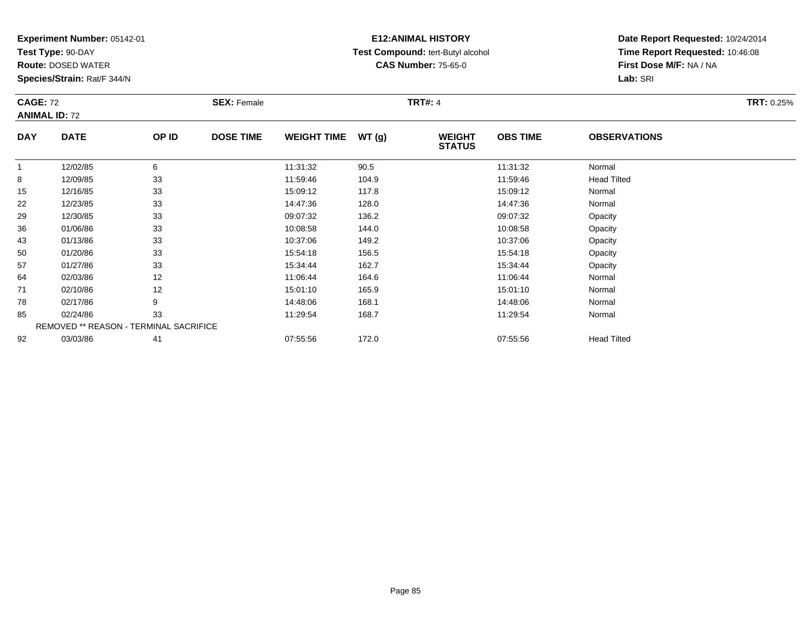**Test Type:** 90-DAY

**Route:** DOSED WATER

**Species/Strain:** Rat/F 344/N

# **E12:ANIMAL HISTORY Test Compound:** tert-Butyl alcohol **CAS Number:** 75-65-0

| <b>CAGE: 72</b><br><b>ANIMAL ID: 72</b> |                                        |       | <b>SEX: Female</b> |                    |       | <b>TRT#: 4</b>                 |                 |                     | <b>TRT: 0.25%</b> |
|-----------------------------------------|----------------------------------------|-------|--------------------|--------------------|-------|--------------------------------|-----------------|---------------------|-------------------|
| <b>DAY</b>                              | <b>DATE</b>                            | OP ID | <b>DOSE TIME</b>   | <b>WEIGHT TIME</b> | WT(g) | <b>WEIGHT</b><br><b>STATUS</b> | <b>OBS TIME</b> | <b>OBSERVATIONS</b> |                   |
| $\mathbf{1}$                            | 12/02/85                               | 6     |                    | 11:31:32           | 90.5  |                                | 11:31:32        | Normal              |                   |
| 8                                       | 12/09/85                               | 33    |                    | 11:59:46           | 104.9 |                                | 11:59:46        | <b>Head Tilted</b>  |                   |
| 15                                      | 12/16/85                               | 33    |                    | 15:09:12           | 117.8 |                                | 15:09:12        | Normal              |                   |
| 22                                      | 12/23/85                               | 33    |                    | 14:47:36           | 128.0 |                                | 14:47:36        | Normal              |                   |
| 29                                      | 12/30/85                               | 33    |                    | 09:07:32           | 136.2 |                                | 09:07:32        | Opacity             |                   |
| 36                                      | 01/06/86                               | 33    |                    | 10:08:58           | 144.0 |                                | 10:08:58        | Opacity             |                   |
| 43                                      | 01/13/86                               | 33    |                    | 10:37:06           | 149.2 |                                | 10:37:06        | Opacity             |                   |
| 50                                      | 01/20/86                               | 33    |                    | 15:54:18           | 156.5 |                                | 15:54:18        | Opacity             |                   |
| 57                                      | 01/27/86                               | 33    |                    | 15:34:44           | 162.7 |                                | 15:34:44        | Opacity             |                   |
| 64                                      | 02/03/86                               | 12    |                    | 11:06:44           | 164.6 |                                | 11:06:44        | Normal              |                   |
| 71                                      | 02/10/86                               | 12    |                    | 15:01:10           | 165.9 |                                | 15:01:10        | Normal              |                   |
| 78                                      | 02/17/86                               | 9     |                    | 14:48:06           | 168.1 |                                | 14:48:06        | Normal              |                   |
| 85                                      | 02/24/86                               | 33    |                    | 11:29:54           | 168.7 |                                | 11:29:54        | Normal              |                   |
|                                         | REMOVED ** REASON - TERMINAL SACRIFICE |       |                    |                    |       |                                |                 |                     |                   |
| 92                                      | 03/03/86                               | 41    |                    | 07:55:56           | 172.0 |                                | 07:55:56        | <b>Head Tilted</b>  |                   |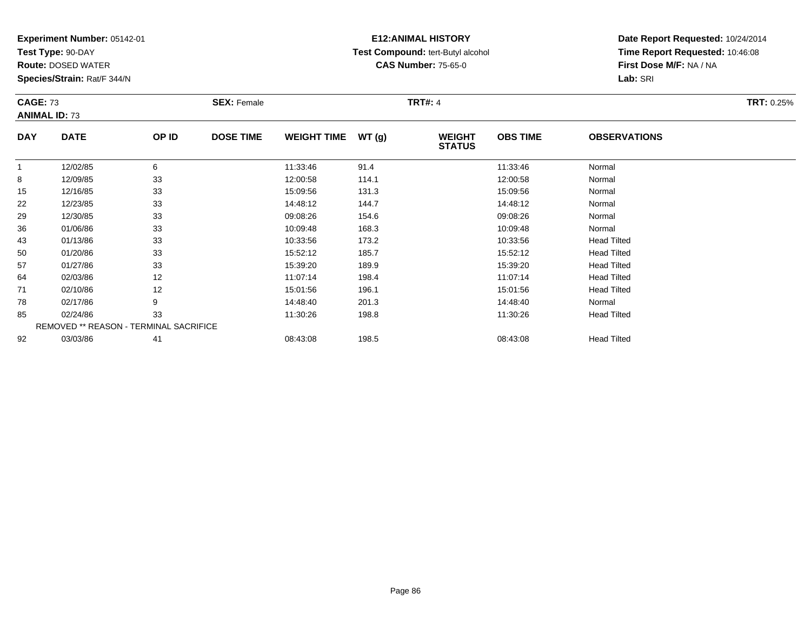**Test Type:** 90-DAY

**Route:** DOSED WATER

**Species/Strain:** Rat/F 344/N

# **E12:ANIMAL HISTORY Test Compound:** tert-Butyl alcohol **CAS Number:** 75-65-0

| <b>CAGE: 73</b><br><b>ANIMAL ID: 73</b> |                                        |       | <b>SEX: Female</b> |                    |       | <b>TRT#: 4</b>                 |                 |                     | <b>TRT: 0.25%</b> |
|-----------------------------------------|----------------------------------------|-------|--------------------|--------------------|-------|--------------------------------|-----------------|---------------------|-------------------|
| <b>DAY</b>                              | <b>DATE</b>                            | OP ID | <b>DOSE TIME</b>   | <b>WEIGHT TIME</b> | WT(g) | <b>WEIGHT</b><br><b>STATUS</b> | <b>OBS TIME</b> | <b>OBSERVATIONS</b> |                   |
| $\mathbf{1}$                            | 12/02/85                               | 6     |                    | 11:33:46           | 91.4  |                                | 11:33:46        | Normal              |                   |
| 8                                       | 12/09/85                               | 33    |                    | 12:00:58           | 114.1 |                                | 12:00:58        | Normal              |                   |
| 15                                      | 12/16/85                               | 33    |                    | 15:09:56           | 131.3 |                                | 15:09:56        | Normal              |                   |
| 22                                      | 12/23/85                               | 33    |                    | 14:48:12           | 144.7 |                                | 14:48:12        | Normal              |                   |
| 29                                      | 12/30/85                               | 33    |                    | 09:08:26           | 154.6 |                                | 09:08:26        | Normal              |                   |
| 36                                      | 01/06/86                               | 33    |                    | 10:09:48           | 168.3 |                                | 10:09:48        | Normal              |                   |
| 43                                      | 01/13/86                               | 33    |                    | 10:33:56           | 173.2 |                                | 10:33:56        | <b>Head Tilted</b>  |                   |
| 50                                      | 01/20/86                               | 33    |                    | 15:52:12           | 185.7 |                                | 15:52:12        | <b>Head Tilted</b>  |                   |
| 57                                      | 01/27/86                               | 33    |                    | 15:39:20           | 189.9 |                                | 15:39:20        | <b>Head Tilted</b>  |                   |
| 64                                      | 02/03/86                               | 12    |                    | 11:07:14           | 198.4 |                                | 11:07:14        | <b>Head Tilted</b>  |                   |
| 71                                      | 02/10/86                               | 12    |                    | 15:01:56           | 196.1 |                                | 15:01:56        | <b>Head Tilted</b>  |                   |
| 78                                      | 02/17/86                               | 9     |                    | 14:48:40           | 201.3 |                                | 14:48:40        | Normal              |                   |
| 85                                      | 02/24/86                               | 33    |                    | 11:30:26           | 198.8 |                                | 11:30:26        | <b>Head Tilted</b>  |                   |
|                                         | REMOVED ** REASON - TERMINAL SACRIFICE |       |                    |                    |       |                                |                 |                     |                   |
| 92                                      | 03/03/86                               | 41    |                    | 08:43:08           | 198.5 |                                | 08:43:08        | <b>Head Tilted</b>  |                   |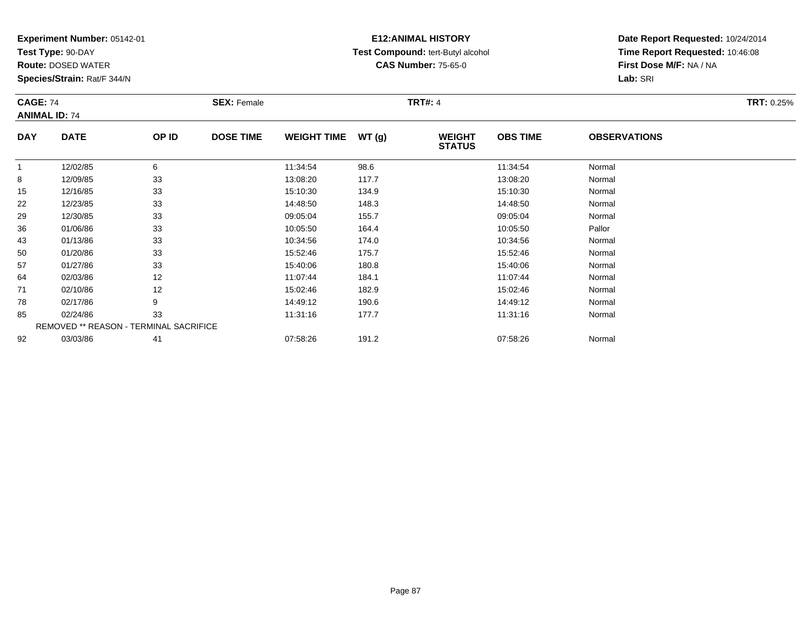**Test Type:** 90-DAY

92

**Route:** DOSED WATER

**Species/Strain:** Rat/F 344/N

# **E12:ANIMAL HISTORY Test Compound:** tert-Butyl alcohol **CAS Number:** 75-65-0

**Date Report Requested:** 10/24/2014**Time Report Requested:** 10:46:08**First Dose M/F:** NA / NA**Lab:** SRI

| <b>CAGE: 74</b> | <b>ANIMAL ID: 74</b>                          |       | <b>SEX: Female</b> |                    |       | <b>TRT#: 4</b>                 |                 |                     | <b>TRT: 0.25%</b> |
|-----------------|-----------------------------------------------|-------|--------------------|--------------------|-------|--------------------------------|-----------------|---------------------|-------------------|
| <b>DAY</b>      | <b>DATE</b>                                   | OP ID | <b>DOSE TIME</b>   | <b>WEIGHT TIME</b> | WT(g) | <b>WEIGHT</b><br><b>STATUS</b> | <b>OBS TIME</b> | <b>OBSERVATIONS</b> |                   |
|                 | 12/02/85                                      | 6     |                    | 11:34:54           | 98.6  |                                | 11:34:54        | Normal              |                   |
| 8               | 12/09/85                                      | 33    |                    | 13:08:20           | 117.7 |                                | 13:08:20        | Normal              |                   |
| 15              | 12/16/85                                      | 33    |                    | 15:10:30           | 134.9 |                                | 15:10:30        | Normal              |                   |
| 22              | 12/23/85                                      | 33    |                    | 14:48:50           | 148.3 |                                | 14:48:50        | Normal              |                   |
| 29              | 12/30/85                                      | 33    |                    | 09:05:04           | 155.7 |                                | 09:05:04        | Normal              |                   |
| 36              | 01/06/86                                      | 33    |                    | 10:05:50           | 164.4 |                                | 10:05:50        | Pallor              |                   |
| 43              | 01/13/86                                      | 33    |                    | 10:34:56           | 174.0 |                                | 10:34:56        | Normal              |                   |
| 50              | 01/20/86                                      | 33    |                    | 15:52:46           | 175.7 |                                | 15:52:46        | Normal              |                   |
| 57              | 01/27/86                                      | 33    |                    | 15:40:06           | 180.8 |                                | 15:40:06        | Normal              |                   |
| 64              | 02/03/86                                      | 12    |                    | 11:07:44           | 184.1 |                                | 11:07:44        | Normal              |                   |
| 71              | 02/10/86                                      | 12    |                    | 15:02:46           | 182.9 |                                | 15:02:46        | Normal              |                   |
| 78              | 02/17/86                                      | 9     |                    | 14:49:12           | 190.6 |                                | 14:49:12        | Normal              |                   |
| 85              | 02/24/86                                      | 33    |                    | 11:31:16           | 177.7 |                                | 11:31:16        | Normal              |                   |
|                 | <b>REMOVED ** REASON - TERMINAL SACRIFICE</b> |       |                    |                    |       |                                |                 |                     |                   |

03/03/86 <sup>41</sup> 07:58:26 191.2 07:58:26 Normal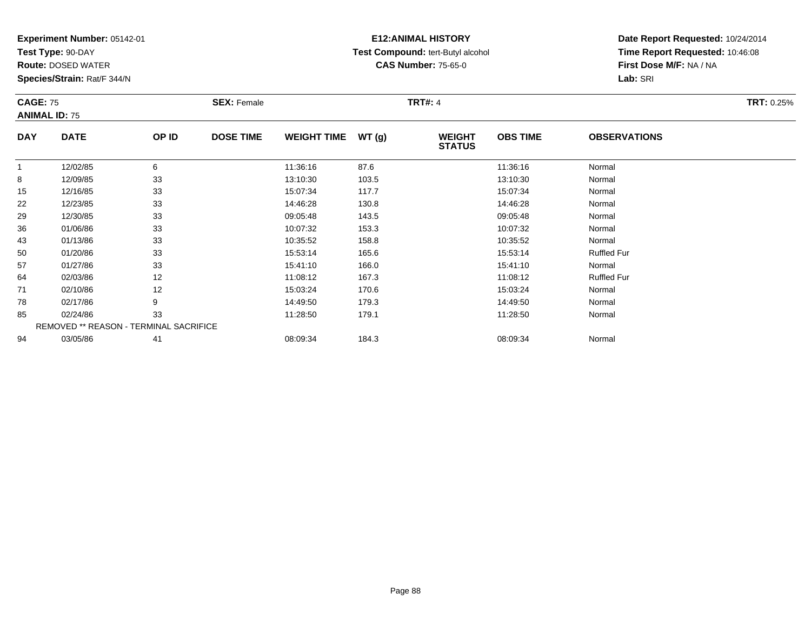**Test Type:** 90-DAY

**Route:** DOSED WATER

**Species/Strain:** Rat/F 344/N

# **E12:ANIMAL HISTORY Test Compound:** tert-Butyl alcohol **CAS Number:** 75-65-0

| <b>CAGE: 75</b><br><b>ANIMAL ID: 75</b> |                                        |       | <b>SEX: Female</b> |                    |       | <b>TRT#: 4</b>                 |                 |                     | <b>TRT: 0.25%</b> |
|-----------------------------------------|----------------------------------------|-------|--------------------|--------------------|-------|--------------------------------|-----------------|---------------------|-------------------|
| <b>DAY</b>                              | <b>DATE</b>                            | OP ID | <b>DOSE TIME</b>   | <b>WEIGHT TIME</b> | WT(g) | <b>WEIGHT</b><br><b>STATUS</b> | <b>OBS TIME</b> | <b>OBSERVATIONS</b> |                   |
| $\mathbf{1}$                            | 12/02/85                               | 6     |                    | 11:36:16           | 87.6  |                                | 11:36:16        | Normal              |                   |
| 8                                       | 12/09/85                               | 33    |                    | 13:10:30           | 103.5 |                                | 13:10:30        | Normal              |                   |
| 15                                      | 12/16/85                               | 33    |                    | 15:07:34           | 117.7 |                                | 15:07:34        | Normal              |                   |
| 22                                      | 12/23/85                               | 33    |                    | 14:46:28           | 130.8 |                                | 14:46:28        | Normal              |                   |
| 29                                      | 12/30/85                               | 33    |                    | 09:05:48           | 143.5 |                                | 09:05:48        | Normal              |                   |
| 36                                      | 01/06/86                               | 33    |                    | 10:07:32           | 153.3 |                                | 10:07:32        | Normal              |                   |
| 43                                      | 01/13/86                               | 33    |                    | 10:35:52           | 158.8 |                                | 10:35:52        | Normal              |                   |
| 50                                      | 01/20/86                               | 33    |                    | 15:53:14           | 165.6 |                                | 15:53:14        | <b>Ruffled Fur</b>  |                   |
| 57                                      | 01/27/86                               | 33    |                    | 15:41:10           | 166.0 |                                | 15:41:10        | Normal              |                   |
| 64                                      | 02/03/86                               | 12    |                    | 11:08:12           | 167.3 |                                | 11:08:12        | <b>Ruffled Fur</b>  |                   |
| 71                                      | 02/10/86                               | 12    |                    | 15:03:24           | 170.6 |                                | 15:03:24        | Normal              |                   |
| 78                                      | 02/17/86                               | 9     |                    | 14:49:50           | 179.3 |                                | 14:49:50        | Normal              |                   |
| 85                                      | 02/24/86                               | 33    |                    | 11:28:50           | 179.1 |                                | 11:28:50        | Normal              |                   |
|                                         | REMOVED ** REASON - TERMINAL SACRIFICE |       |                    |                    |       |                                |                 |                     |                   |
| 94                                      | 03/05/86                               | 41    |                    | 08:09:34           | 184.3 |                                | 08:09:34        | Normal              |                   |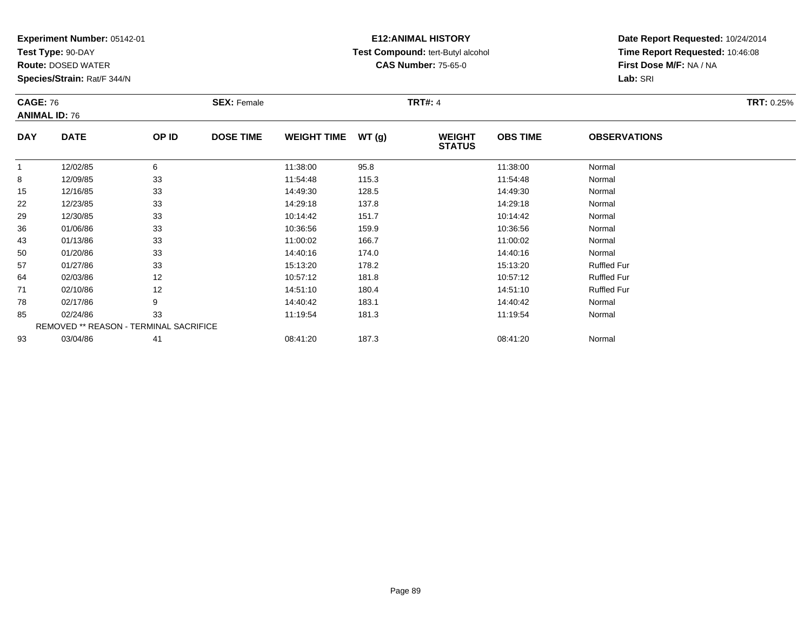**Test Type:** 90-DAY

**Route:** DOSED WATER

**Species/Strain:** Rat/F 344/N

# **E12:ANIMAL HISTORY Test Compound:** tert-Butyl alcohol **CAS Number:** 75-65-0

| <b>CAGE: 76</b> | <b>ANIMAL ID: 76</b>                   |       | <b>SEX: Female</b> |                    |       | <b>TRT#: 4</b>                 |                 |                     | <b>TRT: 0.25%</b> |
|-----------------|----------------------------------------|-------|--------------------|--------------------|-------|--------------------------------|-----------------|---------------------|-------------------|
| <b>DAY</b>      | <b>DATE</b>                            | OP ID | <b>DOSE TIME</b>   | <b>WEIGHT TIME</b> | WT(g) | <b>WEIGHT</b><br><b>STATUS</b> | <b>OBS TIME</b> | <b>OBSERVATIONS</b> |                   |
|                 | 12/02/85                               | 6     |                    | 11:38:00           | 95.8  |                                | 11:38:00        | Normal              |                   |
| 8               | 12/09/85                               | 33    |                    | 11:54:48           | 115.3 |                                | 11:54:48        | Normal              |                   |
| 15              | 12/16/85                               | 33    |                    | 14:49:30           | 128.5 |                                | 14:49:30        | Normal              |                   |
| 22              | 12/23/85                               | 33    |                    | 14:29:18           | 137.8 |                                | 14:29:18        | Normal              |                   |
| 29              | 12/30/85                               | 33    |                    | 10:14:42           | 151.7 |                                | 10:14:42        | Normal              |                   |
| 36              | 01/06/86                               | 33    |                    | 10:36:56           | 159.9 |                                | 10:36:56        | Normal              |                   |
| 43              | 01/13/86                               | 33    |                    | 11:00:02           | 166.7 |                                | 11:00:02        | Normal              |                   |
| 50              | 01/20/86                               | 33    |                    | 14:40:16           | 174.0 |                                | 14:40:16        | Normal              |                   |
| 57              | 01/27/86                               | 33    |                    | 15:13:20           | 178.2 |                                | 15:13:20        | <b>Ruffled Fur</b>  |                   |
| 64              | 02/03/86                               | 12    |                    | 10:57:12           | 181.8 |                                | 10:57:12        | <b>Ruffled Fur</b>  |                   |
| 71              | 02/10/86                               | 12    |                    | 14:51:10           | 180.4 |                                | 14:51:10        | <b>Ruffled Fur</b>  |                   |
| 78              | 02/17/86                               | 9     |                    | 14:40:42           | 183.1 |                                | 14:40:42        | Normal              |                   |
| 85              | 02/24/86                               | 33    |                    | 11:19:54           | 181.3 |                                | 11:19:54        | Normal              |                   |
|                 | REMOVED ** REASON - TERMINAL SACRIFICE |       |                    |                    |       |                                |                 |                     |                   |
| 93              | 03/04/86                               | 41    |                    | 08:41:20           | 187.3 |                                | 08:41:20        | Normal              |                   |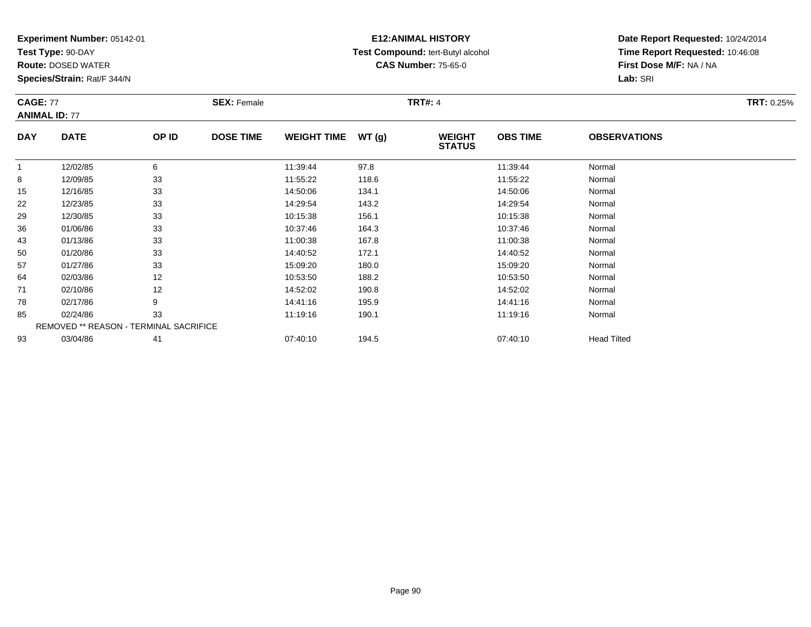**Test Type:** 90-DAY

93

**Route:** DOSED WATER

**Species/Strain:** Rat/F 344/N

# **E12:ANIMAL HISTORY Test Compound:** tert-Butyl alcohol **CAS Number:** 75-65-0

**Date Report Requested:** 10/24/2014**Time Report Requested:** 10:46:08**First Dose M/F:** NA / NA**Lab:** SRI

| <b>CAGE: 77</b> | <b>ANIMAL ID: 77</b>                   |       | <b>SEX: Female</b> |                    |       | <b>TRT#: 4</b>                 |                 |                     | <b>TRT: 0.25%</b> |
|-----------------|----------------------------------------|-------|--------------------|--------------------|-------|--------------------------------|-----------------|---------------------|-------------------|
| <b>DAY</b>      | <b>DATE</b>                            | OP ID | <b>DOSE TIME</b>   | <b>WEIGHT TIME</b> | WT(g) | <b>WEIGHT</b><br><b>STATUS</b> | <b>OBS TIME</b> | <b>OBSERVATIONS</b> |                   |
| 1               | 12/02/85                               | 6     |                    | 11:39:44           | 97.8  |                                | 11:39:44        | Normal              |                   |
| 8               | 12/09/85                               | 33    |                    | 11:55:22           | 118.6 |                                | 11:55:22        | Normal              |                   |
| 15              | 12/16/85                               | 33    |                    | 14:50:06           | 134.1 |                                | 14:50:06        | Normal              |                   |
| 22              | 12/23/85                               | 33    |                    | 14:29:54           | 143.2 |                                | 14:29:54        | Normal              |                   |
| 29              | 12/30/85                               | 33    |                    | 10:15:38           | 156.1 |                                | 10:15:38        | Normal              |                   |
| 36              | 01/06/86                               | 33    |                    | 10:37:46           | 164.3 |                                | 10:37:46        | Normal              |                   |
| 43              | 01/13/86                               | 33    |                    | 11:00:38           | 167.8 |                                | 11:00:38        | Normal              |                   |
| 50              | 01/20/86                               | 33    |                    | 14:40:52           | 172.1 |                                | 14:40:52        | Normal              |                   |
| 57              | 01/27/86                               | 33    |                    | 15:09:20           | 180.0 |                                | 15:09:20        | Normal              |                   |
| 64              | 02/03/86                               | 12    |                    | 10:53:50           | 188.2 |                                | 10:53:50        | Normal              |                   |
| 71              | 02/10/86                               | 12    |                    | 14:52:02           | 190.8 |                                | 14:52:02        | Normal              |                   |
| 78              | 02/17/86                               | 9     |                    | 14:41:16           | 195.9 |                                | 14:41:16        | Normal              |                   |
| 85              | 02/24/86                               | 33    |                    | 11:19:16           | 190.1 |                                | 11:19:16        | Normal              |                   |
|                 | REMOVED ** REASON - TERMINAL SACRIFICE |       |                    |                    |       |                                |                 |                     |                   |

03/04/86 <sup>41</sup> 07:40:10 194.5 07:40:10 Head Tilted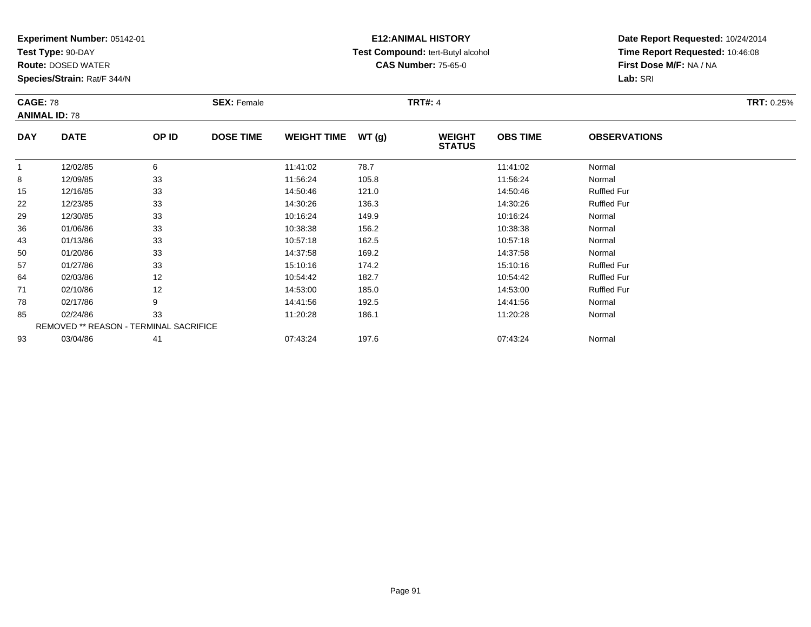**Test Type:** 90-DAY

**Route:** DOSED WATER

**Species/Strain:** Rat/F 344/N

# **E12:ANIMAL HISTORY Test Compound:** tert-Butyl alcohol **CAS Number:** 75-65-0

| <b>CAGE: 78</b> | <b>ANIMAL ID: 78</b>                   |       | <b>SEX: Female</b> |                    |       | <b>TRT#: 4</b>                 |                 |                     | <b>TRT: 0.25%</b> |
|-----------------|----------------------------------------|-------|--------------------|--------------------|-------|--------------------------------|-----------------|---------------------|-------------------|
| <b>DAY</b>      | <b>DATE</b>                            | OP ID | <b>DOSE TIME</b>   | <b>WEIGHT TIME</b> | WT(g) | <b>WEIGHT</b><br><b>STATUS</b> | <b>OBS TIME</b> | <b>OBSERVATIONS</b> |                   |
| $\mathbf{1}$    | 12/02/85                               | 6     |                    | 11:41:02           | 78.7  |                                | 11:41:02        | Normal              |                   |
| 8               | 12/09/85                               | 33    |                    | 11:56:24           | 105.8 |                                | 11:56:24        | Normal              |                   |
| 15              | 12/16/85                               | 33    |                    | 14:50:46           | 121.0 |                                | 14:50:46        | <b>Ruffled Fur</b>  |                   |
| 22              | 12/23/85                               | 33    |                    | 14:30:26           | 136.3 |                                | 14:30:26        | <b>Ruffled Fur</b>  |                   |
| 29              | 12/30/85                               | 33    |                    | 10:16:24           | 149.9 |                                | 10:16:24        | Normal              |                   |
| 36              | 01/06/86                               | 33    |                    | 10:38:38           | 156.2 |                                | 10:38:38        | Normal              |                   |
| 43              | 01/13/86                               | 33    |                    | 10:57:18           | 162.5 |                                | 10:57:18        | Normal              |                   |
| 50              | 01/20/86                               | 33    |                    | 14:37:58           | 169.2 |                                | 14:37:58        | Normal              |                   |
| 57              | 01/27/86                               | 33    |                    | 15:10:16           | 174.2 |                                | 15:10:16        | <b>Ruffled Fur</b>  |                   |
| 64              | 02/03/86                               | 12    |                    | 10:54:42           | 182.7 |                                | 10:54:42        | <b>Ruffled Fur</b>  |                   |
| 71              | 02/10/86                               | 12    |                    | 14:53:00           | 185.0 |                                | 14:53:00        | <b>Ruffled Fur</b>  |                   |
| 78              | 02/17/86                               | 9     |                    | 14:41:56           | 192.5 |                                | 14:41:56        | Normal              |                   |
| 85              | 02/24/86                               | 33    |                    | 11:20:28           | 186.1 |                                | 11:20:28        | Normal              |                   |
|                 | REMOVED ** REASON - TERMINAL SACRIFICE |       |                    |                    |       |                                |                 |                     |                   |
| 93              | 03/04/86                               | 41    |                    | 07:43:24           | 197.6 |                                | 07:43:24        | Normal              |                   |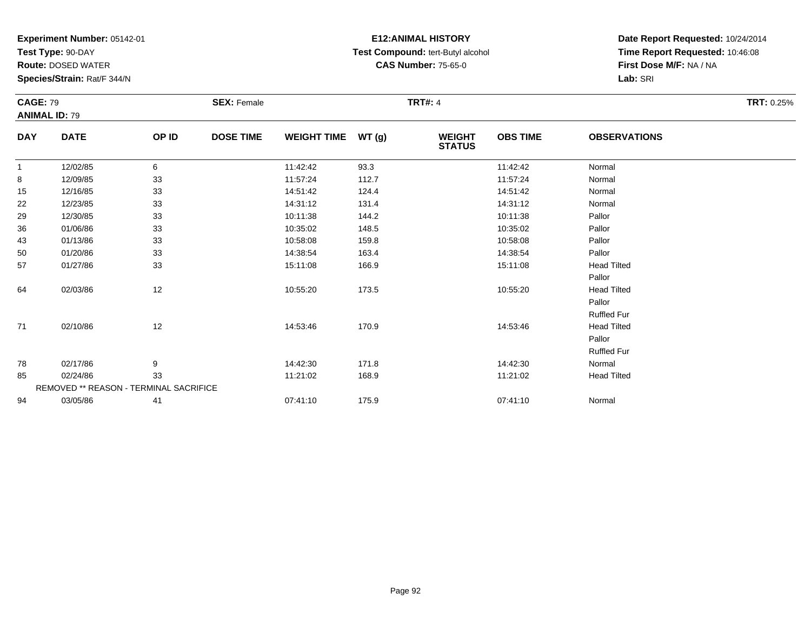**Test Type:** 90-DAY

**Route:** DOSED WATER

**Species/Strain:** Rat/F 344/N

# **E12:ANIMAL HISTORY Test Compound:** tert-Butyl alcohol **CAS Number:** 75-65-0

| <b>CAGE: 79</b> |                                               |       | <b>SEX: Female</b> |                    |        | <b>TRT#: 4</b>                 |                 |                     | <b>TRT: 0.25%</b> |
|-----------------|-----------------------------------------------|-------|--------------------|--------------------|--------|--------------------------------|-----------------|---------------------|-------------------|
|                 | <b>ANIMAL ID: 79</b>                          |       |                    |                    |        |                                |                 |                     |                   |
| <b>DAY</b>      | <b>DATE</b>                                   | OP ID | <b>DOSE TIME</b>   | <b>WEIGHT TIME</b> | WT (g) | <b>WEIGHT</b><br><b>STATUS</b> | <b>OBS TIME</b> | <b>OBSERVATIONS</b> |                   |
| $\mathbf{1}$    | 12/02/85                                      | 6     |                    | 11:42:42           | 93.3   |                                | 11:42:42        | Normal              |                   |
| 8               | 12/09/85                                      | 33    |                    | 11:57:24           | 112.7  |                                | 11:57:24        | Normal              |                   |
| 15              | 12/16/85                                      | 33    |                    | 14:51:42           | 124.4  |                                | 14:51:42        | Normal              |                   |
| 22              | 12/23/85                                      | 33    |                    | 14:31:12           | 131.4  |                                | 14:31:12        | Normal              |                   |
| 29              | 12/30/85                                      | 33    |                    | 10:11:38           | 144.2  |                                | 10:11:38        | Pallor              |                   |
| 36              | 01/06/86                                      | 33    |                    | 10:35:02           | 148.5  |                                | 10:35:02        | Pallor              |                   |
| 43              | 01/13/86                                      | 33    |                    | 10:58:08           | 159.8  |                                | 10:58:08        | Pallor              |                   |
| 50              | 01/20/86                                      | 33    |                    | 14:38:54           | 163.4  |                                | 14:38:54        | Pallor              |                   |
| 57              | 01/27/86                                      | 33    |                    | 15:11:08           | 166.9  |                                | 15:11:08        | <b>Head Tilted</b>  |                   |
|                 |                                               |       |                    |                    |        |                                |                 | Pallor              |                   |
| 64              | 02/03/86                                      | 12    |                    | 10:55:20           | 173.5  |                                | 10:55:20        | <b>Head Tilted</b>  |                   |
|                 |                                               |       |                    |                    |        |                                |                 | Pallor              |                   |
|                 |                                               |       |                    |                    |        |                                |                 | <b>Ruffled Fur</b>  |                   |
| 71              | 02/10/86                                      | 12    |                    | 14:53:46           | 170.9  |                                | 14:53:46        | <b>Head Tilted</b>  |                   |
|                 |                                               |       |                    |                    |        |                                |                 | Pallor              |                   |
|                 |                                               |       |                    |                    |        |                                |                 | Ruffled Fur         |                   |
| 78              | 02/17/86                                      | 9     |                    | 14:42:30           | 171.8  |                                | 14:42:30        | Normal              |                   |
| 85              | 02/24/86                                      | 33    |                    | 11:21:02           | 168.9  |                                | 11:21:02        | <b>Head Tilted</b>  |                   |
|                 | <b>REMOVED ** REASON - TERMINAL SACRIFICE</b> |       |                    |                    |        |                                |                 |                     |                   |
| 94              | 03/05/86                                      | 41    |                    | 07:41:10           | 175.9  |                                | 07:41:10        | Normal              |                   |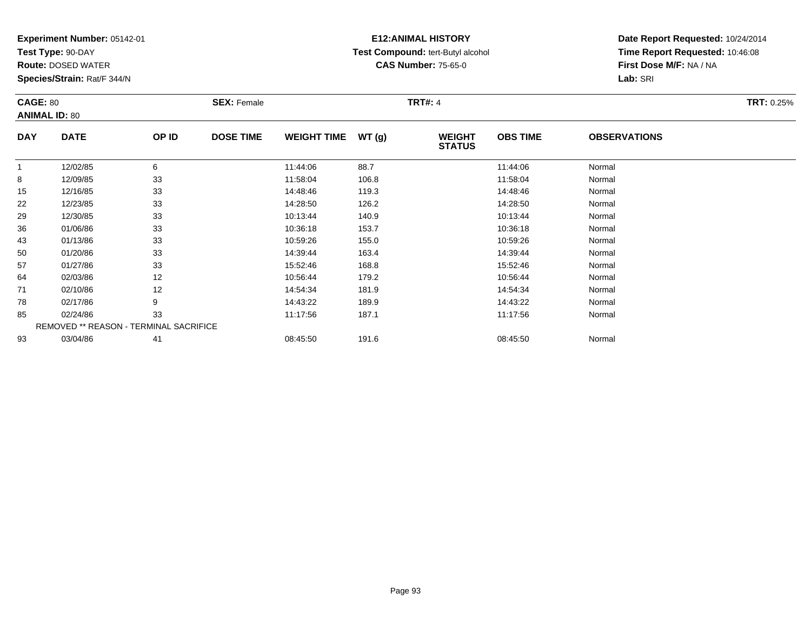**Test Type:** 90-DAY

**Route:** DOSED WATER

**Species/Strain:** Rat/F 344/N

# **E12:ANIMAL HISTORY Test Compound:** tert-Butyl alcohol **CAS Number:** 75-65-0

| <b>CAGE: 80</b> | <b>ANIMAL ID: 80</b>                   |       | <b>SEX: Female</b> |                    |       | <b>TRT#: 4</b>                 |                 |                     | <b>TRT: 0.25%</b> |
|-----------------|----------------------------------------|-------|--------------------|--------------------|-------|--------------------------------|-----------------|---------------------|-------------------|
| <b>DAY</b>      | <b>DATE</b>                            | OP ID | <b>DOSE TIME</b>   | <b>WEIGHT TIME</b> | WT(g) | <b>WEIGHT</b><br><b>STATUS</b> | <b>OBS TIME</b> | <b>OBSERVATIONS</b> |                   |
|                 | 12/02/85                               | 6     |                    | 11:44:06           | 88.7  |                                | 11:44:06        | Normal              |                   |
| 8               | 12/09/85                               | 33    |                    | 11:58:04           | 106.8 |                                | 11:58:04        | Normal              |                   |
| 15              | 12/16/85                               | 33    |                    | 14:48:46           | 119.3 |                                | 14:48:46        | Normal              |                   |
| 22              | 12/23/85                               | 33    |                    | 14:28:50           | 126.2 |                                | 14:28:50        | Normal              |                   |
| 29              | 12/30/85                               | 33    |                    | 10:13:44           | 140.9 |                                | 10:13:44        | Normal              |                   |
| 36              | 01/06/86                               | 33    |                    | 10:36:18           | 153.7 |                                | 10:36:18        | Normal              |                   |
| 43              | 01/13/86                               | 33    |                    | 10:59:26           | 155.0 |                                | 10:59:26        | Normal              |                   |
| 50              | 01/20/86                               | 33    |                    | 14:39:44           | 163.4 |                                | 14:39:44        | Normal              |                   |
| 57              | 01/27/86                               | 33    |                    | 15:52:46           | 168.8 |                                | 15:52:46        | Normal              |                   |
| 64              | 02/03/86                               | 12    |                    | 10:56:44           | 179.2 |                                | 10:56:44        | Normal              |                   |
| 71              | 02/10/86                               | 12    |                    | 14:54:34           | 181.9 |                                | 14:54:34        | Normal              |                   |
| 78              | 02/17/86                               | 9     |                    | 14:43:22           | 189.9 |                                | 14:43:22        | Normal              |                   |
| 85              | 02/24/86                               | 33    |                    | 11:17:56           | 187.1 |                                | 11:17:56        | Normal              |                   |
|                 | REMOVED ** REASON - TERMINAL SACRIFICE |       |                    |                    |       |                                |                 |                     |                   |
| 93              | 03/04/86                               | 41    |                    | 08:45:50           | 191.6 |                                | 08:45:50        | Normal              |                   |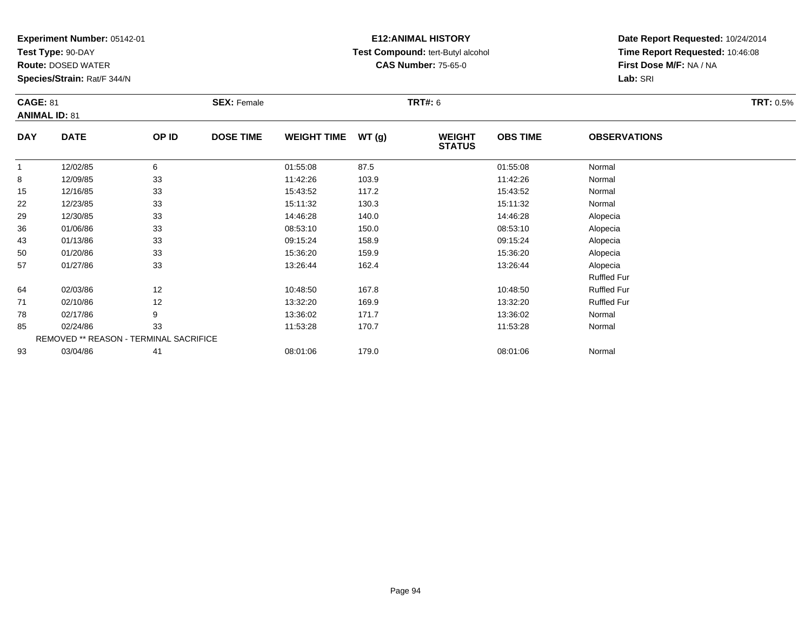**Test Type:** 90-DAY

**Route:** DOSED WATER

**Species/Strain:** Rat/F 344/N

# **E12:ANIMAL HISTORY Test Compound:** tert-Butyl alcohol **CAS Number:** 75-65-0

| <b>CAGE: 81</b> | <b>ANIMAL ID: 81</b> |                                        | <b>SEX: Female</b> |                    |       | <b>TRT#: 6</b>                 |                 |                     | <b>TRT: 0.5%</b> |
|-----------------|----------------------|----------------------------------------|--------------------|--------------------|-------|--------------------------------|-----------------|---------------------|------------------|
| <b>DAY</b>      | <b>DATE</b>          | OP ID                                  | <b>DOSE TIME</b>   | <b>WEIGHT TIME</b> | WT(g) | <b>WEIGHT</b><br><b>STATUS</b> | <b>OBS TIME</b> | <b>OBSERVATIONS</b> |                  |
| 1               | 12/02/85             | 6                                      |                    | 01:55:08           | 87.5  |                                | 01:55:08        | Normal              |                  |
| 8               | 12/09/85             | 33                                     |                    | 11:42:26           | 103.9 |                                | 11:42:26        | Normal              |                  |
| 15              | 12/16/85             | 33                                     |                    | 15:43:52           | 117.2 |                                | 15:43:52        | Normal              |                  |
| 22              | 12/23/85             | 33                                     |                    | 15:11:32           | 130.3 |                                | 15:11:32        | Normal              |                  |
| 29              | 12/30/85             | 33                                     |                    | 14:46:28           | 140.0 |                                | 14:46:28        | Alopecia            |                  |
| 36              | 01/06/86             | 33                                     |                    | 08:53:10           | 150.0 |                                | 08:53:10        | Alopecia            |                  |
| 43              | 01/13/86             | 33                                     |                    | 09:15:24           | 158.9 |                                | 09:15:24        | Alopecia            |                  |
| 50              | 01/20/86             | 33                                     |                    | 15:36:20           | 159.9 |                                | 15:36:20        | Alopecia            |                  |
| 57              | 01/27/86             | 33                                     |                    | 13:26:44           | 162.4 |                                | 13:26:44        | Alopecia            |                  |
|                 |                      |                                        |                    |                    |       |                                |                 | <b>Ruffled Fur</b>  |                  |
| 64              | 02/03/86             | 12                                     |                    | 10:48:50           | 167.8 |                                | 10:48:50        | <b>Ruffled Fur</b>  |                  |
| 71              | 02/10/86             | 12                                     |                    | 13:32:20           | 169.9 |                                | 13:32:20        | <b>Ruffled Fur</b>  |                  |
| 78              | 02/17/86             | 9                                      |                    | 13:36:02           | 171.7 |                                | 13:36:02        | Normal              |                  |
| 85              | 02/24/86             | 33                                     |                    | 11:53:28           | 170.7 |                                | 11:53:28        | Normal              |                  |
|                 |                      | REMOVED ** REASON - TERMINAL SACRIFICE |                    |                    |       |                                |                 |                     |                  |
| 93              | 03/04/86             | 41                                     |                    | 08:01:06           | 179.0 |                                | 08:01:06        | Normal              |                  |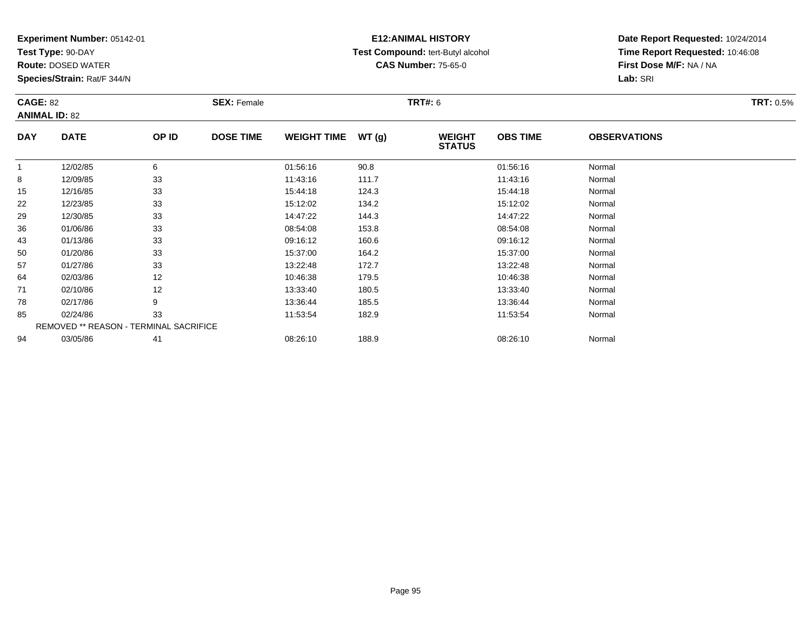**Test Type:** 90-DAY

**Route:** DOSED WATER

**Species/Strain:** Rat/F 344/N

# **E12:ANIMAL HISTORY Test Compound:** tert-Butyl alcohol **CAS Number:** 75-65-0

| <b>CAGE: 82</b> | <b>ANIMAL ID: 82</b>                   |       | <b>SEX: Female</b> |                    |       | <b>TRT#: 6</b> |                 |                     | <b>TRT: 0.5%</b> |
|-----------------|----------------------------------------|-------|--------------------|--------------------|-------|----------------|-----------------|---------------------|------------------|
| <b>DAY</b>      | <b>DATE</b>                            | OP ID | <b>DOSE TIME</b>   | <b>WEIGHT TIME</b> | WT(g) | <b>WEIGHT</b>  | <b>OBS TIME</b> | <b>OBSERVATIONS</b> |                  |
|                 |                                        |       |                    |                    |       | <b>STATUS</b>  |                 |                     |                  |
| $\mathbf{1}$    | 12/02/85                               | 6     |                    | 01:56:16           | 90.8  |                | 01:56:16        | Normal              |                  |
| 8               | 12/09/85                               | 33    |                    | 11:43:16           | 111.7 |                | 11:43:16        | Normal              |                  |
| 15              | 12/16/85                               | 33    |                    | 15:44:18           | 124.3 |                | 15:44:18        | Normal              |                  |
| 22              | 12/23/85                               | 33    |                    | 15:12:02           | 134.2 |                | 15:12:02        | Normal              |                  |
| 29              | 12/30/85                               | 33    |                    | 14:47:22           | 144.3 |                | 14:47:22        | Normal              |                  |
| 36              | 01/06/86                               | 33    |                    | 08:54:08           | 153.8 |                | 08:54:08        | Normal              |                  |
| 43              | 01/13/86                               | 33    |                    | 09:16:12           | 160.6 |                | 09:16:12        | Normal              |                  |
| 50              | 01/20/86                               | 33    |                    | 15:37:00           | 164.2 |                | 15:37:00        | Normal              |                  |
| 57              | 01/27/86                               | 33    |                    | 13:22:48           | 172.7 |                | 13:22:48        | Normal              |                  |
| 64              | 02/03/86                               | 12    |                    | 10:46:38           | 179.5 |                | 10:46:38        | Normal              |                  |
| 71              | 02/10/86                               | 12    |                    | 13:33:40           | 180.5 |                | 13:33:40        | Normal              |                  |
| 78              | 02/17/86                               | 9     |                    | 13:36:44           | 185.5 |                | 13:36:44        | Normal              |                  |
| 85              | 02/24/86                               | 33    |                    | 11:53:54           | 182.9 |                | 11:53:54        | Normal              |                  |
|                 | REMOVED ** REASON - TERMINAL SACRIFICE |       |                    |                    |       |                |                 |                     |                  |
| 94              | 03/05/86                               | 41    |                    | 08:26:10           | 188.9 |                | 08:26:10        | Normal              |                  |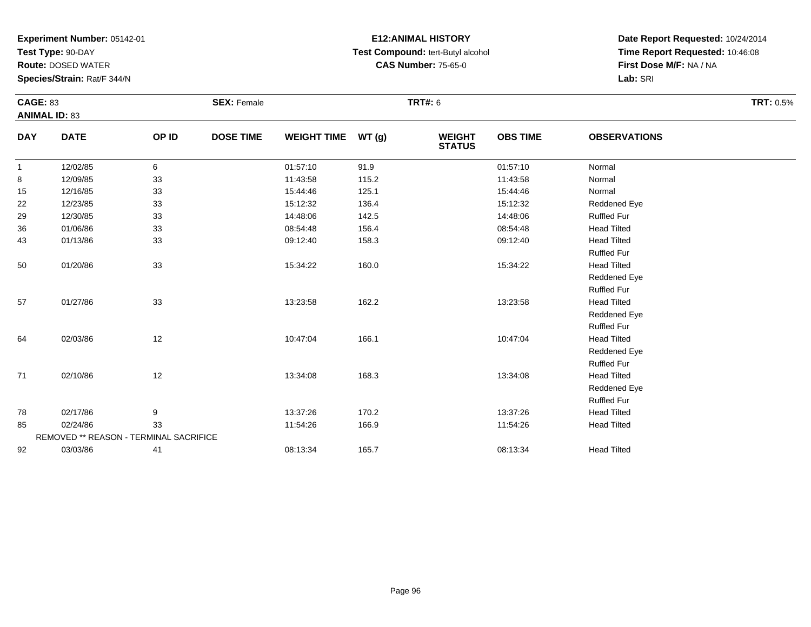**Test Type:** 90-DAY

**Route:** DOSED WATER

**Species/Strain:** Rat/F 344/N

# **E12:ANIMAL HISTORY Test Compound:** tert-Butyl alcohol **CAS Number:** 75-65-0

| <b>CAGE: 83</b> | <b>ANIMAL ID: 83</b>                   |       | <b>SEX: Female</b> |                    |       | <b>TRT#: 6</b>                 |                 |                     | <b>TRT: 0.5%</b> |
|-----------------|----------------------------------------|-------|--------------------|--------------------|-------|--------------------------------|-----------------|---------------------|------------------|
| <b>DAY</b>      | <b>DATE</b>                            | OP ID | <b>DOSE TIME</b>   | <b>WEIGHT TIME</b> | WT(g) | <b>WEIGHT</b><br><b>STATUS</b> | <b>OBS TIME</b> | <b>OBSERVATIONS</b> |                  |
| $\mathbf{1}$    | 12/02/85                               | 6     |                    | 01:57:10           | 91.9  |                                | 01:57:10        | Normal              |                  |
| 8               | 12/09/85                               | 33    |                    | 11:43:58           | 115.2 |                                | 11:43:58        | Normal              |                  |
| 15              | 12/16/85                               | 33    |                    | 15:44:46           | 125.1 |                                | 15:44:46        | Normal              |                  |
| 22              | 12/23/85                               | 33    |                    | 15:12:32           | 136.4 |                                | 15:12:32        | Reddened Eye        |                  |
| 29              | 12/30/85                               | 33    |                    | 14:48:06           | 142.5 |                                | 14:48:06        | <b>Ruffled Fur</b>  |                  |
| 36              | 01/06/86                               | 33    |                    | 08:54:48           | 156.4 |                                | 08:54:48        | <b>Head Tilted</b>  |                  |
| 43              | 01/13/86                               | 33    |                    | 09:12:40           | 158.3 |                                | 09:12:40        | <b>Head Tilted</b>  |                  |
|                 |                                        |       |                    |                    |       |                                |                 | <b>Ruffled Fur</b>  |                  |
| 50              | 01/20/86                               | 33    |                    | 15:34:22           | 160.0 |                                | 15:34:22        | <b>Head Tilted</b>  |                  |
|                 |                                        |       |                    |                    |       |                                |                 | Reddened Eye        |                  |
|                 |                                        |       |                    |                    |       |                                |                 | <b>Ruffled Fur</b>  |                  |
| 57              | 01/27/86                               | 33    |                    | 13:23:58           | 162.2 |                                | 13:23:58        | <b>Head Tilted</b>  |                  |
|                 |                                        |       |                    |                    |       |                                |                 | Reddened Eye        |                  |
|                 |                                        |       |                    |                    |       |                                |                 | <b>Ruffled Fur</b>  |                  |
| 64              | 02/03/86                               | 12    |                    | 10:47:04           | 166.1 |                                | 10:47:04        | <b>Head Tilted</b>  |                  |
|                 |                                        |       |                    |                    |       |                                |                 | Reddened Eye        |                  |
|                 |                                        |       |                    |                    |       |                                |                 | <b>Ruffled Fur</b>  |                  |
| 71              | 02/10/86                               | 12    |                    | 13:34:08           | 168.3 |                                | 13:34:08        | <b>Head Tilted</b>  |                  |
|                 |                                        |       |                    |                    |       |                                |                 | Reddened Eye        |                  |
|                 |                                        |       |                    |                    |       |                                |                 | <b>Ruffled Fur</b>  |                  |
| 78              | 02/17/86                               | 9     |                    | 13:37:26           | 170.2 |                                | 13:37:26        | <b>Head Tilted</b>  |                  |
| 85              | 02/24/86                               | 33    |                    | 11:54:26           | 166.9 |                                | 11:54:26        | <b>Head Tilted</b>  |                  |
|                 | REMOVED ** REASON - TERMINAL SACRIFICE |       |                    |                    |       |                                |                 |                     |                  |
| 92              | 03/03/86                               | 41    |                    | 08:13:34           | 165.7 |                                | 08:13:34        | <b>Head Tilted</b>  |                  |
|                 |                                        |       |                    |                    |       |                                |                 |                     |                  |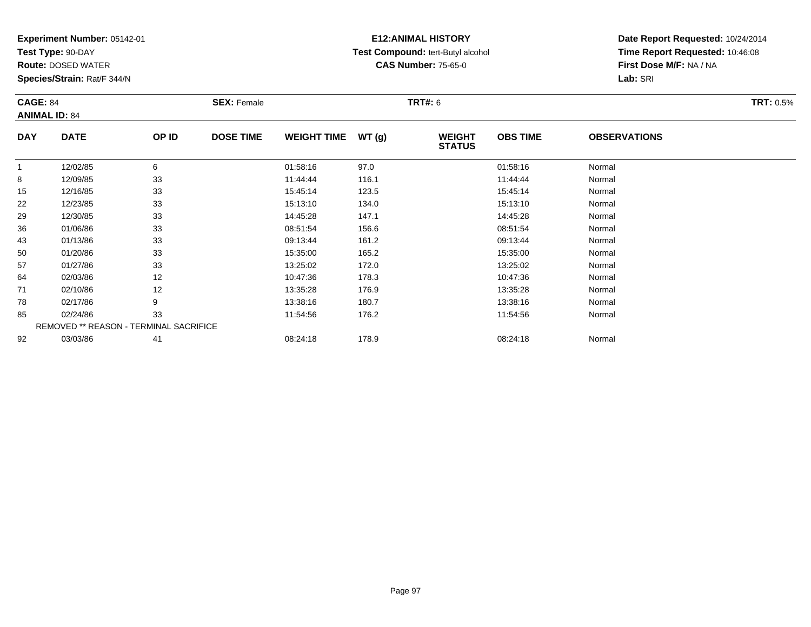**Test Type:** 90-DAY

**Route:** DOSED WATER

**Species/Strain:** Rat/F 344/N

# **E12:ANIMAL HISTORY Test Compound:** tert-Butyl alcohol **CAS Number:** 75-65-0

|            | <b>CAGE: 84</b><br><b>ANIMAL ID: 84</b> |       | <b>SEX: Female</b> |                    |       | <b>TRT#:</b> 6                 | <b>TRT: 0.5%</b> |                     |  |
|------------|-----------------------------------------|-------|--------------------|--------------------|-------|--------------------------------|------------------|---------------------|--|
| <b>DAY</b> | <b>DATE</b>                             | OP ID | <b>DOSE TIME</b>   | <b>WEIGHT TIME</b> | WT(g) | <b>WEIGHT</b><br><b>STATUS</b> | <b>OBS TIME</b>  | <b>OBSERVATIONS</b> |  |
| 1          | 12/02/85                                | 6     |                    | 01:58:16           | 97.0  |                                | 01:58:16         | Normal              |  |
| 8          | 12/09/85                                | 33    |                    | 11:44:44           | 116.1 |                                | 11:44:44         | Normal              |  |
| 15         | 12/16/85                                | 33    |                    | 15:45:14           | 123.5 |                                | 15:45:14         | Normal              |  |
| 22         | 12/23/85                                | 33    |                    | 15:13:10           | 134.0 |                                | 15:13:10         | Normal              |  |
| 29         | 12/30/85                                | 33    |                    | 14:45:28           | 147.1 |                                | 14:45:28         | Normal              |  |
| 36         | 01/06/86                                | 33    |                    | 08:51:54           | 156.6 |                                | 08:51:54         | Normal              |  |
| 43         | 01/13/86                                | 33    |                    | 09:13:44           | 161.2 |                                | 09:13:44         | Normal              |  |
| 50         | 01/20/86                                | 33    |                    | 15:35:00           | 165.2 |                                | 15:35:00         | Normal              |  |
| 57         | 01/27/86                                | 33    |                    | 13:25:02           | 172.0 |                                | 13:25:02         | Normal              |  |
| 64         | 02/03/86                                | 12    |                    | 10:47:36           | 178.3 |                                | 10:47:36         | Normal              |  |
| 71         | 02/10/86                                | 12    |                    | 13:35:28           | 176.9 |                                | 13:35:28         | Normal              |  |
| 78         | 02/17/86                                | 9     |                    | 13:38:16           | 180.7 |                                | 13:38:16         | Normal              |  |
| 85         | 02/24/86                                | 33    |                    | 11:54:56           | 176.2 |                                | 11:54:56         | Normal              |  |
|            | REMOVED ** REASON - TERMINAL SACRIFICE  |       |                    |                    |       |                                |                  |                     |  |
| 92         | 03/03/86                                | 41    |                    | 08:24:18           | 178.9 |                                | 08:24:18         | Normal              |  |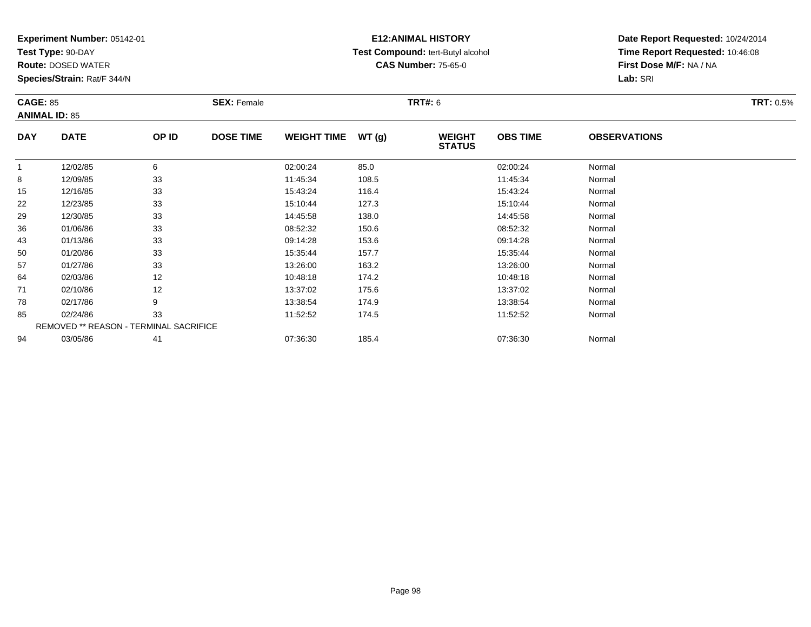**Test Type:** 90-DAY

**Route:** DOSED WATER

**Species/Strain:** Rat/F 344/N

# **E12:ANIMAL HISTORY Test Compound:** tert-Butyl alcohol **CAS Number:** 75-65-0

|            | <b>CAGE: 85</b><br><b>ANIMAL ID: 85</b> |       | <b>SEX: Female</b> |                    |       | <b>TRT#: 6</b>                 | <b>TRT: 0.5%</b> |                     |  |
|------------|-----------------------------------------|-------|--------------------|--------------------|-------|--------------------------------|------------------|---------------------|--|
| <b>DAY</b> | <b>DATE</b>                             | OP ID | <b>DOSE TIME</b>   | <b>WEIGHT TIME</b> | WT(g) | <b>WEIGHT</b><br><b>STATUS</b> | <b>OBS TIME</b>  | <b>OBSERVATIONS</b> |  |
| -1         | 12/02/85                                | 6     |                    | 02:00:24           | 85.0  |                                | 02:00:24         | Normal              |  |
| 8          | 12/09/85                                | 33    |                    | 11:45:34           | 108.5 |                                | 11:45:34         | Normal              |  |
| 15         | 12/16/85                                | 33    |                    | 15:43:24           | 116.4 |                                | 15:43:24         | Normal              |  |
| 22         | 12/23/85                                | 33    |                    | 15:10:44           | 127.3 |                                | 15:10:44         | Normal              |  |
| 29         | 12/30/85                                | 33    |                    | 14:45:58           | 138.0 |                                | 14:45:58         | Normal              |  |
| 36         | 01/06/86                                | 33    |                    | 08:52:32           | 150.6 |                                | 08:52:32         | Normal              |  |
| 43         | 01/13/86                                | 33    |                    | 09:14:28           | 153.6 |                                | 09:14:28         | Normal              |  |
| 50         | 01/20/86                                | 33    |                    | 15:35:44           | 157.7 |                                | 15:35:44         | Normal              |  |
| 57         | 01/27/86                                | 33    |                    | 13:26:00           | 163.2 |                                | 13:26:00         | Normal              |  |
| 64         | 02/03/86                                | 12    |                    | 10:48:18           | 174.2 |                                | 10:48:18         | Normal              |  |
| 71         | 02/10/86                                | 12    |                    | 13:37:02           | 175.6 |                                | 13:37:02         | Normal              |  |
| 78         | 02/17/86                                | 9     |                    | 13:38:54           | 174.9 |                                | 13:38:54         | Normal              |  |
| 85         | 02/24/86                                | 33    |                    | 11:52:52           | 174.5 |                                | 11:52:52         | Normal              |  |
|            | REMOVED ** REASON - TERMINAL SACRIFICE  |       |                    |                    |       |                                |                  |                     |  |
| 94         | 03/05/86                                | 41    |                    | 07:36:30           | 185.4 |                                | 07:36:30         | Normal              |  |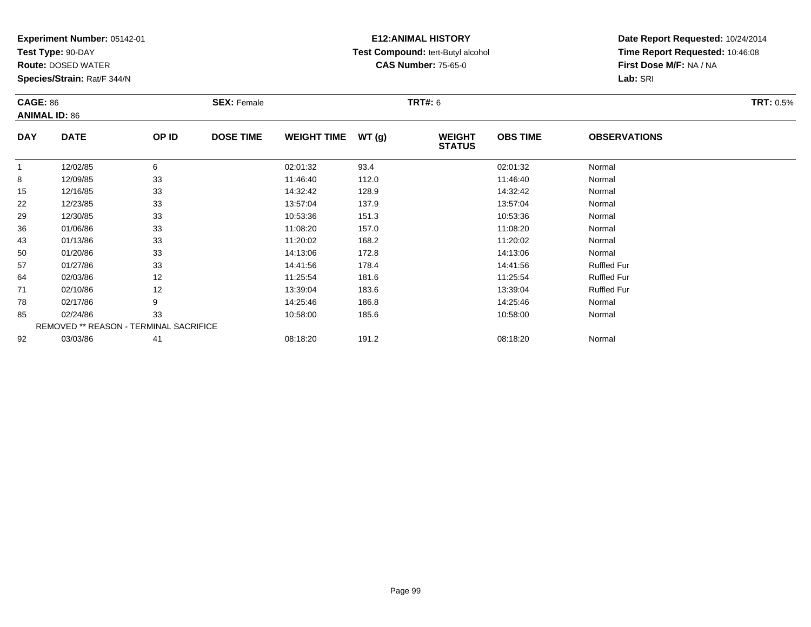**Test Type:** 90-DAY

**Route:** DOSED WATER

**Species/Strain:** Rat/F 344/N

# **E12:ANIMAL HISTORY Test Compound:** tert-Butyl alcohol **CAS Number:** 75-65-0

| <b>CAGE: 86</b> |                                        |       | <b>SEX: Female</b> |                    |       | TRT#: 6                        |                 |                     | <b>TRT: 0.5%</b> |
|-----------------|----------------------------------------|-------|--------------------|--------------------|-------|--------------------------------|-----------------|---------------------|------------------|
|                 | <b>ANIMAL ID: 86</b>                   |       |                    |                    |       |                                |                 |                     |                  |
| <b>DAY</b>      | <b>DATE</b>                            | OP ID | <b>DOSE TIME</b>   | <b>WEIGHT TIME</b> | WT(g) | <b>WEIGHT</b><br><b>STATUS</b> | <b>OBS TIME</b> | <b>OBSERVATIONS</b> |                  |
|                 | 12/02/85                               | 6     |                    | 02:01:32           | 93.4  |                                | 02:01:32        | Normal              |                  |
| 8               | 12/09/85                               | 33    |                    | 11:46:40           | 112.0 |                                | 11:46:40        | Normal              |                  |
| 15              | 12/16/85                               | 33    |                    | 14:32:42           | 128.9 |                                | 14:32:42        | Normal              |                  |
| 22              | 12/23/85                               | 33    |                    | 13:57:04           | 137.9 |                                | 13:57:04        | Normal              |                  |
| 29              | 12/30/85                               | 33    |                    | 10:53:36           | 151.3 |                                | 10:53:36        | Normal              |                  |
| 36              | 01/06/86                               | 33    |                    | 11:08:20           | 157.0 |                                | 11:08:20        | Normal              |                  |
| 43              | 01/13/86                               | 33    |                    | 11:20:02           | 168.2 |                                | 11:20:02        | Normal              |                  |
| 50              | 01/20/86                               | 33    |                    | 14:13:06           | 172.8 |                                | 14:13:06        | Normal              |                  |
| 57              | 01/27/86                               | 33    |                    | 14:41:56           | 178.4 |                                | 14:41:56        | <b>Ruffled Fur</b>  |                  |
| 64              | 02/03/86                               | 12    |                    | 11:25:54           | 181.6 |                                | 11:25:54        | <b>Ruffled Fur</b>  |                  |
| 71              | 02/10/86                               | 12    |                    | 13:39:04           | 183.6 |                                | 13:39:04        | <b>Ruffled Fur</b>  |                  |
| 78              | 02/17/86                               | 9     |                    | 14:25:46           | 186.8 |                                | 14:25:46        | Normal              |                  |
| 85              | 02/24/86                               | 33    |                    | 10:58:00           | 185.6 |                                | 10:58:00        | Normal              |                  |
|                 | REMOVED ** REASON - TERMINAL SACRIFICE |       |                    |                    |       |                                |                 |                     |                  |
| 92              | 03/03/86                               | 41    |                    | 08:18:20           | 191.2 |                                | 08:18:20        | Normal              |                  |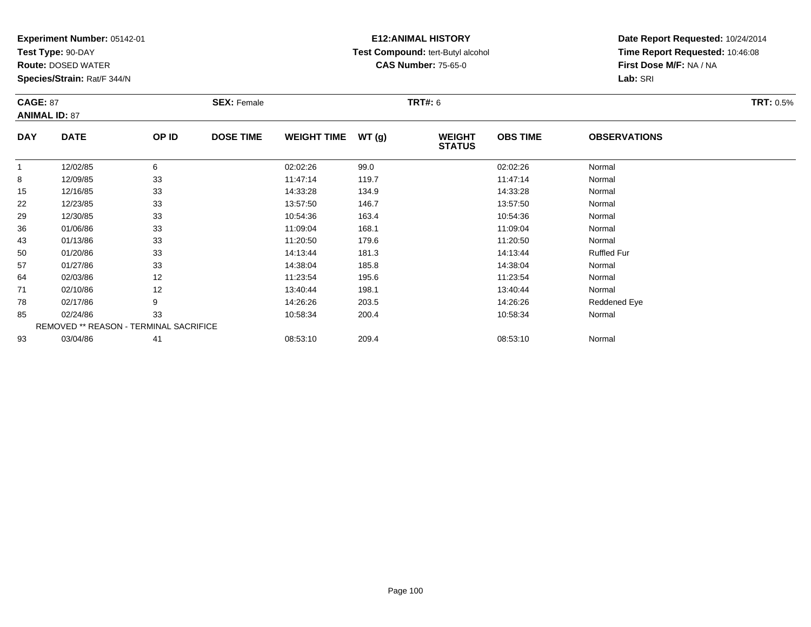**Test Type:** 90-DAY

**Route:** DOSED WATER

**Species/Strain:** Rat/F 344/N

# **E12:ANIMAL HISTORY Test Compound:** tert-Butyl alcohol **CAS Number:** 75-65-0

| <b>CAGE: 87</b> |                      |                                        | <b>SEX: Female</b> |                    |       | <b>TRT#: 6</b>                 |                 |                     | <b>TRT: 0.5%</b> |
|-----------------|----------------------|----------------------------------------|--------------------|--------------------|-------|--------------------------------|-----------------|---------------------|------------------|
|                 | <b>ANIMAL ID: 87</b> |                                        |                    |                    |       |                                |                 |                     |                  |
| <b>DAY</b>      | <b>DATE</b>          | OP ID                                  | <b>DOSE TIME</b>   | <b>WEIGHT TIME</b> | WT(g) | <b>WEIGHT</b><br><b>STATUS</b> | <b>OBS TIME</b> | <b>OBSERVATIONS</b> |                  |
| $\mathbf{1}$    | 12/02/85             | 6                                      |                    | 02:02:26           | 99.0  |                                | 02:02:26        | Normal              |                  |
| 8               | 12/09/85             | 33                                     |                    | 11:47:14           | 119.7 |                                | 11:47:14        | Normal              |                  |
| 15              | 12/16/85             | 33                                     |                    | 14:33:28           | 134.9 |                                | 14:33:28        | Normal              |                  |
| 22              | 12/23/85             | 33                                     |                    | 13:57:50           | 146.7 |                                | 13:57:50        | Normal              |                  |
| 29              | 12/30/85             | 33                                     |                    | 10:54:36           | 163.4 |                                | 10:54:36        | Normal              |                  |
| 36              | 01/06/86             | 33                                     |                    | 11:09:04           | 168.1 |                                | 11:09:04        | Normal              |                  |
| 43              | 01/13/86             | 33                                     |                    | 11:20:50           | 179.6 |                                | 11:20:50        | Normal              |                  |
| 50              | 01/20/86             | 33                                     |                    | 14:13:44           | 181.3 |                                | 14:13:44        | <b>Ruffled Fur</b>  |                  |
| 57              | 01/27/86             | 33                                     |                    | 14:38:04           | 185.8 |                                | 14:38:04        | Normal              |                  |
| 64              | 02/03/86             | 12                                     |                    | 11:23:54           | 195.6 |                                | 11:23:54        | Normal              |                  |
| 71              | 02/10/86             | 12                                     |                    | 13:40:44           | 198.1 |                                | 13:40:44        | Normal              |                  |
| 78              | 02/17/86             | 9                                      |                    | 14:26:26           | 203.5 |                                | 14:26:26        | Reddened Eye        |                  |
| 85              | 02/24/86             | 33                                     |                    | 10:58:34           | 200.4 |                                | 10:58:34        | Normal              |                  |
|                 |                      | REMOVED ** REASON - TERMINAL SACRIFICE |                    |                    |       |                                |                 |                     |                  |
| 93              | 03/04/86             | 41                                     |                    | 08:53:10           | 209.4 |                                | 08:53:10        | Normal              |                  |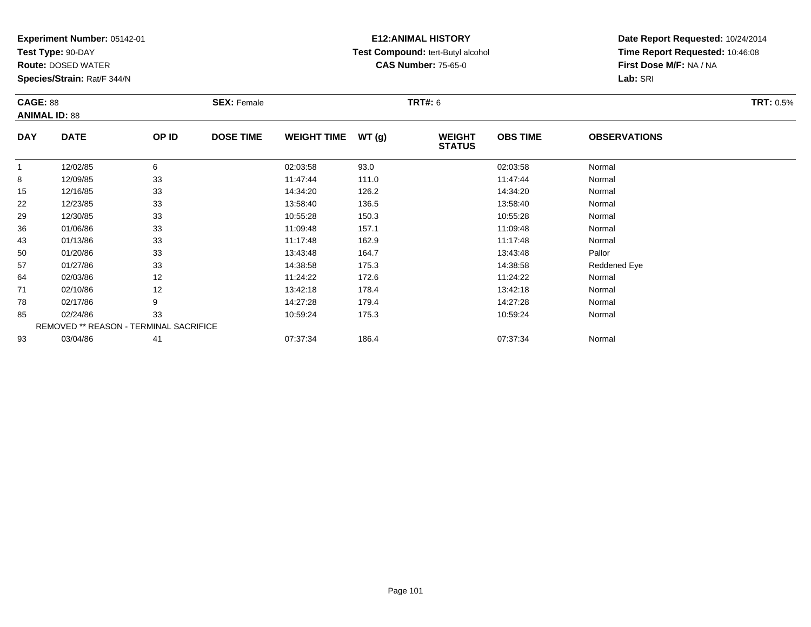**Test Type:** 90-DAY

**Route:** DOSED WATER

**Species/Strain:** Rat/F 344/N

# **E12:ANIMAL HISTORY Test Compound:** tert-Butyl alcohol **CAS Number:** 75-65-0

| <b>CAGE: 88</b> |                                        |       | <b>SEX: Female</b> |                    |       | <b>TRT#:</b> 6                 |                 |                     | <b>TRT: 0.5%</b> |
|-----------------|----------------------------------------|-------|--------------------|--------------------|-------|--------------------------------|-----------------|---------------------|------------------|
|                 | <b>ANIMAL ID: 88</b>                   |       |                    |                    |       |                                |                 |                     |                  |
| <b>DAY</b>      | <b>DATE</b>                            | OP ID | <b>DOSE TIME</b>   | <b>WEIGHT TIME</b> | WT(g) | <b>WEIGHT</b><br><b>STATUS</b> | <b>OBS TIME</b> | <b>OBSERVATIONS</b> |                  |
|                 | 12/02/85                               | 6     |                    | 02:03:58           | 93.0  |                                | 02:03:58        | Normal              |                  |
| 8               | 12/09/85                               | 33    |                    | 11:47:44           | 111.0 |                                | 11:47:44        | Normal              |                  |
| 15              | 12/16/85                               | 33    |                    | 14:34:20           | 126.2 |                                | 14:34:20        | Normal              |                  |
| 22              | 12/23/85                               | 33    |                    | 13:58:40           | 136.5 |                                | 13:58:40        | Normal              |                  |
| 29              | 12/30/85                               | 33    |                    | 10:55:28           | 150.3 |                                | 10:55:28        | Normal              |                  |
| 36              | 01/06/86                               | 33    |                    | 11:09:48           | 157.1 |                                | 11:09:48        | Normal              |                  |
| 43              | 01/13/86                               | 33    |                    | 11:17:48           | 162.9 |                                | 11:17:48        | Normal              |                  |
| 50              | 01/20/86                               | 33    |                    | 13:43:48           | 164.7 |                                | 13:43:48        | Pallor              |                  |
| 57              | 01/27/86                               | 33    |                    | 14:38:58           | 175.3 |                                | 14:38:58        | Reddened Eye        |                  |
| 64              | 02/03/86                               | 12    |                    | 11:24:22           | 172.6 |                                | 11:24:22        | Normal              |                  |
| 71              | 02/10/86                               | 12    |                    | 13:42:18           | 178.4 |                                | 13:42:18        | Normal              |                  |
| 78              | 02/17/86                               | 9     |                    | 14:27:28           | 179.4 |                                | 14:27:28        | Normal              |                  |
| 85              | 02/24/86                               | 33    |                    | 10:59:24           | 175.3 |                                | 10:59:24        | Normal              |                  |
|                 | REMOVED ** REASON - TERMINAL SACRIFICE |       |                    |                    |       |                                |                 |                     |                  |
| 93              | 03/04/86                               | 41    |                    | 07:37:34           | 186.4 |                                | 07:37:34        | Normal              |                  |
|                 |                                        |       |                    |                    |       |                                |                 |                     |                  |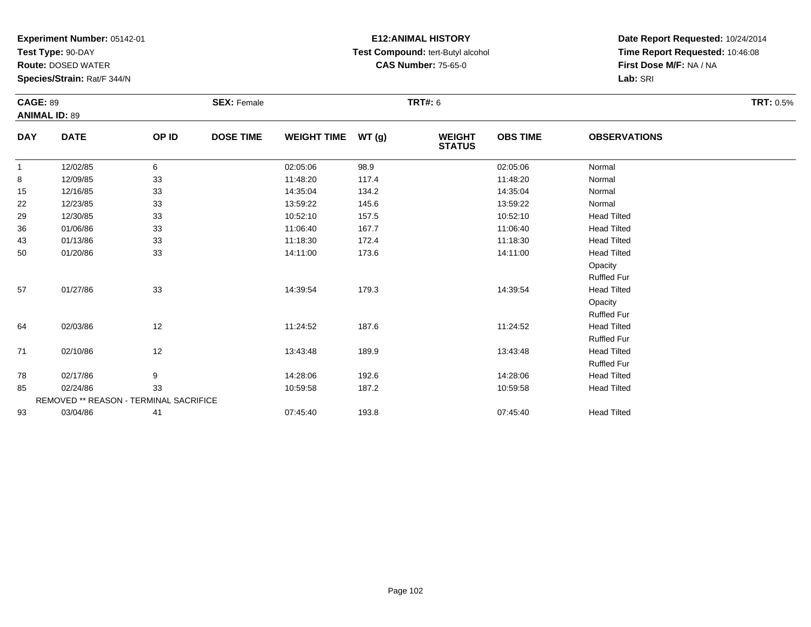**Test Type:** 90-DAY

**Route:** DOSED WATER

**Species/Strain:** Rat/F 344/N

# **E12:ANIMAL HISTORY Test Compound:** tert-Butyl alcohol **CAS Number:** 75-65-0

| <b>CAGE: 89</b> |                                               |       | <b>SEX: Female</b> |                    |       | <b>TRT#:</b> 6                 |                 |                     | <b>TRT:</b> 0.5% |
|-----------------|-----------------------------------------------|-------|--------------------|--------------------|-------|--------------------------------|-----------------|---------------------|------------------|
|                 | <b>ANIMAL ID: 89</b>                          |       |                    |                    |       |                                |                 |                     |                  |
| <b>DAY</b>      | <b>DATE</b>                                   | OP ID | <b>DOSE TIME</b>   | <b>WEIGHT TIME</b> | WT(g) | <b>WEIGHT</b><br><b>STATUS</b> | <b>OBS TIME</b> | <b>OBSERVATIONS</b> |                  |
| $\mathbf{1}$    | 12/02/85                                      | 6     |                    | 02:05:06           | 98.9  |                                | 02:05:06        | Normal              |                  |
| 8               | 12/09/85                                      | 33    |                    | 11:48:20           | 117.4 |                                | 11:48:20        | Normal              |                  |
| 15              | 12/16/85                                      | 33    |                    | 14:35:04           | 134.2 |                                | 14:35:04        | Normal              |                  |
| 22              | 12/23/85                                      | 33    |                    | 13:59:22           | 145.6 |                                | 13:59:22        | Normal              |                  |
| 29              | 12/30/85                                      | 33    |                    | 10:52:10           | 157.5 |                                | 10:52:10        | <b>Head Tilted</b>  |                  |
| 36              | 01/06/86                                      | 33    |                    | 11:06:40           | 167.7 |                                | 11:06:40        | <b>Head Tilted</b>  |                  |
| 43              | 01/13/86                                      | 33    |                    | 11:18:30           | 172.4 |                                | 11:18:30        | <b>Head Tilted</b>  |                  |
| 50              | 01/20/86                                      | 33    |                    | 14:11:00           | 173.6 |                                | 14:11:00        | <b>Head Tilted</b>  |                  |
|                 |                                               |       |                    |                    |       |                                |                 | Opacity             |                  |
|                 |                                               |       |                    |                    |       |                                |                 | <b>Ruffled Fur</b>  |                  |
| 57              | 01/27/86                                      | 33    |                    | 14:39:54           | 179.3 |                                | 14:39:54        | <b>Head Tilted</b>  |                  |
|                 |                                               |       |                    |                    |       |                                |                 | Opacity             |                  |
|                 |                                               |       |                    |                    |       |                                |                 | <b>Ruffled Fur</b>  |                  |
| 64              | 02/03/86                                      | 12    |                    | 11:24:52           | 187.6 |                                | 11:24:52        | <b>Head Tilted</b>  |                  |
|                 |                                               |       |                    |                    |       |                                |                 | <b>Ruffled Fur</b>  |                  |
| 71              | 02/10/86                                      | 12    |                    | 13:43:48           | 189.9 |                                | 13:43:48        | <b>Head Tilted</b>  |                  |
|                 |                                               |       |                    |                    |       |                                |                 | <b>Ruffled Fur</b>  |                  |
| 78              | 02/17/86                                      | 9     |                    | 14:28:06           | 192.6 |                                | 14:28:06        | <b>Head Tilted</b>  |                  |
| 85              | 02/24/86                                      | 33    |                    | 10:59:58           | 187.2 |                                | 10:59:58        | <b>Head Tilted</b>  |                  |
|                 | <b>REMOVED ** REASON - TERMINAL SACRIFICE</b> |       |                    |                    |       |                                |                 |                     |                  |
| 93              | 03/04/86                                      | 41    |                    | 07:45:40           | 193.8 |                                | 07:45:40        | <b>Head Tilted</b>  |                  |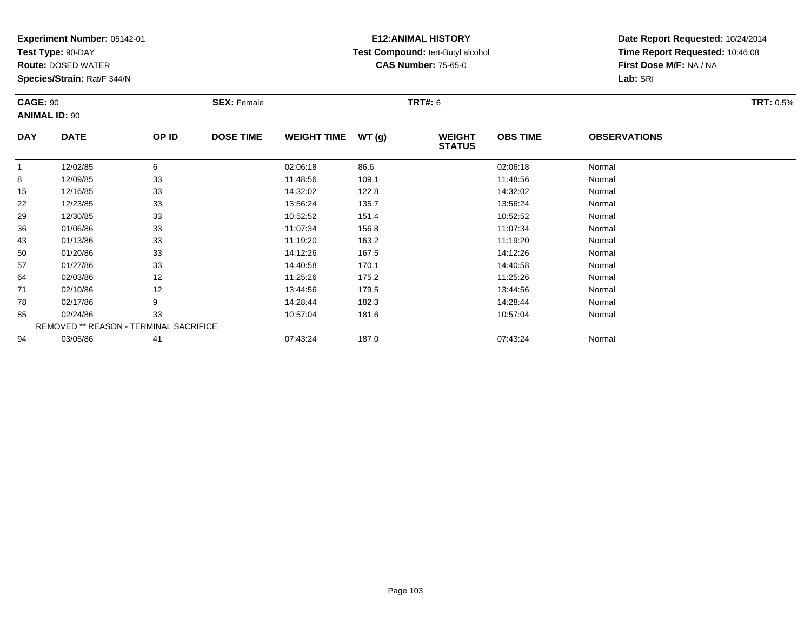**Test Type:** 90-DAY

**Route:** DOSED WATER

**Species/Strain:** Rat/F 344/N

# **E12:ANIMAL HISTORY Test Compound:** tert-Butyl alcohol **CAS Number:** 75-65-0

| <b>CAGE: 90</b><br><b>ANIMAL ID: 90</b> |                                        |       | <b>SEX: Female</b> |                    |       | <b>TRT#: 6</b>                 |                 |                     | <b>TRT: 0.5%</b> |
|-----------------------------------------|----------------------------------------|-------|--------------------|--------------------|-------|--------------------------------|-----------------|---------------------|------------------|
| <b>DAY</b>                              | <b>DATE</b>                            | OP ID | <b>DOSE TIME</b>   | <b>WEIGHT TIME</b> | WT(g) | <b>WEIGHT</b><br><b>STATUS</b> | <b>OBS TIME</b> | <b>OBSERVATIONS</b> |                  |
| $\mathbf{1}$                            | 12/02/85                               | 6     |                    | 02:06:18           | 86.6  |                                | 02:06:18        | Normal              |                  |
| 8                                       | 12/09/85                               | 33    |                    | 11:48:56           | 109.1 |                                | 11:48:56        | Normal              |                  |
| 15                                      | 12/16/85                               | 33    |                    | 14:32:02           | 122.8 |                                | 14:32:02        | Normal              |                  |
| 22                                      | 12/23/85                               | 33    |                    | 13:56:24           | 135.7 |                                | 13:56:24        | Normal              |                  |
| 29                                      | 12/30/85                               | 33    |                    | 10:52:52           | 151.4 |                                | 10:52:52        | Normal              |                  |
| 36                                      | 01/06/86                               | 33    |                    | 11:07:34           | 156.8 |                                | 11:07:34        | Normal              |                  |
| 43                                      | 01/13/86                               | 33    |                    | 11:19:20           | 163.2 |                                | 11:19:20        | Normal              |                  |
| 50                                      | 01/20/86                               | 33    |                    | 14:12:26           | 167.5 |                                | 14:12:26        | Normal              |                  |
| 57                                      | 01/27/86                               | 33    |                    | 14:40:58           | 170.1 |                                | 14:40:58        | Normal              |                  |
| 64                                      | 02/03/86                               | 12    |                    | 11:25:26           | 175.2 |                                | 11:25:26        | Normal              |                  |
| 71                                      | 02/10/86                               | 12    |                    | 13:44:56           | 179.5 |                                | 13:44:56        | Normal              |                  |
| 78                                      | 02/17/86                               | 9     |                    | 14:28:44           | 182.3 |                                | 14:28:44        | Normal              |                  |
| 85                                      | 02/24/86                               | 33    |                    | 10:57:04           | 181.6 |                                | 10:57:04        | Normal              |                  |
|                                         | REMOVED ** REASON - TERMINAL SACRIFICE |       |                    |                    |       |                                |                 |                     |                  |
| 94                                      | 03/05/86                               | 41    |                    | 07:43:24           | 187.0 |                                | 07:43:24        | Normal              |                  |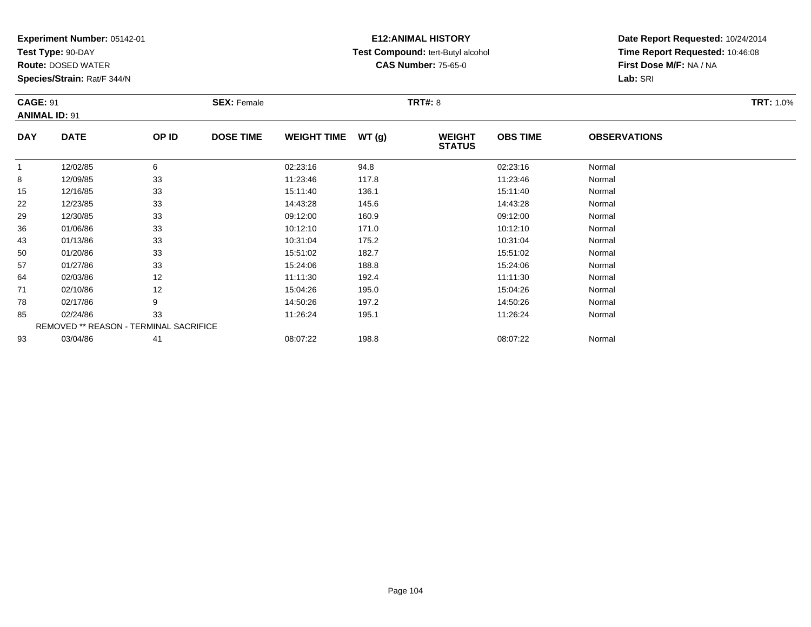**Test Type:** 90-DAY

**Route:** DOSED WATER

**Species/Strain:** Rat/F 344/N

# **E12:ANIMAL HISTORY Test Compound:** tert-Butyl alcohol **CAS Number:** 75-65-0

| <b>CAGE: 91</b> | <b>ANIMAL ID: 91</b>                   |       | <b>SEX: Female</b> |                    |       | <b>TRT#: 8</b>                 |                 |                     | <b>TRT: 1.0%</b> |
|-----------------|----------------------------------------|-------|--------------------|--------------------|-------|--------------------------------|-----------------|---------------------|------------------|
| <b>DAY</b>      | <b>DATE</b>                            | OP ID | <b>DOSE TIME</b>   | <b>WEIGHT TIME</b> | WT(g) | <b>WEIGHT</b><br><b>STATUS</b> | <b>OBS TIME</b> | <b>OBSERVATIONS</b> |                  |
| $\mathbf{1}$    | 12/02/85                               | 6     |                    | 02:23:16           | 94.8  |                                | 02:23:16        | Normal              |                  |
| 8               | 12/09/85                               | 33    |                    | 11:23:46           | 117.8 |                                | 11:23:46        | Normal              |                  |
| 15              | 12/16/85                               | 33    |                    | 15:11:40           | 136.1 |                                | 15:11:40        | Normal              |                  |
| 22              | 12/23/85                               | 33    |                    | 14:43:28           | 145.6 |                                | 14:43:28        | Normal              |                  |
| 29              | 12/30/85                               | 33    |                    | 09:12:00           | 160.9 |                                | 09:12:00        | Normal              |                  |
| 36              | 01/06/86                               | 33    |                    | 10:12:10           | 171.0 |                                | 10:12:10        | Normal              |                  |
| 43              | 01/13/86                               | 33    |                    | 10:31:04           | 175.2 |                                | 10:31:04        | Normal              |                  |
| 50              | 01/20/86                               | 33    |                    | 15:51:02           | 182.7 |                                | 15:51:02        | Normal              |                  |
| 57              | 01/27/86                               | 33    |                    | 15:24:06           | 188.8 |                                | 15:24:06        | Normal              |                  |
| 64              | 02/03/86                               | 12    |                    | 11:11:30           | 192.4 |                                | 11:11:30        | Normal              |                  |
| 71              | 02/10/86                               | 12    |                    | 15:04:26           | 195.0 |                                | 15:04:26        | Normal              |                  |
| 78              | 02/17/86                               | 9     |                    | 14:50:26           | 197.2 |                                | 14:50:26        | Normal              |                  |
| 85              | 02/24/86                               | 33    |                    | 11:26:24           | 195.1 |                                | 11:26:24        | Normal              |                  |
|                 | REMOVED ** REASON - TERMINAL SACRIFICE |       |                    |                    |       |                                |                 |                     |                  |
| 93              | 03/04/86                               | 41    |                    | 08:07:22           | 198.8 |                                | 08:07:22        | Normal              |                  |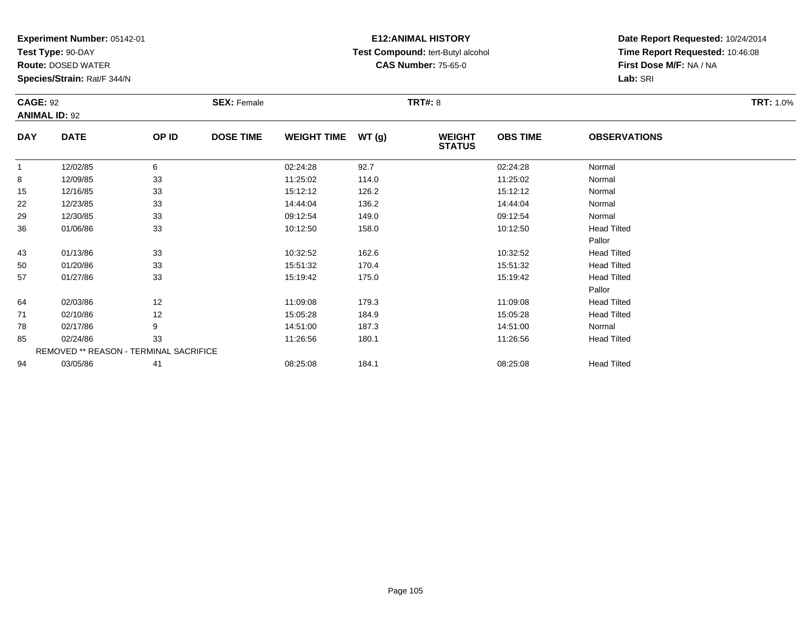**Test Type:** 90-DAY

**Route:** DOSED WATER

**Species/Strain:** Rat/F 344/N

# **E12:ANIMAL HISTORY Test Compound:** tert-Butyl alcohol **CAS Number:** 75-65-0

| <b>CAGE: 92</b> | <b>ANIMAL ID: 92</b>                   |       | <b>SEX: Female</b> |                    |       | <b>TRT#: 8</b>                 |                 |                     | <b>TRT: 1.0%</b> |
|-----------------|----------------------------------------|-------|--------------------|--------------------|-------|--------------------------------|-----------------|---------------------|------------------|
| <b>DAY</b>      | <b>DATE</b>                            | OP ID | <b>DOSE TIME</b>   | <b>WEIGHT TIME</b> | WT(g) | <b>WEIGHT</b><br><b>STATUS</b> | <b>OBS TIME</b> | <b>OBSERVATIONS</b> |                  |
| $\overline{1}$  | 12/02/85                               | 6     |                    | 02:24:28           | 92.7  |                                | 02:24:28        | Normal              |                  |
| 8               | 12/09/85                               | 33    |                    | 11:25:02           | 114.0 |                                | 11:25:02        | Normal              |                  |
| 15              | 12/16/85                               | 33    |                    | 15:12:12           | 126.2 |                                | 15:12:12        | Normal              |                  |
| 22              | 12/23/85                               | 33    |                    | 14:44:04           | 136.2 |                                | 14:44:04        | Normal              |                  |
| 29              | 12/30/85                               | 33    |                    | 09:12:54           | 149.0 |                                | 09:12:54        | Normal              |                  |
| 36              | 01/06/86                               | 33    |                    | 10:12:50           | 158.0 |                                | 10:12:50        | <b>Head Tilted</b>  |                  |
|                 |                                        |       |                    |                    |       |                                |                 | Pallor              |                  |
| 43              | 01/13/86                               | 33    |                    | 10:32:52           | 162.6 |                                | 10:32:52        | <b>Head Tilted</b>  |                  |
| 50              | 01/20/86                               | 33    |                    | 15:51:32           | 170.4 |                                | 15:51:32        | <b>Head Tilted</b>  |                  |
| 57              | 01/27/86                               | 33    |                    | 15:19:42           | 175.0 |                                | 15:19:42        | <b>Head Tilted</b>  |                  |
|                 |                                        |       |                    |                    |       |                                |                 | Pallor              |                  |
| 64              | 02/03/86                               | 12    |                    | 11:09:08           | 179.3 |                                | 11:09:08        | <b>Head Tilted</b>  |                  |
| 71              | 02/10/86                               | 12    |                    | 15:05:28           | 184.9 |                                | 15:05:28        | <b>Head Tilted</b>  |                  |
| 78              | 02/17/86                               | 9     |                    | 14:51:00           | 187.3 |                                | 14:51:00        | Normal              |                  |
| 85              | 02/24/86                               | 33    |                    | 11:26:56           | 180.1 |                                | 11:26:56        | <b>Head Tilted</b>  |                  |
|                 | REMOVED ** REASON - TERMINAL SACRIFICE |       |                    |                    |       |                                |                 |                     |                  |
| 94              | 03/05/86                               | 41    |                    | 08:25:08           | 184.1 |                                | 08:25:08        | <b>Head Tilted</b>  |                  |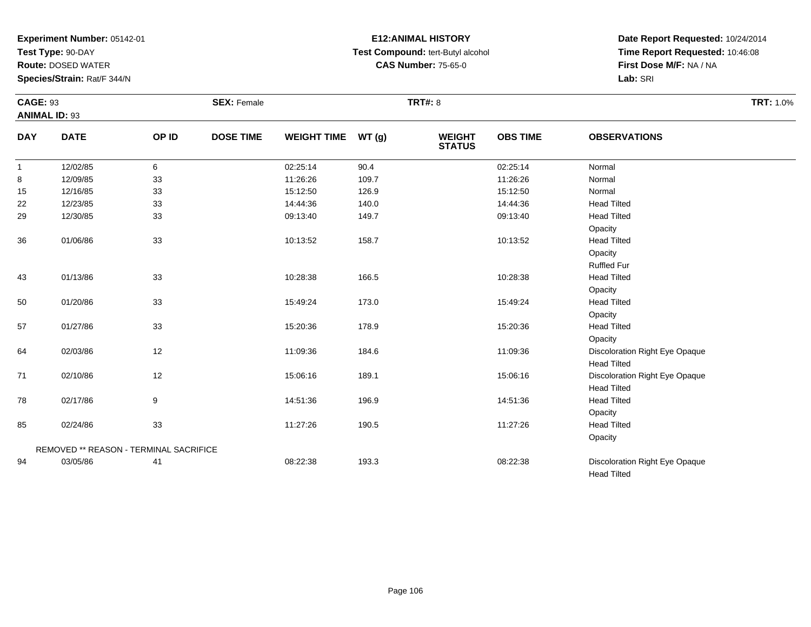**Test Type:** 90-DAY

**Route:** DOSED WATER

**Species/Strain:** Rat/F 344/N

# **E12:ANIMAL HISTORY Test Compound:** tert-Butyl alcohol **CAS Number:** 75-65-0

| <b>CAGE: 93</b><br><b>ANIMAL ID: 93</b> |                                        |       | <b>SEX: Female</b> |                    |       | <b>TRT#: 8</b>                 |                 |                                | <b>TRT: 1.0%</b> |
|-----------------------------------------|----------------------------------------|-------|--------------------|--------------------|-------|--------------------------------|-----------------|--------------------------------|------------------|
| <b>DAY</b>                              | <b>DATE</b>                            | OP ID | <b>DOSE TIME</b>   | <b>WEIGHT TIME</b> | WT(g) | <b>WEIGHT</b><br><b>STATUS</b> | <b>OBS TIME</b> | <b>OBSERVATIONS</b>            |                  |
| $\mathbf{1}$                            | 12/02/85                               | 6     |                    | 02:25:14           | 90.4  |                                | 02:25:14        | Normal                         |                  |
| 8                                       | 12/09/85                               | 33    |                    | 11:26:26           | 109.7 |                                | 11:26:26        | Normal                         |                  |
| 15                                      | 12/16/85                               | 33    |                    | 15:12:50           | 126.9 |                                | 15:12:50        | Normal                         |                  |
| 22                                      | 12/23/85                               | 33    |                    | 14:44:36           | 140.0 |                                | 14:44:36        | <b>Head Tilted</b>             |                  |
| 29                                      | 12/30/85                               | 33    |                    | 09:13:40           | 149.7 |                                | 09:13:40        | <b>Head Tilted</b>             |                  |
|                                         |                                        |       |                    |                    |       |                                |                 | Opacity                        |                  |
| 36                                      | 01/06/86                               | 33    |                    | 10:13:52           | 158.7 |                                | 10:13:52        | <b>Head Tilted</b>             |                  |
|                                         |                                        |       |                    |                    |       |                                |                 | Opacity                        |                  |
|                                         |                                        |       |                    |                    |       |                                |                 | <b>Ruffled Fur</b>             |                  |
| 43                                      | 01/13/86                               | 33    |                    | 10:28:38           | 166.5 |                                | 10:28:38        | <b>Head Tilted</b>             |                  |
|                                         |                                        |       |                    |                    |       |                                |                 | Opacity                        |                  |
| 50                                      | 01/20/86                               | 33    |                    | 15:49:24           | 173.0 |                                | 15:49:24        | <b>Head Tilted</b>             |                  |
|                                         |                                        |       |                    |                    |       |                                |                 | Opacity                        |                  |
| 57                                      | 01/27/86                               | 33    |                    | 15:20:36           | 178.9 |                                | 15:20:36        | <b>Head Tilted</b>             |                  |
|                                         |                                        |       |                    |                    |       |                                |                 | Opacity                        |                  |
| 64                                      | 02/03/86                               | 12    |                    | 11:09:36           | 184.6 |                                | 11:09:36        | Discoloration Right Eye Opaque |                  |
|                                         |                                        |       |                    |                    |       |                                |                 | <b>Head Tilted</b>             |                  |
| 71                                      | 02/10/86                               | 12    |                    | 15:06:16           | 189.1 |                                | 15:06:16        | Discoloration Right Eye Opaque |                  |
|                                         |                                        |       |                    |                    |       |                                |                 | <b>Head Tilted</b>             |                  |
| 78                                      | 02/17/86                               | 9     |                    | 14:51:36           | 196.9 |                                | 14:51:36        | <b>Head Tilted</b>             |                  |
|                                         |                                        |       |                    |                    |       |                                |                 | Opacity                        |                  |
| 85                                      | 02/24/86                               | 33    |                    | 11:27:26           | 190.5 |                                | 11:27:26        | <b>Head Tilted</b>             |                  |
|                                         |                                        |       |                    |                    |       |                                |                 | Opacity                        |                  |
|                                         | REMOVED ** REASON - TERMINAL SACRIFICE |       |                    |                    |       |                                |                 |                                |                  |
| 94                                      | 03/05/86                               | 41    |                    | 08:22:38           | 193.3 |                                | 08:22:38        | Discoloration Right Eye Opaque |                  |
|                                         |                                        |       |                    |                    |       |                                |                 | <b>Head Tilted</b>             |                  |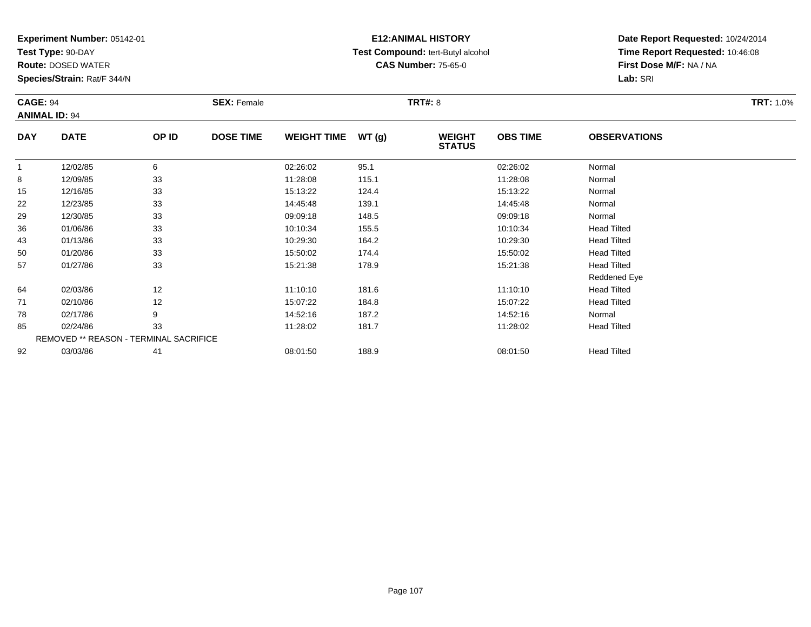**Test Type:** 90-DAY

**Route:** DOSED WATER

**Species/Strain:** Rat/F 344/N

# **E12:ANIMAL HISTORY Test Compound:** tert-Butyl alcohol **CAS Number:** 75-65-0

| <b>CAGE: 94</b>      |                                        |       | <b>SEX: Female</b> |                    |       | <b>TRT#: 8</b>                 |                 |                     | <b>TRT: 1.0%</b> |
|----------------------|----------------------------------------|-------|--------------------|--------------------|-------|--------------------------------|-----------------|---------------------|------------------|
| <b>ANIMAL ID: 94</b> |                                        |       |                    |                    |       |                                |                 |                     |                  |
| <b>DAY</b>           | <b>DATE</b>                            | OP ID | <b>DOSE TIME</b>   | <b>WEIGHT TIME</b> | WT(g) | <b>WEIGHT</b><br><b>STATUS</b> | <b>OBS TIME</b> | <b>OBSERVATIONS</b> |                  |
|                      | 12/02/85                               | 6     |                    | 02:26:02           | 95.1  |                                | 02:26:02        | Normal              |                  |
| 8                    | 12/09/85                               | 33    |                    | 11:28:08           | 115.1 |                                | 11:28:08        | Normal              |                  |
| 15                   | 12/16/85                               | 33    |                    | 15:13:22           | 124.4 |                                | 15:13:22        | Normal              |                  |
| 22                   | 12/23/85                               | 33    |                    | 14:45:48           | 139.1 |                                | 14:45:48        | Normal              |                  |
| 29                   | 12/30/85                               | 33    |                    | 09:09:18           | 148.5 |                                | 09:09:18        | Normal              |                  |
| 36                   | 01/06/86                               | 33    |                    | 10:10:34           | 155.5 |                                | 10:10:34        | <b>Head Tilted</b>  |                  |
| 43                   | 01/13/86                               | 33    |                    | 10:29:30           | 164.2 |                                | 10:29:30        | <b>Head Tilted</b>  |                  |
| 50                   | 01/20/86                               | 33    |                    | 15:50:02           | 174.4 |                                | 15:50:02        | <b>Head Tilted</b>  |                  |
| 57                   | 01/27/86                               | 33    |                    | 15:21:38           | 178.9 |                                | 15:21:38        | <b>Head Tilted</b>  |                  |
|                      |                                        |       |                    |                    |       |                                |                 | Reddened Eye        |                  |
| 64                   | 02/03/86                               | 12    |                    | 11:10:10           | 181.6 |                                | 11:10:10        | <b>Head Tilted</b>  |                  |
| 71                   | 02/10/86                               | 12    |                    | 15:07:22           | 184.8 |                                | 15:07:22        | <b>Head Tilted</b>  |                  |
| 78                   | 02/17/86                               | 9     |                    | 14:52:16           | 187.2 |                                | 14:52:16        | Normal              |                  |
| 85                   | 02/24/86                               | 33    |                    | 11:28:02           | 181.7 |                                | 11:28:02        | <b>Head Tilted</b>  |                  |
|                      | REMOVED ** REASON - TERMINAL SACRIFICE |       |                    |                    |       |                                |                 |                     |                  |
| 92                   | 03/03/86                               | 41    |                    | 08:01:50           | 188.9 |                                | 08:01:50        | <b>Head Tilted</b>  |                  |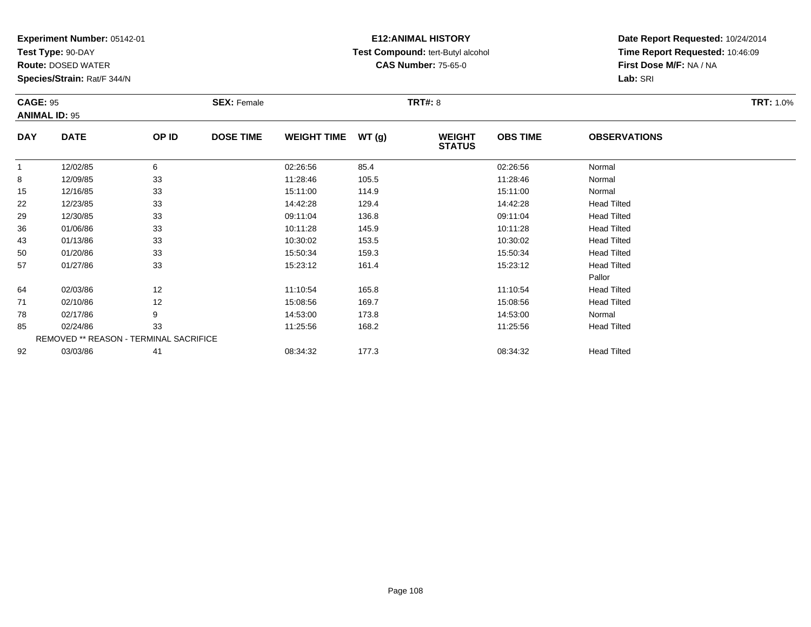**Test Type:** 90-DAY

**Route:** DOSED WATER

**Species/Strain:** Rat/F 344/N

# **E12:ANIMAL HISTORY Test Compound:** tert-Butyl alcohol **CAS Number:** 75-65-0

| <b>CAGE: 95</b> |                                        |       | <b>SEX: Female</b> |                    |       | <b>TRT#: 8</b>                 |                 |                     | <b>TRT: 1.0%</b> |  |
|-----------------|----------------------------------------|-------|--------------------|--------------------|-------|--------------------------------|-----------------|---------------------|------------------|--|
|                 | <b>ANIMAL ID: 95</b>                   |       |                    |                    |       |                                |                 |                     |                  |  |
| <b>DAY</b>      | <b>DATE</b>                            | OP ID | <b>DOSE TIME</b>   | <b>WEIGHT TIME</b> | WT(g) | <b>WEIGHT</b><br><b>STATUS</b> | <b>OBS TIME</b> | <b>OBSERVATIONS</b> |                  |  |
| 1               | 12/02/85                               | 6     |                    | 02:26:56           | 85.4  |                                | 02:26:56        | Normal              |                  |  |
| 8               | 12/09/85                               | 33    |                    | 11:28:46           | 105.5 |                                | 11:28:46        | Normal              |                  |  |
| 15              | 12/16/85                               | 33    |                    | 15:11:00           | 114.9 |                                | 15:11:00        | Normal              |                  |  |
| 22              | 12/23/85                               | 33    |                    | 14:42:28           | 129.4 |                                | 14:42:28        | <b>Head Tilted</b>  |                  |  |
| 29              | 12/30/85                               | 33    |                    | 09:11:04           | 136.8 |                                | 09:11:04        | <b>Head Tilted</b>  |                  |  |
| 36              | 01/06/86                               | 33    |                    | 10:11:28           | 145.9 |                                | 10:11:28        | <b>Head Tilted</b>  |                  |  |
| 43              | 01/13/86                               | 33    |                    | 10:30:02           | 153.5 |                                | 10:30:02        | <b>Head Tilted</b>  |                  |  |
| 50              | 01/20/86                               | 33    |                    | 15:50:34           | 159.3 |                                | 15:50:34        | <b>Head Tilted</b>  |                  |  |
| 57              | 01/27/86                               | 33    |                    | 15:23:12           | 161.4 |                                | 15:23:12        | <b>Head Tilted</b>  |                  |  |
|                 |                                        |       |                    |                    |       |                                |                 | Pallor              |                  |  |
| 64              | 02/03/86                               | 12    |                    | 11:10:54           | 165.8 |                                | 11:10:54        | <b>Head Tilted</b>  |                  |  |
| 71              | 02/10/86                               | 12    |                    | 15:08:56           | 169.7 |                                | 15:08:56        | <b>Head Tilted</b>  |                  |  |
| 78              | 02/17/86                               | 9     |                    | 14:53:00           | 173.8 |                                | 14:53:00        | Normal              |                  |  |
| 85              | 02/24/86                               | 33    |                    | 11:25:56           | 168.2 |                                | 11:25:56        | <b>Head Tilted</b>  |                  |  |
|                 | REMOVED ** REASON - TERMINAL SACRIFICE |       |                    |                    |       |                                |                 |                     |                  |  |
| 92              | 03/03/86                               | 41    |                    | 08:34:32           | 177.3 |                                | 08:34:32        | <b>Head Tilted</b>  |                  |  |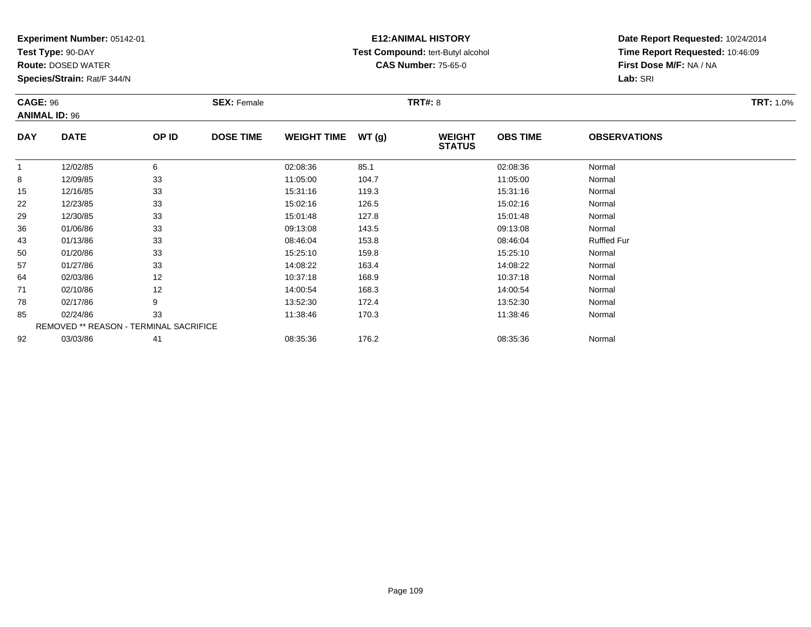**Test Type:** 90-DAY

**Route:** DOSED WATER

**Species/Strain:** Rat/F 344/N

# **E12:ANIMAL HISTORY Test Compound:** tert-Butyl alcohol **CAS Number:** 75-65-0

| <b>CAGE: 96</b> | <b>ANIMAL ID: 96</b>                   |       | <b>SEX: Female</b> |                    |       | <b>TRT#: 8</b>                 |                 |                     | <b>TRT: 1.0%</b> |
|-----------------|----------------------------------------|-------|--------------------|--------------------|-------|--------------------------------|-----------------|---------------------|------------------|
| <b>DAY</b>      | <b>DATE</b>                            | OP ID | <b>DOSE TIME</b>   | <b>WEIGHT TIME</b> | WT(g) | <b>WEIGHT</b><br><b>STATUS</b> | <b>OBS TIME</b> | <b>OBSERVATIONS</b> |                  |
| 1               | 12/02/85                               | 6     |                    | 02:08:36           | 85.1  |                                | 02:08:36        | Normal              |                  |
| 8               | 12/09/85                               | 33    |                    | 11:05:00           | 104.7 |                                | 11:05:00        | Normal              |                  |
| 15              | 12/16/85                               | 33    |                    | 15:31:16           | 119.3 |                                | 15:31:16        | Normal              |                  |
| 22              | 12/23/85                               | 33    |                    | 15:02:16           | 126.5 |                                | 15:02:16        | Normal              |                  |
| 29              | 12/30/85                               | 33    |                    | 15:01:48           | 127.8 |                                | 15:01:48        | Normal              |                  |
| 36              | 01/06/86                               | 33    |                    | 09:13:08           | 143.5 |                                | 09:13:08        | Normal              |                  |
| 43              | 01/13/86                               | 33    |                    | 08:46:04           | 153.8 |                                | 08:46:04        | <b>Ruffled Fur</b>  |                  |
| 50              | 01/20/86                               | 33    |                    | 15:25:10           | 159.8 |                                | 15:25:10        | Normal              |                  |
| 57              | 01/27/86                               | 33    |                    | 14:08:22           | 163.4 |                                | 14:08:22        | Normal              |                  |
| 64              | 02/03/86                               | 12    |                    | 10:37:18           | 168.9 |                                | 10:37:18        | Normal              |                  |
| 71              | 02/10/86                               | 12    |                    | 14:00:54           | 168.3 |                                | 14:00:54        | Normal              |                  |
| 78              | 02/17/86                               | 9     |                    | 13:52:30           | 172.4 |                                | 13:52:30        | Normal              |                  |
| 85              | 02/24/86                               | 33    |                    | 11:38:46           | 170.3 |                                | 11:38:46        | Normal              |                  |
|                 | REMOVED ** REASON - TERMINAL SACRIFICE |       |                    |                    |       |                                |                 |                     |                  |
| 92              | 03/03/86                               | 41    |                    | 08:35:36           | 176.2 |                                | 08:35:36        | Normal              |                  |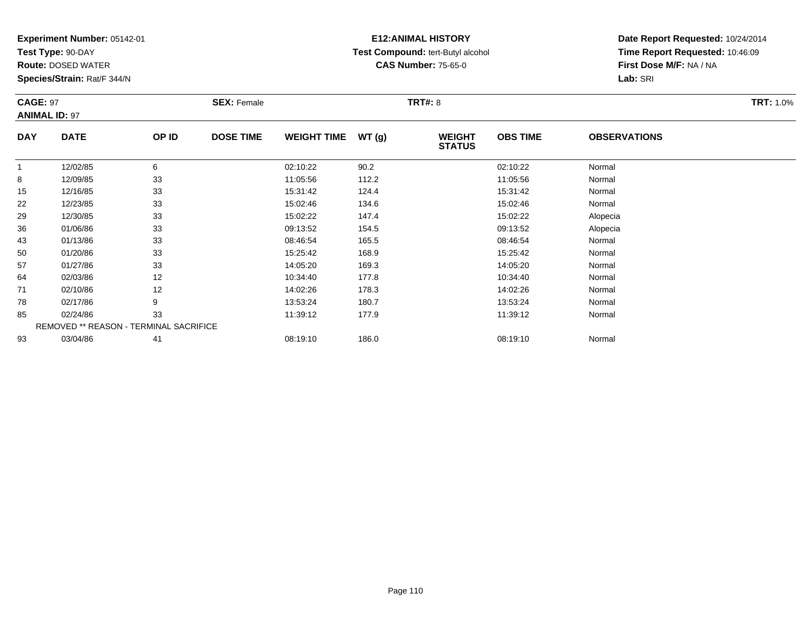**Test Type:** 90-DAY

**Route:** DOSED WATER

**Species/Strain:** Rat/F 344/N

# **E12:ANIMAL HISTORY Test Compound:** tert-Butyl alcohol **CAS Number:** 75-65-0

| <b>CAGE: 97</b> | <b>ANIMAL ID: 97</b>                   |       | <b>SEX: Female</b> |                    |       | <b>TRT#: 8</b>                 |                 |                     | <b>TRT: 1.0%</b> |
|-----------------|----------------------------------------|-------|--------------------|--------------------|-------|--------------------------------|-----------------|---------------------|------------------|
| <b>DAY</b>      | <b>DATE</b>                            | OP ID | <b>DOSE TIME</b>   | <b>WEIGHT TIME</b> | WT(g) | <b>WEIGHT</b><br><b>STATUS</b> | <b>OBS TIME</b> | <b>OBSERVATIONS</b> |                  |
|                 | 12/02/85                               | 6     |                    | 02:10:22           | 90.2  |                                | 02:10:22        | Normal              |                  |
| 8               | 12/09/85                               | 33    |                    | 11:05:56           | 112.2 |                                | 11:05:56        | Normal              |                  |
| 15              | 12/16/85                               | 33    |                    | 15:31:42           | 124.4 |                                | 15:31:42        | Normal              |                  |
| 22              | 12/23/85                               | 33    |                    | 15:02:46           | 134.6 |                                | 15:02:46        | Normal              |                  |
| 29              | 12/30/85                               | 33    |                    | 15:02:22           | 147.4 |                                | 15:02:22        | Alopecia            |                  |
| 36              | 01/06/86                               | 33    |                    | 09:13:52           | 154.5 |                                | 09:13:52        | Alopecia            |                  |
| 43              | 01/13/86                               | 33    |                    | 08:46:54           | 165.5 |                                | 08:46:54        | Normal              |                  |
| 50              | 01/20/86                               | 33    |                    | 15:25:42           | 168.9 |                                | 15:25:42        | Normal              |                  |
| 57              | 01/27/86                               | 33    |                    | 14:05:20           | 169.3 |                                | 14:05:20        | Normal              |                  |
| 64              | 02/03/86                               | 12    |                    | 10:34:40           | 177.8 |                                | 10:34:40        | Normal              |                  |
| 71              | 02/10/86                               | 12    |                    | 14:02:26           | 178.3 |                                | 14:02:26        | Normal              |                  |
| 78              | 02/17/86                               | 9     |                    | 13:53:24           | 180.7 |                                | 13:53:24        | Normal              |                  |
| 85              | 02/24/86                               | 33    |                    | 11:39:12           | 177.9 |                                | 11:39:12        | Normal              |                  |
|                 | REMOVED ** REASON - TERMINAL SACRIFICE |       |                    |                    |       |                                |                 |                     |                  |
| 93              | 03/04/86                               | 41    |                    | 08:19:10           | 186.0 |                                | 08:19:10        | Normal              |                  |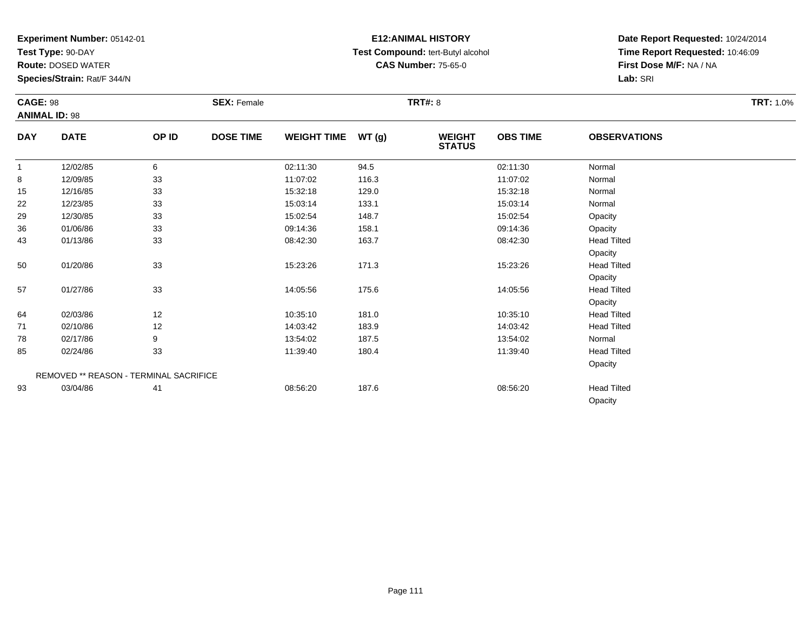**Test Type:** 90-DAY

**Route:** DOSED WATER

**Species/Strain:** Rat/F 344/N

# **E12:ANIMAL HISTORY Test Compound:** tert-Butyl alcohol **CAS Number:** 75-65-0

|              | <b>CAGE: 98</b><br><b>ANIMAL ID: 98</b> |       | <b>SEX: Female</b> |                    |       | <b>TRT#: 8</b>                 | <b>TRT: 1.0%</b> |                     |  |
|--------------|-----------------------------------------|-------|--------------------|--------------------|-------|--------------------------------|------------------|---------------------|--|
| <b>DAY</b>   | <b>DATE</b>                             | OP ID | <b>DOSE TIME</b>   | <b>WEIGHT TIME</b> | WT(g) | <b>WEIGHT</b><br><b>STATUS</b> | <b>OBS TIME</b>  | <b>OBSERVATIONS</b> |  |
| $\mathbf{1}$ | 12/02/85                                | 6     |                    | 02:11:30           | 94.5  |                                | 02:11:30         | Normal              |  |
| 8            | 12/09/85                                | 33    |                    | 11:07:02           | 116.3 |                                | 11:07:02         | Normal              |  |
| 15           | 12/16/85                                | 33    |                    | 15:32:18           | 129.0 |                                | 15:32:18         | Normal              |  |
| 22           | 12/23/85                                | 33    |                    | 15:03:14           | 133.1 |                                | 15:03:14         | Normal              |  |
| 29           | 12/30/85                                | 33    |                    | 15:02:54           | 148.7 |                                | 15:02:54         | Opacity             |  |
| 36           | 01/06/86                                | 33    |                    | 09:14:36           | 158.1 |                                | 09:14:36         | Opacity             |  |
| 43           | 01/13/86                                | 33    |                    | 08:42:30           | 163.7 |                                | 08:42:30         | <b>Head Tilted</b>  |  |
|              |                                         |       |                    |                    |       |                                |                  | Opacity             |  |
| 50           | 01/20/86                                | 33    |                    | 15:23:26           | 171.3 |                                | 15:23:26         | <b>Head Tilted</b>  |  |
|              |                                         |       |                    |                    |       |                                |                  | Opacity             |  |
| 57           | 01/27/86                                | 33    |                    | 14:05:56           | 175.6 |                                | 14:05:56         | <b>Head Tilted</b>  |  |
|              |                                         |       |                    |                    |       |                                |                  | Opacity             |  |
| 64           | 02/03/86                                | 12    |                    | 10:35:10           | 181.0 |                                | 10:35:10         | <b>Head Tilted</b>  |  |
| 71           | 02/10/86                                | 12    |                    | 14:03:42           | 183.9 |                                | 14:03:42         | <b>Head Tilted</b>  |  |
| 78           | 02/17/86                                | 9     |                    | 13:54:02           | 187.5 |                                | 13:54:02         | Normal              |  |
| 85           | 02/24/86                                | 33    |                    | 11:39:40           | 180.4 |                                | 11:39:40         | <b>Head Tilted</b>  |  |
|              |                                         |       |                    |                    |       |                                |                  | Opacity             |  |
|              | REMOVED ** REASON - TERMINAL SACRIFICE  |       |                    |                    |       |                                |                  |                     |  |
| 93           | 03/04/86                                | 41    |                    | 08:56:20           | 187.6 |                                | 08:56:20         | <b>Head Tilted</b>  |  |
|              |                                         |       |                    |                    |       |                                |                  | Opacity             |  |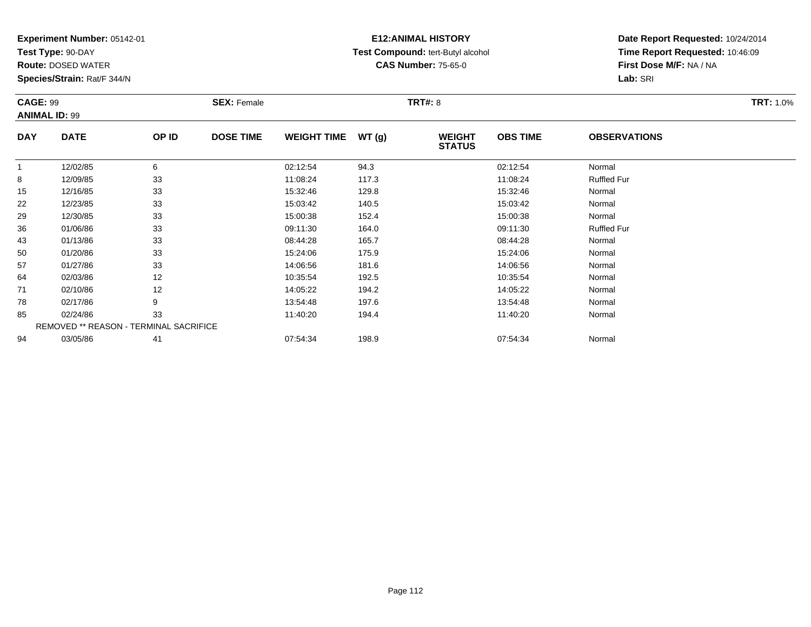**Test Type:** 90-DAY

**Route:** DOSED WATER

**Species/Strain:** Rat/F 344/N

# **E12:ANIMAL HISTORY Test Compound:** tert-Butyl alcohol **CAS Number:** 75-65-0

| <b>CAGE: 99</b> | <b>ANIMAL ID: 99</b>                   |       | <b>SEX: Female</b> |                    |       | <b>TRT#: 8</b>                 |                 |                     | <b>TRT: 1.0%</b> |
|-----------------|----------------------------------------|-------|--------------------|--------------------|-------|--------------------------------|-----------------|---------------------|------------------|
| <b>DAY</b>      | <b>DATE</b>                            | OP ID | <b>DOSE TIME</b>   | <b>WEIGHT TIME</b> | WT(g) | <b>WEIGHT</b><br><b>STATUS</b> | <b>OBS TIME</b> | <b>OBSERVATIONS</b> |                  |
| 1               | 12/02/85                               | 6     |                    | 02:12:54           | 94.3  |                                | 02:12:54        | Normal              |                  |
| 8               | 12/09/85                               | 33    |                    | 11:08:24           | 117.3 |                                | 11:08:24        | <b>Ruffled Fur</b>  |                  |
| 15              | 12/16/85                               | 33    |                    | 15:32:46           | 129.8 |                                | 15:32:46        | Normal              |                  |
| 22              | 12/23/85                               | 33    |                    | 15:03:42           | 140.5 |                                | 15:03:42        | Normal              |                  |
| 29              | 12/30/85                               | 33    |                    | 15:00:38           | 152.4 |                                | 15:00:38        | Normal              |                  |
| 36              | 01/06/86                               | 33    |                    | 09:11:30           | 164.0 |                                | 09:11:30        | <b>Ruffled Fur</b>  |                  |
| 43              | 01/13/86                               | 33    |                    | 08:44:28           | 165.7 |                                | 08:44:28        | Normal              |                  |
| 50              | 01/20/86                               | 33    |                    | 15:24:06           | 175.9 |                                | 15:24:06        | Normal              |                  |
| 57              | 01/27/86                               | 33    |                    | 14:06:56           | 181.6 |                                | 14:06:56        | Normal              |                  |
| 64              | 02/03/86                               | 12    |                    | 10:35:54           | 192.5 |                                | 10:35:54        | Normal              |                  |
| 71              | 02/10/86                               | 12    |                    | 14:05:22           | 194.2 |                                | 14:05:22        | Normal              |                  |
| 78              | 02/17/86                               | 9     |                    | 13:54:48           | 197.6 |                                | 13:54:48        | Normal              |                  |
| 85              | 02/24/86                               | 33    |                    | 11:40:20           | 194.4 |                                | 11:40:20        | Normal              |                  |
|                 | REMOVED ** REASON - TERMINAL SACRIFICE |       |                    |                    |       |                                |                 |                     |                  |
| 94              | 03/05/86                               | 41    |                    | 07:54:34           | 198.9 |                                | 07:54:34        | Normal              |                  |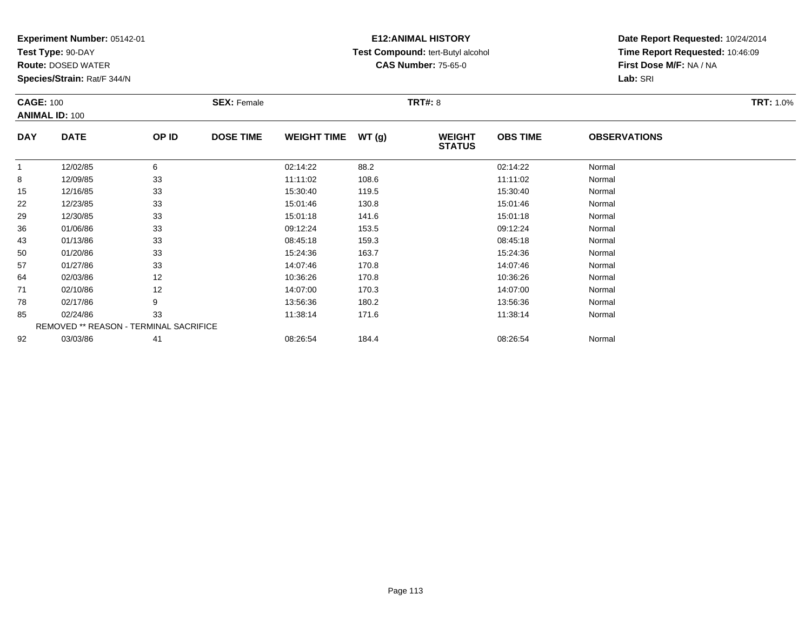**Test Type:** 90-DAY

**Route:** DOSED WATER

**Species/Strain:** Rat/F 344/N

# **E12:ANIMAL HISTORY Test Compound:** tert-Butyl alcohol **CAS Number:** 75-65-0

| <b>CAGE: 100</b> |                                        |       | <b>SEX: Female</b> |                    |       | <b>TRT#: 8</b>                 |                 |                     | <b>TRT: 1.0%</b> |
|------------------|----------------------------------------|-------|--------------------|--------------------|-------|--------------------------------|-----------------|---------------------|------------------|
|                  | <b>ANIMAL ID: 100</b>                  |       |                    |                    |       |                                |                 |                     |                  |
| <b>DAY</b>       | <b>DATE</b>                            | OP ID | <b>DOSE TIME</b>   | <b>WEIGHT TIME</b> | WT(g) | <b>WEIGHT</b><br><b>STATUS</b> | <b>OBS TIME</b> | <b>OBSERVATIONS</b> |                  |
| $\mathbf{1}$     | 12/02/85                               | 6     |                    | 02:14:22           | 88.2  |                                | 02:14:22        | Normal              |                  |
| 8                | 12/09/85                               | 33    |                    | 11:11:02           | 108.6 |                                | 11:11:02        | Normal              |                  |
| 15               | 12/16/85                               | 33    |                    | 15:30:40           | 119.5 |                                | 15:30:40        | Normal              |                  |
| 22               | 12/23/85                               | 33    |                    | 15:01:46           | 130.8 |                                | 15:01:46        | Normal              |                  |
| 29               | 12/30/85                               | 33    |                    | 15:01:18           | 141.6 |                                | 15:01:18        | Normal              |                  |
| 36               | 01/06/86                               | 33    |                    | 09:12:24           | 153.5 |                                | 09:12:24        | Normal              |                  |
| 43               | 01/13/86                               | 33    |                    | 08:45:18           | 159.3 |                                | 08:45:18        | Normal              |                  |
| 50               | 01/20/86                               | 33    |                    | 15:24:36           | 163.7 |                                | 15:24:36        | Normal              |                  |
| 57               | 01/27/86                               | 33    |                    | 14:07:46           | 170.8 |                                | 14:07:46        | Normal              |                  |
| 64               | 02/03/86                               | 12    |                    | 10:36:26           | 170.8 |                                | 10:36:26        | Normal              |                  |
| 71               | 02/10/86                               | 12    |                    | 14:07:00           | 170.3 |                                | 14:07:00        | Normal              |                  |
| 78               | 02/17/86                               | 9     |                    | 13:56:36           | 180.2 |                                | 13:56:36        | Normal              |                  |
| 85               | 02/24/86                               | 33    |                    | 11:38:14           | 171.6 |                                | 11:38:14        | Normal              |                  |
|                  | REMOVED ** REASON - TERMINAL SACRIFICE |       |                    |                    |       |                                |                 |                     |                  |
| 92               | 03/03/86                               | 41    |                    | 08:26:54           | 184.4 |                                | 08:26:54        | Normal              |                  |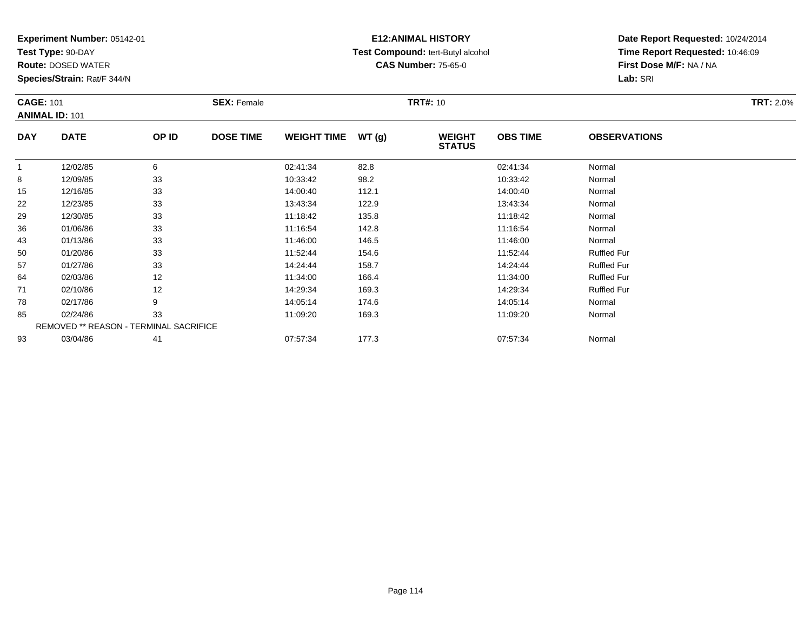**Test Type:** 90-DAY

**Route:** DOSED WATER

**Species/Strain:** Rat/F 344/N

# **E12:ANIMAL HISTORY Test Compound:** tert-Butyl alcohol **CAS Number:** 75-65-0

|              | <b>CAGE: 101</b><br><b>ANIMAL ID: 101</b> |       | <b>SEX: Female</b> |                    |       | <b>TRT#: 10</b>                | <b>TRT: 2.0%</b> |                     |  |
|--------------|-------------------------------------------|-------|--------------------|--------------------|-------|--------------------------------|------------------|---------------------|--|
| <b>DAY</b>   | <b>DATE</b>                               | OP ID | <b>DOSE TIME</b>   | <b>WEIGHT TIME</b> | WT(g) | <b>WEIGHT</b><br><b>STATUS</b> | <b>OBS TIME</b>  | <b>OBSERVATIONS</b> |  |
| $\mathbf{1}$ | 12/02/85                                  | 6     |                    | 02:41:34           | 82.8  |                                | 02:41:34         | Normal              |  |
| 8            | 12/09/85                                  | 33    |                    | 10:33:42           | 98.2  |                                | 10:33:42         | Normal              |  |
| 15           | 12/16/85                                  | 33    |                    | 14:00:40           | 112.1 |                                | 14:00:40         | Normal              |  |
| 22           | 12/23/85                                  | 33    |                    | 13:43:34           | 122.9 |                                | 13:43:34         | Normal              |  |
| 29           | 12/30/85                                  | 33    |                    | 11:18:42           | 135.8 |                                | 11:18:42         | Normal              |  |
| 36           | 01/06/86                                  | 33    |                    | 11:16:54           | 142.8 |                                | 11:16:54         | Normal              |  |
| 43           | 01/13/86                                  | 33    |                    | 11:46:00           | 146.5 |                                | 11:46:00         | Normal              |  |
| 50           | 01/20/86                                  | 33    |                    | 11:52:44           | 154.6 |                                | 11:52:44         | <b>Ruffled Fur</b>  |  |
| 57           | 01/27/86                                  | 33    |                    | 14:24:44           | 158.7 |                                | 14:24:44         | <b>Ruffled Fur</b>  |  |
| 64           | 02/03/86                                  | 12    |                    | 11:34:00           | 166.4 |                                | 11:34:00         | <b>Ruffled Fur</b>  |  |
| 71           | 02/10/86                                  | 12    |                    | 14:29:34           | 169.3 |                                | 14:29:34         | <b>Ruffled Fur</b>  |  |
| 78           | 02/17/86                                  | 9     |                    | 14:05:14           | 174.6 |                                | 14:05:14         | Normal              |  |
| 85           | 02/24/86                                  | 33    |                    | 11:09:20           | 169.3 |                                | 11:09:20         | Normal              |  |
|              | REMOVED ** REASON - TERMINAL SACRIFICE    |       |                    |                    |       |                                |                  |                     |  |
| 93           | 03/04/86                                  | 41    |                    | 07:57:34           | 177.3 |                                | 07:57:34         | Normal              |  |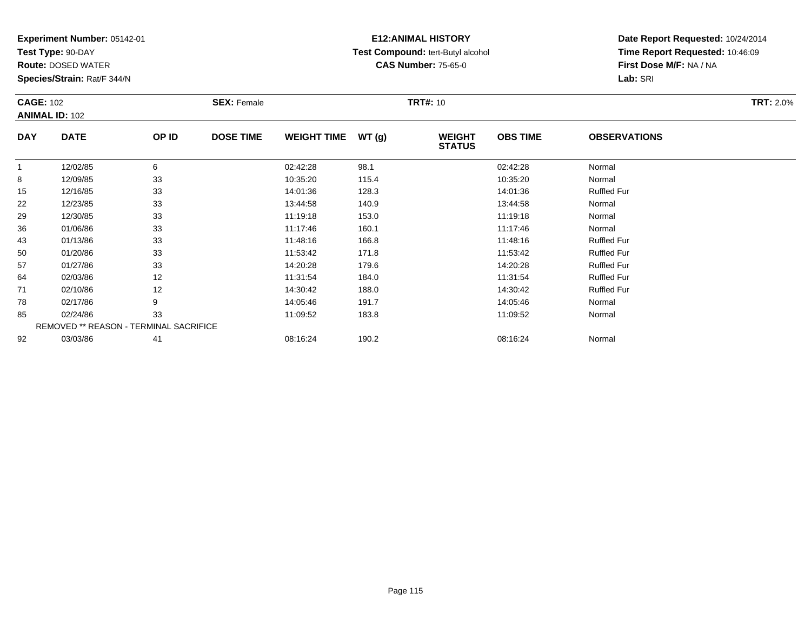**Test Type:** 90-DAY

**Route:** DOSED WATER

**Species/Strain:** Rat/F 344/N

# **E12:ANIMAL HISTORY Test Compound:** tert-Butyl alcohol **CAS Number:** 75-65-0

| <b>CAGE: 102</b> |                                        |       | <b>SEX: Female</b> |                    |       | <b>TRT#: 10</b>                |                 |                     | <b>TRT: 2.0%</b> |
|------------------|----------------------------------------|-------|--------------------|--------------------|-------|--------------------------------|-----------------|---------------------|------------------|
|                  | <b>ANIMAL ID: 102</b>                  |       |                    |                    |       |                                |                 |                     |                  |
| <b>DAY</b>       | <b>DATE</b>                            | OP ID | <b>DOSE TIME</b>   | <b>WEIGHT TIME</b> | WT(g) | <b>WEIGHT</b><br><b>STATUS</b> | <b>OBS TIME</b> | <b>OBSERVATIONS</b> |                  |
| $\mathbf{1}$     | 12/02/85                               | 6     |                    | 02:42:28           | 98.1  |                                | 02:42:28        | Normal              |                  |
| 8                | 12/09/85                               | 33    |                    | 10:35:20           | 115.4 |                                | 10:35:20        | Normal              |                  |
| 15               | 12/16/85                               | 33    |                    | 14:01:36           | 128.3 |                                | 14:01:36        | <b>Ruffled Fur</b>  |                  |
| 22               | 12/23/85                               | 33    |                    | 13:44:58           | 140.9 |                                | 13:44:58        | Normal              |                  |
| 29               | 12/30/85                               | 33    |                    | 11:19:18           | 153.0 |                                | 11:19:18        | Normal              |                  |
| 36               | 01/06/86                               | 33    |                    | 11:17:46           | 160.1 |                                | 11:17:46        | Normal              |                  |
| 43               | 01/13/86                               | 33    |                    | 11:48:16           | 166.8 |                                | 11:48:16        | <b>Ruffled Fur</b>  |                  |
| 50               | 01/20/86                               | 33    |                    | 11:53:42           | 171.8 |                                | 11:53:42        | <b>Ruffled Fur</b>  |                  |
| 57               | 01/27/86                               | 33    |                    | 14:20:28           | 179.6 |                                | 14:20:28        | <b>Ruffled Fur</b>  |                  |
| 64               | 02/03/86                               | 12    |                    | 11:31:54           | 184.0 |                                | 11:31:54        | <b>Ruffled Fur</b>  |                  |
| 71               | 02/10/86                               | 12    |                    | 14:30:42           | 188.0 |                                | 14:30:42        | <b>Ruffled Fur</b>  |                  |
| 78               | 02/17/86                               | 9     |                    | 14:05:46           | 191.7 |                                | 14:05:46        | Normal              |                  |
| 85               | 02/24/86                               | 33    |                    | 11:09:52           | 183.8 |                                | 11:09:52        | Normal              |                  |
|                  | REMOVED ** REASON - TERMINAL SACRIFICE |       |                    |                    |       |                                |                 |                     |                  |
| 92               | 03/03/86                               | 41    |                    | 08:16:24           | 190.2 |                                | 08:16:24        | Normal              |                  |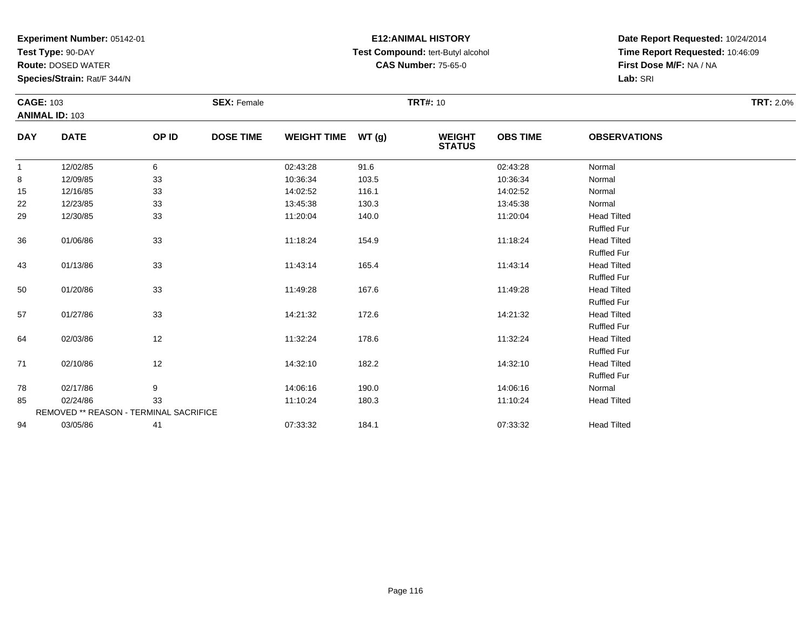**Test Type:** 90-DAY

**Route:** DOSED WATER

**Species/Strain:** Rat/F 344/N

# **E12:ANIMAL HISTORY Test Compound:** tert-Butyl alcohol **CAS Number:** 75-65-0

| <b>CAGE: 103</b> |                                        |       | <b>SEX: Female</b> |                    |       | <b>TRT#: 10</b>                |                 |                     | <b>TRT: 2.0%</b> |
|------------------|----------------------------------------|-------|--------------------|--------------------|-------|--------------------------------|-----------------|---------------------|------------------|
|                  | <b>ANIMAL ID: 103</b>                  |       |                    |                    |       |                                |                 |                     |                  |
| <b>DAY</b>       | <b>DATE</b>                            | OP ID | <b>DOSE TIME</b>   | <b>WEIGHT TIME</b> | WT(g) | <b>WEIGHT</b><br><b>STATUS</b> | <b>OBS TIME</b> | <b>OBSERVATIONS</b> |                  |
| $\mathbf{1}$     | 12/02/85                               | 6     |                    | 02:43:28           | 91.6  |                                | 02:43:28        | Normal              |                  |
| 8                | 12/09/85                               | 33    |                    | 10:36:34           | 103.5 |                                | 10:36:34        | Normal              |                  |
| 15               | 12/16/85                               | 33    |                    | 14:02:52           | 116.1 |                                | 14:02:52        | Normal              |                  |
| 22               | 12/23/85                               | 33    |                    | 13:45:38           | 130.3 |                                | 13:45:38        | Normal              |                  |
| 29               | 12/30/85                               | 33    |                    | 11:20:04           | 140.0 |                                | 11:20:04        | <b>Head Tilted</b>  |                  |
|                  |                                        |       |                    |                    |       |                                |                 | <b>Ruffled Fur</b>  |                  |
| 36               | 01/06/86                               | 33    |                    | 11:18:24           | 154.9 |                                | 11:18:24        | <b>Head Tilted</b>  |                  |
|                  |                                        |       |                    |                    |       |                                |                 | <b>Ruffled Fur</b>  |                  |
| 43               | 01/13/86                               | 33    |                    | 11:43:14           | 165.4 |                                | 11:43:14        | <b>Head Tilted</b>  |                  |
|                  |                                        |       |                    |                    |       |                                |                 | <b>Ruffled Fur</b>  |                  |
| 50               | 01/20/86                               | 33    |                    | 11:49:28           | 167.6 |                                | 11:49:28        | <b>Head Tilted</b>  |                  |
|                  |                                        |       |                    |                    |       |                                |                 | <b>Ruffled Fur</b>  |                  |
| 57               | 01/27/86                               | 33    |                    | 14:21:32           | 172.6 |                                | 14:21:32        | <b>Head Tilted</b>  |                  |
|                  |                                        |       |                    |                    |       |                                |                 | <b>Ruffled Fur</b>  |                  |
| 64               | 02/03/86                               | 12    |                    | 11:32:24           | 178.6 |                                | 11:32:24        | <b>Head Tilted</b>  |                  |
|                  |                                        |       |                    |                    |       |                                |                 | <b>Ruffled Fur</b>  |                  |
| 71               | 02/10/86                               | 12    |                    | 14:32:10           | 182.2 |                                | 14:32:10        | <b>Head Tilted</b>  |                  |
|                  |                                        |       |                    |                    |       |                                |                 | <b>Ruffled Fur</b>  |                  |
| 78               | 02/17/86                               | 9     |                    | 14:06:16           | 190.0 |                                | 14:06:16        | Normal              |                  |
| 85               | 02/24/86                               | 33    |                    | 11:10:24           | 180.3 |                                | 11:10:24        | <b>Head Tilted</b>  |                  |
|                  | REMOVED ** REASON - TERMINAL SACRIFICE |       |                    |                    |       |                                |                 |                     |                  |
| 94               | 03/05/86                               | 41    |                    | 07:33:32           | 184.1 |                                | 07:33:32        | <b>Head Tilted</b>  |                  |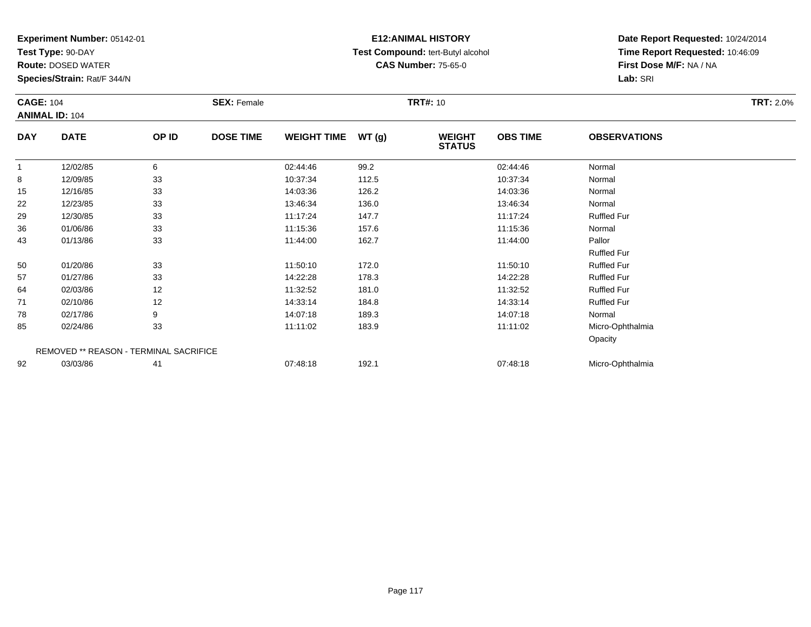**Test Type:** 90-DAY

**Route:** DOSED WATER

**Species/Strain:** Rat/F 344/N

#### **E12:ANIMAL HISTORY Test Compound:** tert-Butyl alcohol **CAS Number:** 75-65-0

| <b>CAGE: 104</b> |                                        |       | <b>SEX: Female</b> |                    |       | <b>TRT#: 10</b>                |                 |                     | <b>TRT: 2.0%</b> |
|------------------|----------------------------------------|-------|--------------------|--------------------|-------|--------------------------------|-----------------|---------------------|------------------|
|                  | <b>ANIMAL ID: 104</b>                  |       |                    |                    |       |                                |                 |                     |                  |
| <b>DAY</b>       | <b>DATE</b>                            | OP ID | <b>DOSE TIME</b>   | <b>WEIGHT TIME</b> | WT(g) | <b>WEIGHT</b><br><b>STATUS</b> | <b>OBS TIME</b> | <b>OBSERVATIONS</b> |                  |
| $\overline{1}$   | 12/02/85                               | 6     |                    | 02:44:46           | 99.2  |                                | 02:44:46        | Normal              |                  |
| 8                | 12/09/85                               | 33    |                    | 10:37:34           | 112.5 |                                | 10:37:34        | Normal              |                  |
| 15               | 12/16/85                               | 33    |                    | 14:03:36           | 126.2 |                                | 14:03:36        | Normal              |                  |
| 22               | 12/23/85                               | 33    |                    | 13:46:34           | 136.0 |                                | 13:46:34        | Normal              |                  |
| 29               | 12/30/85                               | 33    |                    | 11:17:24           | 147.7 |                                | 11:17:24        | <b>Ruffled Fur</b>  |                  |
| 36               | 01/06/86                               | 33    |                    | 11:15:36           | 157.6 |                                | 11:15:36        | Normal              |                  |
| 43               | 01/13/86                               | 33    |                    | 11:44:00           | 162.7 |                                | 11:44:00        | Pallor              |                  |
|                  |                                        |       |                    |                    |       |                                |                 | <b>Ruffled Fur</b>  |                  |
| 50               | 01/20/86                               | 33    |                    | 11:50:10           | 172.0 |                                | 11:50:10        | <b>Ruffled Fur</b>  |                  |
| 57               | 01/27/86                               | 33    |                    | 14:22:28           | 178.3 |                                | 14:22:28        | <b>Ruffled Fur</b>  |                  |
| 64               | 02/03/86                               | 12    |                    | 11:32:52           | 181.0 |                                | 11:32:52        | <b>Ruffled Fur</b>  |                  |
| 71               | 02/10/86                               | 12    |                    | 14:33:14           | 184.8 |                                | 14:33:14        | <b>Ruffled Fur</b>  |                  |
| 78               | 02/17/86                               | 9     |                    | 14:07:18           | 189.3 |                                | 14:07:18        | Normal              |                  |
| 85               | 02/24/86                               | 33    |                    | 11:11:02           | 183.9 |                                | 11:11:02        | Micro-Ophthalmia    |                  |
|                  |                                        |       |                    |                    |       |                                |                 | Opacity             |                  |
|                  | REMOVED ** REASON - TERMINAL SACRIFICE |       |                    |                    |       |                                |                 |                     |                  |
| 92               | 03/03/86                               | 41    |                    | 07:48:18           | 192.1 |                                | 07:48:18        | Micro-Ophthalmia    |                  |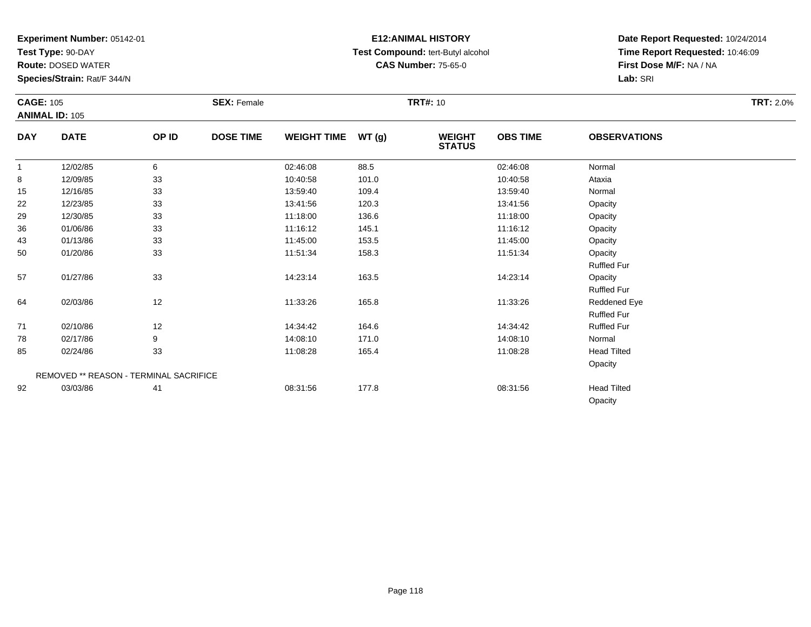**Test Type:** 90-DAY

**Route:** DOSED WATER

**Species/Strain:** Rat/F 344/N

# **E12:ANIMAL HISTORY Test Compound:** tert-Butyl alcohol **CAS Number:** 75-65-0

|              | <b>CAGE: 105</b><br><b>ANIMAL ID: 105</b> |       | <b>SEX: Female</b> |                    |       | <b>TRT#: 10</b>                |                 | <b>TRT: 2.0%</b>    |  |
|--------------|-------------------------------------------|-------|--------------------|--------------------|-------|--------------------------------|-----------------|---------------------|--|
| <b>DAY</b>   | <b>DATE</b>                               | OP ID | <b>DOSE TIME</b>   | <b>WEIGHT TIME</b> | WT(g) | <b>WEIGHT</b><br><b>STATUS</b> | <b>OBS TIME</b> | <b>OBSERVATIONS</b> |  |
| $\mathbf{1}$ | 12/02/85                                  | 6     |                    | 02:46:08           | 88.5  |                                | 02:46:08        | Normal              |  |
| 8            | 12/09/85                                  | 33    |                    | 10:40:58           | 101.0 |                                | 10:40:58        | Ataxia              |  |
| 15           | 12/16/85                                  | 33    |                    | 13:59:40           | 109.4 |                                | 13:59:40        | Normal              |  |
| 22           | 12/23/85                                  | 33    |                    | 13:41:56           | 120.3 |                                | 13:41:56        | Opacity             |  |
| 29           | 12/30/85                                  | 33    |                    | 11:18:00           | 136.6 |                                | 11:18:00        | Opacity             |  |
| 36           | 01/06/86                                  | 33    |                    | 11:16:12           | 145.1 |                                | 11:16:12        | Opacity             |  |
| 43           | 01/13/86                                  | 33    |                    | 11:45:00           | 153.5 |                                | 11:45:00        | Opacity             |  |
| 50           | 01/20/86                                  | 33    |                    | 11:51:34           | 158.3 |                                | 11:51:34        | Opacity             |  |
|              |                                           |       |                    |                    |       |                                |                 | <b>Ruffled Fur</b>  |  |
| 57           | 01/27/86                                  | 33    |                    | 14:23:14           | 163.5 |                                | 14:23:14        | Opacity             |  |
|              |                                           |       |                    |                    |       |                                |                 | <b>Ruffled Fur</b>  |  |
| 64           | 02/03/86                                  | 12    |                    | 11:33:26           | 165.8 |                                | 11:33:26        | Reddened Eye        |  |
|              |                                           |       |                    |                    |       |                                |                 | <b>Ruffled Fur</b>  |  |
| 71           | 02/10/86                                  | 12    |                    | 14:34:42           | 164.6 |                                | 14:34:42        | <b>Ruffled Fur</b>  |  |
| 78           | 02/17/86                                  | 9     |                    | 14:08:10           | 171.0 |                                | 14:08:10        | Normal              |  |
| 85           | 02/24/86                                  | 33    |                    | 11:08:28           | 165.4 |                                | 11:08:28        | <b>Head Tilted</b>  |  |
|              |                                           |       |                    |                    |       |                                |                 | Opacity             |  |
|              | REMOVED ** REASON - TERMINAL SACRIFICE    |       |                    |                    |       |                                |                 |                     |  |
| 92           | 03/03/86                                  | 41    |                    | 08:31:56           | 177.8 |                                | 08:31:56        | <b>Head Tilted</b>  |  |
|              |                                           |       |                    |                    |       |                                |                 | Opacity             |  |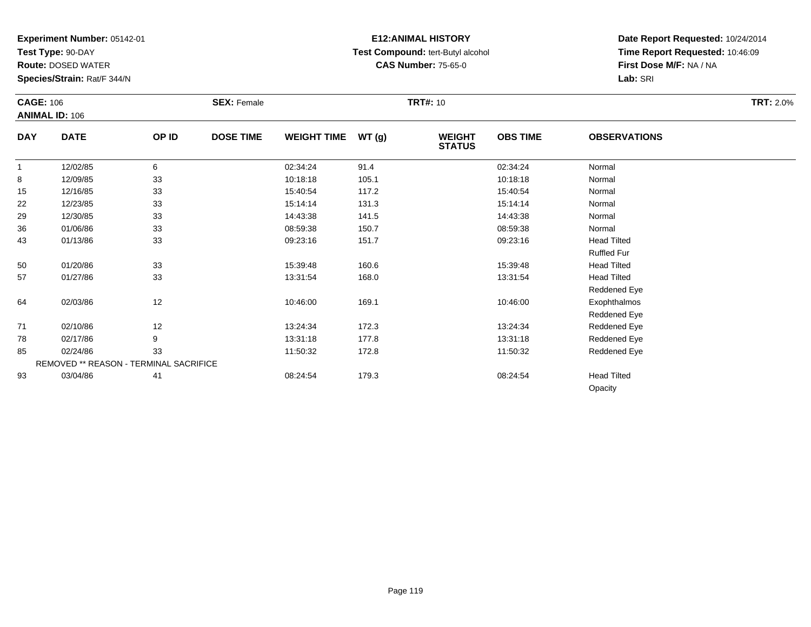**Test Type:** 90-DAY

**Route:** DOSED WATER

**Species/Strain:** Rat/F 344/N

# **E12:ANIMAL HISTORY Test Compound:** tert-Butyl alcohol **CAS Number:** 75-65-0

|            | <b>CAGE: 106</b><br><b>ANIMAL ID: 106</b> |       | <b>SEX: Female</b> |                    |       | <b>TRT#: 10</b>                | <b>TRT: 2.0%</b> |                     |  |
|------------|-------------------------------------------|-------|--------------------|--------------------|-------|--------------------------------|------------------|---------------------|--|
| <b>DAY</b> | <b>DATE</b>                               | OP ID | <b>DOSE TIME</b>   | <b>WEIGHT TIME</b> | WT(g) | <b>WEIGHT</b><br><b>STATUS</b> | <b>OBS TIME</b>  | <b>OBSERVATIONS</b> |  |
|            | 12/02/85                                  | 6     |                    | 02:34:24           | 91.4  |                                | 02:34:24         | Normal              |  |
| 8          | 12/09/85                                  | 33    |                    | 10:18:18           | 105.1 |                                | 10:18:18         | Normal              |  |
| 15         | 12/16/85                                  | 33    |                    | 15:40:54           | 117.2 |                                | 15:40:54         | Normal              |  |
| 22         | 12/23/85                                  | 33    |                    | 15:14:14           | 131.3 |                                | 15:14:14         | Normal              |  |
| 29         | 12/30/85                                  | 33    |                    | 14:43:38           | 141.5 |                                | 14:43:38         | Normal              |  |
| 36         | 01/06/86                                  | 33    |                    | 08:59:38           | 150.7 |                                | 08:59:38         | Normal              |  |
| 43         | 01/13/86                                  | 33    |                    | 09:23:16           | 151.7 |                                | 09:23:16         | <b>Head Tilted</b>  |  |
|            |                                           |       |                    |                    |       |                                |                  | <b>Ruffled Fur</b>  |  |
| 50         | 01/20/86                                  | 33    |                    | 15:39:48           | 160.6 |                                | 15:39:48         | <b>Head Tilted</b>  |  |
| 57         | 01/27/86                                  | 33    |                    | 13:31:54           | 168.0 |                                | 13:31:54         | <b>Head Tilted</b>  |  |
|            |                                           |       |                    |                    |       |                                |                  | Reddened Eye        |  |
| 64         | 02/03/86                                  | 12    |                    | 10:46:00           | 169.1 |                                | 10:46:00         | Exophthalmos        |  |
|            |                                           |       |                    |                    |       |                                |                  | Reddened Eye        |  |
| 71         | 02/10/86                                  | 12    |                    | 13:24:34           | 172.3 |                                | 13:24:34         | Reddened Eye        |  |
| 78         | 02/17/86                                  | 9     |                    | 13:31:18           | 177.8 |                                | 13:31:18         | Reddened Eye        |  |
| 85         | 02/24/86                                  | 33    |                    | 11:50:32           | 172.8 |                                | 11:50:32         | Reddened Eye        |  |
|            | REMOVED ** REASON - TERMINAL SACRIFICE    |       |                    |                    |       |                                |                  |                     |  |
| 93         | 03/04/86                                  | 41    |                    | 08:24:54           | 179.3 |                                | 08:24:54         | <b>Head Tilted</b>  |  |
|            |                                           |       |                    |                    |       |                                |                  | Opacity             |  |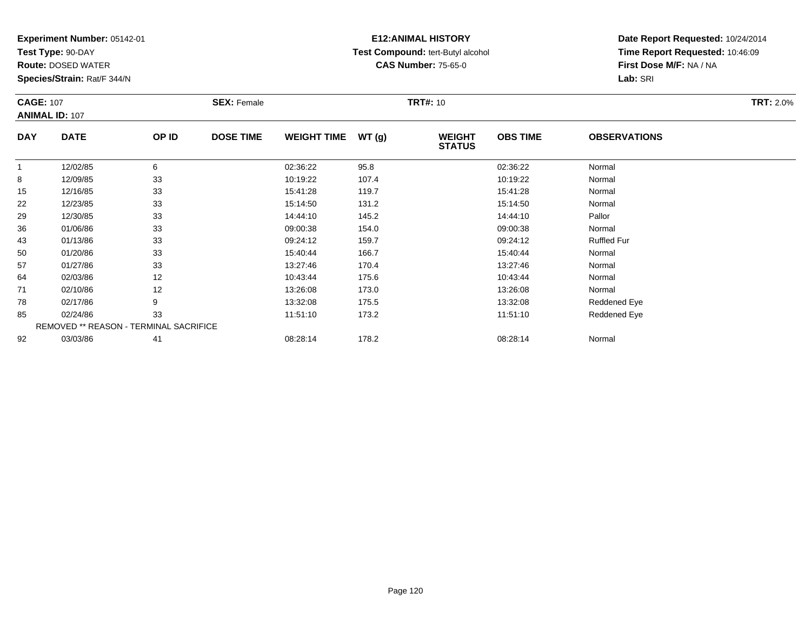**Test Type:** 90-DAY

**Route:** DOSED WATER

**Species/Strain:** Rat/F 344/N

# **E12:ANIMAL HISTORY Test Compound:** tert-Butyl alcohol **CAS Number:** 75-65-0

| <b>CAGE: 107</b> | <b>ANIMAL ID: 107</b> |                                        | <b>SEX: Female</b> |                    |       | <b>TRT#: 10</b>                |                 |                     | <b>TRT: 2.0%</b> |
|------------------|-----------------------|----------------------------------------|--------------------|--------------------|-------|--------------------------------|-----------------|---------------------|------------------|
| <b>DAY</b>       | <b>DATE</b>           | OP ID                                  | <b>DOSE TIME</b>   | <b>WEIGHT TIME</b> | WT(g) | <b>WEIGHT</b><br><b>STATUS</b> | <b>OBS TIME</b> | <b>OBSERVATIONS</b> |                  |
|                  | 12/02/85              | 6                                      |                    | 02:36:22           | 95.8  |                                | 02:36:22        | Normal              |                  |
| 8                | 12/09/85              | 33                                     |                    | 10:19:22           | 107.4 |                                | 10:19:22        | Normal              |                  |
| 15               | 12/16/85              | 33                                     |                    | 15:41:28           | 119.7 |                                | 15:41:28        | Normal              |                  |
| 22               | 12/23/85              | 33                                     |                    | 15:14:50           | 131.2 |                                | 15:14:50        | Normal              |                  |
| 29               | 12/30/85              | 33                                     |                    | 14:44:10           | 145.2 |                                | 14:44:10        | Pallor              |                  |
| 36               | 01/06/86              | 33                                     |                    | 09:00:38           | 154.0 |                                | 09:00:38        | Normal              |                  |
| 43               | 01/13/86              | 33                                     |                    | 09:24:12           | 159.7 |                                | 09:24:12        | <b>Ruffled Fur</b>  |                  |
| 50               | 01/20/86              | 33                                     |                    | 15:40:44           | 166.7 |                                | 15:40:44        | Normal              |                  |
| 57               | 01/27/86              | 33                                     |                    | 13:27:46           | 170.4 |                                | 13:27:46        | Normal              |                  |
| 64               | 02/03/86              | 12                                     |                    | 10:43:44           | 175.6 |                                | 10:43:44        | Normal              |                  |
| 71               | 02/10/86              | 12                                     |                    | 13:26:08           | 173.0 |                                | 13:26:08        | Normal              |                  |
| 78               | 02/17/86              | 9                                      |                    | 13:32:08           | 175.5 |                                | 13:32:08        | Reddened Eye        |                  |
| 85               | 02/24/86              | 33                                     |                    | 11:51:10           | 173.2 |                                | 11:51:10        | Reddened Eye        |                  |
|                  |                       | REMOVED ** REASON - TERMINAL SACRIFICE |                    |                    |       |                                |                 |                     |                  |
| 92               | 03/03/86              | 41                                     |                    | 08:28:14           | 178.2 |                                | 08:28:14        | Normal              |                  |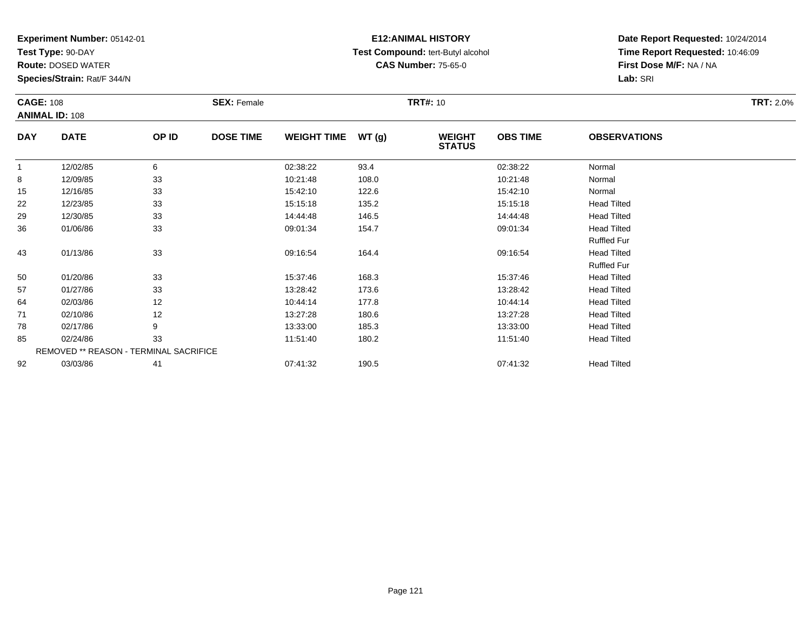**Test Type:** 90-DAY

**Route:** DOSED WATER

**Species/Strain:** Rat/F 344/N

# **E12:ANIMAL HISTORY Test Compound:** tert-Butyl alcohol **CAS Number:** 75-65-0

|              | <b>CAGE: 108</b><br><b>ANIMAL ID: 108</b> |       | <b>SEX: Female</b> |                    |       | <b>TRT#: 10</b>                |                 | <b>TRT: 2.0%</b>    |  |
|--------------|-------------------------------------------|-------|--------------------|--------------------|-------|--------------------------------|-----------------|---------------------|--|
| <b>DAY</b>   | <b>DATE</b>                               | OP ID | <b>DOSE TIME</b>   | <b>WEIGHT TIME</b> | WT(g) | <b>WEIGHT</b><br><b>STATUS</b> | <b>OBS TIME</b> | <b>OBSERVATIONS</b> |  |
| $\mathbf{1}$ | 12/02/85                                  | 6     |                    | 02:38:22           | 93.4  |                                | 02:38:22        | Normal              |  |
| 8            | 12/09/85                                  | 33    |                    | 10:21:48           | 108.0 |                                | 10:21:48        | Normal              |  |
| 15           | 12/16/85                                  | 33    |                    | 15:42:10           | 122.6 |                                | 15:42:10        | Normal              |  |
| 22           | 12/23/85                                  | 33    |                    | 15:15:18           | 135.2 |                                | 15:15:18        | <b>Head Tilted</b>  |  |
| 29           | 12/30/85                                  | 33    |                    | 14:44:48           | 146.5 |                                | 14:44:48        | <b>Head Tilted</b>  |  |
| 36           | 01/06/86                                  | 33    |                    | 09:01:34           | 154.7 |                                | 09:01:34        | <b>Head Tilted</b>  |  |
|              |                                           |       |                    |                    |       |                                |                 | <b>Ruffled Fur</b>  |  |
| 43           | 01/13/86                                  | 33    |                    | 09:16:54           | 164.4 |                                | 09:16:54        | <b>Head Tilted</b>  |  |
|              |                                           |       |                    |                    |       |                                |                 | <b>Ruffled Fur</b>  |  |
| 50           | 01/20/86                                  | 33    |                    | 15:37:46           | 168.3 |                                | 15:37:46        | <b>Head Tilted</b>  |  |
| 57           | 01/27/86                                  | 33    |                    | 13:28:42           | 173.6 |                                | 13:28:42        | <b>Head Tilted</b>  |  |
| 64           | 02/03/86                                  | 12    |                    | 10:44:14           | 177.8 |                                | 10:44:14        | <b>Head Tilted</b>  |  |
| 71           | 02/10/86                                  | 12    |                    | 13:27:28           | 180.6 |                                | 13:27:28        | <b>Head Tilted</b>  |  |
| 78           | 02/17/86                                  | 9     |                    | 13:33:00           | 185.3 |                                | 13:33:00        | <b>Head Tilted</b>  |  |
| 85           | 02/24/86                                  | 33    |                    | 11:51:40           | 180.2 |                                | 11:51:40        | <b>Head Tilted</b>  |  |
|              | REMOVED ** REASON - TERMINAL SACRIFICE    |       |                    |                    |       |                                |                 |                     |  |
| 92           | 03/03/86                                  | 41    |                    | 07:41:32           | 190.5 |                                | 07:41:32        | <b>Head Tilted</b>  |  |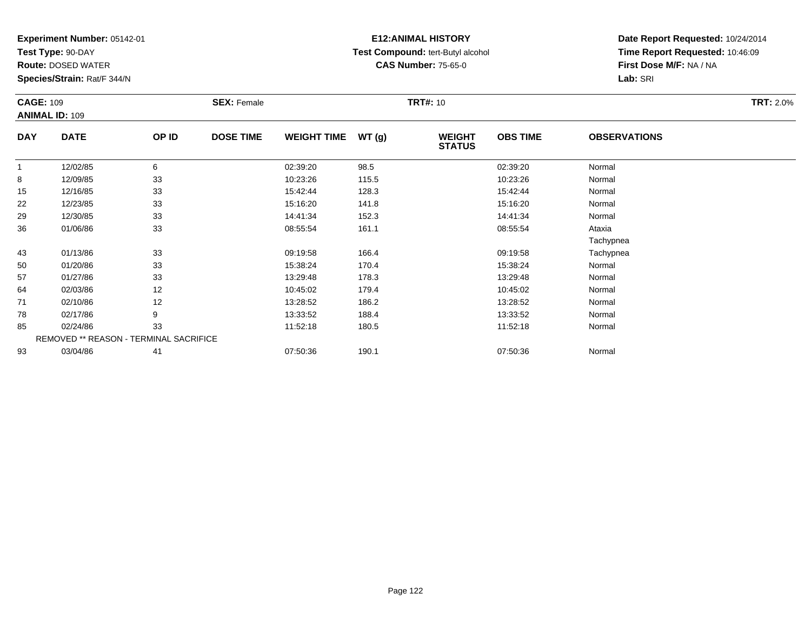**Test Type:** 90-DAY

**Route:** DOSED WATER

**Species/Strain:** Rat/F 344/N

# **E12:ANIMAL HISTORY Test Compound:** tert-Butyl alcohol **CAS Number:** 75-65-0

| <b>CAGE: 109</b> |                                        |       | <b>SEX: Female</b> |                    |       | <b>TRT#: 10</b>                |                 |                     | <b>TRT: 2.0%</b> |
|------------------|----------------------------------------|-------|--------------------|--------------------|-------|--------------------------------|-----------------|---------------------|------------------|
|                  | <b>ANIMAL ID: 109</b>                  |       |                    |                    |       |                                |                 |                     |                  |
| <b>DAY</b>       | <b>DATE</b>                            | OP ID | <b>DOSE TIME</b>   | <b>WEIGHT TIME</b> | WT(g) | <b>WEIGHT</b><br><b>STATUS</b> | <b>OBS TIME</b> | <b>OBSERVATIONS</b> |                  |
|                  | 12/02/85                               | 6     |                    | 02:39:20           | 98.5  |                                | 02:39:20        | Normal              |                  |
| 8                | 12/09/85                               | 33    |                    | 10:23:26           | 115.5 |                                | 10:23:26        | Normal              |                  |
| 15               | 12/16/85                               | 33    |                    | 15:42:44           | 128.3 |                                | 15:42:44        | Normal              |                  |
| 22               | 12/23/85                               | 33    |                    | 15:16:20           | 141.8 |                                | 15:16:20        | Normal              |                  |
| 29               | 12/30/85                               | 33    |                    | 14:41:34           | 152.3 |                                | 14:41:34        | Normal              |                  |
| 36               | 01/06/86                               | 33    |                    | 08:55:54           | 161.1 |                                | 08:55:54        | Ataxia              |                  |
|                  |                                        |       |                    |                    |       |                                |                 | Tachypnea           |                  |
| 43               | 01/13/86                               | 33    |                    | 09:19:58           | 166.4 |                                | 09:19:58        | Tachypnea           |                  |
| 50               | 01/20/86                               | 33    |                    | 15:38:24           | 170.4 |                                | 15:38:24        | Normal              |                  |
| 57               | 01/27/86                               | 33    |                    | 13:29:48           | 178.3 |                                | 13:29:48        | Normal              |                  |
| 64               | 02/03/86                               | 12    |                    | 10:45:02           | 179.4 |                                | 10:45:02        | Normal              |                  |
| 71               | 02/10/86                               | 12    |                    | 13:28:52           | 186.2 |                                | 13:28:52        | Normal              |                  |
| 78               | 02/17/86                               | 9     |                    | 13:33:52           | 188.4 |                                | 13:33:52        | Normal              |                  |
| 85               | 02/24/86                               | 33    |                    | 11:52:18           | 180.5 |                                | 11:52:18        | Normal              |                  |
|                  | REMOVED ** REASON - TERMINAL SACRIFICE |       |                    |                    |       |                                |                 |                     |                  |
| 93               | 03/04/86                               | 41    |                    | 07:50:36           | 190.1 |                                | 07:50:36        | Normal              |                  |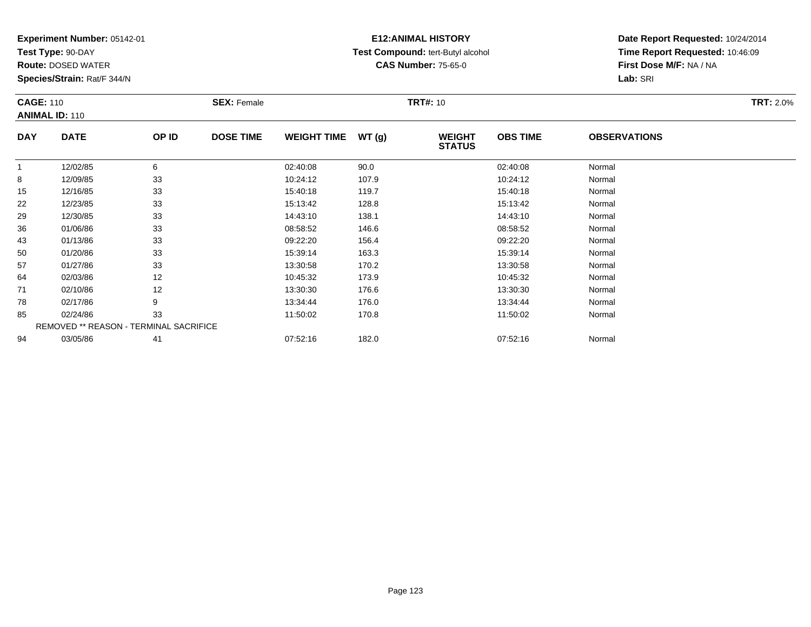**Test Type:** 90-DAY

**Route:** DOSED WATER

**Species/Strain:** Rat/F 344/N

# **E12:ANIMAL HISTORY Test Compound:** tert-Butyl alcohol **CAS Number:** 75-65-0

| <b>CAGE: 110</b> | <b>ANIMAL ID: 110</b>                  |       | <b>SEX: Female</b> |                    |       | <b>TRT#: 10</b>                |                 |                     | <b>TRT: 2.0%</b> |
|------------------|----------------------------------------|-------|--------------------|--------------------|-------|--------------------------------|-----------------|---------------------|------------------|
| <b>DAY</b>       | <b>DATE</b>                            | OP ID | <b>DOSE TIME</b>   | <b>WEIGHT TIME</b> | WT(g) | <b>WEIGHT</b><br><b>STATUS</b> | <b>OBS TIME</b> | <b>OBSERVATIONS</b> |                  |
| $\mathbf{1}$     | 12/02/85                               | 6     |                    | 02:40:08           | 90.0  |                                | 02:40:08        | Normal              |                  |
| 8                | 12/09/85                               | 33    |                    | 10:24:12           | 107.9 |                                | 10:24:12        | Normal              |                  |
| 15               | 12/16/85                               | 33    |                    | 15:40:18           | 119.7 |                                | 15:40:18        | Normal              |                  |
| 22               | 12/23/85                               | 33    |                    | 15:13:42           | 128.8 |                                | 15:13:42        | Normal              |                  |
| 29               | 12/30/85                               | 33    |                    | 14:43:10           | 138.1 |                                | 14:43:10        | Normal              |                  |
| 36               | 01/06/86                               | 33    |                    | 08:58:52           | 146.6 |                                | 08:58:52        | Normal              |                  |
| 43               | 01/13/86                               | 33    |                    | 09:22:20           | 156.4 |                                | 09:22:20        | Normal              |                  |
| 50               | 01/20/86                               | 33    |                    | 15:39:14           | 163.3 |                                | 15:39:14        | Normal              |                  |
| 57               | 01/27/86                               | 33    |                    | 13:30:58           | 170.2 |                                | 13:30:58        | Normal              |                  |
| 64               | 02/03/86                               | 12    |                    | 10:45:32           | 173.9 |                                | 10:45:32        | Normal              |                  |
| 71               | 02/10/86                               | 12    |                    | 13:30:30           | 176.6 |                                | 13:30:30        | Normal              |                  |
| 78               | 02/17/86                               | 9     |                    | 13:34:44           | 176.0 |                                | 13:34:44        | Normal              |                  |
| 85               | 02/24/86                               | 33    |                    | 11:50:02           | 170.8 |                                | 11:50:02        | Normal              |                  |
|                  | REMOVED ** REASON - TERMINAL SACRIFICE |       |                    |                    |       |                                |                 |                     |                  |
| 94               | 03/05/86                               | 41    |                    | 07:52:16           | 182.0 |                                | 07:52:16        | Normal              |                  |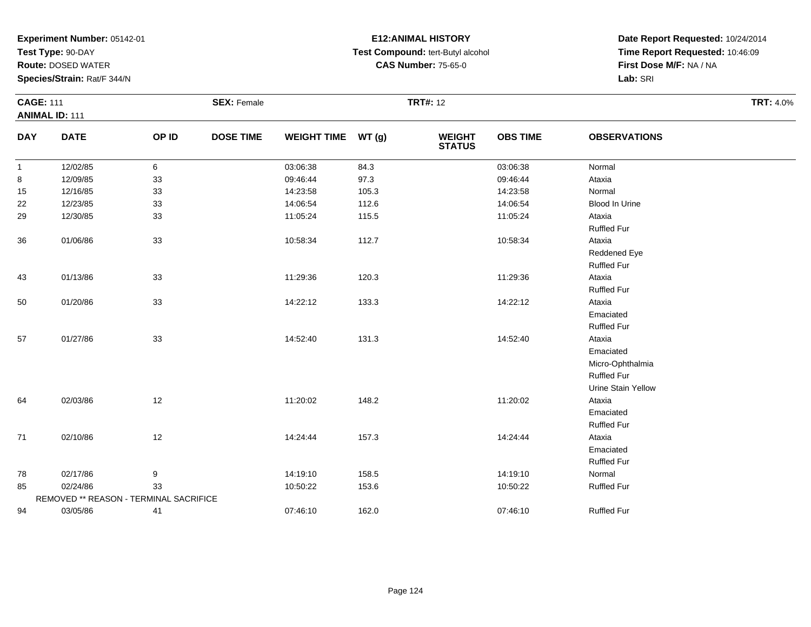**Test Type:** 90-DAY

**Route:** DOSED WATER

**Species/Strain:** Rat/F 344/N

# **E12:ANIMAL HISTORY Test Compound:** tert-Butyl alcohol **CAS Number:** 75-65-0

| <b>CAGE: 111</b> |                       |                  |                                                              |       |                                |                 |                       | <b>TRT: 4.0%</b> |
|------------------|-----------------------|------------------|--------------------------------------------------------------|-------|--------------------------------|-----------------|-----------------------|------------------|
|                  |                       |                  |                                                              |       |                                |                 |                       |                  |
| <b>DATE</b>      | OP ID                 | <b>DOSE TIME</b> |                                                              |       | <b>WEIGHT</b><br><b>STATUS</b> | <b>OBS TIME</b> | <b>OBSERVATIONS</b>   |                  |
| 12/02/85         | 6                     |                  | 03:06:38                                                     | 84.3  |                                | 03:06:38        | Normal                |                  |
| 12/09/85         | 33                    |                  | 09:46:44                                                     | 97.3  |                                | 09:46:44        | Ataxia                |                  |
| 12/16/85         | 33                    |                  | 14:23:58                                                     | 105.3 |                                | 14:23:58        | Normal                |                  |
| 12/23/85         | 33                    |                  | 14:06:54                                                     | 112.6 |                                | 14:06:54        | <b>Blood In Urine</b> |                  |
| 12/30/85         | 33                    |                  | 11:05:24                                                     | 115.5 |                                | 11:05:24        | Ataxia                |                  |
|                  |                       |                  |                                                              |       |                                |                 | <b>Ruffled Fur</b>    |                  |
| 01/06/86         | 33                    |                  | 10:58:34                                                     | 112.7 |                                | 10:58:34        | Ataxia                |                  |
|                  |                       |                  |                                                              |       |                                |                 | Reddened Eye          |                  |
|                  |                       |                  |                                                              |       |                                |                 | <b>Ruffled Fur</b>    |                  |
| 01/13/86         | 33                    |                  | 11:29:36                                                     | 120.3 |                                | 11:29:36        | Ataxia                |                  |
|                  |                       |                  |                                                              |       |                                |                 | <b>Ruffled Fur</b>    |                  |
| 01/20/86         | 33                    |                  | 14:22:12                                                     | 133.3 |                                | 14:22:12        | Ataxia                |                  |
|                  |                       |                  |                                                              |       |                                |                 | Emaciated             |                  |
|                  |                       |                  |                                                              |       |                                |                 | <b>Ruffled Fur</b>    |                  |
| 01/27/86         | 33                    |                  | 14:52:40                                                     | 131.3 |                                | 14:52:40        | Ataxia                |                  |
|                  |                       |                  |                                                              |       |                                |                 | Emaciated             |                  |
|                  |                       |                  |                                                              |       |                                |                 | Micro-Ophthalmia      |                  |
|                  |                       |                  |                                                              |       |                                |                 | <b>Ruffled Fur</b>    |                  |
|                  |                       |                  |                                                              |       |                                |                 | Urine Stain Yellow    |                  |
| 02/03/86         | 12                    |                  | 11:20:02                                                     | 148.2 |                                | 11:20:02        | Ataxia                |                  |
|                  |                       |                  |                                                              |       |                                |                 | Emaciated             |                  |
|                  |                       |                  |                                                              |       |                                |                 | <b>Ruffled Fur</b>    |                  |
| 02/10/86         | 12                    |                  | 14:24:44                                                     | 157.3 |                                | 14:24:44        | Ataxia                |                  |
|                  |                       |                  |                                                              |       |                                |                 | Emaciated             |                  |
|                  |                       |                  |                                                              |       |                                |                 | <b>Ruffled Fur</b>    |                  |
| 02/17/86         | 9                     |                  | 14:19:10                                                     | 158.5 |                                | 14:19:10        | Normal                |                  |
| 02/24/86         | 33                    |                  | 10:50:22                                                     | 153.6 |                                | 10:50:22        | <b>Ruffled Fur</b>    |                  |
|                  |                       |                  |                                                              |       |                                |                 |                       |                  |
| 03/05/86         | 41                    |                  | 07:46:10                                                     | 162.0 |                                | 07:46:10        | <b>Ruffled Fur</b>    |                  |
|                  | <b>ANIMAL ID: 111</b> |                  | <b>SEX: Female</b><br>REMOVED ** REASON - TERMINAL SACRIFICE |       | WEIGHT TIME WT (g)             | <b>TRT#: 12</b> |                       |                  |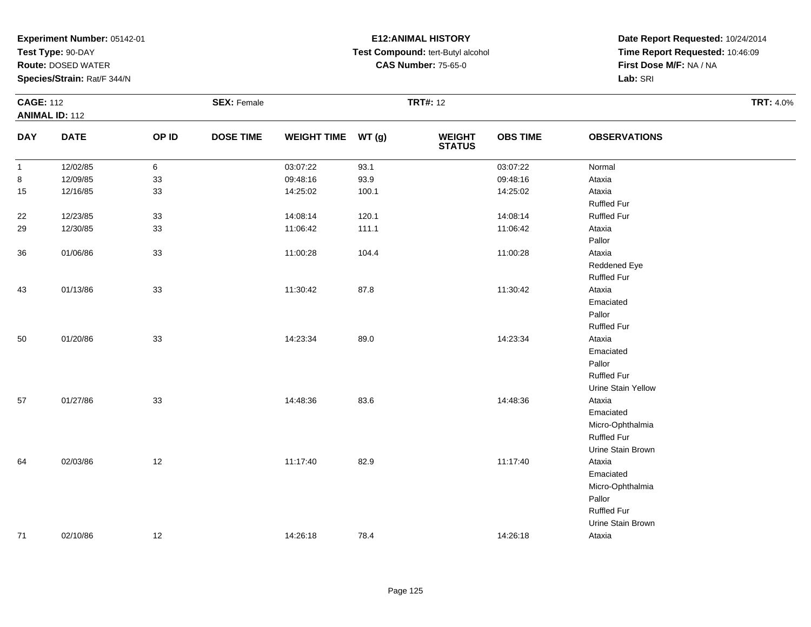**Test Type:** 90-DAY

**Route:** DOSED WATER

**Species/Strain:** Rat/F 344/N

# **E12:ANIMAL HISTORY Test Compound:** tert-Butyl alcohol **CAS Number:** 75-65-0

|              | <b>CAGE: 112</b><br><b>ANIMAL ID: 112</b> |       | <b>SEX: Female</b> |                    |       | <b>TRT#: 12</b>                |                 | <b>TRT: 4.0%</b>    |  |
|--------------|-------------------------------------------|-------|--------------------|--------------------|-------|--------------------------------|-----------------|---------------------|--|
| <b>DAY</b>   | <b>DATE</b>                               | OP ID | <b>DOSE TIME</b>   | WEIGHT TIME WT (g) |       | <b>WEIGHT</b><br><b>STATUS</b> | <b>OBS TIME</b> | <b>OBSERVATIONS</b> |  |
| $\mathbf{1}$ | 12/02/85                                  | 6     |                    | 03:07:22           | 93.1  |                                | 03:07:22        | Normal              |  |
| 8            | 12/09/85                                  | 33    |                    | 09:48:16           | 93.9  |                                | 09:48:16        | Ataxia              |  |
| 15           | 12/16/85                                  | 33    |                    | 14:25:02           | 100.1 |                                | 14:25:02        | Ataxia              |  |
|              |                                           |       |                    |                    |       |                                |                 | <b>Ruffled Fur</b>  |  |
| $22\,$       | 12/23/85                                  | 33    |                    | 14:08:14           | 120.1 |                                | 14:08:14        | <b>Ruffled Fur</b>  |  |
| 29           | 12/30/85                                  | 33    |                    | 11:06:42           | 111.1 |                                | 11:06:42        | Ataxia              |  |
|              |                                           |       |                    |                    |       |                                |                 | Pallor              |  |
| 36           | 01/06/86                                  | 33    |                    | 11:00:28           | 104.4 |                                | 11:00:28        | Ataxia              |  |
|              |                                           |       |                    |                    |       |                                |                 | Reddened Eye        |  |
|              |                                           |       |                    |                    |       |                                |                 | <b>Ruffled Fur</b>  |  |
| 43           | 01/13/86                                  | 33    |                    | 11:30:42           | 87.8  |                                | 11:30:42        | Ataxia              |  |
|              |                                           |       |                    |                    |       |                                |                 | Emaciated           |  |
|              |                                           |       |                    |                    |       |                                |                 | Pallor              |  |
|              |                                           |       |                    |                    |       |                                |                 | <b>Ruffled Fur</b>  |  |
| 50           | 01/20/86                                  | 33    |                    | 14:23:34           | 89.0  |                                | 14:23:34        | Ataxia              |  |
|              |                                           |       |                    |                    |       |                                |                 | Emaciated           |  |
|              |                                           |       |                    |                    |       |                                |                 | Pallor              |  |
|              |                                           |       |                    |                    |       |                                |                 | <b>Ruffled Fur</b>  |  |
|              |                                           |       |                    |                    |       |                                |                 | Urine Stain Yellow  |  |
| 57           | 01/27/86                                  | 33    |                    | 14:48:36           | 83.6  |                                | 14:48:36        | Ataxia              |  |
|              |                                           |       |                    |                    |       |                                |                 | Emaciated           |  |
|              |                                           |       |                    |                    |       |                                |                 | Micro-Ophthalmia    |  |
|              |                                           |       |                    |                    |       |                                |                 | <b>Ruffled Fur</b>  |  |
|              |                                           |       |                    |                    |       |                                |                 | Urine Stain Brown   |  |
| 64           | 02/03/86                                  | 12    |                    | 11:17:40           | 82.9  |                                | 11:17:40        | Ataxia              |  |
|              |                                           |       |                    |                    |       |                                |                 | Emaciated           |  |
|              |                                           |       |                    |                    |       |                                |                 | Micro-Ophthalmia    |  |
|              |                                           |       |                    |                    |       |                                |                 | Pallor              |  |
|              |                                           |       |                    |                    |       |                                |                 | <b>Ruffled Fur</b>  |  |
|              |                                           |       |                    |                    |       |                                |                 | Urine Stain Brown   |  |
| 71           | 02/10/86                                  | 12    |                    | 14:26:18           | 78.4  |                                | 14:26:18        | Ataxia              |  |
|              |                                           |       |                    |                    |       |                                |                 |                     |  |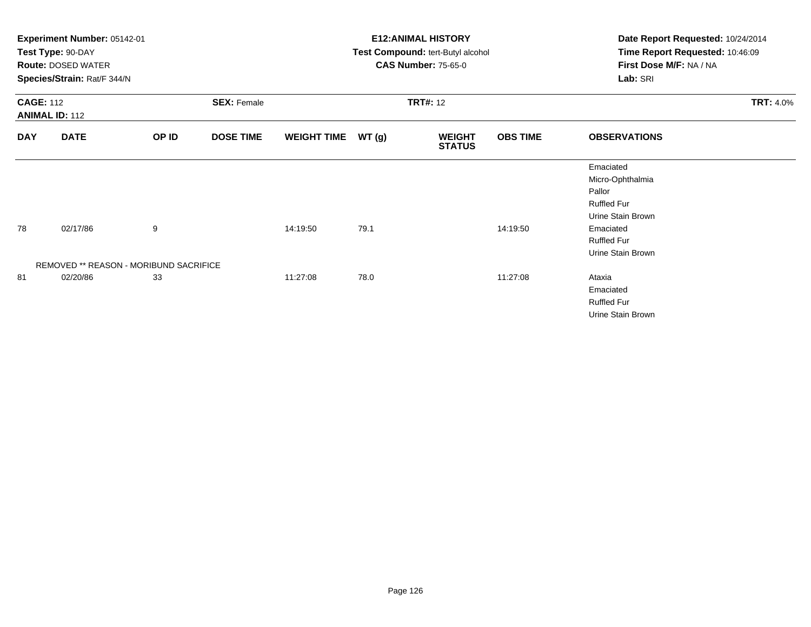|                                           | Experiment Number: 05142-01<br>Test Type: 90-DAY<br><b>Route: DOSED WATER</b><br>Species/Strain: Rat/F 344/N |                    |                  |                    |                 | <b>E12: ANIMAL HISTORY</b><br>Test Compound: tert-Butyl alcohol<br><b>CAS Number: 75-65-0</b> |                 | Date Report Requested: 10/24/2014<br>Time Report Requested: 10:46:09<br>First Dose M/F: NA / NA<br>Lab: SRI |  |
|-------------------------------------------|--------------------------------------------------------------------------------------------------------------|--------------------|------------------|--------------------|-----------------|-----------------------------------------------------------------------------------------------|-----------------|-------------------------------------------------------------------------------------------------------------|--|
| <b>CAGE: 112</b><br><b>ANIMAL ID: 112</b> |                                                                                                              | <b>SEX: Female</b> |                  |                    | <b>TRT#: 12</b> |                                                                                               |                 | <b>TRT: 4.0%</b>                                                                                            |  |
| <b>DAY</b>                                | <b>DATE</b>                                                                                                  | OP ID              | <b>DOSE TIME</b> | <b>WEIGHT TIME</b> | WT(g)           | <b>WEIGHT</b><br><b>STATUS</b>                                                                | <b>OBS TIME</b> | <b>OBSERVATIONS</b>                                                                                         |  |
|                                           |                                                                                                              |                    |                  |                    |                 |                                                                                               |                 | Emaciated<br>Micro-Ophthalmia<br>Pallor<br><b>Ruffled Fur</b><br>Urine Stain Brown                          |  |
| 78                                        | 02/17/86                                                                                                     | 9                  |                  | 14:19:50           | 79.1            |                                                                                               | 14:19:50        | Emaciated<br><b>Ruffled Fur</b><br>Urine Stain Brown                                                        |  |
|                                           | REMOVED ** REASON - MORIBUND SACRIFICE                                                                       |                    |                  |                    |                 |                                                                                               |                 |                                                                                                             |  |
| 81                                        | 02/20/86                                                                                                     | 33                 |                  | 11:27:08           | 78.0            |                                                                                               | 11:27:08        | Ataxia<br>Emaciated<br><b>Ruffled Fur</b><br>Urine Stain Brown                                              |  |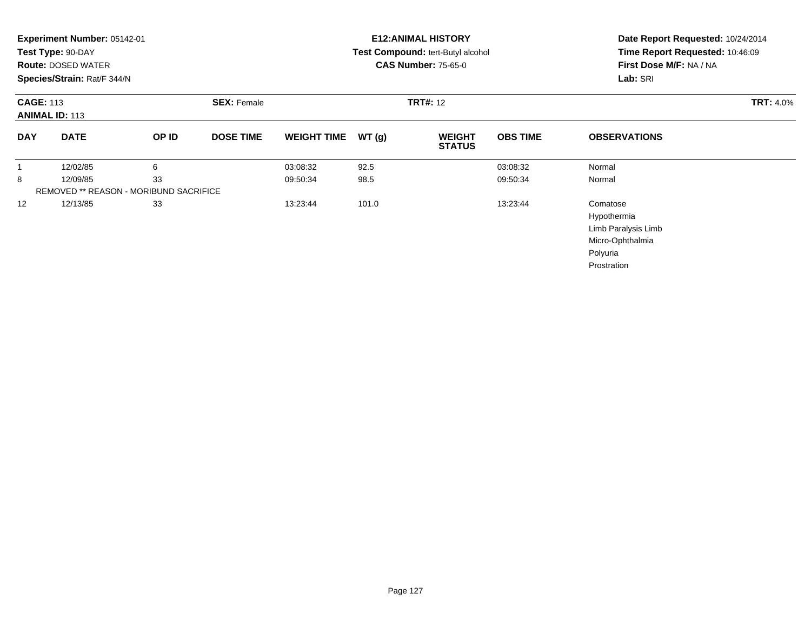|            | Experiment Number: 05142-01<br>Test Type: 90-DAY<br><b>Route: DOSED WATER</b><br>Species/Strain: Rat/F 344/N |                                        |                    |                      |              | <b>E12: ANIMAL HISTORY</b><br>Test Compound: tert-Butyl alcohol<br><b>CAS Number: 75-65-0</b> | Date Report Requested: 10/24/2014<br>Time Report Requested: 10:46:09<br>First Dose M/F: NA / NA<br>Lab: SRI |                                                                                               |
|------------|--------------------------------------------------------------------------------------------------------------|----------------------------------------|--------------------|----------------------|--------------|-----------------------------------------------------------------------------------------------|-------------------------------------------------------------------------------------------------------------|-----------------------------------------------------------------------------------------------|
|            | <b>CAGE: 113</b><br><b>ANIMAL ID: 113</b>                                                                    |                                        | <b>SEX: Female</b> | <b>TRT#: 12</b>      |              |                                                                                               |                                                                                                             | <b>TRT: 4.0%</b>                                                                              |
| <b>DAY</b> | <b>DATE</b>                                                                                                  | OP ID                                  | <b>DOSE TIME</b>   | <b>WEIGHT TIME</b>   | WT(g)        | <b>WEIGHT</b><br><b>STATUS</b>                                                                | <b>OBS TIME</b>                                                                                             | <b>OBSERVATIONS</b>                                                                           |
| 1<br>8     | 12/02/85<br>12/09/85                                                                                         | 6<br>33                                |                    | 03:08:32<br>09:50:34 | 92.5<br>98.5 |                                                                                               | 03:08:32<br>09:50:34                                                                                        | Normal<br>Normal                                                                              |
|            |                                                                                                              | REMOVED ** REASON - MORIBUND SACRIFICE |                    |                      |              |                                                                                               |                                                                                                             |                                                                                               |
| 12         | 12/13/85                                                                                                     | 33                                     |                    | 13:23:44             | 101.0        |                                                                                               | 13:23:44                                                                                                    | Comatose<br>Hypothermia<br>Limb Paralysis Limb<br>Micro-Ophthalmia<br>Polyuria<br>Prostration |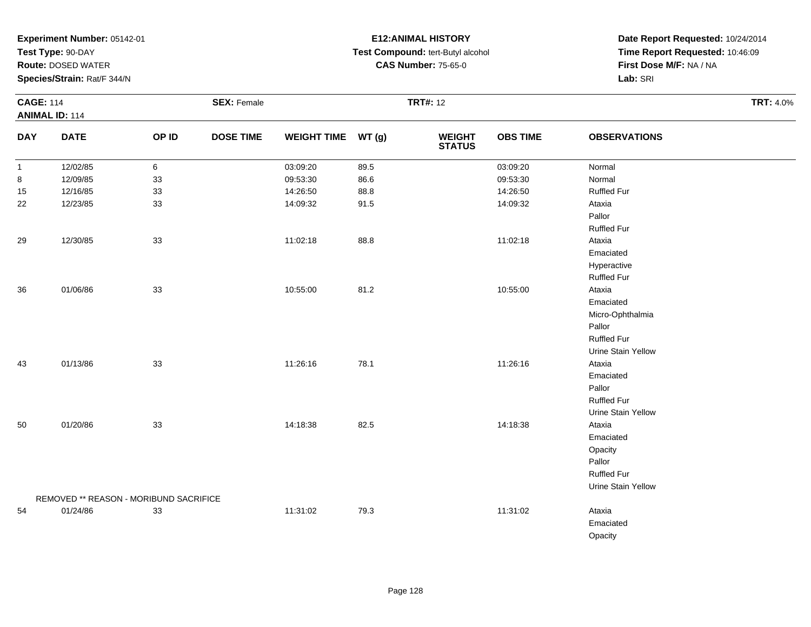**Test Type:** 90-DAY

**Route:** DOSED WATER

**Species/Strain:** Rat/F 344/N

# **E12:ANIMAL HISTORY Test Compound:** tert-Butyl alcohol **CAS Number:** 75-65-0

|              | <b>CAGE: 114</b><br><b>ANIMAL ID: 114</b> |       | <b>SEX: Female</b> |                    |      | <b>TRT#: 12</b>                |                 | <b>TRT: 4.0%</b>    |  |
|--------------|-------------------------------------------|-------|--------------------|--------------------|------|--------------------------------|-----------------|---------------------|--|
| <b>DAY</b>   | <b>DATE</b>                               | OP ID | <b>DOSE TIME</b>   | WEIGHT TIME WT (g) |      | <b>WEIGHT</b><br><b>STATUS</b> | <b>OBS TIME</b> | <b>OBSERVATIONS</b> |  |
| $\mathbf{1}$ | 12/02/85                                  | 6     |                    | 03:09:20           | 89.5 |                                | 03:09:20        | Normal              |  |
| 8            | 12/09/85                                  | 33    |                    | 09:53:30           | 86.6 |                                | 09:53:30        | Normal              |  |
| 15           | 12/16/85                                  | 33    |                    | 14:26:50           | 88.8 |                                | 14:26:50        | <b>Ruffled Fur</b>  |  |
| 22           | 12/23/85                                  | 33    |                    | 14:09:32           | 91.5 |                                | 14:09:32        | Ataxia              |  |
|              |                                           |       |                    |                    |      |                                |                 | Pallor              |  |
|              |                                           |       |                    |                    |      |                                |                 | <b>Ruffled Fur</b>  |  |
| 29           | 12/30/85                                  | 33    |                    | 11:02:18           | 88.8 |                                | 11:02:18        | Ataxia              |  |
|              |                                           |       |                    |                    |      |                                |                 | Emaciated           |  |
|              |                                           |       |                    |                    |      |                                |                 | Hyperactive         |  |
|              |                                           |       |                    |                    |      |                                |                 | <b>Ruffled Fur</b>  |  |
| 36           | 01/06/86                                  | 33    |                    | 10:55:00           | 81.2 |                                | 10:55:00        | Ataxia              |  |
|              |                                           |       |                    |                    |      |                                |                 | Emaciated           |  |
|              |                                           |       |                    |                    |      |                                |                 | Micro-Ophthalmia    |  |
|              |                                           |       |                    |                    |      |                                |                 | Pallor              |  |
|              |                                           |       |                    |                    |      |                                |                 | <b>Ruffled Fur</b>  |  |
|              |                                           |       |                    |                    |      |                                |                 | Urine Stain Yellow  |  |
| 43           | 01/13/86                                  | 33    |                    | 11:26:16           | 78.1 |                                | 11:26:16        | Ataxia              |  |
|              |                                           |       |                    |                    |      |                                |                 | Emaciated           |  |
|              |                                           |       |                    |                    |      |                                |                 | Pallor              |  |
|              |                                           |       |                    |                    |      |                                |                 | <b>Ruffled Fur</b>  |  |
|              |                                           |       |                    |                    |      |                                |                 | Urine Stain Yellow  |  |
| 50           | 01/20/86                                  | 33    |                    | 14:18:38           | 82.5 |                                | 14:18:38        | Ataxia              |  |
|              |                                           |       |                    |                    |      |                                |                 | Emaciated           |  |
|              |                                           |       |                    |                    |      |                                |                 | Opacity             |  |
|              |                                           |       |                    |                    |      |                                |                 | Pallor              |  |
|              |                                           |       |                    |                    |      |                                |                 | <b>Ruffled Fur</b>  |  |
|              |                                           |       |                    |                    |      |                                |                 | Urine Stain Yellow  |  |
|              | REMOVED ** REASON - MORIBUND SACRIFICE    |       |                    |                    |      |                                |                 |                     |  |
| 54           | 01/24/86                                  | 33    |                    | 11:31:02           | 79.3 |                                | 11:31:02        | Ataxia              |  |
|              |                                           |       |                    |                    |      |                                |                 | Emaciated           |  |
|              |                                           |       |                    |                    |      |                                |                 | Opacity             |  |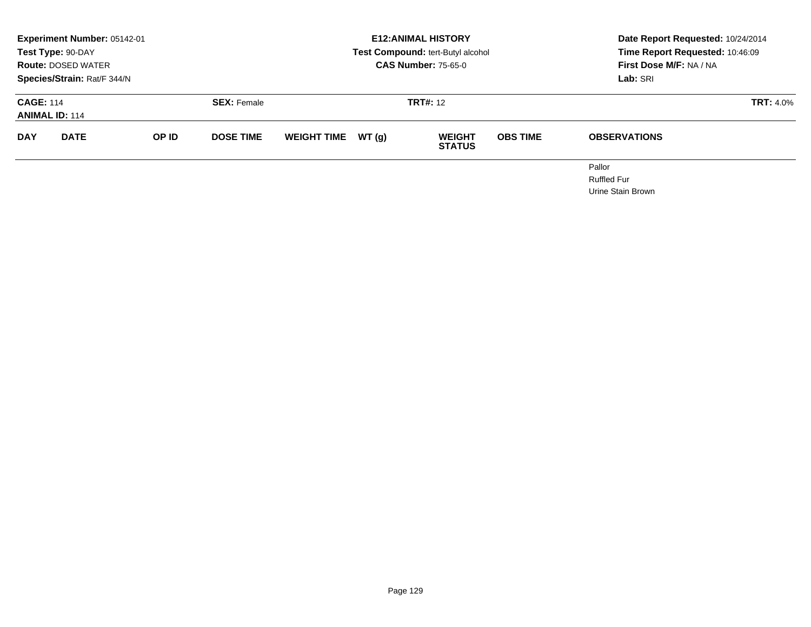|                                           | Experiment Number: 05142-01<br>Test Type: 90-DAY<br><b>Route: DOSED WATER</b><br>Species/Strain: Rat/F 344/N |       |                    |                    |        | <b>E12: ANIMAL HISTORY</b><br>Test Compound: tert-Butyl alcohol<br><b>CAS Number: 75-65-0</b> |                 | Date Report Requested: 10/24/2014<br>Time Report Requested: 10:46:09<br><b>First Dose M/F: NA / NA</b><br>Lab: SRI |  |
|-------------------------------------------|--------------------------------------------------------------------------------------------------------------|-------|--------------------|--------------------|--------|-----------------------------------------------------------------------------------------------|-----------------|--------------------------------------------------------------------------------------------------------------------|--|
| <b>CAGE: 114</b><br><b>ANIMAL ID: 114</b> |                                                                                                              |       | <b>SEX: Female</b> |                    |        | <b>TRT#: 12</b>                                                                               |                 | <b>TRT: 4.0%</b>                                                                                                   |  |
| <b>DAY</b>                                | <b>DATE</b>                                                                                                  | OP ID | <b>DOSE TIME</b>   | <b>WEIGHT TIME</b> | WT (a) | <b>WEIGHT</b><br><b>STATUS</b>                                                                | <b>OBS TIME</b> | <b>OBSERVATIONS</b>                                                                                                |  |
|                                           |                                                                                                              |       |                    |                    |        |                                                                                               |                 | Pallor<br><b>Ruffled Fur</b>                                                                                       |  |

Urine Stain Brown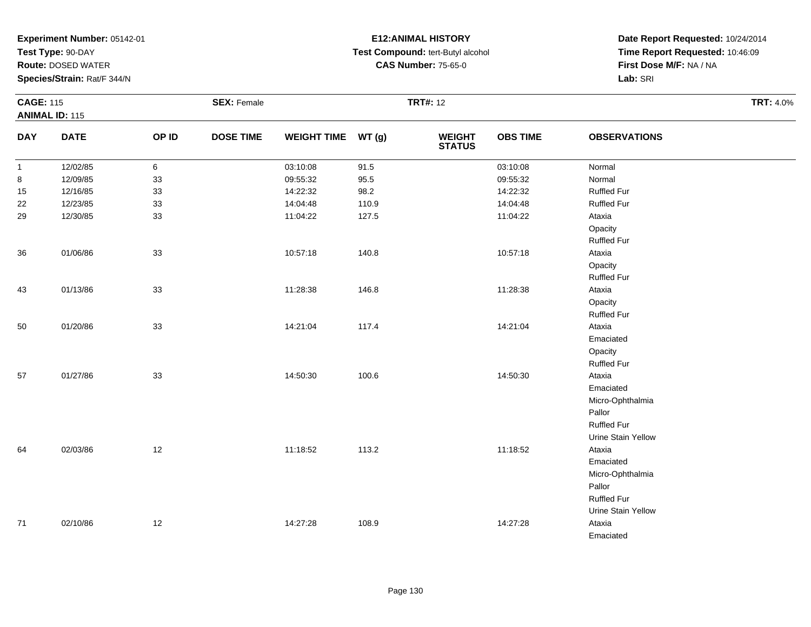**Test Type:** 90-DAY

**Route:** DOSED WATER

**Species/Strain:** Rat/F 344/N

# **E12:ANIMAL HISTORY Test Compound:** tert-Butyl alcohol **CAS Number:** 75-65-0

| <b>CAGE: 115</b> | <b>ANIMAL ID: 115</b> |       | <b>SEX: Female</b> |                    |       | <b>TRT#: 12</b>                |                 |                     | <b>TRT: 4.0%</b> |
|------------------|-----------------------|-------|--------------------|--------------------|-------|--------------------------------|-----------------|---------------------|------------------|
| <b>DAY</b>       | <b>DATE</b>           | OP ID | <b>DOSE TIME</b>   | WEIGHT TIME WT (g) |       | <b>WEIGHT</b><br><b>STATUS</b> | <b>OBS TIME</b> | <b>OBSERVATIONS</b> |                  |
| $\mathbf{1}$     | 12/02/85              | 6     |                    | 03:10:08           | 91.5  |                                | 03:10:08        | Normal              |                  |
| 8                | 12/09/85              | 33    |                    | 09:55:32           | 95.5  |                                | 09:55:32        | Normal              |                  |
| 15               | 12/16/85              | 33    |                    | 14:22:32           | 98.2  |                                | 14:22:32        | <b>Ruffled Fur</b>  |                  |
| 22               | 12/23/85              | 33    |                    | 14:04:48           | 110.9 |                                | 14:04:48        | <b>Ruffled Fur</b>  |                  |
| 29               | 12/30/85              | 33    |                    | 11:04:22           | 127.5 |                                | 11:04:22        | Ataxia              |                  |
|                  |                       |       |                    |                    |       |                                |                 | Opacity             |                  |
|                  |                       |       |                    |                    |       |                                |                 | <b>Ruffled Fur</b>  |                  |
| $36\,$           | 01/06/86              | 33    |                    | 10:57:18           | 140.8 |                                | 10:57:18        | Ataxia              |                  |
|                  |                       |       |                    |                    |       |                                |                 | Opacity             |                  |
|                  |                       |       |                    |                    |       |                                |                 | <b>Ruffled Fur</b>  |                  |
| 43               | 01/13/86              | 33    |                    | 11:28:38           | 146.8 |                                | 11:28:38        | Ataxia              |                  |
|                  |                       |       |                    |                    |       |                                |                 | Opacity             |                  |
|                  |                       |       |                    |                    |       |                                |                 | <b>Ruffled Fur</b>  |                  |
| $50\,$           | 01/20/86              | 33    |                    | 14:21:04           | 117.4 |                                | 14:21:04        | Ataxia              |                  |
|                  |                       |       |                    |                    |       |                                |                 | Emaciated           |                  |
|                  |                       |       |                    |                    |       |                                |                 | Opacity             |                  |
|                  |                       |       |                    |                    |       |                                |                 | <b>Ruffled Fur</b>  |                  |
| 57               | 01/27/86              | 33    |                    | 14:50:30           | 100.6 |                                | 14:50:30        | Ataxia              |                  |
|                  |                       |       |                    |                    |       |                                |                 | Emaciated           |                  |
|                  |                       |       |                    |                    |       |                                |                 | Micro-Ophthalmia    |                  |
|                  |                       |       |                    |                    |       |                                |                 | Pallor              |                  |
|                  |                       |       |                    |                    |       |                                |                 | Ruffled Fur         |                  |
|                  |                       |       |                    |                    |       |                                |                 | Urine Stain Yellow  |                  |
| 64               | 02/03/86              | 12    |                    | 11:18:52           | 113.2 |                                | 11:18:52        | Ataxia              |                  |
|                  |                       |       |                    |                    |       |                                |                 | Emaciated           |                  |
|                  |                       |       |                    |                    |       |                                |                 | Micro-Ophthalmia    |                  |
|                  |                       |       |                    |                    |       |                                |                 | Pallor              |                  |
|                  |                       |       |                    |                    |       |                                |                 | <b>Ruffled Fur</b>  |                  |
|                  |                       |       |                    |                    |       |                                |                 | Urine Stain Yellow  |                  |
| 71               | 02/10/86              | 12    |                    | 14:27:28           | 108.9 |                                | 14:27:28        | Ataxia              |                  |
|                  |                       |       |                    |                    |       |                                |                 | Emaciated           |                  |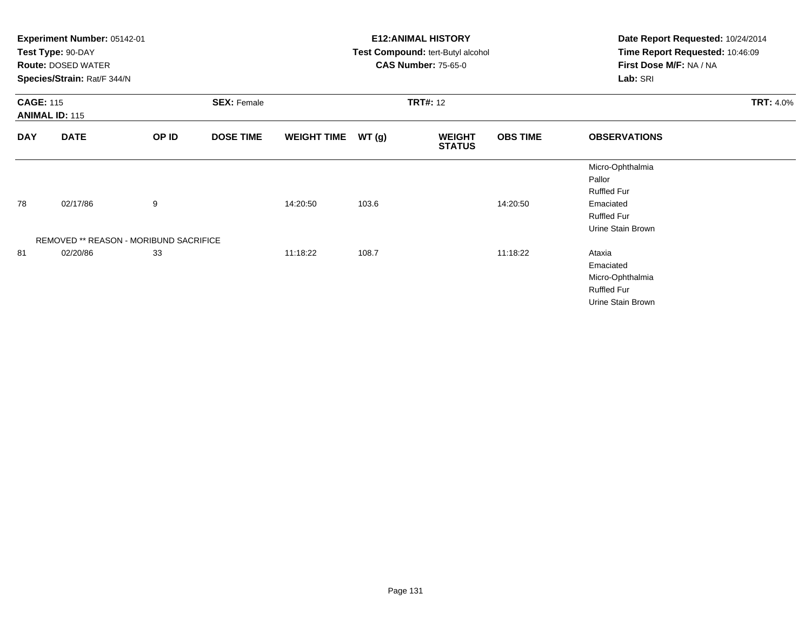|                                           | Experiment Number: 05142-01<br>Test Type: 90-DAY<br><b>Route: DOSED WATER</b><br>Species/Strain: Rat/F 344/N |                    |                  |                    |                 | <b>E12: ANIMAL HISTORY</b><br>Test Compound: tert-Butyl alcohol<br><b>CAS Number: 75-65-0</b> |                 | Date Report Requested: 10/24/2014<br>Time Report Requested: 10:46:09<br>First Dose M/F: NA / NA<br>Lab: SRI |  |
|-------------------------------------------|--------------------------------------------------------------------------------------------------------------|--------------------|------------------|--------------------|-----------------|-----------------------------------------------------------------------------------------------|-----------------|-------------------------------------------------------------------------------------------------------------|--|
| <b>CAGE: 115</b><br><b>ANIMAL ID: 115</b> |                                                                                                              | <b>SEX: Female</b> |                  |                    | <b>TRT#: 12</b> |                                                                                               |                 | <b>TRT: 4.0%</b>                                                                                            |  |
| <b>DAY</b>                                | <b>DATE</b>                                                                                                  | OP ID              | <b>DOSE TIME</b> | <b>WEIGHT TIME</b> | WT(g)           | <b>WEIGHT</b><br><b>STATUS</b>                                                                | <b>OBS TIME</b> | <b>OBSERVATIONS</b>                                                                                         |  |
|                                           |                                                                                                              |                    |                  |                    |                 |                                                                                               |                 | Micro-Ophthalmia<br>Pallor<br><b>Ruffled Fur</b>                                                            |  |
| 78                                        | 02/17/86                                                                                                     | 9                  |                  | 14:20:50           | 103.6           |                                                                                               | 14:20:50        | Emaciated<br><b>Ruffled Fur</b><br>Urine Stain Brown                                                        |  |
|                                           | REMOVED ** REASON - MORIBUND SACRIFICE                                                                       |                    |                  |                    |                 |                                                                                               |                 |                                                                                                             |  |
| 81                                        | 02/20/86                                                                                                     | 33                 |                  | 11:18:22           | 108.7           |                                                                                               | 11:18:22        | Ataxia<br>Emaciated<br>Micro-Ophthalmia<br><b>Ruffled Fur</b><br>Urine Stain Brown                          |  |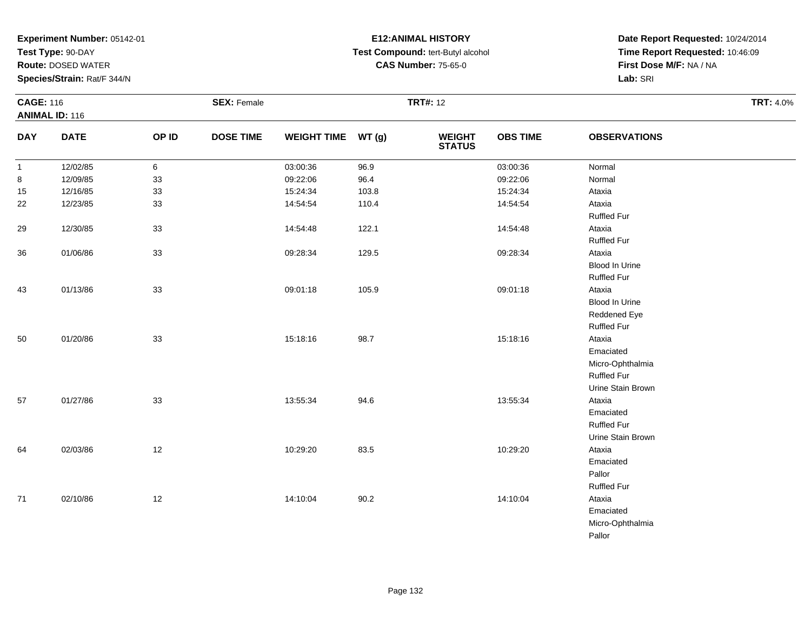**Test Type:** 90-DAY

**Route:** DOSED WATER

**Species/Strain:** Rat/F 344/N

# **E12:ANIMAL HISTORY Test Compound:** tert-Butyl alcohol **CAS Number:** 75-65-0

|              | <b>CAGE: 116</b><br><b>ANIMAL ID: 116</b> |        | <b>SEX: Female</b> |                    |       | <b>TRT#: 12</b>                |                 | <b>TRT: 4.0%</b>      |  |
|--------------|-------------------------------------------|--------|--------------------|--------------------|-------|--------------------------------|-----------------|-----------------------|--|
| <b>DAY</b>   | <b>DATE</b>                               | OP ID  | <b>DOSE TIME</b>   | WEIGHT TIME WT (g) |       | <b>WEIGHT</b><br><b>STATUS</b> | <b>OBS TIME</b> | <b>OBSERVATIONS</b>   |  |
| $\mathbf{1}$ | 12/02/85                                  | 6      |                    | 03:00:36           | 96.9  |                                | 03:00:36        | Normal                |  |
| 8            | 12/09/85                                  | $33\,$ |                    | 09:22:06           | 96.4  |                                | 09:22:06        | Normal                |  |
| 15           | 12/16/85                                  | 33     |                    | 15:24:34           | 103.8 |                                | 15:24:34        | Ataxia                |  |
| 22           | 12/23/85                                  | 33     |                    | 14:54:54           | 110.4 |                                | 14:54:54        | Ataxia                |  |
|              |                                           |        |                    |                    |       |                                |                 | <b>Ruffled Fur</b>    |  |
| 29           | 12/30/85                                  | 33     |                    | 14:54:48           | 122.1 |                                | 14:54:48        | Ataxia                |  |
|              |                                           |        |                    |                    |       |                                |                 | <b>Ruffled Fur</b>    |  |
| 36           | 01/06/86                                  | 33     |                    | 09:28:34           | 129.5 |                                | 09:28:34        | Ataxia                |  |
|              |                                           |        |                    |                    |       |                                |                 | <b>Blood In Urine</b> |  |
|              |                                           |        |                    |                    |       |                                |                 | <b>Ruffled Fur</b>    |  |
| 43           | 01/13/86                                  | 33     |                    | 09:01:18           | 105.9 |                                | 09:01:18        | Ataxia                |  |
|              |                                           |        |                    |                    |       |                                |                 | Blood In Urine        |  |
|              |                                           |        |                    |                    |       |                                |                 | Reddened Eye          |  |
|              |                                           |        |                    |                    |       |                                |                 | <b>Ruffled Fur</b>    |  |
| 50           | 01/20/86                                  | 33     |                    | 15:18:16           | 98.7  |                                | 15:18:16        | Ataxia                |  |
|              |                                           |        |                    |                    |       |                                |                 | Emaciated             |  |
|              |                                           |        |                    |                    |       |                                |                 | Micro-Ophthalmia      |  |
|              |                                           |        |                    |                    |       |                                |                 | <b>Ruffled Fur</b>    |  |
|              |                                           |        |                    |                    |       |                                |                 | Urine Stain Brown     |  |
| 57           | 01/27/86                                  | 33     |                    | 13:55:34           | 94.6  |                                | 13:55:34        | Ataxia                |  |
|              |                                           |        |                    |                    |       |                                |                 | Emaciated             |  |
|              |                                           |        |                    |                    |       |                                |                 | <b>Ruffled Fur</b>    |  |
|              |                                           |        |                    |                    |       |                                |                 | Urine Stain Brown     |  |
| 64           | 02/03/86                                  | 12     |                    | 10:29:20           | 83.5  |                                | 10:29:20        | Ataxia                |  |
|              |                                           |        |                    |                    |       |                                |                 | Emaciated             |  |
|              |                                           |        |                    |                    |       |                                |                 | Pallor                |  |
|              |                                           |        |                    |                    |       |                                |                 | <b>Ruffled Fur</b>    |  |
| 71           | 02/10/86                                  | 12     |                    | 14:10:04           | 90.2  |                                | 14:10:04        | Ataxia                |  |
|              |                                           |        |                    |                    |       |                                |                 | Emaciated             |  |
|              |                                           |        |                    |                    |       |                                |                 | Micro-Ophthalmia      |  |
|              |                                           |        |                    |                    |       |                                |                 | Pallor                |  |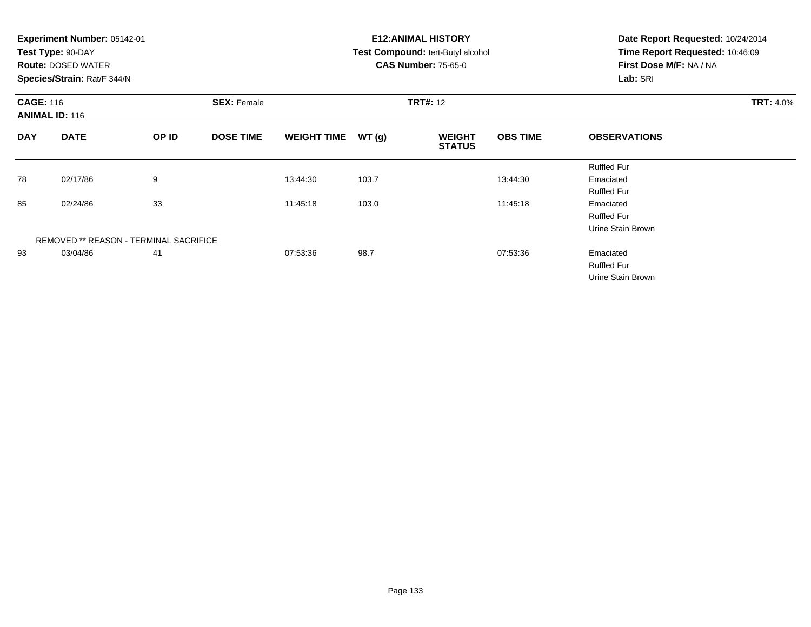|                                           | Experiment Number: 05142-01<br>Test Type: 90-DAY<br><b>Route: DOSED WATER</b><br>Species/Strain: Rat/F 344/N |                    |                  |                    |       | <b>E12: ANIMAL HISTORY</b><br>Test Compound: tert-Butyl alcohol<br><b>CAS Number: 75-65-0</b> | Date Report Requested: 10/24/2014<br>Time Report Requested: 10:46:09<br>First Dose M/F: NA / NA<br>Lab: SRI |                     |  |
|-------------------------------------------|--------------------------------------------------------------------------------------------------------------|--------------------|------------------|--------------------|-------|-----------------------------------------------------------------------------------------------|-------------------------------------------------------------------------------------------------------------|---------------------|--|
| <b>CAGE: 116</b><br><b>ANIMAL ID: 116</b> |                                                                                                              | <b>SEX: Female</b> |                  | <b>TRT#: 12</b>    |       |                                                                                               | <b>TRT: 4.0%</b>                                                                                            |                     |  |
| <b>DAY</b>                                | <b>DATE</b>                                                                                                  | OP ID              | <b>DOSE TIME</b> | <b>WEIGHT TIME</b> | WT(g) | <b>WEIGHT</b><br><b>STATUS</b>                                                                | <b>OBS TIME</b>                                                                                             | <b>OBSERVATIONS</b> |  |
|                                           |                                                                                                              |                    |                  |                    |       |                                                                                               |                                                                                                             | <b>Ruffled Fur</b>  |  |
| 78                                        | 02/17/86                                                                                                     | 9                  |                  | 13:44:30           | 103.7 |                                                                                               | 13:44:30                                                                                                    | Emaciated           |  |
|                                           |                                                                                                              |                    |                  |                    |       |                                                                                               |                                                                                                             | <b>Ruffled Fur</b>  |  |
| 85                                        | 02/24/86                                                                                                     | 33                 |                  | 11:45:18           | 103.0 |                                                                                               | 11:45:18                                                                                                    | Emaciated           |  |
|                                           |                                                                                                              |                    |                  |                    |       |                                                                                               |                                                                                                             | <b>Ruffled Fur</b>  |  |
|                                           |                                                                                                              |                    |                  |                    |       |                                                                                               |                                                                                                             | Urine Stain Brown   |  |
|                                           | <b>REMOVED ** REASON - TERMINAL SACRIFICE</b>                                                                |                    |                  |                    |       |                                                                                               |                                                                                                             |                     |  |
| 93                                        | 03/04/86                                                                                                     | 41                 |                  | 07:53:36           | 98.7  |                                                                                               | 07:53:36                                                                                                    | Emaciated           |  |
|                                           |                                                                                                              |                    |                  |                    |       |                                                                                               |                                                                                                             | <b>Ruffled Fur</b>  |  |
|                                           |                                                                                                              |                    |                  |                    |       |                                                                                               |                                                                                                             | Urine Stain Brown   |  |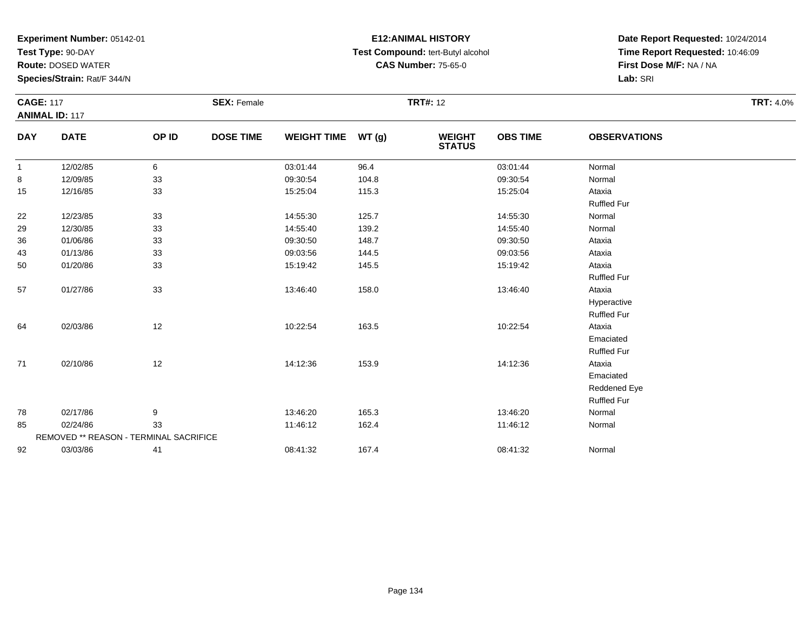**Test Type:** 90-DAY

**Route:** DOSED WATER

**Species/Strain:** Rat/F 344/N

# **E12:ANIMAL HISTORY Test Compound:** tert-Butyl alcohol **CAS Number:** 75-65-0

| <b>CAGE: 117</b> |                                        | <b>SEX: Female</b> |                  |                    | <b>TRT#: 12</b> |                                |                 |                     |  |
|------------------|----------------------------------------|--------------------|------------------|--------------------|-----------------|--------------------------------|-----------------|---------------------|--|
|                  | <b>ANIMAL ID: 117</b>                  |                    |                  |                    |                 |                                |                 |                     |  |
| <b>DAY</b>       | <b>DATE</b>                            | OP ID              | <b>DOSE TIME</b> | <b>WEIGHT TIME</b> | WT(g)           | <b>WEIGHT</b><br><b>STATUS</b> | <b>OBS TIME</b> | <b>OBSERVATIONS</b> |  |
| $\mathbf{1}$     | 12/02/85                               | 6                  |                  | 03:01:44           | 96.4            |                                | 03:01:44        | Normal              |  |
| 8                | 12/09/85                               | 33                 |                  | 09:30:54           | 104.8           |                                | 09:30:54        | Normal              |  |
| 15               | 12/16/85                               | 33                 |                  | 15:25:04           | 115.3           |                                | 15:25:04        | Ataxia              |  |
|                  |                                        |                    |                  |                    |                 |                                |                 | <b>Ruffled Fur</b>  |  |
| 22               | 12/23/85                               | 33                 |                  | 14:55:30           | 125.7           |                                | 14:55:30        | Normal              |  |
| 29               | 12/30/85                               | 33                 |                  | 14:55:40           | 139.2           |                                | 14:55:40        | Normal              |  |
| 36               | 01/06/86                               | 33                 |                  | 09:30:50           | 148.7           |                                | 09:30:50        | Ataxia              |  |
| 43               | 01/13/86                               | 33                 |                  | 09:03:56           | 144.5           |                                | 09:03:56        | Ataxia              |  |
| 50               | 01/20/86                               | 33                 |                  | 15:19:42           | 145.5           |                                | 15:19:42        | Ataxia              |  |
|                  |                                        |                    |                  |                    |                 |                                |                 | <b>Ruffled Fur</b>  |  |
| 57               | 01/27/86                               | 33                 |                  | 13:46:40           | 158.0           |                                | 13:46:40        | Ataxia              |  |
|                  |                                        |                    |                  |                    |                 |                                |                 | Hyperactive         |  |
|                  |                                        |                    |                  |                    |                 |                                |                 | <b>Ruffled Fur</b>  |  |
| 64               | 02/03/86                               | 12                 |                  | 10:22:54           | 163.5           |                                | 10:22:54        | Ataxia              |  |
|                  |                                        |                    |                  |                    |                 |                                |                 | Emaciated           |  |
|                  |                                        |                    |                  |                    |                 |                                |                 | <b>Ruffled Fur</b>  |  |
| 71               | 02/10/86                               | 12                 |                  | 14:12:36           | 153.9           |                                | 14:12:36        | Ataxia              |  |
|                  |                                        |                    |                  |                    |                 |                                |                 | Emaciated           |  |
|                  |                                        |                    |                  |                    |                 |                                |                 | Reddened Eye        |  |
|                  |                                        |                    |                  |                    |                 |                                |                 | <b>Ruffled Fur</b>  |  |
| 78               | 02/17/86                               | 9                  |                  | 13:46:20           | 165.3           |                                | 13:46:20        | Normal              |  |
| 85               | 02/24/86                               | 33                 |                  | 11:46:12           | 162.4           |                                | 11:46:12        | Normal              |  |
|                  | REMOVED ** REASON - TERMINAL SACRIFICE |                    |                  |                    |                 |                                |                 |                     |  |
| 92               | 03/03/86                               | 41                 |                  | 08:41:32           | 167.4           |                                | 08:41:32        | Normal              |  |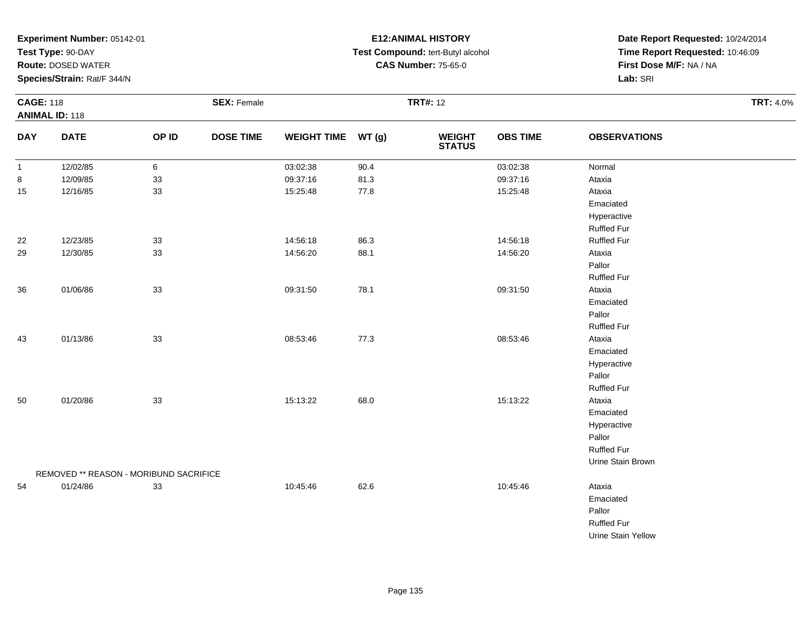**Test Type:** 90-DAY

**Route:** DOSED WATER

**Species/Strain:** Rat/F 344/N

# **E12:ANIMAL HISTORY Test Compound:** tert-Butyl alcohol **CAS Number:** 75-65-0

| <b>CAGE: 118</b><br><b>ANIMAL ID: 118</b> |                                        |       | <b>SEX: Female</b> |                    |       | <b>TRT#: 12</b>                |                 |                     |  |  |  |
|-------------------------------------------|----------------------------------------|-------|--------------------|--------------------|-------|--------------------------------|-----------------|---------------------|--|--|--|
| <b>DAY</b>                                | <b>DATE</b>                            | OP ID | <b>DOSE TIME</b>   | <b>WEIGHT TIME</b> | WT(g) | <b>WEIGHT</b><br><b>STATUS</b> | <b>OBS TIME</b> | <b>OBSERVATIONS</b> |  |  |  |
| $\mathbf{1}$                              | 12/02/85                               | 6     |                    | 03:02:38           | 90.4  |                                | 03:02:38        | Normal              |  |  |  |
| 8                                         | 12/09/85                               | 33    |                    | 09:37:16           | 81.3  |                                | 09:37:16        | Ataxia              |  |  |  |
| 15                                        | 12/16/85                               | 33    |                    | 15:25:48           | 77.8  |                                | 15:25:48        | Ataxia              |  |  |  |
|                                           |                                        |       |                    |                    |       |                                |                 | Emaciated           |  |  |  |
|                                           |                                        |       |                    |                    |       |                                |                 | Hyperactive         |  |  |  |
|                                           |                                        |       |                    |                    |       |                                |                 | <b>Ruffled Fur</b>  |  |  |  |
| 22                                        | 12/23/85                               | 33    |                    | 14:56:18           | 86.3  |                                | 14:56:18        | <b>Ruffled Fur</b>  |  |  |  |
| 29                                        | 12/30/85                               | 33    |                    | 14:56:20           | 88.1  |                                | 14:56:20        | Ataxia              |  |  |  |
|                                           |                                        |       |                    |                    |       |                                |                 | Pallor              |  |  |  |
|                                           |                                        |       |                    |                    |       |                                |                 | <b>Ruffled Fur</b>  |  |  |  |
| 36                                        | 01/06/86                               | 33    |                    | 09:31:50           | 78.1  |                                | 09:31:50        | Ataxia              |  |  |  |
|                                           |                                        |       |                    |                    |       |                                |                 | Emaciated           |  |  |  |
|                                           |                                        |       |                    |                    |       |                                |                 | Pallor              |  |  |  |
|                                           |                                        |       |                    |                    |       |                                |                 | Ruffled Fur         |  |  |  |
| 43                                        | 01/13/86                               | 33    |                    | 08:53:46           | 77.3  |                                | 08:53:46        | Ataxia              |  |  |  |
|                                           |                                        |       |                    |                    |       |                                |                 | Emaciated           |  |  |  |
|                                           |                                        |       |                    |                    |       |                                |                 | Hyperactive         |  |  |  |
|                                           |                                        |       |                    |                    |       |                                |                 | Pallor              |  |  |  |
|                                           |                                        |       |                    |                    |       |                                |                 | <b>Ruffled Fur</b>  |  |  |  |
| 50                                        | 01/20/86                               | 33    |                    | 15:13:22           | 68.0  |                                | 15:13:22        | Ataxia              |  |  |  |
|                                           |                                        |       |                    |                    |       |                                |                 | Emaciated           |  |  |  |
|                                           |                                        |       |                    |                    |       |                                |                 | Hyperactive         |  |  |  |
|                                           |                                        |       |                    |                    |       |                                |                 | Pallor              |  |  |  |
|                                           |                                        |       |                    |                    |       |                                |                 | <b>Ruffled Fur</b>  |  |  |  |
|                                           |                                        |       |                    |                    |       |                                |                 | Urine Stain Brown   |  |  |  |
|                                           | REMOVED ** REASON - MORIBUND SACRIFICE |       |                    |                    |       |                                |                 |                     |  |  |  |
| 54                                        | 01/24/86                               | 33    |                    | 10:45:46           | 62.6  |                                | 10:45:46        | Ataxia              |  |  |  |
|                                           |                                        |       |                    |                    |       |                                |                 | Emaciated           |  |  |  |
|                                           |                                        |       |                    |                    |       |                                |                 | Pallor              |  |  |  |
|                                           |                                        |       |                    |                    |       |                                |                 | <b>Ruffled Fur</b>  |  |  |  |
|                                           |                                        |       |                    |                    |       |                                |                 | Urine Stain Yellow  |  |  |  |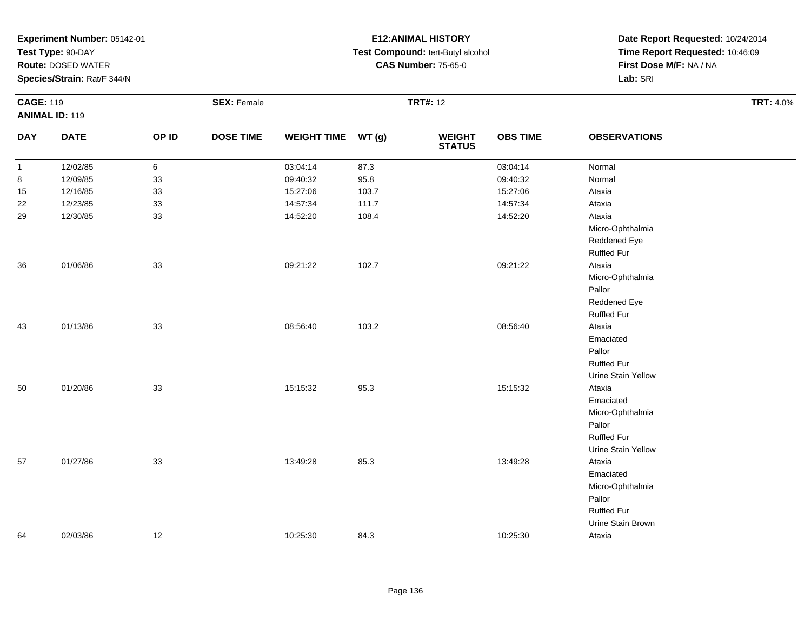**Test Type:** 90-DAY

**Route:** DOSED WATER

**Species/Strain:** Rat/F 344/N

# **E12:ANIMAL HISTORY Test Compound:** tert-Butyl alcohol **CAS Number:** 75-65-0

| <b>CAGE: 119</b><br><b>ANIMAL ID: 119</b> |             | <b>SEX: Female</b> |                  |                    | <b>TRT#: 12</b> | <b>TRT: 4.0%</b>               |                 |                     |  |
|-------------------------------------------|-------------|--------------------|------------------|--------------------|-----------------|--------------------------------|-----------------|---------------------|--|
| <b>DAY</b>                                | <b>DATE</b> | OP ID              | <b>DOSE TIME</b> | WEIGHT TIME WT (g) |                 | <b>WEIGHT</b><br><b>STATUS</b> | <b>OBS TIME</b> | <b>OBSERVATIONS</b> |  |
| $\mathbf{1}$                              | 12/02/85    | 6                  |                  | 03:04:14           | 87.3            |                                | 03:04:14        | Normal              |  |
| 8                                         | 12/09/85    | 33                 |                  | 09:40:32           | 95.8            |                                | 09:40:32        | Normal              |  |
| 15                                        | 12/16/85    | 33                 |                  | 15:27:06           | 103.7           |                                | 15:27:06        | Ataxia              |  |
| 22                                        | 12/23/85    | 33                 |                  | 14:57:34           | 111.7           |                                | 14:57:34        | Ataxia              |  |
| 29                                        | 12/30/85    | 33                 |                  | 14:52:20           | 108.4           |                                | 14:52:20        | Ataxia              |  |
|                                           |             |                    |                  |                    |                 |                                |                 | Micro-Ophthalmia    |  |
|                                           |             |                    |                  |                    |                 |                                |                 | Reddened Eye        |  |
|                                           |             |                    |                  |                    |                 |                                |                 | <b>Ruffled Fur</b>  |  |
| 36                                        | 01/06/86    | 33                 |                  | 09:21:22           | 102.7           |                                | 09:21:22        | Ataxia              |  |
|                                           |             |                    |                  |                    |                 |                                |                 | Micro-Ophthalmia    |  |
|                                           |             |                    |                  |                    |                 |                                |                 | Pallor              |  |
|                                           |             |                    |                  |                    |                 |                                |                 | Reddened Eye        |  |
|                                           |             |                    |                  |                    |                 |                                |                 | <b>Ruffled Fur</b>  |  |
| 43                                        | 01/13/86    | 33                 |                  | 08:56:40           | 103.2           |                                | 08:56:40        | Ataxia              |  |
|                                           |             |                    |                  |                    |                 |                                |                 | Emaciated           |  |
|                                           |             |                    |                  |                    |                 |                                |                 | Pallor              |  |
|                                           |             |                    |                  |                    |                 |                                |                 | <b>Ruffled Fur</b>  |  |
|                                           |             |                    |                  |                    |                 |                                |                 | Urine Stain Yellow  |  |
| $50\,$                                    | 01/20/86    | 33                 |                  | 15:15:32           | 95.3            |                                | 15:15:32        | Ataxia              |  |
|                                           |             |                    |                  |                    |                 |                                |                 | Emaciated           |  |
|                                           |             |                    |                  |                    |                 |                                |                 | Micro-Ophthalmia    |  |
|                                           |             |                    |                  |                    |                 |                                |                 | Pallor              |  |
|                                           |             |                    |                  |                    |                 |                                |                 | <b>Ruffled Fur</b>  |  |
|                                           |             |                    |                  |                    |                 |                                |                 | Urine Stain Yellow  |  |
| 57                                        | 01/27/86    | 33                 |                  | 13:49:28           | 85.3            |                                | 13:49:28        | Ataxia              |  |
|                                           |             |                    |                  |                    |                 |                                |                 | Emaciated           |  |
|                                           |             |                    |                  |                    |                 |                                |                 | Micro-Ophthalmia    |  |
|                                           |             |                    |                  |                    |                 |                                |                 | Pallor              |  |
|                                           |             |                    |                  |                    |                 |                                |                 | <b>Ruffled Fur</b>  |  |
|                                           |             |                    |                  |                    |                 |                                |                 | Urine Stain Brown   |  |
| 64                                        | 02/03/86    | 12                 |                  | 10:25:30           | 84.3            |                                | 10:25:30        | Ataxia              |  |
|                                           |             |                    |                  |                    |                 |                                |                 |                     |  |

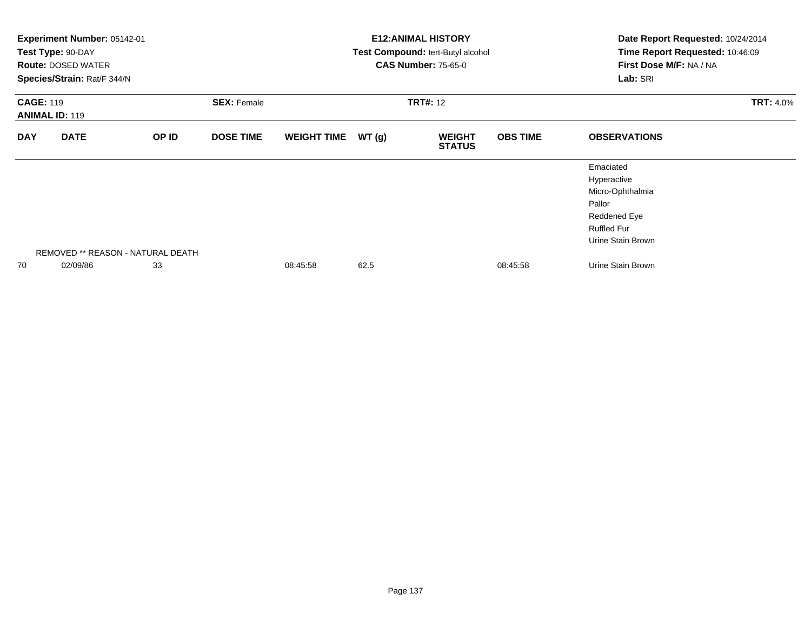|                                           | Experiment Number: 05142-01<br>Test Type: 90-DAY<br><b>Route: DOSED WATER</b><br>Species/Strain: Rat/F 344/N |                                   |                                       |                    |       | <b>E12: ANIMAL HISTORY</b><br>Test Compound: tert-Butyl alcohol<br><b>CAS Number: 75-65-0</b> | Date Report Requested: 10/24/2014<br>Time Report Requested: 10:46:09<br>First Dose M/F: NA / NA<br>Lab: SRI |                                                                                                                   |  |
|-------------------------------------------|--------------------------------------------------------------------------------------------------------------|-----------------------------------|---------------------------------------|--------------------|-------|-----------------------------------------------------------------------------------------------|-------------------------------------------------------------------------------------------------------------|-------------------------------------------------------------------------------------------------------------------|--|
| <b>CAGE: 119</b><br><b>ANIMAL ID: 119</b> |                                                                                                              |                                   | <b>SEX: Female</b><br><b>TRT#: 12</b> |                    |       |                                                                                               |                                                                                                             | <b>TRT: 4.0%</b>                                                                                                  |  |
| <b>DAY</b>                                | <b>DATE</b>                                                                                                  | OP ID                             | <b>DOSE TIME</b>                      | <b>WEIGHT TIME</b> | WT(g) | <b>WEIGHT</b><br><b>STATUS</b>                                                                | <b>OBS TIME</b>                                                                                             | <b>OBSERVATIONS</b>                                                                                               |  |
|                                           |                                                                                                              | REMOVED ** REASON - NATURAL DEATH |                                       |                    |       |                                                                                               |                                                                                                             | Emaciated<br>Hyperactive<br>Micro-Ophthalmia<br>Pallor<br>Reddened Eye<br><b>Ruffled Fur</b><br>Urine Stain Brown |  |
| 70                                        | 02/09/86                                                                                                     | 33                                |                                       | 08:45:58           | 62.5  |                                                                                               | 08:45:58                                                                                                    | Urine Stain Brown                                                                                                 |  |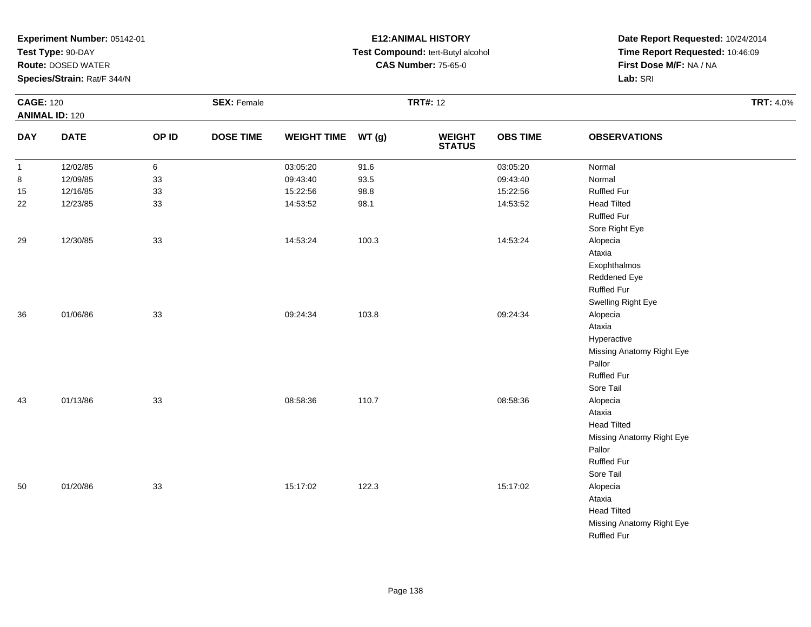**Test Type:** 90-DAY

**Route:** DOSED WATER

**Species/Strain:** Rat/F 344/N

# **E12:ANIMAL HISTORY Test Compound:** tert-Butyl alcohol **CAS Number:** 75-65-0

| <b>CAGE: 120</b><br><b>ANIMAL ID: 120</b> |             | <b>SEX: Female</b> |                  |                    |       | <b>TRT#: 12</b>          |                 |                           | <b>TRT: 4.0%</b> |
|-------------------------------------------|-------------|--------------------|------------------|--------------------|-------|--------------------------|-----------------|---------------------------|------------------|
| <b>DAY</b>                                | <b>DATE</b> | OP ID              | <b>DOSE TIME</b> | <b>WEIGHT TIME</b> | WT(g) | <b>WEIGHT<br/>STATUS</b> | <b>OBS TIME</b> | <b>OBSERVATIONS</b>       |                  |
| $\mathbf{1}$                              | 12/02/85    | 6                  |                  | 03:05:20           | 91.6  |                          | 03:05:20        | Normal                    |                  |
| 8                                         | 12/09/85    | 33                 |                  | 09:43:40           | 93.5  |                          | 09:43:40        | Normal                    |                  |
| 15                                        | 12/16/85    | 33                 |                  | 15:22:56           | 98.8  |                          | 15:22:56        | Ruffled Fur               |                  |
| 22                                        | 12/23/85    | 33                 |                  | 14:53:52           | 98.1  |                          | 14:53:52        | <b>Head Tilted</b>        |                  |
|                                           |             |                    |                  |                    |       |                          |                 | <b>Ruffled Fur</b>        |                  |
|                                           |             |                    |                  |                    |       |                          |                 | Sore Right Eye            |                  |
| 29                                        | 12/30/85    | 33                 |                  | 14:53:24           | 100.3 |                          | 14:53:24        | Alopecia                  |                  |
|                                           |             |                    |                  |                    |       |                          |                 | Ataxia                    |                  |
|                                           |             |                    |                  |                    |       |                          |                 | Exophthalmos              |                  |
|                                           |             |                    |                  |                    |       |                          |                 | Reddened Eye              |                  |
|                                           |             |                    |                  |                    |       |                          |                 | <b>Ruffled Fur</b>        |                  |
|                                           |             |                    |                  |                    |       |                          |                 | Swelling Right Eye        |                  |
| 36                                        | 01/06/86    | 33                 |                  | 09:24:34           | 103.8 |                          | 09:24:34        | Alopecia                  |                  |
|                                           |             |                    |                  |                    |       |                          |                 | Ataxia                    |                  |
|                                           |             |                    |                  |                    |       |                          |                 | Hyperactive               |                  |
|                                           |             |                    |                  |                    |       |                          |                 | Missing Anatomy Right Eye |                  |
|                                           |             |                    |                  |                    |       |                          |                 | Pallor                    |                  |
|                                           |             |                    |                  |                    |       |                          |                 | <b>Ruffled Fur</b>        |                  |
|                                           |             |                    |                  |                    |       |                          |                 | Sore Tail                 |                  |
| 43                                        | 01/13/86    | 33                 |                  | 08:58:36           | 110.7 |                          | 08:58:36        | Alopecia                  |                  |
|                                           |             |                    |                  |                    |       |                          |                 | Ataxia                    |                  |
|                                           |             |                    |                  |                    |       |                          |                 | <b>Head Tilted</b>        |                  |
|                                           |             |                    |                  |                    |       |                          |                 | Missing Anatomy Right Eye |                  |
|                                           |             |                    |                  |                    |       |                          |                 | Pallor                    |                  |
|                                           |             |                    |                  |                    |       |                          |                 | <b>Ruffled Fur</b>        |                  |
|                                           |             |                    |                  |                    |       |                          |                 | Sore Tail                 |                  |
| 50                                        | 01/20/86    | 33                 |                  | 15:17:02           | 122.3 |                          | 15:17:02        | Alopecia                  |                  |
|                                           |             |                    |                  |                    |       |                          |                 | Ataxia                    |                  |
|                                           |             |                    |                  |                    |       |                          |                 | <b>Head Tilted</b>        |                  |
|                                           |             |                    |                  |                    |       |                          |                 | Missing Anatomy Right Eye |                  |
|                                           |             |                    |                  |                    |       |                          |                 | <b>Ruffled Fur</b>        |                  |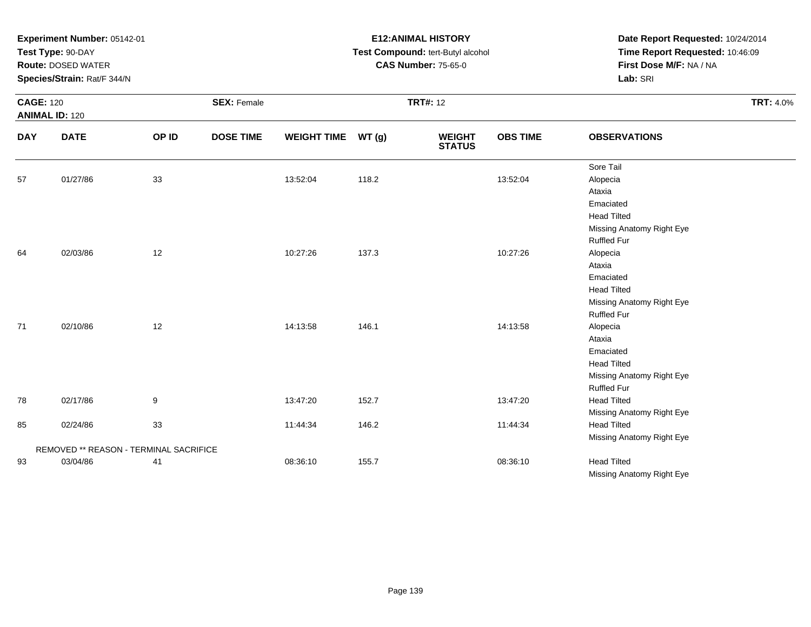| <b>CAGE: 120</b> | Experiment Number: 05142-01<br>Test Type: 90-DAY<br><b>Route: DOSED WATER</b><br>Species/Strain: Rat/F 344/N<br><b>ANIMAL ID: 120</b> |                  | <b>SEX: Female</b> |                    |       | <b>E12:ANIMAL HISTORY</b><br>Test Compound: tert-Butyl alcohol<br><b>CAS Number: 75-65-0</b><br><b>TRT#: 12</b> | Date Report Requested: 10/24/2014<br>Time Report Requested: 10:46:09<br>First Dose M/F: NA / NA<br>Lab: SRI<br><b>TRT: 4.0%</b> |                                                                                                                       |
|------------------|---------------------------------------------------------------------------------------------------------------------------------------|------------------|--------------------|--------------------|-------|-----------------------------------------------------------------------------------------------------------------|---------------------------------------------------------------------------------------------------------------------------------|-----------------------------------------------------------------------------------------------------------------------|
| <b>DAY</b>       | <b>DATE</b>                                                                                                                           | OP ID            | <b>DOSE TIME</b>   | <b>WEIGHT TIME</b> | WT(g) | <b>WEIGHT</b><br><b>STATUS</b>                                                                                  | <b>OBS TIME</b>                                                                                                                 | <b>OBSERVATIONS</b>                                                                                                   |
| 57               | 01/27/86                                                                                                                              | 33               |                    | 13:52:04           | 118.2 |                                                                                                                 | 13:52:04                                                                                                                        | Sore Tail<br>Alopecia<br>Ataxia<br>Emaciated<br><b>Head Tilted</b><br>Missing Anatomy Right Eye<br><b>Ruffled Fur</b> |
| 64               | 02/03/86                                                                                                                              | 12               |                    | 10:27:26           | 137.3 |                                                                                                                 | 10:27:26                                                                                                                        | Alopecia<br>Ataxia<br>Emaciated<br><b>Head Tilted</b><br>Missing Anatomy Right Eye<br><b>Ruffled Fur</b>              |
| 71               | 02/10/86                                                                                                                              | 12               |                    | 14:13:58           | 146.1 |                                                                                                                 | 14:13:58                                                                                                                        | Alopecia<br>Ataxia<br>Emaciated<br><b>Head Tilted</b><br>Missing Anatomy Right Eye<br><b>Ruffled Fur</b>              |
| 78               | 02/17/86                                                                                                                              | $\boldsymbol{9}$ |                    | 13:47:20           | 152.7 |                                                                                                                 | 13:47:20                                                                                                                        | <b>Head Tilted</b><br>Missing Anatomy Right Eye                                                                       |
| 85               | 02/24/86                                                                                                                              | 33               |                    | 11:44:34           | 146.2 |                                                                                                                 | 11:44:34                                                                                                                        | <b>Head Tilted</b><br>Missing Anatomy Right Eye                                                                       |
|                  | REMOVED ** REASON - TERMINAL SACRIFICE                                                                                                |                  |                    |                    |       |                                                                                                                 |                                                                                                                                 |                                                                                                                       |
| 93               | 03/04/86                                                                                                                              | 41               |                    | 08:36:10           | 155.7 |                                                                                                                 | 08:36:10                                                                                                                        | <b>Head Tilted</b><br>Missing Anatomy Right Eye                                                                       |

**E12:ANIMAL HISTORY**